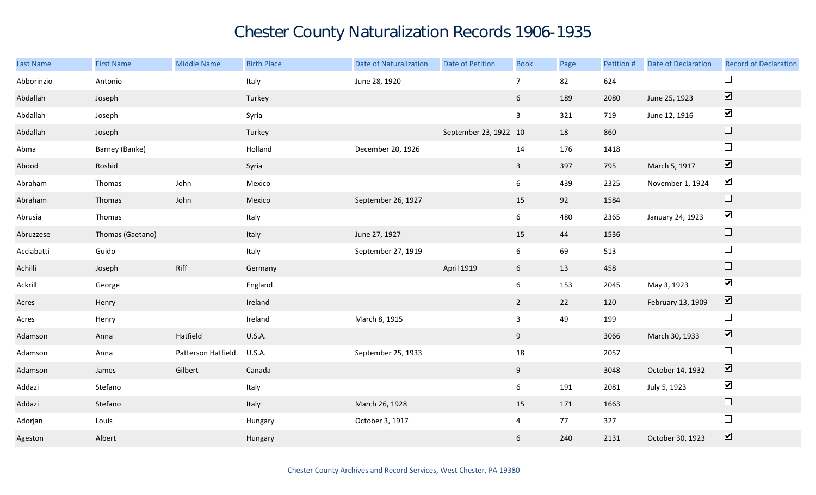## Chester County Naturalization Records 1906-1935

| <b>Last Name</b> | <b>First Name</b> | <b>Middle Name</b> | <b>Birth Place</b> | <b>Date of Naturalization</b> | <b>Date of Petition</b> | <b>Book</b>     | Page | Petition # | <b>Date of Declaration</b> | <b>Record of Declaration</b> |
|------------------|-------------------|--------------------|--------------------|-------------------------------|-------------------------|-----------------|------|------------|----------------------------|------------------------------|
| Abborinzio       | Antonio           |                    | Italy              | June 28, 1920                 |                         | $\overline{7}$  | 82   | 624        |                            | $\Box$                       |
| Abdallah         | Joseph            |                    | Turkey             |                               |                         | $6\overline{6}$ | 189  | 2080       | June 25, 1923              | $\overline{\textbf{v}}$      |
| Abdallah         | Joseph            |                    | Syria              |                               |                         | $\mathbf{3}$    | 321  | 719        | June 12, 1916              | $\blacktriangledown$         |
| Abdallah         | Joseph            |                    | Turkey             |                               | September 23, 1922 10   |                 | 18   | 860        |                            | $\hfill \square$             |
| Abma             | Barney (Banke)    |                    | Holland            | December 20, 1926             |                         | 14              | 176  | 1418       |                            | $\Box$                       |
| Abood            | Roshid            |                    | Syria              |                               |                         | $\mathbf{3}$    | 397  | 795        | March 5, 1917              | $\overline{\mathbf{v}}$      |
| Abraham          | Thomas            | John               | Mexico             |                               |                         | $6\overline{6}$ | 439  | 2325       | November 1, 1924           | $\blacktriangledown$         |
| Abraham          | Thomas            | John               | Mexico             | September 26, 1927            |                         | 15              | 92   | 1584       |                            | $\Box$                       |
| Abrusia          | Thomas            |                    | Italy              |                               |                         | 6 <sup>1</sup>  | 480  | 2365       | January 24, 1923           | $\blacktriangledown$         |
| Abruzzese        | Thomas (Gaetano)  |                    | Italy              | June 27, 1927                 |                         | 15              | 44   | 1536       |                            | $\Box$                       |
| Acciabatti       | Guido             |                    | Italy              | September 27, 1919            |                         | 6               | 69   | 513        |                            | $\Box$                       |
| Achilli          | Joseph            | Riff               | Germany            |                               | <b>April 1919</b>       | 6 <sup>1</sup>  | 13   | 458        |                            | $\hfill \square$             |
| Ackrill          | George            |                    | England            |                               |                         | 6               | 153  | 2045       | May 3, 1923                | $\blacktriangledown$         |
| Acres            | Henry             |                    | Ireland            |                               |                         | $2^{\circ}$     | 22   | 120        | February 13, 1909          | $\boxed{\blacktriangledown}$ |
| Acres            | Henry             |                    | Ireland            | March 8, 1915                 |                         | $\mathbf{3}$    | 49   | 199        |                            | $\Box$                       |
| Adamson          | Anna              | Hatfield           | <b>U.S.A.</b>      |                               |                         | 9               |      | 3066       | March 30, 1933             | $\boxed{\blacktriangledown}$ |
| Adamson          | Anna              | Patterson Hatfield | <b>U.S.A.</b>      | September 25, 1933            |                         | 18              |      | 2057       |                            | $\Box$                       |
| Adamson          | James             | Gilbert            | Canada             |                               |                         | 9               |      | 3048       | October 14, 1932           | $\boxed{\blacktriangledown}$ |
| Addazi           | Stefano           |                    | Italy              |                               |                         | $6\overline{6}$ | 191  | 2081       | July 5, 1923               | $\blacktriangledown$         |
| Addazi           | Stefano           |                    | Italy              | March 26, 1928                |                         | 15              | 171  | 1663       |                            | $\Box$                       |
| Adorjan          | Louis             |                    | Hungary            | October 3, 1917               |                         | $\overline{4}$  | 77   | 327        |                            | $\Box$                       |
| Ageston          | Albert            |                    | Hungary            |                               |                         | 6               | 240  | 2131       | October 30, 1923           | $\boxed{\blacktriangledown}$ |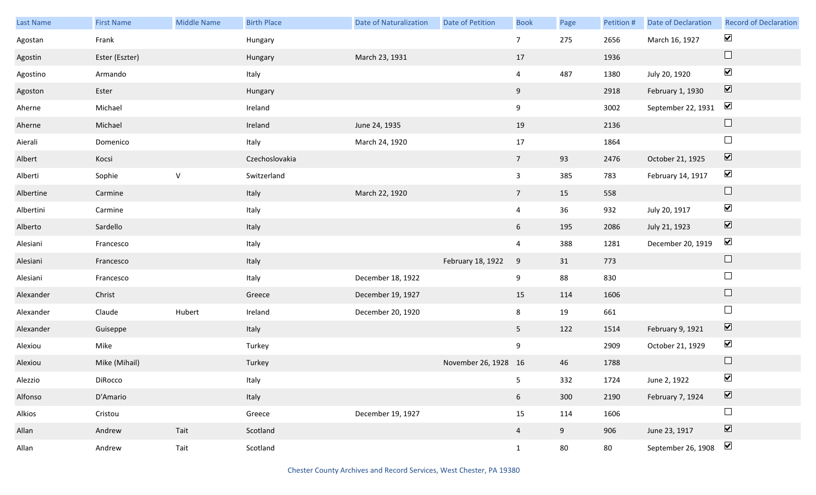| Last Name | <b>First Name</b> | <b>Middle Name</b> | <b>Birth Place</b> | <b>Date of Naturalization</b> | <b>Date of Petition</b> | <b>Book</b>     | Page | Petition # | Date of Declaration | <b>Record of Declaration</b> |
|-----------|-------------------|--------------------|--------------------|-------------------------------|-------------------------|-----------------|------|------------|---------------------|------------------------------|
| Agostan   | Frank             |                    | Hungary            |                               |                         | $\overline{7}$  | 275  | 2656       | March 16, 1927      | $\blacktriangledown$         |
| Agostin   | Ester (Eszter)    |                    | Hungary            | March 23, 1931                |                         | 17              |      | 1936       |                     | $\hfill \square$             |
| Agostino  | Armando           |                    | Italy              |                               |                         | $\overline{4}$  | 487  | 1380       | July 20, 1920       | $\blacktriangledown$         |
| Agoston   | Ester             |                    | Hungary            |                               |                         | 9               |      | 2918       | February 1, 1930    | $\boxed{\blacktriangledown}$ |
| Aherne    | Michael           |                    | Ireland            |                               |                         | 9               |      | 3002       | September 22, 1931  | $\blacktriangledown$         |
| Aherne    | Michael           |                    | Ireland            | June 24, 1935                 |                         | 19              |      | 2136       |                     | $\hfill \square$             |
| Aierali   | Domenico          |                    | Italy              | March 24, 1920                |                         | 17              |      | 1864       |                     | $\Box$                       |
| Albert    | Kocsi             |                    | Czechoslovakia     |                               |                         | $7\overline{ }$ | 93   | 2476       | October 21, 1925    | $\boxed{\blacktriangledown}$ |
| Alberti   | Sophie            | ${\sf V}$          | Switzerland        |                               |                         | $\mathbf{3}$    | 385  | 783        | February 14, 1917   | $\blacktriangledown$         |
| Albertine | Carmine           |                    | Italy              | March 22, 1920                |                         | $7\overline{ }$ | 15   | 558        |                     | $\hfill \square$             |
| Albertini | Carmine           |                    | Italy              |                               |                         | $\overline{4}$  | 36   | 932        | July 20, 1917       | $\blacktriangledown$         |
| Alberto   | Sardello          |                    | Italy              |                               |                         | $6\overline{6}$ | 195  | 2086       | July 21, 1923       | $\blacktriangledown$         |
| Alesiani  | Francesco         |                    | Italy              |                               |                         | $\overline{4}$  | 388  | 1281       | December 20, 1919   | $\blacktriangledown$         |
| Alesiani  | Francesco         |                    | Italy              |                               | February 18, 1922       | $9\,$           | 31   | 773        |                     | $\hfill \square$             |
| Alesiani  | Francesco         |                    | Italy              | December 18, 1922             |                         | 9               | 88   | 830        |                     | $\Box$                       |
| Alexander | Christ            |                    | Greece             | December 19, 1927             |                         | 15              | 114  | 1606       |                     | $\Box$                       |
| Alexander | Claude            | Hubert             | Ireland            | December 20, 1920             |                         | 8               | 19   | 661        |                     | $\Box$                       |
| Alexander | Guiseppe          |                    | Italy              |                               |                         | 5 <sub>5</sub>  | 122  | 1514       | February 9, 1921    | $\boxed{\blacktriangledown}$ |
| Alexiou   | Mike              |                    | Turkey             |                               |                         | 9               |      | 2909       | October 21, 1929    | $\blacktriangledown$         |
| Alexiou   | Mike (Mihail)     |                    | Turkey             |                               | November 26, 1928 16    |                 | 46   | 1788       |                     | $\Box$                       |
| Alezzio   | DiRocco           |                    | Italy              |                               |                         | 5 <sub>1</sub>  | 332  | 1724       | June 2, 1922        | $\blacktriangledown$         |
| Alfonso   | D'Amario          |                    | Italy              |                               |                         | 6 <sup>1</sup>  | 300  | 2190       | February 7, 1924    | $\overline{\mathbf{v}}$      |
| Alkios    | Cristou           |                    | Greece             | December 19, 1927             |                         | 15              | 114  | 1606       |                     | $\Box$                       |
| Allan     | Andrew            | Tait               | Scotland           |                               |                         | $\overline{4}$  | 9    | 906        | June 23, 1917       | $\boxed{\blacktriangledown}$ |
| Allan     | Andrew            | Tait               | Scotland           |                               |                         | $\mathbf{1}$    | 80   | 80         | September 26, 1908  | $\blacktriangledown$         |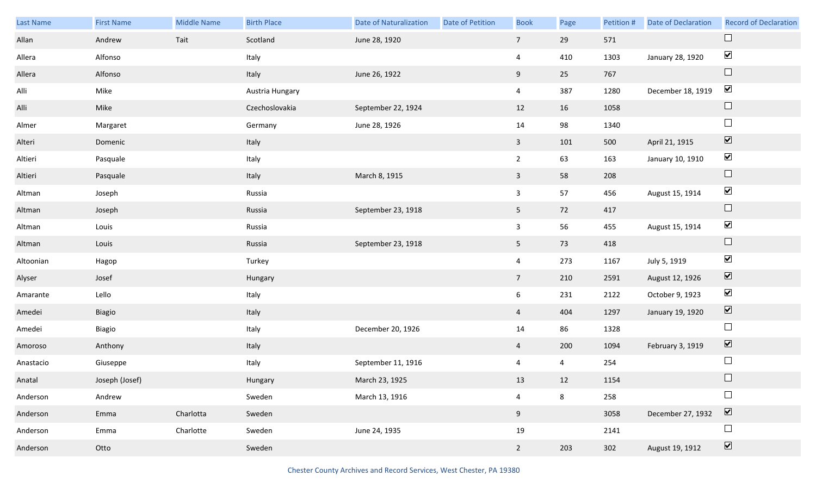| Last Name | <b>First Name</b> | <b>Middle Name</b> | <b>Birth Place</b> | <b>Date of Naturalization</b> | <b>Date of Petition</b> | <b>Book</b>     | Page           | Petition # | <b>Date of Declaration</b> | <b>Record of Declaration</b> |
|-----------|-------------------|--------------------|--------------------|-------------------------------|-------------------------|-----------------|----------------|------------|----------------------------|------------------------------|
| Allan     | Andrew            | Tait               | Scotland           | June 28, 1920                 |                         | $7\overline{ }$ | 29             | 571        |                            | $\Box$                       |
| Allera    | Alfonso           |                    | Italy              |                               |                         | $\overline{4}$  | 410            | 1303       | January 28, 1920           | $\blacktriangledown$         |
| Allera    | Alfonso           |                    | Italy              | June 26, 1922                 |                         | 9               | 25             | 767        |                            | $\Box$                       |
| Alli      | Mike              |                    | Austria Hungary    |                               |                         | $\overline{4}$  | 387            | 1280       | December 18, 1919          | $\blacktriangledown$         |
| Alli      | Mike              |                    | Czechoslovakia     | September 22, 1924            |                         | 12              | 16             | 1058       |                            | $\Box$                       |
| Almer     | Margaret          |                    | Germany            | June 28, 1926                 |                         | 14              | 98             | 1340       |                            | $\Box$                       |
| Alteri    | Domenic           |                    | Italy              |                               |                         | $\mathbf{3}$    | 101            | 500        | April 21, 1915             | $\boxed{\blacktriangledown}$ |
| Altieri   | Pasquale          |                    | Italy              |                               |                         | $2^{\circ}$     | 63             | 163        | January 10, 1910           | $\blacktriangledown$         |
| Altieri   | Pasquale          |                    | Italy              | March 8, 1915                 |                         | $\mathbf{3}$    | 58             | 208        |                            | $\Box$                       |
| Altman    | Joseph            |                    | Russia             |                               |                         | $\mathbf{3}$    | 57             | 456        | August 15, 1914            | $\blacktriangledown$         |
| Altman    | Joseph            |                    | Russia             | September 23, 1918            |                         | 5 <sub>1</sub>  | 72             | 417        |                            | $\Box$                       |
| Altman    | Louis             |                    | Russia             |                               |                         | $\mathbf{3}$    | 56             | 455        | August 15, 1914            | $\blacktriangledown$         |
| Altman    | Louis             |                    | Russia             | September 23, 1918            |                         | 5 <sub>1</sub>  | 73             | 418        |                            | $\Box$                       |
| Altoonian | Hagop             |                    | Turkey             |                               |                         | $\overline{4}$  | 273            | 1167       | July 5, 1919               | $\blacktriangledown$         |
| Alyser    | Josef             |                    | Hungary            |                               |                         | 7 <sup>7</sup>  | 210            | 2591       | August 12, 1926            | $\boxed{\blacktriangledown}$ |
| Amarante  | Lello             |                    | Italy              |                               |                         | 6               | 231            | 2122       | October 9, 1923            | $\blacktriangledown$         |
| Amedei    | Biagio            |                    | Italy              |                               |                         | $\overline{4}$  | 404            | 1297       | January 19, 1920           | $\blacktriangledown$         |
| Amedei    | Biagio            |                    | Italy              | December 20, 1926             |                         | 14              | 86             | 1328       |                            | $\Box$                       |
| Amoroso   | Anthony           |                    | Italy              |                               |                         | $\overline{4}$  | 200            | 1094       | February 3, 1919           | $\boxed{\blacktriangledown}$ |
| Anastacio | Giuseppe          |                    | Italy              | September 11, 1916            |                         | $\overline{4}$  | $\overline{4}$ | 254        |                            | $\Box$                       |
| Anatal    | Joseph (Josef)    |                    | Hungary            | March 23, 1925                |                         | 13              | 12             | 1154       |                            | $\Box$                       |
| Anderson  | Andrew            |                    | Sweden             | March 13, 1916                |                         | $\overline{4}$  | 8              | 258        |                            |                              |
| Anderson  | Emma              | Charlotta          | Sweden             |                               |                         | 9               |                | 3058       | December 27, 1932          | $\boxed{\blacktriangledown}$ |
| Anderson  | Emma              | Charlotte          | Sweden             | June 24, 1935                 |                         | 19              |                | 2141       |                            | $\Box$                       |
| Anderson  | Otto              |                    | Sweden             |                               |                         | $2^{\circ}$     | 203            | 302        | August 19, 1912            | $\boxed{\blacktriangledown}$ |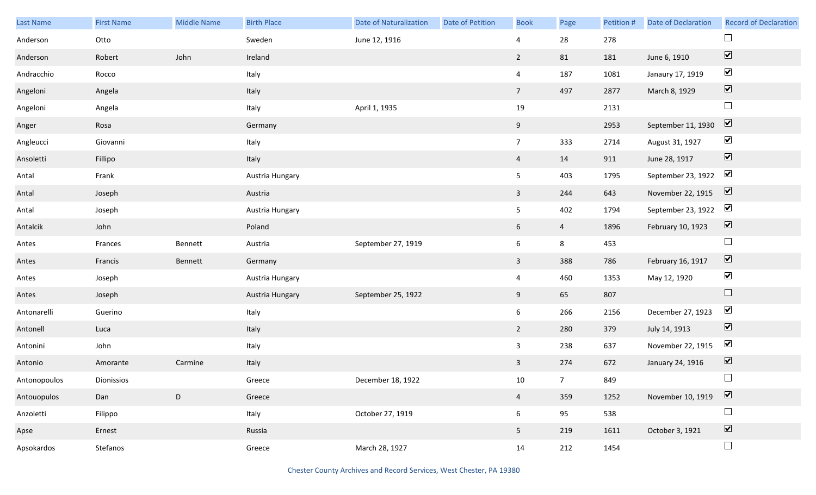| Last Name    | <b>First Name</b> | <b>Middle Name</b> | <b>Birth Place</b> | <b>Date of Naturalization</b> | <b>Date of Petition</b> | <b>Book</b>     | Page            | Petition # | Date of Declaration | <b>Record of Declaration</b> |
|--------------|-------------------|--------------------|--------------------|-------------------------------|-------------------------|-----------------|-----------------|------------|---------------------|------------------------------|
| Anderson     | Otto              |                    | Sweden             | June 12, 1916                 |                         | 4               | 28              | 278        |                     | $\Box$                       |
| Anderson     | Robert            | John               | Ireland            |                               |                         | $\overline{2}$  | 81              | 181        | June 6, 1910        | $\boxed{\blacktriangledown}$ |
| Andracchio   | Rocco             |                    | Italy              |                               |                         | $\overline{4}$  | 187             | 1081       | Janaury 17, 1919    | $\blacktriangledown$         |
| Angeloni     | Angela            |                    | Italy              |                               |                         | 7 <sup>7</sup>  | 497             | 2877       | March 8, 1929       | $\boxed{\blacktriangledown}$ |
| Angeloni     | Angela            |                    | Italy              | April 1, 1935                 |                         | 19              |                 | 2131       |                     | $\Box$                       |
| Anger        | Rosa              |                    | Germany            |                               |                         | 9               |                 | 2953       | September 11, 1930  | $\boxed{\blacktriangledown}$ |
| Angleucci    | Giovanni          |                    | Italy              |                               |                         | $7\overline{ }$ | 333             | 2714       | August 31, 1927     | $\blacktriangledown$         |
| Ansoletti    | Fillipo           |                    | Italy              |                               |                         | $\overline{4}$  | 14              | 911        | June 28, 1917       | $\boxed{\blacktriangledown}$ |
| Antal        | Frank             |                    | Austria Hungary    |                               |                         | 5 <sub>1</sub>  | 403             | 1795       | September 23, 1922  | $\blacktriangledown$         |
| Antal        | Joseph            |                    | Austria            |                               |                         | $\mathbf{3}$    | 244             | 643        | November 22, 1915   | $\overline{\mathbf{v}}$      |
| Antal        | Joseph            |                    | Austria Hungary    |                               |                         | 5 <sub>5</sub>  | 402             | 1794       | September 23, 1922  | $\blacktriangledown$         |
| Antalcik     | John              |                    | Poland             |                               |                         | 6               | $\overline{4}$  | 1896       | February 10, 1923   | $\boxed{\blacktriangledown}$ |
| Antes        | Frances           | Bennett            | Austria            | September 27, 1919            |                         | $6\overline{6}$ | 8               | 453        |                     | $\Box$                       |
| Antes        | Francis           | Bennett            | Germany            |                               |                         | $\mathbf{3}$    | 388             | 786        | February 16, 1917   | $\boxed{\blacktriangledown}$ |
| Antes        | Joseph            |                    | Austria Hungary    |                               |                         | $\overline{4}$  | 460             | 1353       | May 12, 1920        | $\blacktriangledown$         |
| Antes        | Joseph            |                    | Austria Hungary    | September 25, 1922            |                         | 9               | 65              | 807        |                     | $\Box$                       |
| Antonarelli  | Guerino           |                    | Italy              |                               |                         | $6\overline{6}$ | 266             | 2156       | December 27, 1923   | $\blacktriangledown$         |
| Antonell     | Luca              |                    | Italy              |                               |                         | $\overline{2}$  | 280             | 379        | July 14, 1913       | $\overline{\mathbf{v}}$      |
| Antonini     | John              |                    | Italy              |                               |                         | $\mathbf{3}$    | 238             | 637        | November 22, 1915   | $\blacktriangleright$        |
| Antonio      | Amorante          | Carmine            | Italy              |                               |                         | $\mathbf{3}$    | 274             | 672        | January 24, 1916    | $\boxed{\blacktriangledown}$ |
| Antonopoulos | Dionissios        |                    | Greece             | December 18, 1922             |                         | 10              | $7\overline{ }$ | 849        |                     | $\Box$                       |
| Antouopulos  | Dan               | $\mathsf D$        | Greece             |                               |                         | $\overline{4}$  | 359             | 1252       | November 10, 1919   | $\boxed{\blacktriangledown}$ |
| Anzoletti    | Filippo           |                    | Italy              | October 27, 1919              |                         | 6               | 95              | 538        |                     | $\Box$                       |
| Apse         | Ernest            |                    | Russia             |                               |                         | 5 <sub>1</sub>  | 219             | 1611       | October 3, 1921     | $\boxed{\blacktriangledown}$ |
| Apsokardos   | Stefanos          |                    | Greece             | March 28, 1927                |                         | 14              | 212             | 1454       |                     | $\Box$                       |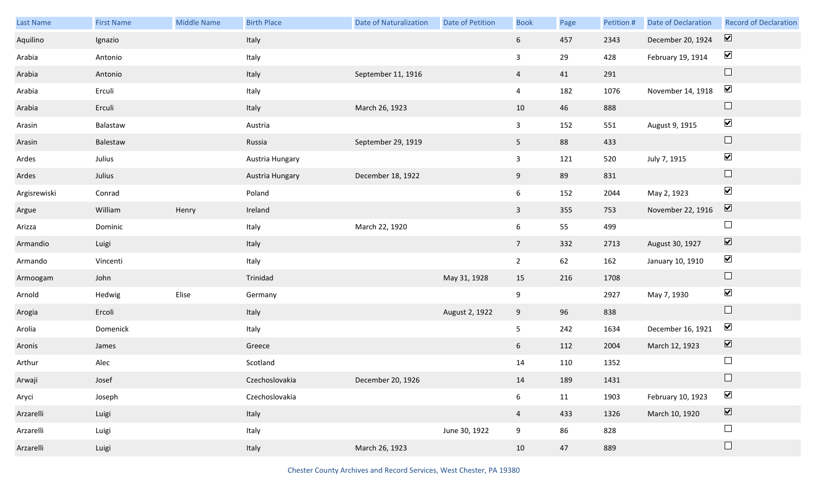| Last Name    | <b>First Name</b> | Middle Name | <b>Birth Place</b> | <b>Date of Naturalization</b> | Date of Petition | <b>Book</b>     | Page | Petition # | <b>Date of Declaration</b> | <b>Record of Declaration</b> |
|--------------|-------------------|-------------|--------------------|-------------------------------|------------------|-----------------|------|------------|----------------------------|------------------------------|
| Aquilino     | Ignazio           |             | Italy              |                               |                  | 6 <sup>1</sup>  | 457  | 2343       | December 20, 1924          | $\overline{\mathbf{v}}$      |
| Arabia       | Antonio           |             | Italy              |                               |                  | $\mathbf{3}$    | 29   | 428        | February 19, 1914          | $\blacktriangledown$         |
| Arabia       | Antonio           |             | Italy              | September 11, 1916            |                  | $\overline{4}$  | 41   | 291        |                            | $\Box$                       |
| Arabia       | Erculi            |             | Italy              |                               |                  | $\overline{4}$  | 182  | 1076       | November 14, 1918          | $\blacktriangledown$         |
| Arabia       | Erculi            |             | Italy              | March 26, 1923                |                  | 10              | 46   | 888        |                            | $\Box$                       |
| Arasin       | Balastaw          |             | Austria            |                               |                  | $\mathbf{3}$    | 152  | 551        | August 9, 1915             | $\blacktriangledown$         |
| Arasin       | Balestaw          |             | Russia             | September 29, 1919            |                  | 5 <sub>1</sub>  | 88   | 433        |                            | $\Box$                       |
| Ardes        | Julius            |             | Austria Hungary    |                               |                  | 3               | 121  | 520        | July 7, 1915               | $\blacktriangledown$         |
| Ardes        | Julius            |             | Austria Hungary    | December 18, 1922             |                  | 9 <sub>o</sub>  | 89   | 831        |                            | $\Box$                       |
| Argisrewiski | Conrad            |             | Poland             |                               |                  | $6\phantom{.0}$ | 152  | 2044       | May 2, 1923                | $\blacktriangledown$         |
| Argue        | William           | Henry       | Ireland            |                               |                  | $\mathbf{3}$    | 355  | 753        | November 22, 1916          | $\boxed{\blacktriangledown}$ |
| Arizza       | Dominic           |             | Italy              | March 22, 1920                |                  | 6 <sup>1</sup>  | 55   | 499        |                            | $\Box$                       |
| Armandio     | Luigi             |             | Italy              |                               |                  | 7 <sup>7</sup>  | 332  | 2713       | August 30, 1927            | $\boxed{\blacktriangledown}$ |
| Armando      | Vincenti          |             | Italy              |                               |                  | $2^{\circ}$     | 62   | 162        | January 10, 1910           | $\blacktriangledown$         |
| Armoogam     | John              |             | Trinidad           |                               | May 31, 1928     | 15              | 216  | 1708       |                            | $\hfill \square$             |
| Arnold       | Hedwig            | Elise       | Germany            |                               |                  | 9               |      | 2927       | May 7, 1930                | $\blacktriangledown$         |
| Arogia       | Ercoli            |             | Italy              |                               | August 2, 1922   | 9               | 96   | 838        |                            | $\Box$                       |
| Arolia       | Domenick          |             | Italy              |                               |                  | 5               | 242  | 1634       | December 16, 1921          | $\blacktriangledown$         |
| Aronis       | James             |             | Greece             |                               |                  | 6               | 112  | 2004       | March 12, 1923             | $\boxed{\blacktriangledown}$ |
| Arthur       | Alec              |             | Scotland           |                               |                  | 14              | 110  | 1352       |                            | $\Box$                       |
| Arwaji       | Josef             |             | Czechoslovakia     | December 20, 1926             |                  | 14              | 189  | 1431       |                            | $\Box$                       |
| Aryci        | Joseph            |             | Czechoslovakia     |                               |                  | 6               | 11   | 1903       | February 10, 1923          | $\blacktriangledown$         |
| Arzarelli    | Luigi             |             | Italy              |                               |                  | $\overline{4}$  | 433  | 1326       | March 10, 1920             | $\boxed{\blacktriangledown}$ |
| Arzarelli    | Luigi             |             | Italy              |                               | June 30, 1922    | 9               | 86   | 828        |                            | $\Box$                       |
| Arzarelli    | Luigi             |             | Italy              | March 26, 1923                |                  | 10              | 47   | 889        |                            | $\Box$                       |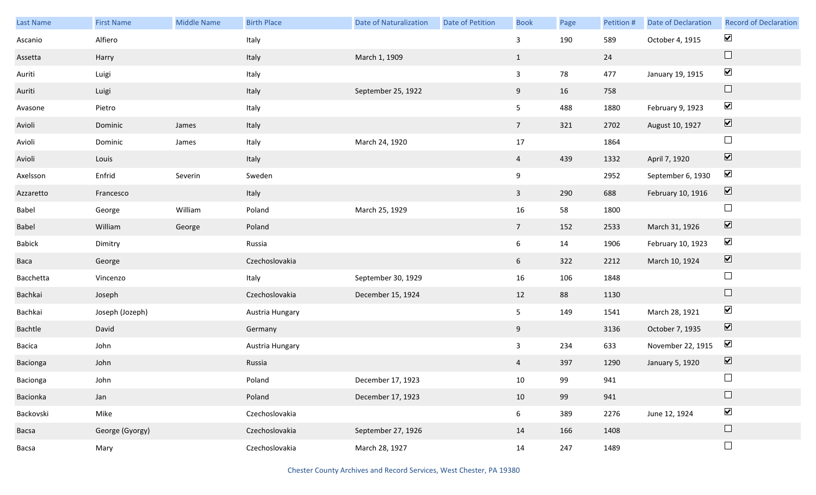| Last Name     | <b>First Name</b> | <b>Middle Name</b> | <b>Birth Place</b> | <b>Date of Naturalization</b> | Date of Petition | <b>Book</b>     | Page | Petition # | <b>Date of Declaration</b> | <b>Record of Declaration</b> |
|---------------|-------------------|--------------------|--------------------|-------------------------------|------------------|-----------------|------|------------|----------------------------|------------------------------|
| Ascanio       | Alfiero           |                    | Italy              |                               |                  | $\mathbf{3}$    | 190  | 589        | October 4, 1915            | $\blacktriangledown$         |
| Assetta       | Harry             |                    | Italy              | March 1, 1909                 |                  | $\mathbf{1}$    |      | 24         |                            | $\Box$                       |
| Auriti        | Luigi             |                    | Italy              |                               |                  | $\mathbf{3}$    | 78   | 477        | January 19, 1915           | $\blacktriangledown$         |
| Auriti        | Luigi             |                    | Italy              | September 25, 1922            |                  | 9               | 16   | 758        |                            | $\Box$                       |
| Avasone       | Pietro            |                    | Italy              |                               |                  | 5 <sub>5</sub>  | 488  | 1880       | February 9, 1923           | $\blacktriangledown$         |
| Avioli        | Dominic           | James              | Italy              |                               |                  | $7\overline{ }$ | 321  | 2702       | August 10, 1927            | $\boxed{\blacktriangledown}$ |
| Avioli        | Dominic           | James              | Italy              | March 24, 1920                |                  | $17\,$          |      | 1864       |                            | $\Box$                       |
| Avioli        | Louis             |                    | Italy              |                               |                  | $\overline{4}$  | 439  | 1332       | April 7, 1920              | $\boxed{\blacktriangledown}$ |
| Axelsson      | Enfrid            | Severin            | Sweden             |                               |                  | 9               |      | 2952       | September 6, 1930          | $\blacktriangledown$         |
| Azzaretto     | Francesco         |                    | Italy              |                               |                  | $\mathbf{3}$    | 290  | 688        | February 10, 1916          | $\boxed{\blacktriangledown}$ |
| Babel         | George            | William            | Poland             | March 25, 1929                |                  | 16              | 58   | 1800       |                            | $\Box$                       |
| Babel         | William           | George             | Poland             |                               |                  | $7\overline{ }$ | 152  | 2533       | March 31, 1926             | $\boxed{\blacktriangledown}$ |
| <b>Babick</b> | Dimitry           |                    | Russia             |                               |                  | $6\overline{6}$ | 14   | 1906       | February 10, 1923          | $\blacktriangledown$         |
| Baca          | George            |                    | Czechoslovakia     |                               |                  | 6 <sup>1</sup>  | 322  | 2212       | March 10, 1924             | $\boxed{\blacktriangledown}$ |
| Bacchetta     | Vincenzo          |                    | Italy              | September 30, 1929            |                  | 16              | 106  | 1848       |                            | $\Box$                       |
| Bachkai       | Joseph            |                    | Czechoslovakia     | December 15, 1924             |                  | 12              | 88   | 1130       |                            | $\hfill \square$             |
| Bachkai       | Joseph (Jozeph)   |                    | Austria Hungary    |                               |                  | 5 <sub>1</sub>  | 149  | 1541       | March 28, 1921             | $\blacktriangledown$         |
| Bachtle       | David             |                    | Germany            |                               |                  | 9               |      | 3136       | October 7, 1935            | $\boxed{\blacktriangledown}$ |
| Bacica        | John              |                    | Austria Hungary    |                               |                  | $\mathbf{3}$    | 234  | 633        | November 22, 1915          | $\blacktriangleright$        |
| Bacionga      | John              |                    | Russia             |                               |                  | $\overline{4}$  | 397  | 1290       | January 5, 1920            | $\boxed{\blacktriangledown}$ |
| Bacionga      | John              |                    | Poland             | December 17, 1923             |                  | 10              | 99   | 941        |                            | $\Box$                       |
| Bacionka      | Jan               |                    | Poland             | December 17, 1923             |                  | 10              | 99   | 941        |                            | $\Box$                       |
| Backovski     | Mike              |                    | Czechoslovakia     |                               |                  | 6               | 389  | 2276       | June 12, 1924              | $\blacktriangledown$         |
| Bacsa         | George (Gyorgy)   |                    | Czechoslovakia     | September 27, 1926            |                  | 14              | 166  | 1408       |                            | $\Box$                       |
| Bacsa         | Mary              |                    | Czechoslovakia     | March 28, 1927                |                  | 14              | 247  | 1489       |                            | $\hfill \square$             |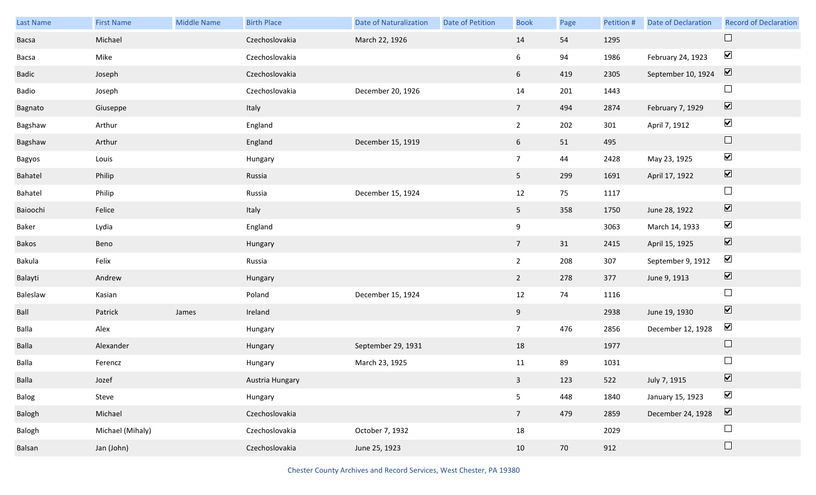| Last Name | <b>First Name</b> | Middle Name | <b>Birth Place</b> | <b>Date of Naturalization</b> | <b>Date of Petition</b> | <b>Book</b>     | Page | Petition # | Date of Declaration | <b>Record of Declaration</b> |
|-----------|-------------------|-------------|--------------------|-------------------------------|-------------------------|-----------------|------|------------|---------------------|------------------------------|
| Bacsa     | Michael           |             | Czechoslovakia     | March 22, 1926                |                         | 14              | 54   | 1295       |                     | $\Box$                       |
| Bacsa     | Mike              |             | Czechoslovakia     |                               |                         | 6               | 94   | 1986       | February 24, 1923   | $\blacktriangledown$         |
| Badic     | Joseph            |             | Czechoslovakia     |                               |                         | 6 <sup>1</sup>  | 419  | 2305       | September 10, 1924  | $\overline{\mathbf{v}}$      |
| Badio     | Joseph            |             | Czechoslovakia     | December 20, 1926             |                         | 14              | 201  | 1443       |                     | $\Box$                       |
| Bagnato   | Giuseppe          |             | Italy              |                               |                         | 7 <sup>7</sup>  | 494  | 2874       | February 7, 1929    | $\boxed{\blacktriangledown}$ |
| Bagshaw   | Arthur            |             | England            |                               |                         | $2^{\circ}$     | 202  | 301        | April 7, 1912       | $\blacktriangledown$         |
| Bagshaw   | Arthur            |             | England            | December 15, 1919             |                         | $6\overline{6}$ | 51   | 495        |                     | $\Box$                       |
| Bagyos    | Louis             |             | Hungary            |                               |                         | 7 <sup>7</sup>  | 44   | 2428       | May 23, 1925        | $\blacktriangledown$         |
| Bahatel   | Philip            |             | Russia             |                               |                         | 5 <sub>1</sub>  | 299  | 1691       | April 17, 1922      | $\boxed{\blacktriangledown}$ |
| Bahatel   | Philip            |             | Russia             | December 15, 1924             |                         | 12              | 75   | 1117       |                     | $\Box$                       |
| Baioochi  | Felice            |             | Italy              |                               |                         | 5 <sub>1</sub>  | 358  | 1750       | June 28, 1922       | $\boxed{\blacktriangledown}$ |
| Baker     | Lydia             |             | England            |                               |                         | 9               |      | 3063       | March 14, 1933      | $\blacktriangledown$         |
| Bakos     | Beno              |             | Hungary            |                               |                         | 7 <sup>7</sup>  | 31   | 2415       | April 15, 1925      | $\boxed{\blacktriangledown}$ |
| Bakula    | Felix             |             | Russia             |                               |                         | $2^{\circ}$     | 208  | 307        | September 9, 1912   | $\blacktriangledown$         |
| Balayti   | Andrew            |             | Hungary            |                               |                         | $\overline{2}$  | 278  | 377        | June 9, 1913        | $\boxed{\blacktriangledown}$ |
| Baleslaw  | Kasian            |             | Poland             | December 15, 1924             |                         | 12              | 74   | 1116       |                     | $\Box$                       |
| Ball      | Patrick           | James       | Ireland            |                               |                         | 9               |      | 2938       | June 19, 1930       | $\boxed{\blacktriangledown}$ |
| Balla     | Alex              |             | Hungary            |                               |                         | 7 <sup>7</sup>  | 476  | 2856       | December 12, 1928   | $\blacktriangledown$         |
| Balla     | Alexander         |             | Hungary            | September 29, 1931            |                         | 18              |      | 1977       |                     | $\Box$                       |
| Balla     | Ferencz           |             | Hungary            | March 23, 1925                |                         | 11              | 89   | 1031       |                     | $\Box$                       |
| Balla     | Jozef             |             | Austria Hungary    |                               |                         | 3 <sup>7</sup>  | 123  | 522        | July 7, 1915        | $\overline{\mathbf{v}}$      |
| Balog     | Steve             |             | Hungary            |                               |                         | 5               | 448  | 1840       | January 15, 1923    | $\blacktriangledown$         |
| Balogh    | Michael           |             | Czechoslovakia     |                               |                         | 7 <sup>7</sup>  | 479  | 2859       | December 24, 1928   | $\boxed{\blacktriangledown}$ |
| Balogh    | Michael (Mihaly)  |             | Czechoslovakia     | October 7, 1932               |                         | 18              |      | 2029       |                     | $\Box$                       |
| Balsan    | Jan (John)        |             | Czechoslovakia     | June 25, 1923                 |                         | 10              | 70   | 912        |                     | $\Box$                       |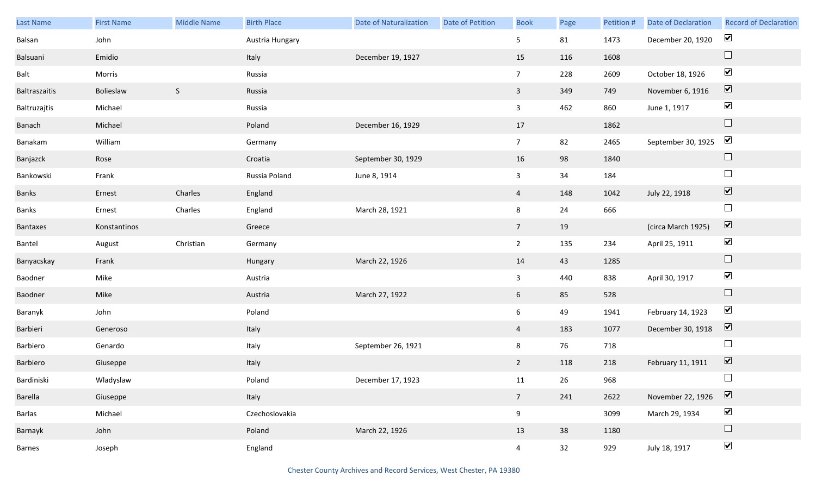| Last Name     | <b>First Name</b> | <b>Middle Name</b> | <b>Birth Place</b> | <b>Date of Naturalization</b> | Date of Petition | <b>Book</b>     | Page | Petition # | Date of Declaration | <b>Record of Declaration</b> |
|---------------|-------------------|--------------------|--------------------|-------------------------------|------------------|-----------------|------|------------|---------------------|------------------------------|
| Balsan        | John              |                    | Austria Hungary    |                               |                  | 5 <sub>5</sub>  | 81   | 1473       | December 20, 1920   | $\blacktriangledown$         |
| Balsuani      | Emidio            |                    | Italy              | December 19, 1927             |                  | 15              | 116  | 1608       |                     | $\Box$                       |
| Balt          | Morris            |                    | Russia             |                               |                  | 7 <sup>7</sup>  | 228  | 2609       | October 18, 1926    | $\blacktriangledown$         |
| Baltraszaitis | Bolieslaw         | S                  | Russia             |                               |                  | $\mathbf{3}$    | 349  | 749        | November 6, 1916    | $\boxed{\blacktriangledown}$ |
| Baltruzajtis  | Michael           |                    | Russia             |                               |                  | $\mathbf{3}$    | 462  | 860        | June 1, 1917        | $\blacktriangledown$         |
| Banach        | Michael           |                    | Poland             | December 16, 1929             |                  | 17              |      | 1862       |                     | $\hfill \square$             |
| Banakam       | William           |                    | Germany            |                               |                  | 7 <sup>7</sup>  | 82   | 2465       | September 30, 1925  | $\blacktriangledown$         |
| Banjazck      | Rose              |                    | Croatia            | September 30, 1929            |                  | 16              | 98   | 1840       |                     | $\hfill \square$             |
| Bankowski     | Frank             |                    | Russia Poland      | June 8, 1914                  |                  | $\mathbf{3}$    | $34$ | 184        |                     | $\Box$                       |
| Banks         | Ernest            | Charles            | England            |                               |                  | $\overline{4}$  | 148  | 1042       | July 22, 1918       | $\boxed{\blacktriangledown}$ |
| Banks         | Ernest            | Charles            | England            | March 28, 1921                |                  | 8               | 24   | 666        |                     | $\Box$                       |
| Bantaxes      | Konstantinos      |                    | Greece             |                               |                  | $7\overline{ }$ | 19   |            | (circa March 1925)  | $\boxed{\blacktriangledown}$ |
| Bantel        | August            | Christian          | Germany            |                               |                  | $2^{\circ}$     | 135  | 234        | April 25, 1911      | $\blacktriangledown$         |
| Banyacskay    | Frank             |                    | Hungary            | March 22, 1926                |                  | 14              | 43   | 1285       |                     | $\hfill \square$             |
| Baodner       | Mike              |                    | Austria            |                               |                  | $\mathbf{3}$    | 440  | 838        | April 30, 1917      | $\blacktriangledown$         |
| Baodner       | Mike              |                    | Austria            | March 27, 1922                |                  | $6\overline{6}$ | 85   | 528        |                     | $\hfill \square$             |
| Baranyk       | John              |                    | Poland             |                               |                  | $6\overline{6}$ | 49   | 1941       | February 14, 1923   | $\blacktriangledown$         |
| Barbieri      | Generoso          |                    | Italy              |                               |                  | $\overline{4}$  | 183  | 1077       | December 30, 1918   | $\boxed{\blacktriangledown}$ |
| Barbiero      | Genardo           |                    | Italy              | September 26, 1921            |                  | 8               | 76   | 718        |                     | $\Box$                       |
| Barbiero      | Giuseppe          |                    | Italy              |                               |                  | $2^{\circ}$     | 118  | 218        | February 11, 1911   | $\boxed{\blacktriangledown}$ |
| Bardiniski    | Wladyslaw         |                    | Poland             | December 17, 1923             |                  | 11              | 26   | 968        |                     | $\Box$                       |
| Barella       | Giuseppe          |                    | Italy              |                               |                  | 7 <sup>7</sup>  | 241  | 2622       | November 22, 1926   | $\boxed{\blacktriangledown}$ |
| Barlas        | Michael           |                    | Czechoslovakia     |                               |                  | 9               |      | 3099       | March 29, 1934      | $\blacktriangledown$         |
| Barnayk       | John              |                    | Poland             | March 22, 1926                |                  | 13              | 38   | 1180       |                     | $\hfill \square$             |
| Barnes        | Joseph            |                    | England            |                               |                  | $\overline{4}$  | 32   | 929        | July 18, 1917       | $\blacktriangledown$         |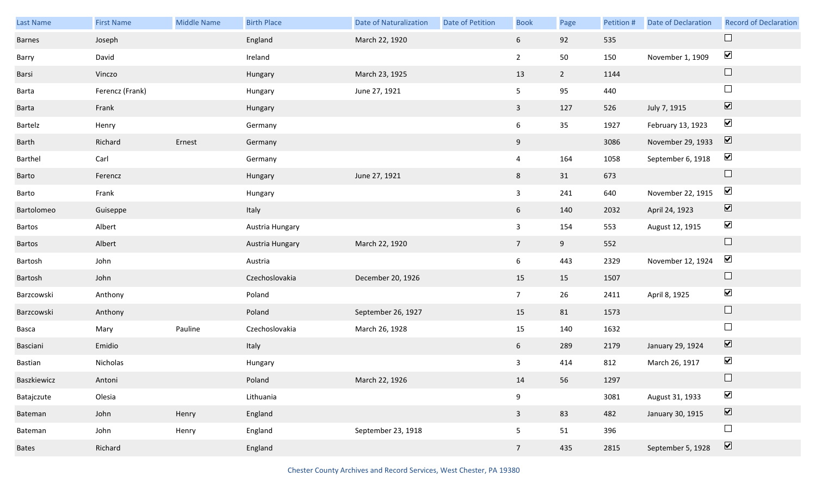| Last Name    | <b>First Name</b> | <b>Middle Name</b> | <b>Birth Place</b> | <b>Date of Naturalization</b> | Date of Petition | <b>Book</b>     | Page        | Petition # | Date of Declaration | <b>Record of Declaration</b> |
|--------------|-------------------|--------------------|--------------------|-------------------------------|------------------|-----------------|-------------|------------|---------------------|------------------------------|
| Barnes       | Joseph            |                    | England            | March 22, 1920                |                  | 6               | 92          | 535        |                     |                              |
| Barry        | David             |                    | Ireland            |                               |                  | $\overline{2}$  | 50          | 150        | November 1, 1909    | $\blacktriangledown$         |
| Barsi        | Vinczo            |                    | Hungary            | March 23, 1925                |                  | 13              | $2^{\circ}$ | 1144       |                     | $\Box$                       |
| Barta        | Ferencz (Frank)   |                    | Hungary            | June 27, 1921                 |                  | 5 <sub>1</sub>  | 95          | 440        |                     | $\Box$                       |
| Barta        | Frank             |                    | Hungary            |                               |                  | $\mathbf{3}$    | 127         | 526        | July 7, 1915        | $\boxed{\blacktriangledown}$ |
| Bartelz      | Henry             |                    | Germany            |                               |                  | $6\overline{6}$ | 35          | 1927       | February 13, 1923   | $\blacktriangledown$         |
| Barth        | Richard           | Ernest             | Germany            |                               |                  | 9               |             | 3086       | November 29, 1933   | $\boxed{\blacktriangledown}$ |
| Barthel      | Carl              |                    | Germany            |                               |                  | $\overline{4}$  | 164         | 1058       | September 6, 1918   | $\blacktriangledown$         |
| Barto        | Ferencz           |                    | Hungary            | June 27, 1921                 |                  | $8\phantom{.}$  | 31          | 673        |                     | $\Box$                       |
| Barto        | Frank             |                    | Hungary            |                               |                  | $\mathbf{3}$    | 241         | 640        | November 22, 1915   | $\blacktriangledown$         |
| Bartolomeo   | Guiseppe          |                    | Italy              |                               |                  | 6               | 140         | 2032       | April 24, 1923      | $\boxed{\blacktriangledown}$ |
| Bartos       | Albert            |                    | Austria Hungary    |                               |                  | $\mathbf{3}$    | 154         | 553        | August 12, 1915     | $\blacktriangledown$         |
| Bartos       | Albert            |                    | Austria Hungary    | March 22, 1920                |                  | 7 <sup>7</sup>  | 9           | 552        |                     | $\Box$                       |
| Bartosh      | John              |                    | Austria            |                               |                  | 6               | 443         | 2329       | November 12, 1924   | $\blacktriangledown$         |
| Bartosh      | John              |                    | Czechoslovakia     | December 20, 1926             |                  | 15              | 15          | 1507       |                     | $\Box$                       |
| Barzcowski   | Anthony           |                    | Poland             |                               |                  | 7 <sup>7</sup>  | 26          | 2411       | April 8, 1925       | $\blacktriangledown$         |
| Barzcowski   | Anthony           |                    | Poland             | September 26, 1927            |                  | 15              | 81          | 1573       |                     | $\Box$                       |
| Basca        | Mary              | Pauline            | Czechoslovakia     | March 26, 1928                |                  | 15              | 140         | 1632       |                     | $\Box$                       |
| Basciani     | Emidio            |                    | Italy              |                               |                  | 6 <sup>1</sup>  | 289         | 2179       | January 29, 1924    | $\boxed{\blacktriangledown}$ |
| Bastian      | Nicholas          |                    | Hungary            |                               |                  | 3               | 414         | 812        | March 26, 1917      | $\blacktriangledown$         |
| Baszkiewicz  | Antoni            |                    | Poland             | March 22, 1926                |                  | 14              | 56          | 1297       |                     | $\Box$                       |
| Batajczute   | Olesia            |                    | Lithuania          |                               |                  | $9\,$           |             | 3081       | August 31, 1933     | $\blacktriangledown$         |
| Bateman      | John              | Henry              | England            |                               |                  | $\mathbf{3}$    | 83          | 482        | January 30, 1915    | $\boxed{\blacktriangledown}$ |
| Bateman      | John              | Henry              | England            | September 23, 1918            |                  | 5 <sub>5</sub>  | 51          | 396        |                     | $\Box$                       |
| <b>Bates</b> | Richard           |                    | England            |                               |                  | $7\overline{ }$ | 435         | 2815       | September 5, 1928   | $\boxed{\blacktriangledown}$ |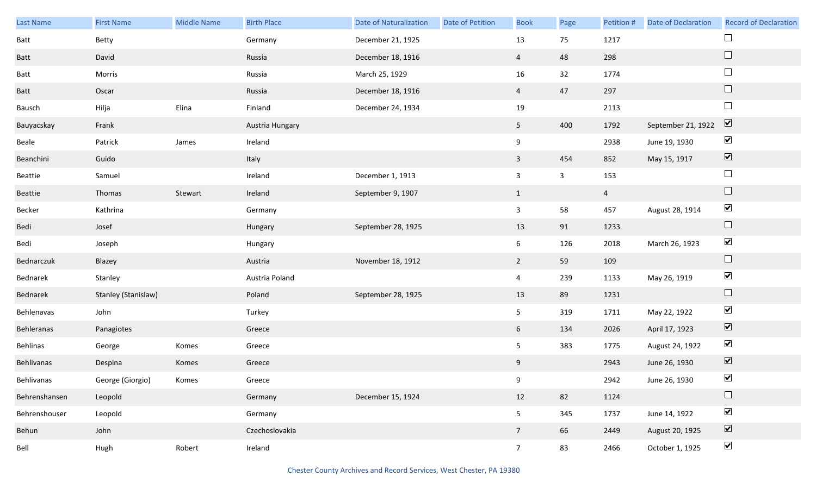| Last Name     | <b>First Name</b>   | Middle Name | <b>Birth Place</b> | <b>Date of Naturalization</b> | Date of Petition | <b>Book</b>     | Page         | Petition #     | <b>Date of Declaration</b> | <b>Record of Declaration</b> |
|---------------|---------------------|-------------|--------------------|-------------------------------|------------------|-----------------|--------------|----------------|----------------------------|------------------------------|
| Batt          | Betty               |             | Germany            | December 21, 1925             |                  | 13              | 75           | 1217           |                            | $\Box$                       |
| <b>Batt</b>   | David               |             | Russia             | December 18, 1916             |                  | $\overline{4}$  | 48           | 298            |                            | $\Box$                       |
| Batt          | Morris              |             | Russia             | March 25, 1929                |                  | 16              | 32           | 1774           |                            | $\overline{\phantom{a}}$     |
| <b>Batt</b>   | Oscar               |             | Russia             | December 18, 1916             |                  | $\overline{4}$  | 47           | 297            |                            | $\Box$                       |
| Bausch        | Hilja               | Elina       | Finland            | December 24, 1934             |                  | 19              |              | 2113           |                            | $\Box$                       |
| Bauyacskay    | Frank               |             | Austria Hungary    |                               |                  | 5 <sub>1</sub>  | 400          | 1792           | September 21, 1922         | $\overline{\mathbf{v}}$      |
| Beale         | Patrick             | James       | Ireland            |                               |                  | 9               |              | 2938           | June 19, 1930              | $\blacktriangledown$         |
| Beanchini     | Guido               |             | Italy              |                               |                  | $\mathbf{3}$    | 454          | 852            | May 15, 1917               | $\boxed{\blacktriangledown}$ |
| Beattie       | Samuel              |             | Ireland            | December 1, 1913              |                  | $\mathbf{3}$    | $\mathbf{3}$ | 153            |                            | $\Box$                       |
| Beattie       | Thomas              | Stewart     | Ireland            | September 9, 1907             |                  | $\mathbf{1}$    |              | $\overline{4}$ |                            | $\Box$                       |
| Becker        | Kathrina            |             | Germany            |                               |                  | $\mathbf{3}$    | 58           | 457            | August 28, 1914            | $\blacktriangledown$         |
| Bedi          | Josef               |             | Hungary            | September 28, 1925            |                  | 13              | 91           | 1233           |                            | $\hfill \square$             |
| Bedi          | Joseph              |             | Hungary            |                               |                  | 6 <sup>1</sup>  | 126          | 2018           | March 26, 1923             | $\blacktriangledown$         |
| Bednarczuk    | Blazey              |             | Austria            | November 18, 1912             |                  | $\overline{2}$  | 59           | 109            |                            | $\Box$                       |
| Bednarek      | Stanley             |             | Austria Poland     |                               |                  | $\overline{4}$  | 239          | 1133           | May 26, 1919               | $\blacktriangledown$         |
| Bednarek      | Stanley (Stanislaw) |             | Poland             | September 28, 1925            |                  | 13              | 89           | 1231           |                            | $\Box$                       |
| Behlenavas    | John                |             | Turkey             |                               |                  | 5 <sub>1</sub>  | 319          | 1711           | May 22, 1922               | $\blacktriangledown$         |
| Behleranas    | Panagiotes          |             | Greece             |                               |                  | 6               | 134          | 2026           | April 17, 1923             | $\overline{\mathbf{v}}$      |
| Behlinas      | George              | Komes       | Greece             |                               |                  | 5 <sub>1</sub>  | 383          | 1775           | August 24, 1922            | $\blacktriangledown$         |
| Behlivanas    | Despina             | Komes       | Greece             |                               |                  | 9               |              | 2943           | June 26, 1930              | $\boxed{\blacktriangledown}$ |
| Behlivanas    | George (Giorgio)    | Komes       | Greece             |                               |                  | 9               |              | 2942           | June 26, 1930              | $\blacktriangledown$         |
| Behrenshansen | Leopold             |             | Germany            | December 15, 1924             |                  | 12              | 82           | 1124           |                            | $\Box$                       |
| Behrenshouser | Leopold             |             | Germany            |                               |                  | 5 <sub>1</sub>  | 345          | 1737           | June 14, 1922              | $\blacktriangledown$         |
| Behun         | John                |             | Czechoslovakia     |                               |                  | $7\overline{ }$ | 66           | 2449           | August 20, 1925            | $\overline{\mathbf{v}}$      |
| Bell          | Hugh                | Robert      | Ireland            |                               |                  | 7 <sup>7</sup>  | 83           | 2466           | October 1, 1925            | $\blacktriangledown$         |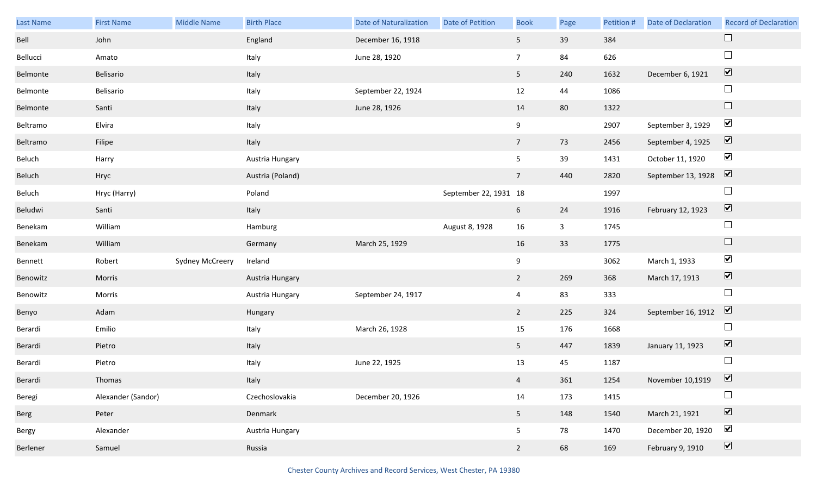| Last Name | <b>First Name</b>  | <b>Middle Name</b>     | <b>Birth Place</b> | <b>Date of Naturalization</b> | Date of Petition      | <b>Book</b>     | Page         | Petition # | <b>Date of Declaration</b> | <b>Record of Declaration</b> |
|-----------|--------------------|------------------------|--------------------|-------------------------------|-----------------------|-----------------|--------------|------------|----------------------------|------------------------------|
| Bell      | John               |                        | England            | December 16, 1918             |                       | 5 <sub>1</sub>  | 39           | 384        |                            | $\Box$                       |
| Bellucci  | Amato              |                        | Italy              | June 28, 1920                 |                       | 7 <sup>7</sup>  | 84           | 626        |                            | $\Box$                       |
| Belmonte  | Belisario          |                        | Italy              |                               |                       | 5 <sub>1</sub>  | 240          | 1632       | December 6, 1921           | $\boxed{\mathbf{v}}$         |
| Belmonte  | Belisario          |                        | Italy              | September 22, 1924            |                       | 12              | 44           | 1086       |                            | $\Box$                       |
| Belmonte  | Santi              |                        | Italy              | June 28, 1926                 |                       | 14              | 80           | 1322       |                            | $\Box$                       |
| Beltramo  | Elvira             |                        | Italy              |                               |                       | 9               |              | 2907       | September 3, 1929          | $\blacktriangledown$         |
| Beltramo  | Filipe             |                        | Italy              |                               |                       | 7 <sup>7</sup>  | 73           | 2456       | September 4, 1925          | $\boxed{\mathbf{v}}$         |
| Beluch    | Harry              |                        | Austria Hungary    |                               |                       | 5               | 39           | 1431       | October 11, 1920           | $\blacktriangledown$         |
| Beluch    | Hryc               |                        | Austria (Poland)   |                               |                       | $7\overline{ }$ | 440          | 2820       | September 13, 1928         | $\boxed{\mathbf{v}}$         |
| Beluch    | Hryc (Harry)       |                        | Poland             |                               | September 22, 1931 18 |                 |              | 1997       |                            | $\Box$                       |
| Beludwi   | Santi              |                        | Italy              |                               |                       | 6               | 24           | 1916       | February 12, 1923          | $\boxed{\mathbf{v}}$         |
| Benekam   | William            |                        | Hamburg            |                               | August 8, 1928        | 16              | $\mathbf{3}$ | 1745       |                            | $\Box$                       |
| Benekam   | William            |                        | Germany            | March 25, 1929                |                       | 16              | 33           | 1775       |                            | $\Box$                       |
| Bennett   | Robert             | <b>Sydney McCreery</b> | Ireland            |                               |                       | 9               |              | 3062       | March 1, 1933              | $\blacktriangledown$         |
|           |                    |                        |                    |                               |                       |                 |              |            |                            | $\blacktriangledown$         |
| Benowitz  | Morris             |                        | Austria Hungary    |                               |                       | $2^{\circ}$     | 269          | 368        | March 17, 1913             |                              |
| Benowitz  | Morris             |                        | Austria Hungary    | September 24, 1917            |                       | $\overline{4}$  | 83           | 333        |                            | $\Box$                       |
| Benyo     | Adam               |                        | Hungary            |                               |                       | $2^{\circ}$     | 225          | 324        | September 16, 1912         | $\overline{\mathbf{v}}$      |
| Berardi   | Emilio             |                        | Italy              | March 26, 1928                |                       | 15              | 176          | 1668       |                            | $\Box$                       |
| Berardi   | Pietro             |                        | Italy              |                               |                       | 5 <sub>1</sub>  | 447          | 1839       | January 11, 1923           | $\overline{\mathbf{v}}$      |
| Berardi   | Pietro             |                        | Italy              | June 22, 1925                 |                       | 13              | 45           | 1187       |                            | $\Box$                       |
| Berardi   | Thomas             |                        | Italy              |                               |                       | $\overline{4}$  | 361          | 1254       | November 10,1919           | $\boxed{\text{V}}$           |
| Beregi    | Alexander (Sandor) |                        | Czechoslovakia     | December 20, 1926             |                       | 14              | 173          | 1415       |                            | $\Box$                       |
| Berg      | Peter              |                        | Denmark            |                               |                       | 5 <sub>1</sub>  | 148          | 1540       | March 21, 1921             | $\overline{\mathbf{v}}$      |
| Bergy     | Alexander          |                        | Austria Hungary    |                               |                       | 5               | 78           | 1470       | December 20, 1920          | $\blacktriangledown$         |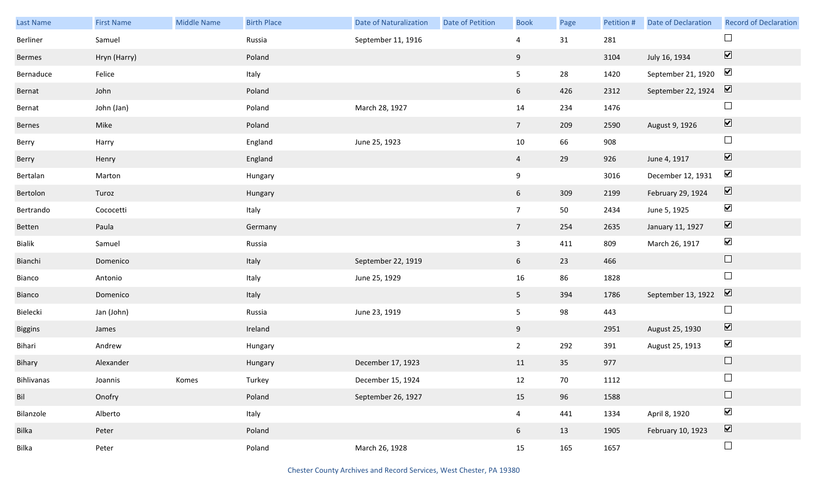| Last Name      | <b>First Name</b> | Middle Name | <b>Birth Place</b> | <b>Date of Naturalization</b> | Date of Petition | <b>Book</b>     | Page | Petition # | Date of Declaration | <b>Record of Declaration</b> |
|----------------|-------------------|-------------|--------------------|-------------------------------|------------------|-----------------|------|------------|---------------------|------------------------------|
| Berliner       | Samuel            |             | Russia             | September 11, 1916            |                  | $\overline{4}$  | 31   | 281        |                     |                              |
| Bermes         | Hryn (Harry)      |             | Poland             |                               |                  | 9               |      | 3104       | July 16, 1934       | $\boxed{\blacktriangledown}$ |
| Bernaduce      | Felice            |             | Italy              |                               |                  | $5\phantom{.0}$ | 28   | 1420       | September 21, 1920  | $\blacktriangledown$         |
| Bernat         | John              |             | Poland             |                               |                  | $6\overline{6}$ | 426  | 2312       | September 22, 1924  | $\overline{\mathbf{v}}$      |
| Bernat         | John (Jan)        |             | Poland             | March 28, 1927                |                  | 14              | 234  | 1476       |                     | $\Box$                       |
| Bernes         | Mike              |             | Poland             |                               |                  | $7\overline{ }$ | 209  | 2590       | August 9, 1926      | $\boxed{\blacktriangledown}$ |
| Berry          | Harry             |             | England            | June 25, 1923                 |                  | $10\,$          | 66   | 908        |                     | $\Box$                       |
| Berry          | Henry             |             | England            |                               |                  | $\overline{4}$  | 29   | 926        | June 4, 1917        | $\boxed{\blacktriangledown}$ |
| Bertalan       | Marton            |             | Hungary            |                               |                  | 9               |      | 3016       | December 12, 1931   | $\blacktriangledown$         |
| Bertolon       | Turoz             |             | Hungary            |                               |                  | $6\overline{6}$ | 309  | 2199       | February 29, 1924   | $\boxed{\blacktriangledown}$ |
| Bertrando      | Cococetti         |             | Italy              |                               |                  | $7\overline{ }$ | 50   | 2434       | June 5, 1925        | $\blacktriangledown$         |
| Betten         | Paula             |             | Germany            |                               |                  | $\overline{7}$  | 254  | 2635       | January 11, 1927    | $\boxed{\blacktriangledown}$ |
| Bialik         | Samuel            |             | Russia             |                               |                  | $\mathbf{3}$    | 411  | 809        | March 26, 1917      | $\blacktriangledown$         |
| Bianchi        | Domenico          |             | Italy              | September 22, 1919            |                  | 6               | 23   | 466        |                     | $\Box$                       |
| Bianco         | Antonio           |             | Italy              | June 25, 1929                 |                  | 16              | 86   | 1828       |                     | $\Box$                       |
| Bianco         | Domenico          |             | Italy              |                               |                  | 5 <sub>1</sub>  | 394  | 1786       | September 13, 1922  | $\overline{\mathbf{v}}$      |
| Bielecki       | Jan (John)        |             | Russia             | June 23, 1919                 |                  | 5 <sub>5</sub>  | 98   | 443        |                     | $\Box$                       |
| <b>Biggins</b> | James             |             | Ireland            |                               |                  | 9               |      | 2951       | August 25, 1930     | $\overline{\mathbf{v}}$      |
| Bihari         | Andrew            |             | Hungary            |                               |                  | $\overline{2}$  | 292  | 391        | August 25, 1913     | $\blacktriangleright$        |
| Bihary         | Alexander         |             | Hungary            | December 17, 1923             |                  | 11              | 35   | 977        |                     | $\Box$                       |
| Bihlivanas     | Joannis           | Komes       | Turkey             | December 15, 1924             |                  | 12              | 70   | 1112       |                     | $\Box$                       |
| Bil            | Onofry            |             | Poland             | September 26, 1927            |                  | 15              | 96   | 1588       |                     | $\Box$                       |
| Bilanzole      | Alberto           |             | Italy              |                               |                  | $\overline{4}$  | 441  | 1334       | April 8, 1920       | $\blacktriangledown$         |
| Bilka          | Peter             |             | Poland             |                               |                  | $6\overline{6}$ | 13   | 1905       | February 10, 1923   | $\boxed{\blacktriangledown}$ |
| Bilka          | Peter             |             | Poland             | March 26, 1928                |                  | 15              | 165  | 1657       |                     | $\Box$                       |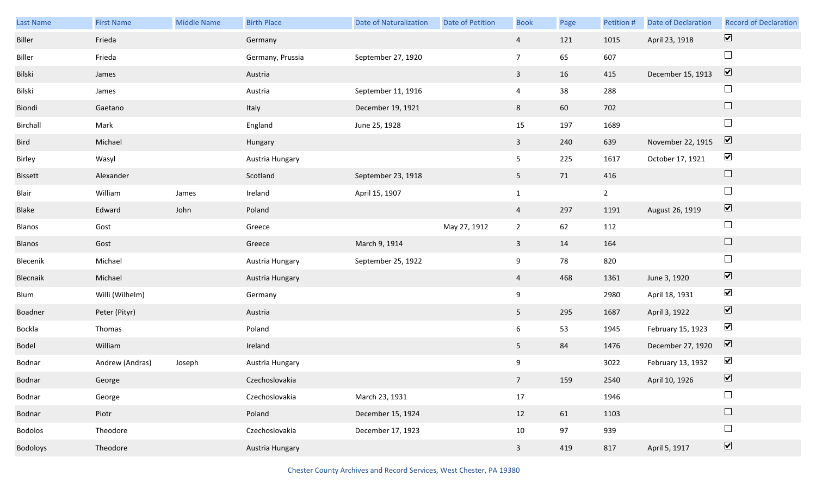| Last Name       | <b>First Name</b> | Middle Name | <b>Birth Place</b> | <b>Date of Naturalization</b> | <b>Date of Petition</b> | <b>Book</b>    | Page | Petition #  | <b>Date of Declaration</b> | <b>Record of Declaration</b> |
|-----------------|-------------------|-------------|--------------------|-------------------------------|-------------------------|----------------|------|-------------|----------------------------|------------------------------|
| Biller          | Frieda            |             | Germany            |                               |                         | $\overline{4}$ | 121  | 1015        | April 23, 1918             | $\overline{\mathbf{v}}$      |
| Biller          | Frieda            |             | Germany, Prussia   | September 27, 1920            |                         | $\overline{7}$ | 65   | 607         |                            | $\Box$                       |
| Bilski          | James             |             | Austria            |                               |                         | $\mathbf{3}$   | 16   | 415         | December 15, 1913          | $\boxed{\mathbf{v}}$         |
| Bilski          | James             |             | Austria            | September 11, 1916            |                         | $\overline{4}$ | 38   | 288         |                            | $\Box$                       |
| Biondi          | Gaetano           |             | Italy              | December 19, 1921             |                         | 8              | 60   | 702         |                            | $\Box$                       |
| Birchall        | Mark              |             | England            | June 25, 1928                 |                         | 15             | 197  | 1689        |                            | $\Box$                       |
| Bird            | Michael           |             | Hungary            |                               |                         | $\mathbf{3}$   | 240  | 639         | November 22, 1915          | $\boxed{\mathbf{v}}$         |
| Birley          | Wasyl             |             | Austria Hungary    |                               |                         | 5              | 225  | 1617        | October 17, 1921           | $\blacktriangledown$         |
| <b>Bissett</b>  | Alexander         |             | Scotland           | September 23, 1918            |                         | 5 <sub>1</sub> | 71   | 416         |                            | $\Box$                       |
| Blair           | William           | James       | Ireland            | April 15, 1907                |                         | $\mathbf{1}$   |      | $2^{\circ}$ |                            | $\Box$                       |
| Blake           | Edward            | John        | Poland             |                               |                         | $\overline{4}$ | 297  | 1191        | August 26, 1919            | $\overline{\mathbf{v}}$      |
| Blanos          | Gost              |             | Greece             |                               | May 27, 1912            | $\overline{2}$ | 62   | 112         |                            | $\Box$                       |
| Blanos          | Gost              |             | Greece             | March 9, 1914                 |                         | $\mathbf{3}$   | 14   | 164         |                            | $\Box$                       |
| Blecenik        | Michael           |             | Austria Hungary    | September 25, 1922            |                         | 9              | 78   | 820         |                            | $\Box$                       |
| Blecnaik        | Michael           |             | Austria Hungary    |                               |                         | $\overline{4}$ | 468  | 1361        | June 3, 1920               | $\blacktriangledown$         |
| Blum            | Willi (Wilhelm)   |             | Germany            |                               |                         | 9              |      | 2980        | April 18, 1931             | $\blacktriangledown$         |
| Boadner         | Peter (Pityr)     |             | Austria            |                               |                         | 5 <sub>1</sub> | 295  | 1687        | April 3, 1922              | $\blacktriangledown$         |
| Bockla          | Thomas            |             | Poland             |                               |                         | 6              | 53   | 1945        | February 15, 1923          | $\blacktriangledown$         |
| Bodel           | William           |             | Ireland            |                               |                         | 5 <sub>1</sub> | 84   | 1476        | December 27, 1920          | $\boxed{\mathbf{v}}$         |
| Bodnar          | Andrew (Andras)   | Joseph      | Austria Hungary    |                               |                         | 9              |      | 3022        | February 13, 1932          | $\blacktriangledown$         |
| Bodnar          | George            |             | Czechoslovakia     |                               |                         | 7 <sup>7</sup> | 159  | 2540        | April 10, 1926             | $\boxed{\mathbf{v}}$         |
| Bodnar          | George            |             | Czechoslovakia     | March 23, 1931                |                         | 17             |      | 1946        |                            | $\Box$                       |
| Bodnar          | Piotr             |             | Poland             | December 15, 1924             |                         | 12             | 61   | 1103        |                            | $\Box$                       |
| Bodolos         | Theodore          |             | Czechoslovakia     | December 17, 1923             |                         | 10             | 97   | 939         |                            | $\Box$                       |
| <b>Bodoloys</b> | Theodore          |             | Austria Hungary    |                               |                         | $\mathbf{3}$   | 419  | 817         | April 5, 1917              | $\overline{\mathbf{v}}$      |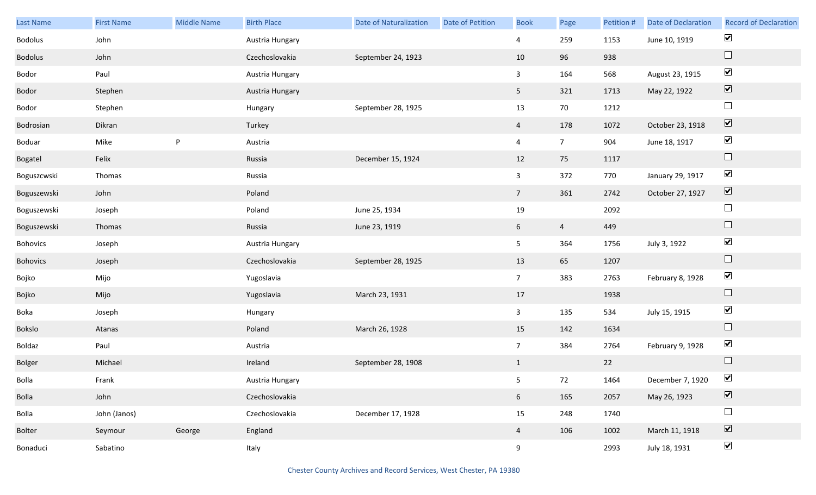| Last Name      | <b>First Name</b> | <b>Middle Name</b> | <b>Birth Place</b> | <b>Date of Naturalization</b> | Date of Petition | <b>Book</b>     | Page           | Petition # | Date of Declaration | <b>Record of Declaration</b> |
|----------------|-------------------|--------------------|--------------------|-------------------------------|------------------|-----------------|----------------|------------|---------------------|------------------------------|
| Bodolus        | John              |                    | Austria Hungary    |                               |                  | $\overline{4}$  | 259            | 1153       | June 10, 1919       | $\blacktriangleright$        |
| <b>Bodolus</b> | John              |                    | Czechoslovakia     | September 24, 1923            |                  | 10              | 96             | 938        |                     | $\Box$                       |
| Bodor          | Paul              |                    | Austria Hungary    |                               |                  | $\mathbf{3}$    | 164            | 568        | August 23, 1915     | $\blacktriangledown$         |
| Bodor          | Stephen           |                    | Austria Hungary    |                               |                  | 5 <sup>5</sup>  | 321            | 1713       | May 22, 1922        | $\boxed{\blacktriangledown}$ |
| Bodor          | Stephen           |                    | Hungary            | September 28, 1925            |                  | 13              | $70\,$         | 1212       |                     | $\Box$                       |
| Bodrosian      | Dikran            |                    | Turkey             |                               |                  | $\overline{4}$  | 178            | 1072       | October 23, 1918    | $\boxed{\blacktriangledown}$ |
| Boduar         | Mike              | P                  | Austria            |                               |                  | $\overline{4}$  | 7 <sup>7</sup> | 904        | June 18, 1917       | $\blacktriangledown$         |
| Bogatel        | Felix             |                    | Russia             | December 15, 1924             |                  | 12              | 75             | 1117       |                     | $\hfill \square$             |
| Boguszcwski    | Thomas            |                    | Russia             |                               |                  | $\mathbf{3}$    | 372            | 770        | January 29, 1917    | $\blacktriangledown$         |
| Boguszewski    | John              |                    | Poland             |                               |                  | 7 <sup>7</sup>  | 361            | 2742       | October 27, 1927    | $\boxed{\blacktriangledown}$ |
| Boguszewski    | Joseph            |                    | Poland             | June 25, 1934                 |                  | 19              |                | 2092       |                     | $\Box$                       |
| Boguszewski    | Thomas            |                    | Russia             | June 23, 1919                 |                  | $6\overline{6}$ | $\overline{4}$ | 449        |                     | $\Box$                       |
| Bohovics       | Joseph            |                    | Austria Hungary    |                               |                  | 5 <sub>1</sub>  | 364            | 1756       | July 3, 1922        | $\blacktriangledown$         |
| Bohovics       | Joseph            |                    | Czechoslovakia     | September 28, 1925            |                  | 13              | 65             | 1207       |                     | $\hfill \square$             |
| Bojko          | Mijo              |                    | Yugoslavia         |                               |                  | 7 <sup>7</sup>  | 383            | 2763       | February 8, 1928    | $\blacktriangledown$         |
| Bojko          | Mijo              |                    | Yugoslavia         | March 23, 1931                |                  | 17              |                | 1938       |                     | $\hfill \square$             |
| Boka           | Joseph            |                    | Hungary            |                               |                  | $\mathbf{3}$    | 135            | 534        | July 15, 1915       | $\blacktriangledown$         |
| Bokslo         | Atanas            |                    | Poland             | March 26, 1928                |                  | 15              | 142            | 1634       |                     | $\hfill \square$             |
| Boldaz         | Paul              |                    | Austria            |                               |                  | $7\overline{ }$ | 384            | 2764       | February 9, 1928    | $\blacktriangledown$         |
| Bolger         | Michael           |                    | Ireland            | September 28, 1908            |                  | $\mathbf{1}$    |                | 22         |                     | $\Box$                       |
| Bolla          | Frank             |                    | Austria Hungary    |                               |                  | 5 <sub>1</sub>  | 72             | 1464       | December 7, 1920    | $\blacktriangledown$         |
| Bolla          | John              |                    | Czechoslovakia     |                               |                  | 6 <sup>1</sup>  | 165            | 2057       | May 26, 1923        | $\boxed{\blacktriangledown}$ |
| Bolla          | John (Janos)      |                    | Czechoslovakia     | December 17, 1928             |                  | 15              | 248            | 1740       |                     | $\Box$                       |
| <b>Bolter</b>  | Seymour           | George             | England            |                               |                  | $\overline{4}$  | 106            | 1002       | March 11, 1918      | $\overline{\textbf{v}}$      |
| Bonaduci       | Sabatino          |                    | Italy              |                               |                  | 9               |                | 2993       | July 18, 1931       | $\blacktriangledown$         |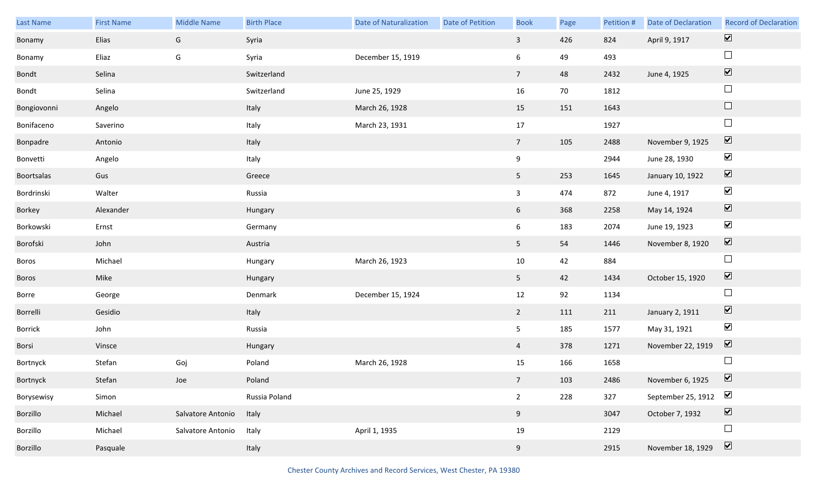| Last Name   | <b>First Name</b> | <b>Middle Name</b> | <b>Birth Place</b> | <b>Date of Naturalization</b> | Date of Petition | <b>Book</b>             | Page | Petition # | <b>Date of Declaration</b> | <b>Record of Declaration</b> |
|-------------|-------------------|--------------------|--------------------|-------------------------------|------------------|-------------------------|------|------------|----------------------------|------------------------------|
| Bonamy      | Elias             | G                  | Syria              |                               |                  | $\overline{\mathbf{3}}$ | 426  | 824        | April 9, 1917              | $\overline{\mathbf{v}}$      |
| Bonamy      | Eliaz             | G                  | Syria              | December 15, 1919             |                  | 6                       | 49   | 493        |                            | $\Box$                       |
| Bondt       | Selina            |                    | Switzerland        |                               |                  | 7 <sup>7</sup>          | 48   | 2432       | June 4, 1925               | $\boxed{\blacktriangledown}$ |
| Bondt       | Selina            |                    | Switzerland        | June 25, 1929                 |                  | 16                      | 70   | 1812       |                            | $\Box$                       |
| Bongiovonni | Angelo            |                    | Italy              | March 26, 1928                |                  | 15                      | 151  | 1643       |                            | $\Box$                       |
| Bonifaceno  | Saverino          |                    | Italy              | March 23, 1931                |                  | 17                      |      | 1927       |                            | $\Box$                       |
| Bonpadre    | Antonio           |                    | Italy              |                               |                  | $7\overline{ }$         | 105  | 2488       | November 9, 1925           | $\overline{\mathbf{v}}$      |
| Bonvetti    | Angelo            |                    | Italy              |                               |                  | 9                       |      | 2944       | June 28, 1930              | $\blacktriangledown$         |
| Boortsalas  | Gus               |                    | Greece             |                               |                  | 5 <sub>1</sub>          | 253  | 1645       | January 10, 1922           | $\overline{\mathbf{v}}$      |
| Bordrinski  | Walter            |                    | Russia             |                               |                  | $\mathbf{3}$            | 474  | 872        | June 4, 1917               | $\blacktriangledown$         |
| Borkey      | Alexander         |                    | Hungary            |                               |                  | 6                       | 368  | 2258       | May 14, 1924               | $\overline{\mathbf{v}}$      |
| Borkowski   | Ernst             |                    | Germany            |                               |                  | 6                       | 183  | 2074       | June 19, 1923              | $\blacktriangledown$         |
| Borofski    | John              |                    | Austria            |                               |                  | 5 <sub>1</sub>          | 54   | 1446       | November 8, 1920           | $\blacktriangledown$         |
| Boros       | Michael           |                    | Hungary            | March 26, 1923                |                  | 10                      | 42   | 884        |                            | $\Box$                       |
| Boros       | Mike              |                    | Hungary            |                               |                  | 5 <sub>1</sub>          | 42   | 1434       | October 15, 1920           | $\blacktriangledown$         |
| Borre       | George            |                    | Denmark            | December 15, 1924             |                  | 12                      | 92   | 1134       |                            | $\Box$                       |
| Borrelli    | Gesidio           |                    | Italy              |                               |                  | $2^{\circ}$             | 111  | 211        | January 2, 1911            | $\blacktriangledown$         |
| Borrick     | John              |                    | Russia             |                               |                  | 5 <sub>1</sub>          | 185  | 1577       | May 31, 1921               | $\blacktriangledown$         |
| Borsi       | Vinsce            |                    | Hungary            |                               |                  | $\overline{4}$          | 378  | 1271       | November 22, 1919          | $\blacktriangledown$         |
| Bortnyck    | Stefan            | Goj                | Poland             | March 26, 1928                |                  | 15                      | 166  | 1658       |                            | $\Box$                       |
| Bortnyck    | Stefan            | Joe                | Poland             |                               |                  | 7 <sup>7</sup>          | 103  | 2486       | November 6, 1925           | $\triangledown$              |
| Borysewisy  | Simon             |                    | Russia Poland      |                               |                  | $2^{\circ}$             | 228  | 327        | September 25, 1912         | $\blacktriangleright$        |
| Borzillo    | Michael           | Salvatore Antonio  | Italy              |                               |                  | 9                       |      | 3047       | October 7, 1932            | $\overline{\mathbf{v}}$      |
| Borzillo    | Michael           | Salvatore Antonio  | Italy              | April 1, 1935                 |                  | 19                      |      | 2129       |                            | $\Box$                       |
| Borzillo    | Pasquale          |                    | Italy              |                               |                  | 9                       |      | 2915       | November 18, 1929          | $\boxed{\mathbf{v}}$         |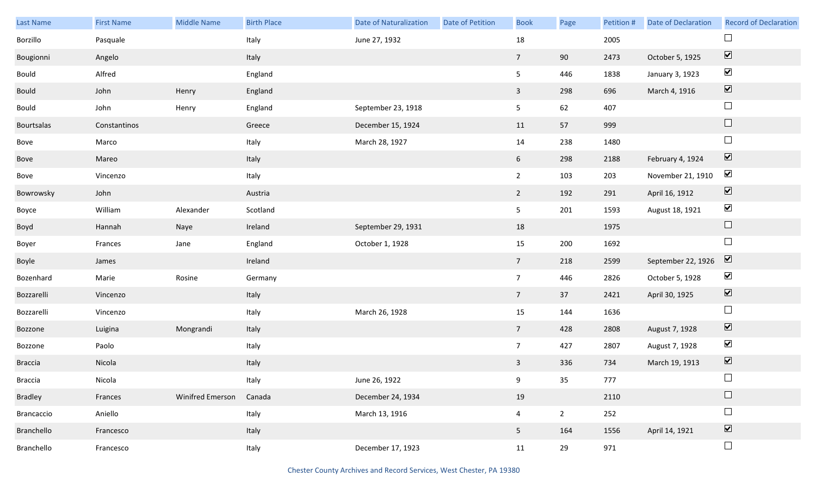| Last Name      | <b>First Name</b> | <b>Middle Name</b>      | <b>Birth Place</b> | <b>Date of Naturalization</b> | Date of Petition | <b>Book</b>     | Page           | Petition # | <b>Date of Declaration</b> | <b>Record of Declaration</b>    |
|----------------|-------------------|-------------------------|--------------------|-------------------------------|------------------|-----------------|----------------|------------|----------------------------|---------------------------------|
| Borzillo       | Pasquale          |                         | Italy              | June 27, 1932                 |                  | $18\,$          |                | 2005       |                            | $\Box$                          |
| Bougionni      | Angelo            |                         | Italy              |                               |                  | 7 <sup>7</sup>  | 90             | 2473       | October 5, 1925            | $\overline{\blacktriangledown}$ |
| Bould          | Alfred            |                         | England            |                               |                  | 5               | 446            | 1838       | January 3, 1923            | $\blacktriangledown$            |
| Bould          | John              | Henry                   | England            |                               |                  | $\mathbf{3}$    | 298            | 696        | March 4, 1916              | $\boxed{\blacktriangledown}$    |
| Bould          | John              | Henry                   | England            | September 23, 1918            |                  | 5 <sub>1</sub>  | 62             | 407        |                            | $\Box$                          |
| Bourtsalas     | Constantinos      |                         | Greece             | December 15, 1924             |                  | 11              | 57             | 999        |                            | $\hfill \square$                |
| Bove           | Marco             |                         | Italy              | March 28, 1927                |                  | 14              | 238            | 1480       |                            | $\Box$                          |
| Bove           | Mareo             |                         | Italy              |                               |                  | 6 <sup>1</sup>  | 298            | 2188       | February 4, 1924           | $\blacktriangledown$            |
| Bove           | Vincenzo          |                         | Italy              |                               |                  | $2^{\circ}$     | 103            | 203        | November 21, 1910          | $\blacktriangledown$            |
| Bowrowsky      | John              |                         | Austria            |                               |                  | $\overline{2}$  | 192            | 291        | April 16, 1912             | $\blacktriangledown$            |
| Boyce          | William           | Alexander               | Scotland           |                               |                  | 5               | 201            | 1593       | August 18, 1921            | $\blacktriangledown$            |
| Boyd           | Hannah            | Naye                    | Ireland            | September 29, 1931            |                  | 18              |                | 1975       |                            | $\Box$                          |
| Boyer          | Frances           | Jane                    | England            | October 1, 1928               |                  | 15              | 200            | 1692       |                            | $\Box$                          |
| Boyle          | James             |                         | Ireland            |                               |                  | $7\overline{ }$ | 218            | 2599       | September 22, 1926         | $\boxed{\blacktriangledown}$    |
| Bozenhard      | Marie             | Rosine                  | Germany            |                               |                  | $7\overline{ }$ | 446            | 2826       | October 5, 1928            | $\blacktriangledown$            |
| Bozzarelli     | Vincenzo          |                         | Italy              |                               |                  | $7\overline{ }$ | 37             | 2421       | April 30, 1925             | $\blacktriangledown$            |
| Bozzarelli     | Vincenzo          |                         | Italy              | March 26, 1928                |                  | 15              | 144            | 1636       |                            | $\Box$                          |
| Bozzone        | Luigina           | Mongrandi               | Italy              |                               |                  | $7\overline{ }$ | 428            | 2808       | August 7, 1928             | $\blacktriangledown$            |
| Bozzone        | Paolo             |                         | Italy              |                               |                  | $7\overline{ }$ | 427            | 2807       | August 7, 1928             | $\blacktriangledown$            |
| <b>Braccia</b> | Nicola            |                         | Italy              |                               |                  | $\mathbf{3}$    | 336            | 734        | March 19, 1913             | $\overline{\mathbf{v}}$         |
| <b>Braccia</b> | Nicola            |                         | Italy              | June 26, 1922                 |                  | 9               | 35             | 777        |                            | $\Box$                          |
| Bradley        | Frances           | <b>Winifred Emerson</b> | Canada             | December 24, 1934             |                  | 19              |                | 2110       |                            | $\hfill \square$                |
| Brancaccio     | Aniello           |                         | Italy              | March 13, 1916                |                  | $\overline{4}$  | $\overline{2}$ | 252        |                            | $\Box$                          |
| Branchello     | Francesco         |                         | Italy              |                               |                  | 5 <sub>1</sub>  | 164            | 1556       | April 14, 1921             | $\overline{\mathbf{v}}$         |
| Branchello     | Francesco         |                         | Italy              | December 17, 1923             |                  | 11              | 29             | 971        |                            | $\Box$                          |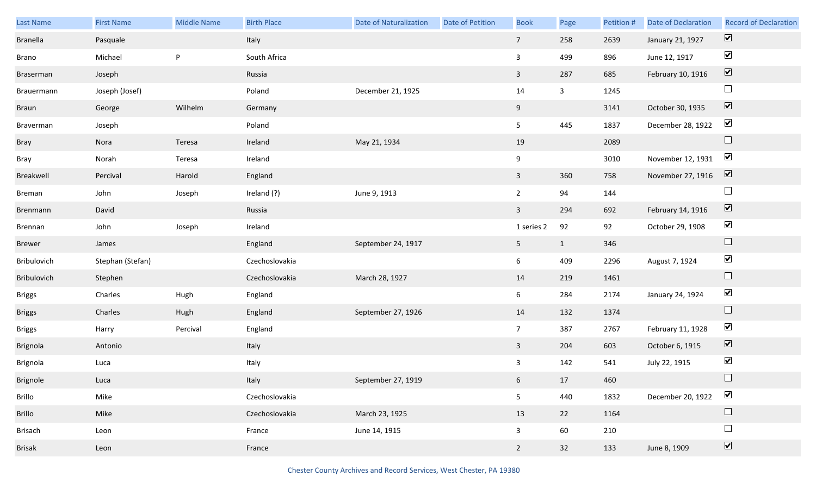| Last Name       | <b>First Name</b> | <b>Middle Name</b> | <b>Birth Place</b> | <b>Date of Naturalization</b> | Date of Petition | <b>Book</b>             | Page         | Petition # | <b>Date of Declaration</b> | <b>Record of Declaration</b> |
|-----------------|-------------------|--------------------|--------------------|-------------------------------|------------------|-------------------------|--------------|------------|----------------------------|------------------------------|
| <b>Branella</b> | Pasquale          |                    | Italy              |                               |                  | 7 <sup>7</sup>          | 258          | 2639       | January 21, 1927           | $\overline{\mathbf{v}}$      |
| Brano           | Michael           | P                  | South Africa       |                               |                  | $\overline{3}$          | 499          | 896        | June 12, 1917              | $\blacktriangledown$         |
| Braserman       | Joseph            |                    | Russia             |                               |                  | $\overline{3}$          | 287          | 685        | February 10, 1916          | $\overline{\mathbf{v}}$      |
| Brauermann      | Joseph (Josef)    |                    | Poland             | December 21, 1925             |                  | 14                      | $\mathbf{3}$ | 1245       |                            | $\Box$                       |
| Braun           | George            | Wilhelm            | Germany            |                               |                  | 9                       |              | 3141       | October 30, 1935           | $\boxed{\blacktriangledown}$ |
| Braverman       | Joseph            |                    | Poland             |                               |                  | 5                       | 445          | 1837       | December 28, 1922          | $\blacktriangledown$         |
| Bray            | Nora              | Teresa             | Ireland            | May 21, 1934                  |                  | 19                      |              | 2089       |                            | $\Box$                       |
| Bray            | Norah             | Teresa             | Ireland            |                               |                  | 9                       |              | 3010       | November 12, 1931          | $\blacktriangledown$         |
| Breakwell       | Percival          | Harold             | England            |                               |                  | $\mathbf{3}$            | 360          | 758        | November 27, 1916          | $\boxed{\mathbf{v}}$         |
| Breman          | John              | Joseph             | Ireland (?)        | June 9, 1913                  |                  | $\overline{2}$          | 94           | 144        |                            | $\Box$                       |
| Brenmann        | David             |                    | Russia             |                               |                  | $\overline{3}$          | 294          | 692        | February 14, 1916          | $\boxed{\mathbf{v}}$         |
| Brennan         | John              | Joseph             | Ireland            |                               |                  | 1 series 2              | 92           | 92         | October 29, 1908           | $\blacktriangledown$         |
| <b>Brewer</b>   | James             |                    | England            | September 24, 1917            |                  | 5 <sub>1</sub>          | $\mathbf{1}$ | 346        |                            | $\Box$                       |
| Bribulovich     | Stephan (Stefan)  |                    | Czechoslovakia     |                               |                  | 6                       | 409          | 2296       | August 7, 1924             | $\blacktriangledown$         |
| Bribulovich     | Stephen           |                    | Czechoslovakia     | March 28, 1927                |                  | 14                      | 219          | 1461       |                            | $\Box$                       |
| <b>Briggs</b>   | Charles           | Hugh               | England            |                               |                  | 6                       | 284          | 2174       | January 24, 1924           | $\blacktriangledown$         |
| <b>Briggs</b>   | Charles           | Hugh               | England            | September 27, 1926            |                  | 14                      | 132          | 1374       |                            | $\Box$                       |
| <b>Briggs</b>   | Harry             | Percival           | England            |                               |                  | $7\overline{ }$         | 387          | 2767       | February 11, 1928          | $\blacktriangledown$         |
| Brignola        | Antonio           |                    | Italy              |                               |                  | $\mathbf{3}$            | 204          | 603        | October 6, 1915            | $\blacktriangledown$         |
| Brignola        | Luca              |                    | Italy              |                               |                  | $\mathbf{3}$            | 142          | 541        | July 22, 1915              | $\blacktriangledown$         |
| Brignole        | Luca              |                    | Italy              | September 27, 1919            |                  | 6 <sub>1</sub>          | 17           | 460        |                            | $\Box$                       |
| Brillo          | Mike              |                    | Czechoslovakia     |                               |                  | 5                       | 440          | 1832       | December 20, 1922          | $\blacktriangledown$         |
| Brillo          | Mike              |                    | Czechoslovakia     | March 23, 1925                |                  | 13                      | 22           | 1164       |                            | $\Box$                       |
| <b>Brisach</b>  | Leon              |                    | France             | June 14, 1915                 |                  | $\overline{\mathbf{3}}$ | 60           | 210        |                            | $\Box$                       |
| <b>Brisak</b>   | Leon              |                    | France             |                               |                  | $2^{\circ}$             | 32           | 133        | June 8, 1909               | $\overline{\mathbf{v}}$      |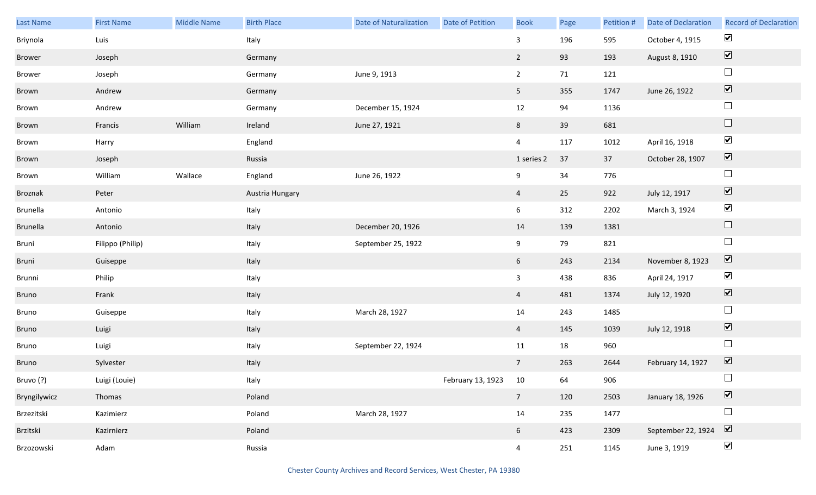| Last Name    | <b>First Name</b> | Middle Name | <b>Birth Place</b> | <b>Date of Naturalization</b> | <b>Date of Petition</b> | <b>Book</b>     | Page | Petition # | Date of Declaration | <b>Record of Declaration</b>    |
|--------------|-------------------|-------------|--------------------|-------------------------------|-------------------------|-----------------|------|------------|---------------------|---------------------------------|
| Briynola     | Luis              |             | Italy              |                               |                         | $\mathbf{3}$    | 196  | 595        | October 4, 1915     | $\blacktriangledown$            |
| Brower       | Joseph            |             | Germany            |                               |                         | $\overline{2}$  | 93   | 193        | August 8, 1910      | $\boxed{\blacktriangledown}$    |
| Brower       | Joseph            |             | Germany            | June 9, 1913                  |                         | $2^{\circ}$     | 71   | 121        |                     | $\Box$                          |
| Brown        | Andrew            |             | Germany            |                               |                         | 5 <sup>5</sup>  | 355  | 1747       | June 26, 1922       | $\boxed{\blacktriangledown}$    |
| Brown        | Andrew            |             | Germany            | December 15, 1924             |                         | 12              | 94   | 1136       |                     | $\Box$                          |
| Brown        | Francis           | William     | Ireland            | June 27, 1921                 |                         | 8               | 39   | 681        |                     | $\hfill \square$                |
| Brown        | Harry             |             | England            |                               |                         | $\overline{4}$  | 117  | 1012       | April 16, 1918      | $\blacktriangledown$            |
| Brown        | Joseph            |             | Russia             |                               |                         | 1 series 2      | 37   | 37         | October 28, 1907    | $\boxed{\blacktriangledown}$    |
| Brown        | William           | Wallace     | England            | June 26, 1922                 |                         | 9               | 34   | 776        |                     | $\Box$                          |
| Broznak      | Peter             |             | Austria Hungary    |                               |                         | $\overline{4}$  | 25   | 922        | July 12, 1917       | $\overline{\blacktriangledown}$ |
| Brunella     | Antonio           |             | Italy              |                               |                         | 6               | 312  | 2202       | March 3, 1924       | $\blacktriangledown$            |
| Brunella     | Antonio           |             | Italy              | December 20, 1926             |                         | 14              | 139  | 1381       |                     | $\Box$                          |
| Bruni        | Filippo (Philip)  |             | Italy              | September 25, 1922            |                         | 9               | 79   | 821        |                     | $\Box$                          |
| Bruni        | Guiseppe          |             | Italy              |                               |                         | $6\overline{6}$ | 243  | 2134       | November 8, 1923    | $\blacktriangledown$            |
| Brunni       | Philip            |             | Italy              |                               |                         | $\mathbf{3}$    | 438  | 836        | April 24, 1917      | $\blacktriangledown$            |
| Bruno        | Frank             |             | Italy              |                               |                         | $\overline{4}$  | 481  | 1374       | July 12, 1920       | $\boxed{\blacktriangledown}$    |
| Bruno        | Guiseppe          |             | Italy              | March 28, 1927                |                         | 14              | 243  | 1485       |                     | $\Box$                          |
| Bruno        | Luigi             |             | Italy              |                               |                         | $\overline{4}$  | 145  | 1039       | July 12, 1918       | $\overline{\mathbf{v}}$         |
| Bruno        | Luigi             |             | Italy              | September 22, 1924            |                         | 11              | 18   | 960        |                     | $\Box$                          |
| Bruno        | Sylvester         |             | Italy              |                               |                         | $7\overline{ }$ | 263  | 2644       | February 14, 1927   | $\blacktriangledown$            |
| Bruvo (?)    | Luigi (Louie)     |             | Italy              |                               | February 13, 1923 10    |                 | 64   | 906        |                     | $\Box$                          |
| Bryngilywicz | Thomas            |             | Poland             |                               |                         | $7\overline{ }$ | 120  | 2503       | January 18, 1926    | $\boxed{\blacktriangledown}$    |
| Brzezitski   | Kazimierz         |             | Poland             | March 28, 1927                |                         | 14              | 235  | 1477       |                     | $\Box$                          |
| Brzitski     | Kazirnierz        |             | Poland             |                               |                         | 6 <sup>1</sup>  | 423  | 2309       | September 22, 1924  | $\boxed{\blacktriangledown}$    |
| Brzozowski   | Adam              |             | Russia             |                               |                         | $\overline{4}$  | 251  | 1145       | June 3, 1919        | $\blacktriangledown$            |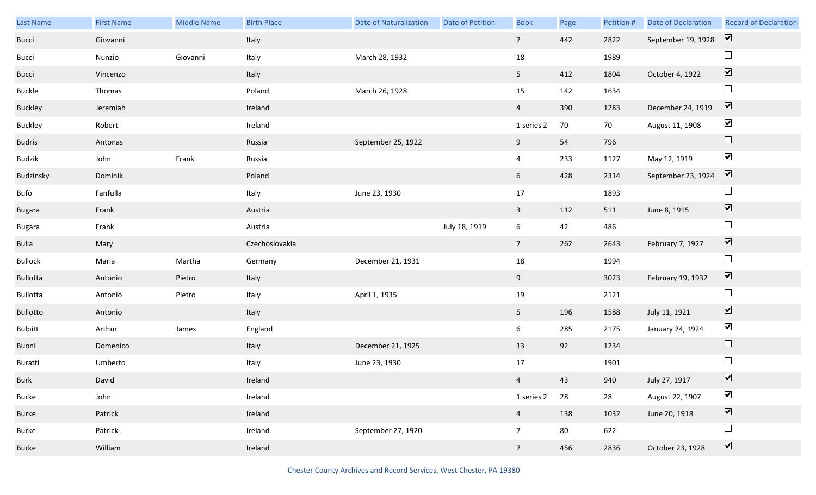| Last Name      | <b>First Name</b> | Middle Name | <b>Birth Place</b> | <b>Date of Naturalization</b> | Date of Petition | <b>Book</b>    | Page | Petition # | Date of Declaration | <b>Record of Declaration</b> |
|----------------|-------------------|-------------|--------------------|-------------------------------|------------------|----------------|------|------------|---------------------|------------------------------|
| Bucci          | Giovanni          |             | Italy              |                               |                  | 7 <sup>7</sup> | 442  | 2822       | September 19, 1928  | $\overline{\mathbf{v}}$      |
| Bucci          | Nunzio            | Giovanni    | Italy              | March 28, 1932                |                  | 18             |      | 1989       |                     | $\Box$                       |
| Bucci          | Vincenzo          |             | Italy              |                               |                  | 5 <sub>1</sub> | 412  | 1804       | October 4, 1922     | $\boxed{\blacktriangledown}$ |
| Buckle         | Thomas            |             | Poland             | March 26, 1928                |                  | 15             | 142  | 1634       |                     | $\Box$                       |
| Buckley        | Jeremiah          |             | Ireland            |                               |                  | $\overline{4}$ | 390  | 1283       | December 24, 1919   | $\boxed{\blacktriangledown}$ |
| Buckley        | Robert            |             | Ireland            |                               |                  | 1 series 2     | 70   | 70         | August 11, 1908     | $\blacktriangledown$         |
| <b>Budris</b>  | Antonas           |             | Russia             | September 25, 1922            |                  | 9              | 54   | 796        |                     | $\Box$                       |
| Budzik         | John              | Frank       | Russia             |                               |                  | $\overline{4}$ | 233  | 1127       | May 12, 1919        | $\blacktriangledown$         |
| Budzinsky      | Dominik           |             | Poland             |                               |                  | 6 <sup>1</sup> | 428  | 2314       | September 23, 1924  | $\overline{\mathbf{v}}$      |
| Bufo           | Fanfulla          |             | Italy              | June 23, 1930                 |                  | 17             |      | 1893       |                     | $\Box$                       |
| <b>Bugara</b>  | Frank             |             | Austria            |                               |                  | $\overline{3}$ | 112  | 511        | June 8, 1915        | $\boxed{\blacktriangledown}$ |
| Bugara         | Frank             |             | Austria            |                               | July 18, 1919    | 6              | 42   | 486        |                     | $\Box$                       |
|                |                   |             |                    |                               |                  |                |      |            |                     |                              |
| Bulla          | Mary              |             | Czechoslovakia     |                               |                  | 7 <sup>7</sup> | 262  | 2643       | February 7, 1927    | $\blacktriangledown$         |
| Bullock        | Maria             | Martha      | Germany            | December 21, 1931             |                  | 18             |      | 1994       |                     | $\Box$                       |
| Bullotta       | Antonio           | Pietro      | Italy              |                               |                  | 9              |      | 3023       | February 19, 1932   | $\blacktriangledown$         |
| Bullotta       | Antonio           | Pietro      | Italy              | April 1, 1935                 |                  | 19             |      | 2121       |                     | $\Box$                       |
| Bullotto       | Antonio           |             | Italy              |                               |                  | 5 <sub>1</sub> | 196  | 1588       | July 11, 1921       | $\blacktriangledown$         |
| <b>Bulpitt</b> | Arthur            | James       | England            |                               |                  | 6              | 285  | 2175       | January 24, 1924    | $\blacktriangledown$         |
| Buoni          | Domenico          |             | Italy              | December 21, 1925             |                  | 13             | 92   | 1234       |                     | $\Box$                       |
| Buratti        | Umberto           |             | Italy              | June 23, 1930                 |                  | 17             |      | 1901       |                     | $\Box$                       |
| Burk           | David             |             | Ireland            |                               |                  | $\overline{4}$ | 43   | 940        | July 27, 1917       | $\overline{\mathbf{v}}$      |
| Burke          | John              |             | Ireland            |                               |                  | 1 series 2     | 28   | 28         | August 22, 1907     | $\blacktriangledown$         |
| Burke          | Patrick           |             | Ireland            |                               |                  | $\overline{4}$ | 138  | 1032       | June 20, 1918       | $\boxed{\blacktriangledown}$ |
| Burke          | Patrick           |             | Ireland            | September 27, 1920            |                  | 7 <sup>7</sup> | 80   | 622        |                     | $\Box$                       |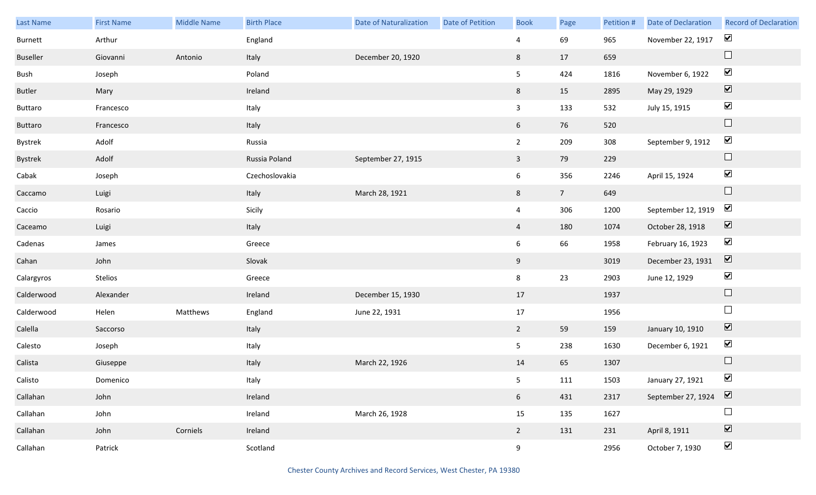| Last Name     | <b>First Name</b> | <b>Middle Name</b> | <b>Birth Place</b> | <b>Date of Naturalization</b> | <b>Date of Petition</b> | <b>Book</b>     | Page           | Petition # | Date of Declaration | <b>Record of Declaration</b> |
|---------------|-------------------|--------------------|--------------------|-------------------------------|-------------------------|-----------------|----------------|------------|---------------------|------------------------------|
| Burnett       | Arthur            |                    | England            |                               |                         | 4               | 69             | 965        | November 22, 1917   | $\blacktriangledown$         |
| Buseller      | Giovanni          | Antonio            | Italy              | December 20, 1920             |                         | 8               | 17             | 659        |                     | $\hfill \square$             |
| Bush          | Joseph            |                    | Poland             |                               |                         | 5 <sub>5</sub>  | 424            | 1816       | November 6, 1922    | $\blacktriangledown$         |
| <b>Butler</b> | Mary              |                    | Ireland            |                               |                         | 8               | 15             | 2895       | May 29, 1929        | $\boxed{\blacktriangledown}$ |
| Buttaro       | Francesco         |                    | Italy              |                               |                         | $\mathbf{3}$    | 133            | 532        | July 15, 1915       | $\blacktriangledown$         |
| Buttaro       | Francesco         |                    | Italy              |                               |                         | $6\overline{6}$ | 76             | 520        |                     | $\hfill \square$             |
| Bystrek       | Adolf             |                    | Russia             |                               |                         | $2^{\circ}$     | 209            | 308        | September 9, 1912   | $\blacktriangledown$         |
| Bystrek       | Adolf             |                    | Russia Poland      | September 27, 1915            |                         | $\mathbf{3}$    | 79             | 229        |                     | $\hfill \square$             |
| Cabak         | Joseph            |                    | Czechoslovakia     |                               |                         | $6\overline{6}$ | 356            | 2246       | April 15, 1924      | $\blacktriangledown$         |
| Caccamo       | Luigi             |                    | Italy              | March 28, 1921                |                         | 8               | 7 <sup>7</sup> | 649        |                     | $\hfill \square$             |
| Caccio        | Rosario           |                    | Sicily             |                               |                         | $\overline{4}$  | 306            | 1200       | September 12, 1919  | $\blacktriangledown$         |
| Caceamo       | Luigi             |                    | Italy              |                               |                         | $\overline{4}$  | 180            | 1074       | October 28, 1918    | $\boxed{\blacktriangledown}$ |
| Cadenas       | James             |                    | Greece             |                               |                         | $6\overline{6}$ | 66             | 1958       | February 16, 1923   | $\blacktriangledown$         |
| Cahan         | John              |                    | Slovak             |                               |                         | 9               |                | 3019       | December 23, 1931   | $\overline{\mathbf{v}}$      |
| Calargyros    | Stelios           |                    | Greece             |                               |                         | 8               | 23             | 2903       | June 12, 1929       | $\blacktriangledown$         |
| Calderwood    | Alexander         |                    | Ireland            | December 15, 1930             |                         | 17              |                | 1937       |                     | $\hfill \square$             |
| Calderwood    | Helen             | Matthews           | England            | June 22, 1931                 |                         | 17              |                | 1956       |                     | $\Box$                       |
| Calella       | Saccorso          |                    | Italy              |                               |                         | $2^{\circ}$     | 59             | 159        | January 10, 1910    | $\boxed{\blacktriangledown}$ |
| Calesto       | Joseph            |                    | Italy              |                               |                         | 5 <sub>5</sub>  | 238            | 1630       | December 6, 1921    | $\blacktriangledown$         |
| Calista       | Giuseppe          |                    | Italy              | March 22, 1926                |                         | 14              | 65             | 1307       |                     | $\Box$                       |
| Calisto       | Domenico          |                    | Italy              |                               |                         | 5 <sub>1</sub>  | 111            | 1503       | January 27, 1921    | $\blacktriangledown$         |
| Callahan      | John              |                    | Ireland            |                               |                         | $6\overline{6}$ | 431            | 2317       | September 27, 1924  | $\boxed{\blacktriangledown}$ |
| Callahan      | John              |                    | Ireland            | March 26, 1928                |                         | 15              | 135            | 1627       |                     | $\Box$                       |
| Callahan      | John              | Corniels           | Ireland            |                               |                         | $2^{\circ}$     | 131            | 231        | April 8, 1911       | $\boxed{\blacktriangledown}$ |
| Callahan      | Patrick           |                    | Scotland           |                               |                         | 9               |                | 2956       | October 7, 1930     | $\blacktriangledown$         |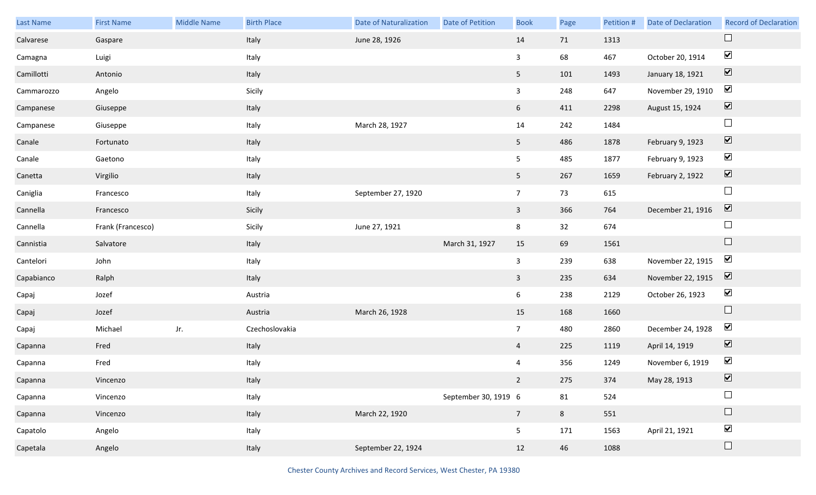| Last Name  | <b>First Name</b> | <b>Middle Name</b> | <b>Birth Place</b> | <b>Date of Naturalization</b> | Date of Petition     | <b>Book</b>     | Page | Petition # | <b>Date of Declaration</b> | <b>Record of Declaration</b> |
|------------|-------------------|--------------------|--------------------|-------------------------------|----------------------|-----------------|------|------------|----------------------------|------------------------------|
| Calvarese  | Gaspare           |                    | Italy              | June 28, 1926                 |                      | 14              | 71   | 1313       |                            |                              |
| Camagna    | Luigi             |                    | Italy              |                               |                      | 3               | 68   | 467        | October 20, 1914           | $\blacktriangledown$         |
| Camillotti | Antonio           |                    | Italy              |                               |                      | 5 <sub>1</sub>  | 101  | 1493       | January 18, 1921           | $\boxed{\blacktriangledown}$ |
| Cammarozzo | Angelo            |                    | Sicily             |                               |                      | $\mathbf{3}$    | 248  | 647        | November 29, 1910          | $\blacktriangleright$        |
| Campanese  | Giuseppe          |                    | Italy              |                               |                      | 6 <sup>1</sup>  | 411  | 2298       | August 15, 1924            | $\boxed{\blacktriangledown}$ |
| Campanese  | Giuseppe          |                    | Italy              | March 28, 1927                |                      | 14              | 242  | 1484       |                            | $\Box$                       |
| Canale     | Fortunato         |                    | Italy              |                               |                      | 5 <sub>1</sub>  | 486  | 1878       | February 9, 1923           | $\boxed{\blacktriangledown}$ |
| Canale     | Gaetono           |                    | Italy              |                               |                      | 5 <sub>5</sub>  | 485  | 1877       | February 9, 1923           | $\blacktriangledown$         |
| Canetta    | Virgilio          |                    | Italy              |                               |                      | 5 <sub>1</sub>  | 267  | 1659       | February 2, 1922           | $\boxed{\blacktriangledown}$ |
| Caniglia   | Francesco         |                    | Italy              | September 27, 1920            |                      | $\overline{7}$  | 73   | 615        |                            | $\Box$                       |
| Cannella   | Francesco         |                    | Sicily             |                               |                      | $\mathbf{3}$    | 366  | 764        | December 21, 1916          | $\boxed{\blacktriangledown}$ |
| Cannella   | Frank (Francesco) |                    | Sicily             | June 27, 1921                 |                      | 8               | 32   | 674        |                            | $\Box$                       |
| Cannistia  | Salvatore         |                    | Italy              |                               | March 31, 1927       | 15              | 69   | 1561       |                            | $\Box$                       |
| Cantelori  | John              |                    | Italy              |                               |                      | $\mathbf{3}$    | 239  | 638        | November 22, 1915          | $\blacktriangledown$         |
| Capabianco | Ralph             |                    | Italy              |                               |                      | $\mathbf{3}$    | 235  | 634        | November 22, 1915          | $\overline{\mathbf{v}}$      |
| Capaj      | Jozef             |                    | Austria            |                               |                      | 6               | 238  | 2129       | October 26, 1923           | $\blacktriangledown$         |
| Capaj      | Jozef             |                    | Austria            | March 26, 1928                |                      | 15              | 168  | 1660       |                            | $\Box$                       |
| Capaj      | Michael           | Jr.                | Czechoslovakia     |                               |                      | $7\overline{ }$ | 480  | 2860       | December 24, 1928          | $\blacktriangledown$         |
| Capanna    | Fred              |                    | Italy              |                               |                      | $\overline{4}$  | 225  | 1119       | April 14, 1919             | $\overline{\mathbf{v}}$      |
| Capanna    | Fred              |                    | Italy              |                               |                      | $\overline{4}$  | 356  | 1249       | November 6, 1919           | $\blacktriangledown$         |
| Capanna    | Vincenzo          |                    | Italy              |                               |                      | $2^{\circ}$     | 275  | 374        | May 28, 1913               | $\blacktriangledown$         |
| Capanna    | Vincenzo          |                    | Italy              |                               | September 30, 1919 6 |                 | 81   | 524        |                            | $\Box$                       |
| Capanna    | Vincenzo          |                    | Italy              | March 22, 1920                |                      | 7 <sup>7</sup>  | 8    | 551        |                            | $\Box$                       |
| Capatolo   | Angelo            |                    | Italy              |                               |                      | 5 <sub>5</sub>  | 171  | 1563       | April 21, 1921             | $\blacktriangledown$         |
| Capetala   | Angelo            |                    | Italy              | September 22, 1924            |                      | 12              | 46   | 1088       |                            | $\Box$                       |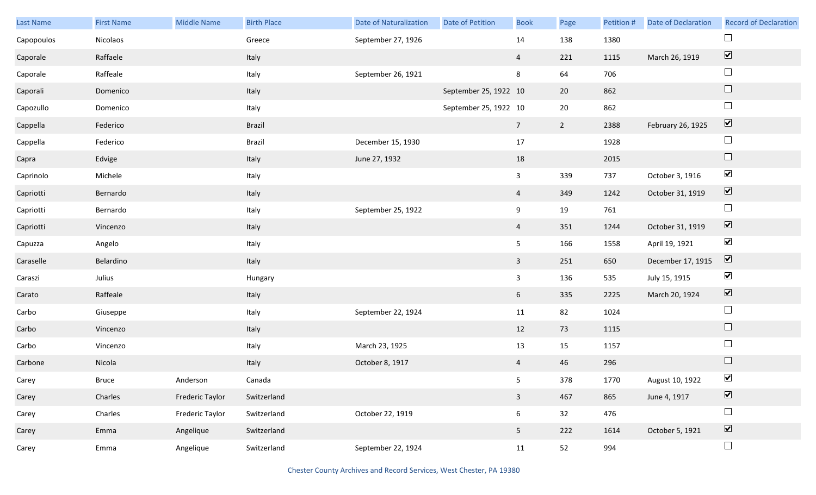| Last Name  | <b>First Name</b> | <b>Middle Name</b>     | <b>Birth Place</b> | <b>Date of Naturalization</b> | Date of Petition      | <b>Book</b>     | Page           | Petition # | Date of Declaration | <b>Record of Declaration</b> |
|------------|-------------------|------------------------|--------------------|-------------------------------|-----------------------|-----------------|----------------|------------|---------------------|------------------------------|
| Capopoulos | Nicolaos          |                        | Greece             | September 27, 1926            |                       | 14              | 138            | 1380       |                     |                              |
| Caporale   | Raffaele          |                        | Italy              |                               |                       | $\overline{4}$  | 221            | 1115       | March 26, 1919      | $\boxed{\blacktriangledown}$ |
| Caporale   | Raffeale          |                        | Italy              | September 26, 1921            |                       | 8               | 64             | 706        |                     | $\Box$                       |
| Caporali   | Domenico          |                        | Italy              |                               | September 25, 1922 10 |                 | 20             | 862        |                     | $\Box$                       |
| Capozullo  | Domenico          |                        | Italy              |                               | September 25, 1922 10 |                 | $20\,$         | 862        |                     | $\Box$                       |
| Cappella   | Federico          |                        | <b>Brazil</b>      |                               |                       | $7\overline{ }$ | $\overline{2}$ | 2388       | February 26, 1925   | $\boxed{\blacktriangledown}$ |
| Cappella   | Federico          |                        | Brazil             | December 15, 1930             |                       | 17              |                | 1928       |                     | $\Box$                       |
| Capra      | Edvige            |                        | Italy              | June 27, 1932                 |                       | 18              |                | 2015       |                     | $\hfill \square$             |
| Caprinolo  | Michele           |                        | Italy              |                               |                       | $\mathbf{3}$    | 339            | 737        | October 3, 1916     | $\blacktriangledown$         |
| Capriotti  | Bernardo          |                        | Italy              |                               |                       | $\overline{4}$  | 349            | 1242       | October 31, 1919    | $\boxed{\blacktriangledown}$ |
| Capriotti  | Bernardo          |                        | Italy              | September 25, 1922            |                       | 9               | 19             | 761        |                     | $\Box$                       |
| Capriotti  | Vincenzo          |                        | Italy              |                               |                       | $\overline{4}$  | 351            | 1244       | October 31, 1919    | $\boxed{\blacktriangledown}$ |
| Capuzza    | Angelo            |                        | Italy              |                               |                       | 5 <sub>5</sub>  | 166            | 1558       | April 19, 1921      | $\blacktriangledown$         |
| Caraselle  | Belardino         |                        | Italy              |                               |                       | $\mathbf{3}$    | 251            | 650        | December 17, 1915   | $\overline{\mathbf{v}}$      |
| Caraszi    | Julius            |                        | Hungary            |                               |                       | $\mathbf{3}$    | 136            | 535        | July 15, 1915       | $\blacktriangledown$         |
| Carato     | Raffeale          |                        | Italy              |                               |                       | $6\overline{6}$ | 335            | 2225       | March 20, 1924      | $\overline{\mathbf{v}}$      |
| Carbo      | Giuseppe          |                        | Italy              | September 22, 1924            |                       | $11\,$          | 82             | 1024       |                     | $\Box$                       |
| Carbo      | Vincenzo          |                        | Italy              |                               |                       | 12              | 73             | 1115       |                     | $\Box$                       |
| Carbo      | Vincenzo          |                        | Italy              | March 23, 1925                |                       | 13              | 15             | 1157       |                     | $\Box$                       |
| Carbone    | Nicola            |                        | Italy              | October 8, 1917               |                       | $\overline{4}$  | 46             | 296        |                     | $\Box$                       |
| Carey      | Bruce             | Anderson               | Canada             |                               |                       | 5 <sub>1</sub>  | 378            | 1770       | August 10, 1922     | $\blacktriangledown$         |
| Carey      | Charles           | <b>Frederic Taylor</b> | Switzerland        |                               |                       | $\mathbf{3}$    | 467            | 865        | June 4, 1917        | $\boxed{\blacktriangledown}$ |
| Carey      | Charles           | Frederic Taylor        | Switzerland        | October 22, 1919              |                       | $6\overline{6}$ | 32             | 476        |                     | $\Box$                       |
| Carey      | Emma              | Angelique              | Switzerland        |                               |                       | 5 <sub>5</sub>  | 222            | 1614       | October 5, 1921     | $\boxed{\blacktriangledown}$ |
| Carey      | Emma              | Angelique              | Switzerland        | September 22, 1924            |                       | 11              | 52             | 994        |                     | $\Box$                       |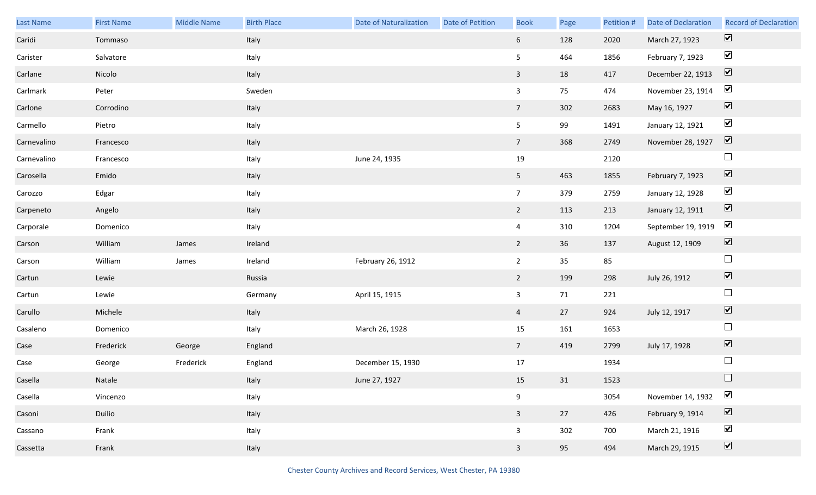| Last Name   | <b>First Name</b> | Middle Name | <b>Birth Place</b> | Date of Naturalization | <b>Date of Petition</b> | <b>Book</b>      | Page | Petition # | <b>Date of Declaration</b> | <b>Record of Declaration</b> |
|-------------|-------------------|-------------|--------------------|------------------------|-------------------------|------------------|------|------------|----------------------------|------------------------------|
| Caridi      | Tommaso           |             | Italy              |                        |                         | 6 <sup>1</sup>   | 128  | 2020       | March 27, 1923             | $\overline{\mathbf{v}}$      |
| Carister    | Salvatore         |             | Italy              |                        |                         | 5 <sub>5</sub>   | 464  | 1856       | February 7, 1923           | $\blacktriangledown$         |
| Carlane     | Nicolo            |             | Italy              |                        |                         | $\overline{3}$   | 18   | 417        | December 22, 1913          | $\boxed{\blacktriangledown}$ |
| Carlmark    | Peter             |             | Sweden             |                        |                         | $\mathbf{3}$     | 75   | 474        | November 23, 1914          | $\blacktriangledown$         |
| Carlone     | Corrodino         |             | Italy              |                        |                         | 7 <sup>7</sup>   | 302  | 2683       | May 16, 1927               | $\boxed{\blacktriangledown}$ |
| Carmello    | Pietro            |             | Italy              |                        |                         | 5 <sub>5</sub>   | 99   | 1491       | January 12, 1921           | $\blacktriangledown$         |
| Carnevalino | Francesco         |             | Italy              |                        |                         | 7 <sup>7</sup>   | 368  | 2749       | November 28, 1927          | $\boxed{\blacktriangledown}$ |
| Carnevalino | Francesco         |             | Italy              | June 24, 1935          |                         | 19               |      | 2120       |                            | $\Box$                       |
| Carosella   | Emido             |             | Italy              |                        |                         | 5 <sub>1</sub>   | 463  | 1855       | February 7, 1923           | $\boxed{\blacktriangledown}$ |
| Carozzo     | Edgar             |             | Italy              |                        |                         | $7\overline{ }$  | 379  | 2759       | January 12, 1928           | $\blacktriangledown$         |
| Carpeneto   | Angelo            |             | Italy              |                        |                         | $2^{\circ}$      | 113  | 213        | January 12, 1911           | $\boxed{\blacktriangledown}$ |
| Carporale   | Domenico          |             | Italy              |                        |                         | $\overline{4}$   | 310  | 1204       | September 19, 1919         | $\blacktriangledown$         |
| Carson      | William           | James       | Ireland            |                        |                         | $2^{\circ}$      | 36   | 137        | August 12, 1909            | $\boxed{\blacktriangledown}$ |
| Carson      | William           | James       | Ireland            | February 26, 1912      |                         | $\overline{2}$   | 35   | 85         |                            | $\Box$                       |
| Cartun      | Lewie             |             | Russia             |                        |                         | $2^{\circ}$      | 199  | 298        | July 26, 1912              | $\boxed{\blacktriangledown}$ |
| Cartun      | Lewie             |             | Germany            | April 15, 1915         |                         | $\mathbf{3}$     | 71   | 221        |                            | $\Box$                       |
| Carullo     | Michele           |             | Italy              |                        |                         | $\overline{4}$   | 27   | 924        | July 12, 1917              | $\boxed{\blacktriangledown}$ |
| Casaleno    | Domenico          |             | Italy              | March 26, 1928         |                         | 15               | 161  | 1653       |                            | $\Box$                       |
| Case        | Frederick         | George      | England            |                        |                         | $7\overline{ }$  | 419  | 2799       | July 17, 1928              | $\boxed{\blacktriangledown}$ |
| Case        | George            | Frederick   | England            | December 15, 1930      |                         | 17               |      | 1934       |                            | $\Box$                       |
| Casella     | Natale            |             | Italy              | June 27, 1927          |                         | 15               | 31   | 1523       |                            | $\Box$                       |
| Casella     | Vincenzo          |             | Italy              |                        |                         | $\boldsymbol{9}$ |      | 3054       | November 14, 1932          | $\blacktriangledown$         |
| Casoni      | Duilio            |             | Italy              |                        |                         | $\mathbf{3}$     | 27   | 426        | February 9, 1914           | $\boxed{\blacktriangledown}$ |
| Cassano     | Frank             |             | Italy              |                        |                         | $\mathbf{3}$     | 302  | 700        | March 21, 1916             | $\blacktriangledown$         |
| Cassetta    | Frank             |             | Italy              |                        |                         | $\mathbf{3}$     | 95   | 494        | March 29, 1915             | $\overline{\mathbf{v}}$      |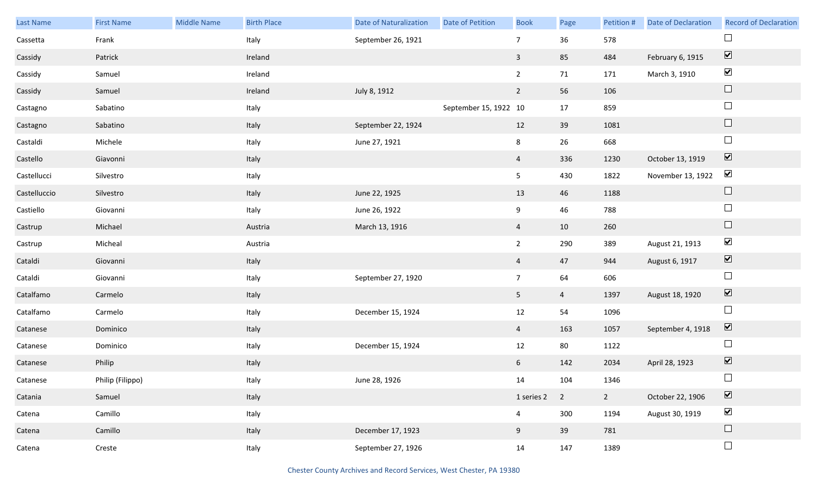| Last Name    | <b>First Name</b> | <b>Middle Name</b> | <b>Birth Place</b> | <b>Date of Naturalization</b> | <b>Date of Petition</b> | <b>Book</b>    | Page           | Petition #  | Date of Declaration | <b>Record of Declaration</b>    |
|--------------|-------------------|--------------------|--------------------|-------------------------------|-------------------------|----------------|----------------|-------------|---------------------|---------------------------------|
| Cassetta     | Frank             |                    | Italy              | September 26, 1921            |                         | $\overline{7}$ | 36             | 578         |                     | $\Box$                          |
| Cassidy      | Patrick           |                    | Ireland            |                               |                         | $\mathbf{3}$   | 85             | 484         | February 6, 1915    | $\boxed{\blacktriangledown}$    |
| Cassidy      | Samuel            |                    | Ireland            |                               |                         | $2^{\circ}$    | 71             | 171         | March 3, 1910       | $\blacktriangledown$            |
| Cassidy      | Samuel            |                    | Ireland            | July 8, 1912                  |                         | $2^{\circ}$    | 56             | 106         |                     | $\Box$                          |
| Castagno     | Sabatino          |                    | Italy              |                               | September 15, 1922 10   |                | 17             | 859         |                     | $\Box$                          |
| Castagno     | Sabatino          |                    | Italy              | September 22, 1924            |                         | 12             | 39             | 1081        |                     | $\hfill \square$                |
| Castaldi     | Michele           |                    | Italy              | June 27, 1921                 |                         | 8              | 26             | 668         |                     | $\Box$                          |
| Castello     | Giavonni          |                    | Italy              |                               |                         | $\overline{4}$ | 336            | 1230        | October 13, 1919    | $\boxed{\blacktriangledown}$    |
| Castellucci  | Silvestro         |                    | Italy              |                               |                         | 5 <sub>1</sub> | 430            | 1822        | November 13, 1922   | $\blacktriangledown$            |
| Castelluccio | Silvestro         |                    | Italy              | June 22, 1925                 |                         | 13             | 46             | 1188        |                     | $\hfill \square$                |
| Castiello    | Giovanni          |                    | Italy              | June 26, 1922                 |                         | 9              | 46             | 788         |                     | $\Box$                          |
| Castrup      | Michael           |                    | Austria            | March 13, 1916                |                         | $\overline{4}$ | 10             | 260         |                     | $\Box$                          |
| Castrup      | Micheal           |                    | Austria            |                               |                         | $2^{\circ}$    | 290            | 389         | August 21, 1913     | $\blacktriangledown$            |
| Cataldi      | Giovanni          |                    | Italy              |                               |                         | $\overline{4}$ | 47             | 944         | August 6, 1917      | $\blacktriangledown$            |
| Cataldi      | Giovanni          |                    | Italy              | September 27, 1920            |                         | 7 <sup>7</sup> | 64             | 606         |                     | $\Box$                          |
| Catalfamo    | Carmelo           |                    | Italy              |                               |                         | 5 <sub>1</sub> | $\overline{4}$ | 1397        | August 18, 1920     | $\blacktriangledown$            |
| Catalfamo    | Carmelo           |                    | Italy              | December 15, 1924             |                         | 12             | 54             | 1096        |                     | $\Box$                          |
| Catanese     | Dominico          |                    | Italy              |                               |                         | $\overline{4}$ | 163            | 1057        | September 4, 1918   | $\boxed{\blacktriangledown}$    |
| Catanese     | Dominico          |                    | Italy              | December 15, 1924             |                         | 12             | 80             | 1122        |                     | $\Box$                          |
| Catanese     | Philip            |                    | Italy              |                               |                         | 6              | 142            | 2034        | April 28, 1923      | $\boxed{\blacktriangledown}$    |
| Catanese     | Philip (Filippo)  |                    | Italy              | June 28, 1926                 |                         | 14             | 104            | 1346        |                     | $\Box$                          |
| Catania      | Samuel            |                    | Italy              |                               |                         | 1 series 2     | $\overline{2}$ | $2^{\circ}$ | October 22, 1906    | $\overline{\blacktriangledown}$ |
| Catena       | Camillo           |                    | Italy              |                               |                         | $\overline{4}$ | 300            | 1194        | August 30, 1919     | $\blacktriangledown$            |
| Catena       | Camillo           |                    | Italy              | December 17, 1923             |                         | 9              | 39             | 781         |                     | $\hfill \square$                |
| Catena       | Creste            |                    | Italy              | September 27, 1926            |                         | 14             | 147            | 1389        |                     | $\Box$                          |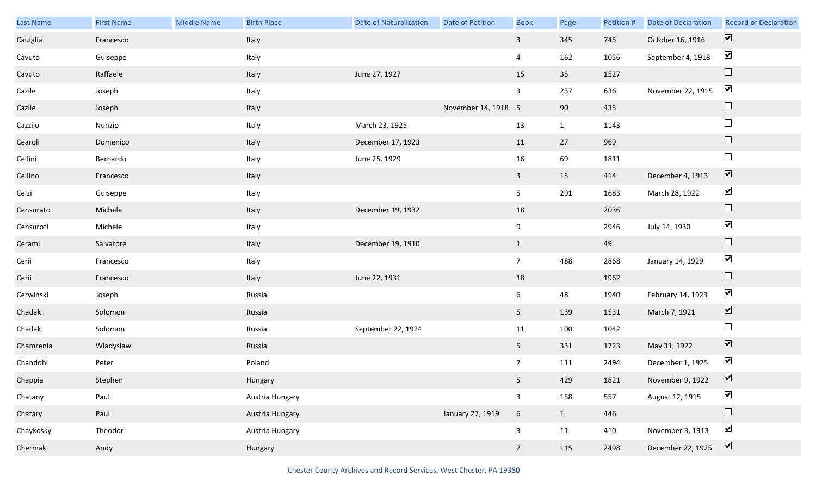| Last Name | <b>First Name</b> | Middle Name | <b>Birth Place</b> | <b>Date of Naturalization</b> | Date of Petition    | <b>Book</b>     | Page         | Petition # | <b>Date of Declaration</b> | <b>Record of Declaration</b> |
|-----------|-------------------|-------------|--------------------|-------------------------------|---------------------|-----------------|--------------|------------|----------------------------|------------------------------|
| Cauiglia  | Francesco         |             | Italy              |                               |                     | $\mathbf{3}$    | 345          | 745        | October 16, 1916           | $\overline{\mathbf{v}}$      |
| Cavuto    | Guiseppe          |             | Italy              |                               |                     | $\overline{4}$  | 162          | 1056       | September 4, 1918          | $\blacktriangledown$         |
| Cavuto    | Raffaele          |             | Italy              | June 27, 1927                 |                     | 15              | 35           | 1527       |                            | $\Box$                       |
| Cazile    | Joseph            |             | Italy              |                               |                     | $\mathbf{3}$    | 237          | 636        | November 22, 1915          | $\blacktriangledown$         |
| Cazile    | Joseph            |             | Italy              |                               | November 14, 1918 5 |                 | 90           | 435        |                            | $\Box$                       |
| Cazzilo   | Nunzio            |             | Italy              | March 23, 1925                |                     | 13              | $\mathbf{1}$ | 1143       |                            | $\Box$                       |
| Cearoli   | Domenico          |             | Italy              | December 17, 1923             |                     | 11              | 27           | 969        |                            | $\Box$                       |
| Cellini   | Bernardo          |             | Italy              | June 25, 1929                 |                     | 16              | 69           | 1811       |                            | $\Box$                       |
| Cellino   | Francesco         |             | Italy              |                               |                     | $\mathbf{3}$    | 15           | 414        | December 4, 1913           | $\overline{\mathbf{v}}$      |
| Celzi     | Guiseppe          |             | Italy              |                               |                     | 5               | 291          | 1683       | March 28, 1922             | $\blacktriangledown$         |
| Censurato | Michele           |             | Italy              | December 19, 1932             |                     | 18              |              | 2036       |                            | $\Box$                       |
| Censuroti | Michele           |             | Italy              |                               |                     | 9               |              | 2946       | July 14, 1930              | $\blacktriangledown$         |
| Cerami    | Salvatore         |             | Italy              | December 19, 1910             |                     | $\mathbf{1}$    |              | 49         |                            | $\Box$                       |
| Cerii     | Francesco         |             | Italy              |                               |                     | $7\overline{ }$ | 488          | 2868       | January 14, 1929           | $\blacktriangledown$         |
| Cerii     | Francesco         |             | Italy              | June 22, 1931                 |                     | 18              |              | 1962       |                            | $\Box$                       |
| Cerwinski | Joseph            |             | Russia             |                               |                     | 6               | 48           | 1940       | February 14, 1923          | $\blacktriangledown$         |
| Chadak    | Solomon           |             | Russia             |                               |                     | 5 <sub>1</sub>  | 139          | 1531       | March 7, 1921              | $\blacktriangledown$         |
| Chadak    | Solomon           |             | Russia             | September 22, 1924            |                     | 11              | 100          | 1042       |                            | $\Box$                       |
| Chamrenia | Wladyslaw         |             | Russia             |                               |                     | 5 <sub>1</sub>  | 331          | 1723       | May 31, 1922               | $\overline{\mathbf{v}}$      |
| Chandohi  | Peter             |             | Poland             |                               |                     | $7\overline{ }$ | 111          | 2494       | December 1, 1925           | $\blacktriangledown$         |
| Chappia   | Stephen           |             | Hungary            |                               |                     | 5 <sub>1</sub>  | 429          | 1821       | November 9, 1922           | $\boxed{\mathbf{v}}$         |
| Chatany   | Paul              |             | Austria Hungary    |                               |                     | $\mathbf{3}$    | 158          | 557        | August 12, 1915            | $\blacktriangledown$         |
| Chatary   | Paul              |             | Austria Hungary    |                               | January 27, 1919    | $6\overline{6}$ | $\mathbf{1}$ | 446        |                            | $\Box$                       |
| Chaykosky | Theodor           |             | Austria Hungary    |                               |                     | $\mathbf{3}$    | 11           | 410        | November 3, 1913           | $\blacktriangledown$         |
| Chermak   | Andy              |             | Hungary            |                               |                     | $7\overline{ }$ | 115          | 2498       | December 22, 1925          | $\overline{\mathbf{v}}$      |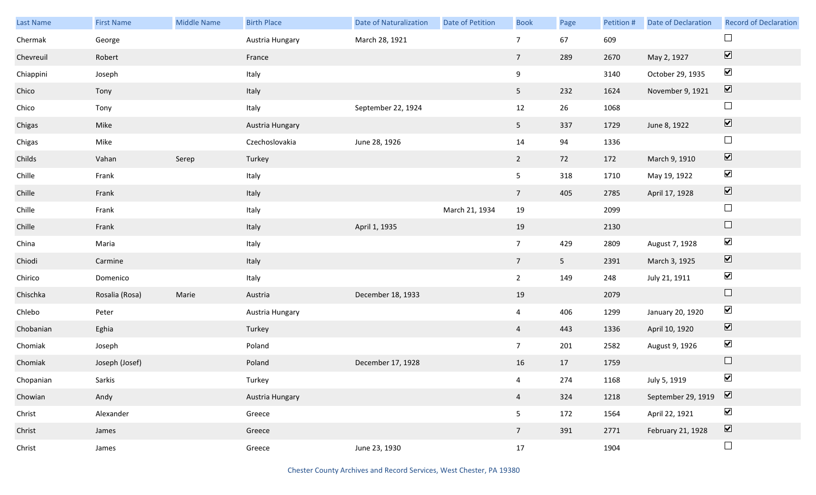| Last Name | <b>First Name</b> | <b>Middle Name</b> | <b>Birth Place</b> | <b>Date of Naturalization</b> | Date of Petition | <b>Book</b>     | Page           | Petition # | <b>Date of Declaration</b> | <b>Record of Declaration</b>    |
|-----------|-------------------|--------------------|--------------------|-------------------------------|------------------|-----------------|----------------|------------|----------------------------|---------------------------------|
| Chermak   | George            |                    | Austria Hungary    | March 28, 1921                |                  | $\overline{7}$  | 67             | 609        |                            | $\Box$                          |
| Chevreuil | Robert            |                    | France             |                               |                  | $7\overline{ }$ | 289            | 2670       | May 2, 1927                | $\overline{\blacktriangledown}$ |
| Chiappini | Joseph            |                    | Italy              |                               |                  | 9               |                | 3140       | October 29, 1935           | $\blacktriangledown$            |
| Chico     | Tony              |                    | Italy              |                               |                  | 5 <sub>1</sub>  | 232            | 1624       | November 9, 1921           | $\boxed{\blacktriangledown}$    |
| Chico     | Tony              |                    | Italy              | September 22, 1924            |                  | 12              | 26             | 1068       |                            | $\Box$                          |
| Chigas    | Mike              |                    | Austria Hungary    |                               |                  | 5 <sub>1</sub>  | 337            | 1729       | June 8, 1922               | $\overline{\blacktriangledown}$ |
| Chigas    | Mike              |                    | Czechoslovakia     | June 28, 1926                 |                  | 14              | 94             | 1336       |                            | $\Box$                          |
| Childs    | Vahan             | Serep              | Turkey             |                               |                  | $\overline{2}$  | 72             | 172        | March 9, 1910              | $\overline{\blacktriangledown}$ |
| Chille    | Frank             |                    | Italy              |                               |                  | 5 <sup>1</sup>  | 318            | 1710       | May 19, 1922               | $\blacktriangledown$            |
| Chille    | Frank             |                    | Italy              |                               |                  | $7\overline{ }$ | 405            | 2785       | April 17, 1928             | $\overline{\mathbf{v}}$         |
| Chille    | Frank             |                    | Italy              |                               | March 21, 1934   | 19              |                | 2099       |                            | $\Box$                          |
| Chille    | Frank             |                    | Italy              | April 1, 1935                 |                  | 19              |                | 2130       |                            | $\Box$                          |
| China     | Maria             |                    | Italy              |                               |                  | 7 <sup>7</sup>  | 429            | 2809       | August 7, 1928             | $\blacktriangledown$            |
| Chiodi    | Carmine           |                    | Italy              |                               |                  | $7\overline{ }$ | 5 <sub>5</sub> | 2391       | March 3, 1925              | $\overline{\blacktriangledown}$ |
| Chirico   | Domenico          |                    | Italy              |                               |                  | $2^{\circ}$     | 149            | 248        | July 21, 1911              | $\blacktriangledown$            |
| Chischka  | Rosalia (Rosa)    | Marie              | Austria            | December 18, 1933             |                  | 19              |                | 2079       |                            | $\Box$                          |
| Chlebo    | Peter             |                    | Austria Hungary    |                               |                  | $\overline{4}$  | 406            | 1299       | January 20, 1920           | $\blacktriangledown$            |
| Chobanian | Eghia             |                    | Turkey             |                               |                  | $\overline{4}$  | 443            | 1336       | April 10, 1920             | $\overline{\mathbf{v}}$         |
| Chomiak   | Joseph            |                    | Poland             |                               |                  | 7 <sup>7</sup>  | 201            | 2582       | August 9, 1926             | $\blacktriangledown$            |
| Chomiak   | Joseph (Josef)    |                    | Poland             | December 17, 1928             |                  | 16              | 17             | 1759       |                            | $\Box$                          |
| Chopanian | Sarkis            |                    | Turkey             |                               |                  | $\overline{4}$  | 274            | 1168       | July 5, 1919               | $\blacktriangledown$            |
| Chowian   | Andy              |                    | Austria Hungary    |                               |                  | $\overline{4}$  | 324            | 1218       | September 29, 1919         | $\boxed{\blacktriangledown}$    |
| Christ    | Alexander         |                    | Greece             |                               |                  | 5               | 172            | 1564       | April 22, 1921             | $\blacktriangledown$            |
| Christ    | James             |                    | Greece             |                               |                  | $7\overline{ }$ | 391            | 2771       | February 21, 1928          | $\overline{\blacktriangledown}$ |
| Christ    | James             |                    | Greece             | June 23, 1930                 |                  | 17              |                | 1904       |                            | $\Box$                          |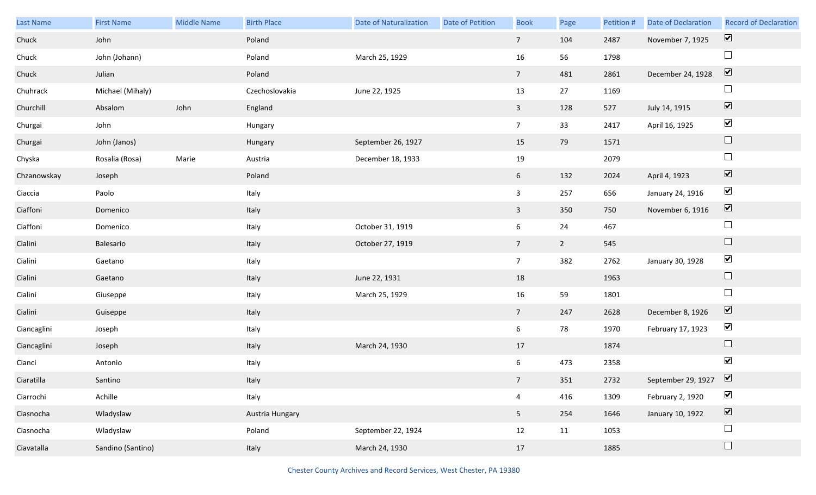| Last Name   | <b>First Name</b> | <b>Middle Name</b> | <b>Birth Place</b> | Date of Naturalization | Date of Petition | <b>Book</b>     | Page        | Petition # | <b>Date of Declaration</b> | <b>Record of Declaration</b> |
|-------------|-------------------|--------------------|--------------------|------------------------|------------------|-----------------|-------------|------------|----------------------------|------------------------------|
| Chuck       | John              |                    | Poland             |                        |                  | $7\overline{ }$ | 104         | 2487       | November 7, 1925           | $\overline{\mathbf{v}}$      |
| Chuck       | John (Johann)     |                    | Poland             | March 25, 1929         |                  | 16              | 56          | 1798       |                            | $\Box$                       |
| Chuck       | Julian            |                    | Poland             |                        |                  | $7\overline{ }$ | 481         | 2861       | December 24, 1928          | $\boxed{\blacktriangledown}$ |
| Chuhrack    | Michael (Mihaly)  |                    | Czechoslovakia     | June 22, 1925          |                  | 13              | 27          | 1169       |                            | $\Box$                       |
| Churchill   | Absalom           | John               | England            |                        |                  | $\overline{3}$  | 128         | 527        | July 14, 1915              | $\boxed{\blacktriangledown}$ |
| Churgai     | John              |                    | Hungary            |                        |                  | $7\overline{ }$ | 33          | 2417       | April 16, 1925             | $\blacktriangledown$         |
| Churgai     | John (Janos)      |                    | Hungary            | September 26, 1927     |                  | 15              | 79          | 1571       |                            | $\Box$                       |
| Chyska      | Rosalia (Rosa)    | Marie              | Austria            | December 18, 1933      |                  | 19              |             | 2079       |                            | $\Box$                       |
| Chzanowskay | Joseph            |                    | Poland             |                        |                  | 6 <sup>1</sup>  | 132         | 2024       | April 4, 1923              | $\boxed{\blacktriangledown}$ |
| Ciaccia     | Paolo             |                    | Italy              |                        |                  | $\mathbf{3}$    | 257         | 656        | January 24, 1916           | $\blacktriangledown$         |
| Ciaffoni    | Domenico          |                    | Italy              |                        |                  | $\overline{3}$  | 350         | 750        | November 6, 1916           | $\boxed{\blacktriangledown}$ |
| Ciaffoni    | Domenico          |                    | Italy              | October 31, 1919       |                  | 6               | 24          | 467        |                            | $\Box$                       |
| Cialini     | Balesario         |                    | Italy              | October 27, 1919       |                  | $7\overline{ }$ | $2^{\circ}$ | 545        |                            | $\Box$                       |
| Cialini     | Gaetano           |                    | Italy              |                        |                  | $7\overline{ }$ | 382         | 2762       | January 30, 1928           | $\blacktriangledown$         |
| Cialini     | Gaetano           |                    | Italy              | June 22, 1931          |                  | 18              |             | 1963       |                            | $\Box$                       |
| Cialini     | Giuseppe          |                    | Italy              | March 25, 1929         |                  | 16              | 59          | 1801       |                            | $\Box$                       |
| Cialini     | Guiseppe          |                    | Italy              |                        |                  | $7\overline{ }$ | 247         | 2628       | December 8, 1926           | $\overline{\mathbf{v}}$      |
| Ciancaglini | Joseph            |                    | Italy              |                        |                  | 6               | 78          | 1970       | February 17, 1923          | $\blacktriangleright$        |
| Ciancaglini | Joseph            |                    | Italy              | March 24, 1930         |                  | 17              |             | 1874       |                            | $\Box$                       |
| Cianci      | Antonio           |                    | Italy              |                        |                  | 6               | 473         | 2358       |                            | $\blacktriangledown$         |
| Ciaratilla  | Santino           |                    | Italy              |                        |                  | 7 <sup>7</sup>  | 351         | 2732       | September 29, 1927         | $\overline{\mathbf{v}}$      |
| Ciarrochi   | Achille           |                    | Italy              |                        |                  | $\overline{4}$  | 416         | 1309       | February 2, 1920           | $\blacktriangledown$         |
| Ciasnocha   | Wladyslaw         |                    | Austria Hungary    |                        |                  | 5 <sub>1</sub>  | 254         | 1646       | January 10, 1922           | $\boxed{\blacktriangledown}$ |
| Ciasnocha   | Wladyslaw         |                    | Poland             | September 22, 1924     |                  | 12              | 11          | 1053       |                            | $\Box$                       |
| Ciavatalla  | Sandino (Santino) |                    | Italy              | March 24, 1930         |                  | 17              |             | 1885       |                            | $\Box$                       |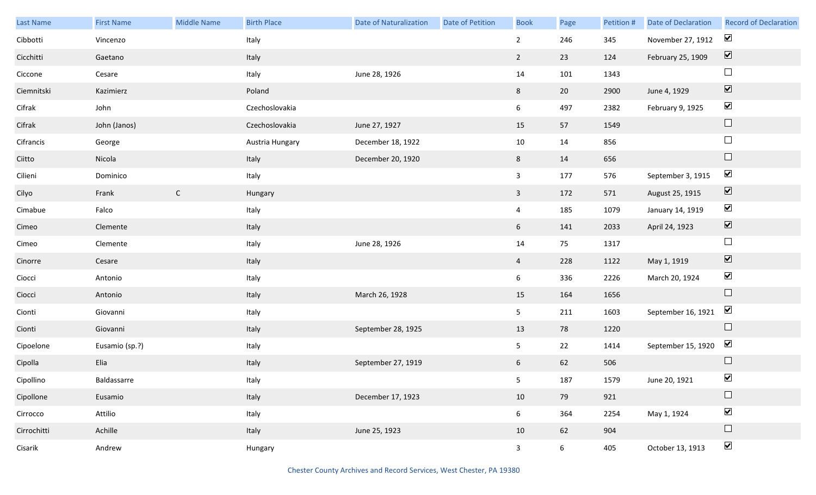| Last Name   | <b>First Name</b> | <b>Middle Name</b> | <b>Birth Place</b> | <b>Date of Naturalization</b> | Date of Petition | <b>Book</b>     | Page            | Petition # | Date of Declaration | <b>Record of Declaration</b>    |
|-------------|-------------------|--------------------|--------------------|-------------------------------|------------------|-----------------|-----------------|------------|---------------------|---------------------------------|
| Cibbotti    | Vincenzo          |                    | Italy              |                               |                  | $\overline{2}$  | 246             | 345        | November 27, 1912   | $\blacktriangledown$            |
| Cicchitti   | Gaetano           |                    | Italy              |                               |                  | $\overline{2}$  | 23              | 124        | February 25, 1909   | $\boxed{\blacktriangledown}$    |
| Ciccone     | Cesare            |                    | Italy              | June 28, 1926                 |                  | 14              | 101             | 1343       |                     | $\Box$                          |
| Ciemnitski  | Kazimierz         |                    | Poland             |                               |                  | 8               | 20              | 2900       | June 4, 1929        | $\overline{\blacktriangledown}$ |
| Cifrak      | John              |                    | Czechoslovakia     |                               |                  | 6               | 497             | 2382       | February 9, 1925    | $\blacktriangledown$            |
| Cifrak      | John (Janos)      |                    | Czechoslovakia     | June 27, 1927                 |                  | 15              | 57              | 1549       |                     | $\hfill \square$                |
| Cifrancis   | George            |                    | Austria Hungary    | December 18, 1922             |                  | 10              | 14              | 856        |                     | $\Box$                          |
| Ciitto      | Nicola            |                    | Italy              | December 20, 1920             |                  | 8               | 14              | 656        |                     | $\hfill \square$                |
| Cilieni     | Dominico          |                    | Italy              |                               |                  | $\mathbf{3}$    | 177             | 576        | September 3, 1915   | $\blacktriangledown$            |
| Cilyo       | Frank             | $\mathsf{C}$       | Hungary            |                               |                  | $\mathbf{3}$    | 172             | 571        | August 25, 1915     | $\boxed{\blacktriangledown}$    |
| Cimabue     | Falco             |                    | Italy              |                               |                  | $\overline{4}$  | 185             | 1079       | January 14, 1919    | $\blacktriangledown$            |
| Cimeo       | Clemente          |                    | Italy              |                               |                  | 6               | 141             | 2033       | April 24, 1923      | $\blacktriangledown$            |
| Cimeo       | Clemente          |                    | Italy              | June 28, 1926                 |                  | 14              | 75              | 1317       |                     | $\Box$                          |
| Cinorre     | Cesare            |                    | Italy              |                               |                  | $\overline{4}$  | 228             | 1122       | May 1, 1919         | $\blacktriangledown$            |
| Ciocci      | Antonio           |                    | Italy              |                               |                  | 6               | 336             | 2226       | March 20, 1924      | $\blacktriangledown$            |
| Ciocci      | Antonio           |                    | Italy              | March 26, 1928                |                  | 15              | 164             | 1656       |                     | $\hfill \square$                |
| Cionti      | Giovanni          |                    | Italy              |                               |                  | 5 <sub>1</sub>  | 211             | 1603       | September 16, 1921  | $\blacktriangledown$            |
| Cionti      | Giovanni          |                    | Italy              | September 28, 1925            |                  | 13              | 78              | 1220       |                     | $\hfill \square$                |
| Cipoelone   | Eusamio (sp.?)    |                    | Italy              |                               |                  | 5               | 22              | 1414       | September 15, 1920  | $\blacktriangledown$            |
| Cipolla     | Elia              |                    | Italy              | September 27, 1919            |                  | 6               | 62              | 506        |                     | $\hfill \square$                |
| Cipollino   | Baldassarre       |                    | Italy              |                               |                  | 5 <sub>5</sub>  | 187             | 1579       | June 20, 1921       | $\blacktriangledown$            |
| Cipollone   | Eusamio           |                    | Italy              | December 17, 1923             |                  | 10              | 79              | 921        |                     | $\Box$                          |
| Cirrocco    | Attilio           |                    | Italy              |                               |                  | $6\phantom{.0}$ | 364             | 2254       | May 1, 1924         | $\blacktriangledown$            |
| Cirrochitti | Achille           |                    | Italy              | June 25, 1923                 |                  | 10              | 62              | 904        |                     | $\hfill \square$                |
| Cisarik     | Andrew            |                    | Hungary            |                               |                  | $\mathbf{3}$    | $6\overline{6}$ | 405        | October 13, 1913    | $\blacktriangledown$            |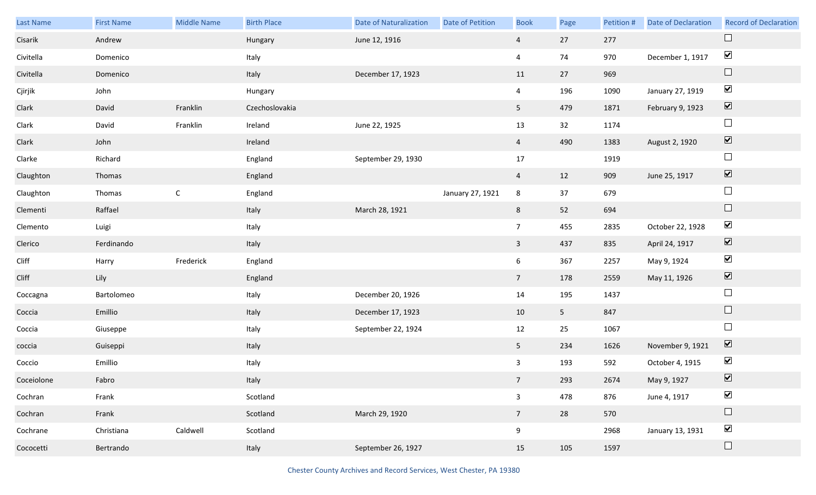| Last Name  | <b>First Name</b> | <b>Middle Name</b> | <b>Birth Place</b> | <b>Date of Naturalization</b> | Date of Petition | <b>Book</b>             | Page           | Petition # | <b>Date of Declaration</b> | <b>Record of Declaration</b> |
|------------|-------------------|--------------------|--------------------|-------------------------------|------------------|-------------------------|----------------|------------|----------------------------|------------------------------|
| Cisarik    | Andrew            |                    | Hungary            | June 12, 1916                 |                  | $\overline{a}$          | 27             | 277        |                            | $\Box$                       |
| Civitella  | Domenico          |                    | Italy              |                               |                  | $\overline{\mathbf{4}}$ | 74             | 970        | December 1, 1917           | $\blacktriangledown$         |
| Civitella  | Domenico          |                    | Italy              | December 17, 1923             |                  | 11                      | 27             | 969        |                            | $\Box$                       |
| Cjirjik    | John              |                    | Hungary            |                               |                  | $\overline{4}$          | 196            | 1090       | January 27, 1919           | $\blacktriangledown$         |
| Clark      | David             | Franklin           | Czechoslovakia     |                               |                  | 5 <sub>1</sub>          | 479            | 1871       | February 9, 1923           | $\boxed{\blacktriangledown}$ |
| Clark      | David             | Franklin           | Ireland            | June 22, 1925                 |                  | 13                      | 32             | 1174       |                            | $\Box$                       |
| Clark      | John              |                    | Ireland            |                               |                  | $\overline{4}$          | 490            | 1383       | August 2, 1920             | $\boxed{\blacktriangledown}$ |
| Clarke     | Richard           |                    | England            | September 29, 1930            |                  | 17                      |                | 1919       |                            | $\Box$                       |
| Claughton  | Thomas            |                    | England            |                               |                  | $\overline{4}$          | 12             | 909        | June 25, 1917              | $\boxed{\blacktriangledown}$ |
| Claughton  | Thomas            | $\mathsf{C}$       | England            |                               | January 27, 1921 | 8                       | 37             | 679        |                            | $\Box$                       |
| Clementi   | Raffael           |                    | Italy              | March 28, 1921                |                  | 8                       | 52             | 694        |                            | $\Box$                       |
| Clemento   | Luigi             |                    | Italy              |                               |                  | $7\overline{ }$         | 455            | 2835       | October 22, 1928           | $\blacktriangledown$         |
| Clerico    | Ferdinando        |                    | Italy              |                               |                  | 3 <sup>7</sup>          | 437            | 835        | April 24, 1917             | $\boxed{\blacktriangledown}$ |
| Cliff      | Harry             | Frederick          | England            |                               |                  | 6                       | 367            | 2257       | May 9, 1924                | $\blacktriangledown$         |
| Cliff      | Lily              |                    | England            |                               |                  | 7 <sup>7</sup>          | 178            | 2559       | May 11, 1926               | $\boxed{\blacktriangledown}$ |
| Coccagna   | Bartolomeo        |                    | Italy              | December 20, 1926             |                  | 14                      | 195            | 1437       |                            | $\Box$                       |
| Coccia     | Emillio           |                    | Italy              | December 17, 1923             |                  | 10                      | 5 <sub>1</sub> | 847        |                            | $\Box$                       |
| Coccia     | Giuseppe          |                    | Italy              | September 22, 1924            |                  | 12                      | 25             | 1067       |                            | $\Box$                       |
| coccia     | Guiseppi          |                    | Italy              |                               |                  | 5 <sub>1</sub>          | 234            | 1626       | November 9, 1921           | $\overline{\mathbf{v}}$      |
| Coccio     | Emillio           |                    | Italy              |                               |                  | 3                       | 193            | 592        | October 4, 1915            | $\blacktriangledown$         |
| Coceiolone | Fabro             |                    | Italy              |                               |                  | 7 <sup>7</sup>          | 293            | 2674       | May 9, 1927                | $\overline{\mathbf{v}}$      |
| Cochran    | Frank             |                    | Scotland           |                               |                  | $\mathbf{3}$            | 478            | 876        | June 4, 1917               | $\blacktriangledown$         |
| Cochran    | Frank             |                    | Scotland           | March 29, 1920                |                  | 7 <sup>7</sup>          | 28             | 570        |                            | $\Box$                       |
| Cochrane   | Christiana        | Caldwell           | Scotland           |                               |                  | 9                       |                | 2968       | January 13, 1931           | $\blacktriangledown$         |
| Cococetti  | Bertrando         |                    | Italy              | September 26, 1927            |                  | 15                      | 105            | 1597       |                            | $\Box$                       |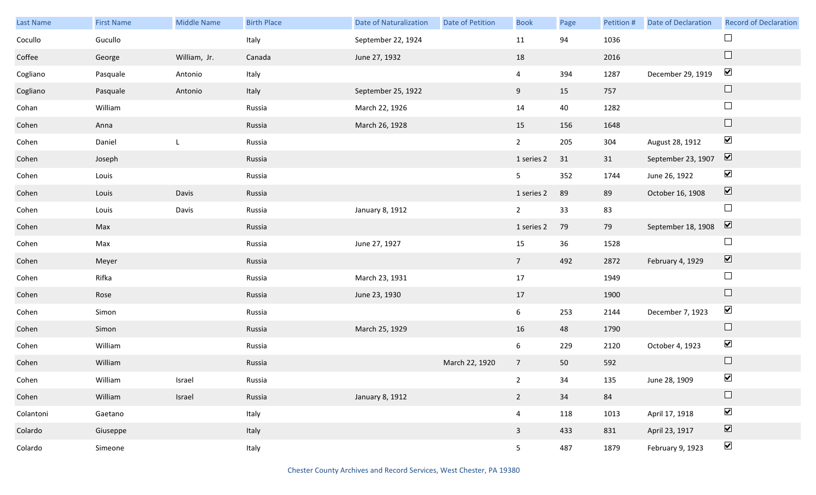| Last Name | <b>First Name</b> | <b>Middle Name</b> | <b>Birth Place</b> | <b>Date of Naturalization</b> | <b>Date of Petition</b> | <b>Book</b>     | Page | Petition # | <b>Date of Declaration</b> | <b>Record of Declaration</b> |
|-----------|-------------------|--------------------|--------------------|-------------------------------|-------------------------|-----------------|------|------------|----------------------------|------------------------------|
| Cocullo   | Gucullo           |                    | Italy              | September 22, 1924            |                         | 11              | 94   | 1036       |                            | $\Box$                       |
| Coffee    | George            | William, Jr.       | Canada             | June 27, 1932                 |                         | 18              |      | 2016       |                            | $\Box$                       |
| Cogliano  | Pasquale          | Antonio            | Italy              |                               |                         | $\overline{4}$  | 394  | 1287       | December 29, 1919          | $\blacktriangledown$         |
| Cogliano  | Pasquale          | Antonio            | Italy              | September 25, 1922            |                         | 9               | 15   | 757        |                            | $\Box$                       |
| Cohan     | William           |                    | Russia             | March 22, 1926                |                         | 14              | 40   | 1282       |                            | $\Box$                       |
| Cohen     | Anna              |                    | Russia             | March 26, 1928                |                         | 15              | 156  | 1648       |                            | $\Box$                       |
| Cohen     | Daniel            | L                  | Russia             |                               |                         | $\overline{2}$  | 205  | 304        | August 28, 1912            | $\blacktriangledown$         |
| Cohen     | Joseph            |                    | Russia             |                               |                         | 1 series 2      | 31   | 31         | September 23, 1907         | $\overline{\mathbf{v}}$      |
| Cohen     | Louis             |                    | Russia             |                               |                         | 5 <sub>1</sub>  | 352  | 1744       | June 26, 1922              | $\blacktriangledown$         |
| Cohen     | Louis             | Davis              | Russia             |                               |                         | 1 series 2      | 89   | 89         | October 16, 1908           | $\overline{\mathbf{v}}$      |
| Cohen     | Louis             | Davis              | Russia             | January 8, 1912               |                         | $\overline{2}$  | 33   | 83         |                            | $\Box$                       |
| Cohen     | Max               |                    | Russia             |                               |                         | 1 series 2      | 79   | 79         | September 18, 1908         | $\overline{\mathbf{v}}$      |
| Cohen     | Max               |                    | Russia             | June 27, 1927                 |                         | 15              | 36   | 1528       |                            | $\Box$                       |
| Cohen     | Meyer             |                    | Russia             |                               |                         | $7\overline{ }$ | 492  | 2872       | February 4, 1929           | $\overline{\mathbf{v}}$      |
| Cohen     | Rifka             |                    | Russia             | March 23, 1931                |                         | 17              |      | 1949       |                            | $\Box$                       |
| Cohen     | Rose              |                    | Russia             | June 23, 1930                 |                         | 17              |      | 1900       |                            | $\hfill \square$             |
| Cohen     | Simon             |                    | Russia             |                               |                         | $6\overline{6}$ | 253  | 2144       | December 7, 1923           | $\blacktriangledown$         |
| Cohen     | Simon             |                    | Russia             | March 25, 1929                |                         | 16              | 48   | 1790       |                            | $\Box$                       |
| Cohen     | William           |                    | Russia             |                               |                         | $6\phantom{.0}$ | 229  | 2120       | October 4, 1923            | $\blacktriangledown$         |
| Cohen     | William           |                    | Russia             |                               | March 22, 1920          | 7 <sup>7</sup>  | 50   | 592        |                            | $\Box$                       |
| Cohen     | William           | Israel             | Russia             |                               |                         | $\overline{2}$  | 34   | 135        | June 28, 1909              | $\blacktriangledown$         |
| Cohen     | William           | Israel             | Russia             | January 8, 1912               |                         | $2^{\circ}$     | 34   | 84         |                            | $\Box$                       |
| Colantoni | Gaetano           |                    | Italy              |                               |                         | $\overline{4}$  | 118  | 1013       | April 17, 1918             | $\blacktriangledown$         |
| Colardo   | Giuseppe          |                    | Italy              |                               |                         | $\mathbf{3}$    | 433  | 831        | April 23, 1917             | $\overline{\mathbf{v}}$      |
| Colardo   | Simeone           |                    | Italy              |                               |                         | 5 <sub>1</sub>  | 487  | 1879       | February 9, 1923           | $\blacktriangledown$         |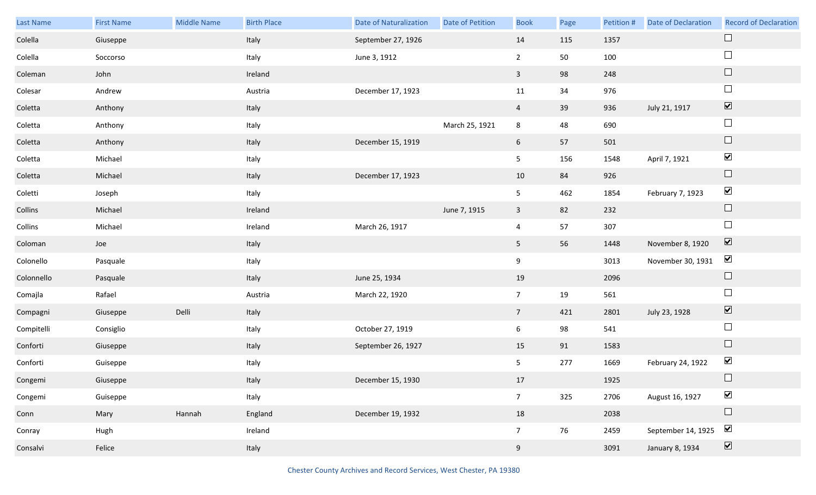| Last Name  | <b>First Name</b> | Middle Name | <b>Birth Place</b> | <b>Date of Naturalization</b> | Date of Petition | <b>Book</b>     | Page | Petition # | <b>Date of Declaration</b> | <b>Record of Declaration</b> |
|------------|-------------------|-------------|--------------------|-------------------------------|------------------|-----------------|------|------------|----------------------------|------------------------------|
| Colella    | Giuseppe          |             | Italy              | September 27, 1926            |                  | 14              | 115  | 1357       |                            | $\Box$                       |
| Colella    | Soccorso          |             | Italy              | June 3, 1912                  |                  | $\overline{2}$  | 50   | 100        |                            | $\Box$                       |
| Coleman    | John              |             | Ireland            |                               |                  | $\overline{3}$  | 98   | 248        |                            | $\Box$                       |
| Colesar    | Andrew            |             | Austria            | December 17, 1923             |                  | 11              | 34   | 976        |                            | $\Box$                       |
| Coletta    | Anthony           |             | Italy              |                               |                  | $\overline{4}$  | 39   | 936        | July 21, 1917              | $\boxed{\blacktriangledown}$ |
| Coletta    | Anthony           |             | Italy              |                               | March 25, 1921   | 8               | 48   | 690        |                            | $\Box$                       |
| Coletta    | Anthony           |             | Italy              | December 15, 1919             |                  | 6               | 57   | 501        |                            | $\Box$                       |
| Coletta    | Michael           |             | Italy              |                               |                  | 5               | 156  | 1548       | April 7, 1921              | $\blacktriangledown$         |
| Coletta    | Michael           |             | Italy              | December 17, 1923             |                  | 10              | 84   | 926        |                            | $\Box$                       |
| Coletti    | Joseph            |             | Italy              |                               |                  | 5               | 462  | 1854       | February 7, 1923           | $\blacktriangledown$         |
| Collins    | Michael           |             | Ireland            |                               | June 7, 1915     | $\mathbf{3}$    | 82   | 232        |                            | $\Box$                       |
| Collins    | Michael           |             | Ireland            | March 26, 1917                |                  | $\overline{4}$  | 57   | 307        |                            | $\Box$                       |
| Coloman    | Joe               |             | Italy              |                               |                  | 5 <sub>1</sub>  | 56   | 1448       | November 8, 1920           | $\boxed{\blacktriangledown}$ |
| Colonello  | Pasquale          |             | Italy              |                               |                  | 9               |      | 3013       | November 30, 1931          | $\blacktriangledown$         |
| Colonnello | Pasquale          |             | Italy              | June 25, 1934                 |                  | 19              |      | 2096       |                            | $\Box$                       |
| Comajla    | Rafael            |             | Austria            | March 22, 1920                |                  | $7\overline{ }$ | 19   | 561        |                            | $\Box$                       |
| Compagni   | Giuseppe          | Delli       | Italy              |                               |                  | 7 <sup>7</sup>  | 421  | 2801       | July 23, 1928              | $\boxed{\blacktriangledown}$ |
| Compitelli | Consiglio         |             | Italy              | October 27, 1919              |                  | 6               | 98   | 541        |                            | $\Box$                       |
| Conforti   | Giuseppe          |             | Italy              | September 26, 1927            |                  | 15              | 91   | 1583       |                            | $\Box$                       |
| Conforti   | Guiseppe          |             | Italy              |                               |                  | 5               | 277  | 1669       | February 24, 1922          | $\blacktriangledown$         |
| Congemi    | Giuseppe          |             | Italy              | December 15, 1930             |                  | 17              |      | 1925       |                            | $\Box$                       |
| Congemi    | Guiseppe          |             | Italy              |                               |                  | $7\overline{ }$ | 325  | 2706       | August 16, 1927            | $\blacktriangledown$         |
| Conn       | Mary              | Hannah      | England            | December 19, 1932             |                  | 18              |      | 2038       |                            | $\Box$                       |
| Conray     | Hugh              |             | Ireland            |                               |                  | $7\overline{ }$ | 76   | 2459       | September 14, 1925         | $\blacktriangledown$         |
| Consalvi   | Felice            |             | Italy              |                               |                  | 9               |      | 3091       | January 8, 1934            | $\boxed{\blacktriangledown}$ |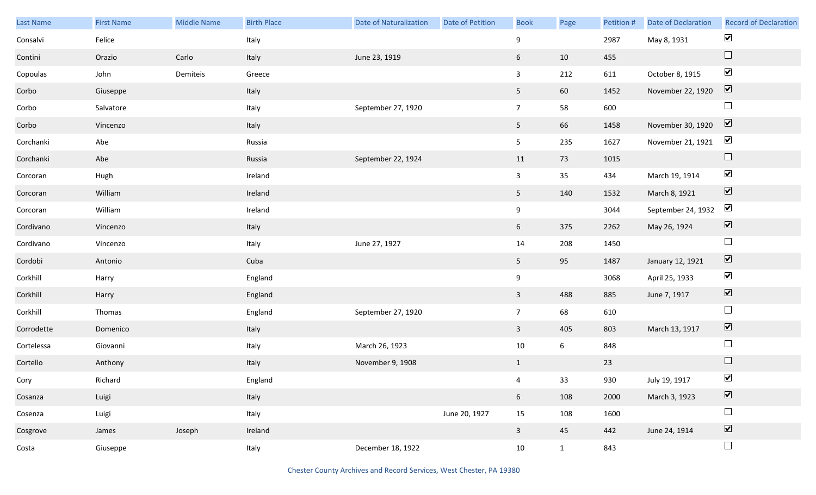| Last Name  | <b>First Name</b> | <b>Middle Name</b> | <b>Birth Place</b> | <b>Date of Naturalization</b> | <b>Date of Petition</b> | <b>Book</b>             | Page | Petition # | Date of Declaration | <b>Record of Declaration</b> |
|------------|-------------------|--------------------|--------------------|-------------------------------|-------------------------|-------------------------|------|------------|---------------------|------------------------------|
| Consalvi   | Felice            |                    | Italy              |                               |                         | 9                       |      | 2987       | May 8, 1931         | $\blacktriangledown$         |
| Contini    | Orazio            | Carlo              | Italy              | June 23, 1919                 |                         | $6\overline{6}$         | 10   | 455        |                     | $\hfill \square$             |
| Copoulas   | John              | Demiteis           | Greece             |                               |                         | $\mathbf{3}$            | 212  | 611        | October 8, 1915     | $\blacktriangledown$         |
| Corbo      | Giuseppe          |                    | Italy              |                               |                         | 5 <sub>5</sub>          | 60   | 1452       | November 22, 1920   | $\boxed{\blacktriangledown}$ |
| Corbo      | Salvatore         |                    | Italy              | September 27, 1920            |                         | 7 <sup>7</sup>          | 58   | 600        |                     | $\Box$                       |
| Corbo      | Vincenzo          |                    | Italy              |                               |                         | 5 <sub>5</sub>          | 66   | 1458       | November 30, 1920   | $\boxed{\blacktriangledown}$ |
| Corchanki  | Abe               |                    | Russia             |                               |                         | 5 <sub>5</sub>          | 235  | 1627       | November 21, 1921   | $\blacktriangledown$         |
| Corchanki  | Abe               |                    | Russia             | September 22, 1924            |                         | 11                      | 73   | 1015       |                     | $\hfill \square$             |
| Corcoran   | Hugh              |                    | Ireland            |                               |                         | $\mathbf{3}$            | 35   | 434        | March 19, 1914      | $\blacktriangledown$         |
| Corcoran   | William           |                    | Ireland            |                               |                         | 5 <sub>1</sub>          | 140  | 1532       | March 8, 1921       | $\boxed{\blacktriangledown}$ |
| Corcoran   | William           |                    | Ireland            |                               |                         | 9                       |      | 3044       | September 24, 1932  | $\blacktriangledown$         |
| Cordivano  | Vincenzo          |                    | Italy              |                               |                         | $6\overline{6}$         | 375  | 2262       | May 26, 1924        | $\blacktriangledown$         |
| Cordivano  | Vincenzo          |                    | Italy              | June 27, 1927                 |                         | 14                      | 208  | 1450       |                     | $\Box$                       |
| Cordobi    | Antonio           |                    | Cuba               |                               |                         | 5 <sub>5</sub>          | 95   | 1487       | January 12, 1921    | $\boxed{\blacktriangledown}$ |
| Corkhill   | Harry             |                    | England            |                               |                         | 9                       |      | 3068       | April 25, 1933      | $\blacktriangledown$         |
| Corkhill   | Harry             |                    | England            |                               |                         | $\mathbf{3}$            | 488  | 885        | June 7, 1917        | $\boxed{\blacktriangledown}$ |
| Corkhill   | Thomas            |                    | England            | September 27, 1920            |                         | 7 <sup>7</sup>          | 68   | 610        |                     | $\Box$                       |
| Corrodette | Domenico          |                    | Italy              |                               |                         | $\mathbf{3}$            | 405  | 803        | March 13, 1917      | $\boxed{\blacktriangledown}$ |
| Cortelessa | Giovanni          |                    | Italy              | March 26, 1923                |                         | 10                      | 6    | 848        |                     | $\Box$                       |
| Cortello   | Anthony           |                    | Italy              | November 9, 1908              |                         | $\mathbf{1}$            |      | 23         |                     | $\Box$                       |
| Cory       | Richard           |                    | England            |                               |                         | $\overline{4}$          | 33   | 930        | July 19, 1917       | $\blacktriangledown$         |
| Cosanza    | Luigi             |                    | Italy              |                               |                         | 6 <sup>1</sup>          | 108  | 2000       | March 3, 1923       | $\overline{\mathbf{v}}$      |
| Cosenza    | Luigi             |                    | Italy              |                               | June 20, 1927           | 15                      | 108  | 1600       |                     | $\Box$                       |
| Cosgrove   | James             | Joseph             | Ireland            |                               |                         | $\overline{\mathbf{3}}$ | 45   | 442        | June 24, 1914       | $\overline{\textbf{v}}$      |
| Costa      | Giuseppe          |                    | Italy              | December 18, 1922             |                         | 10                      | 1    | 843        |                     | $\Box$                       |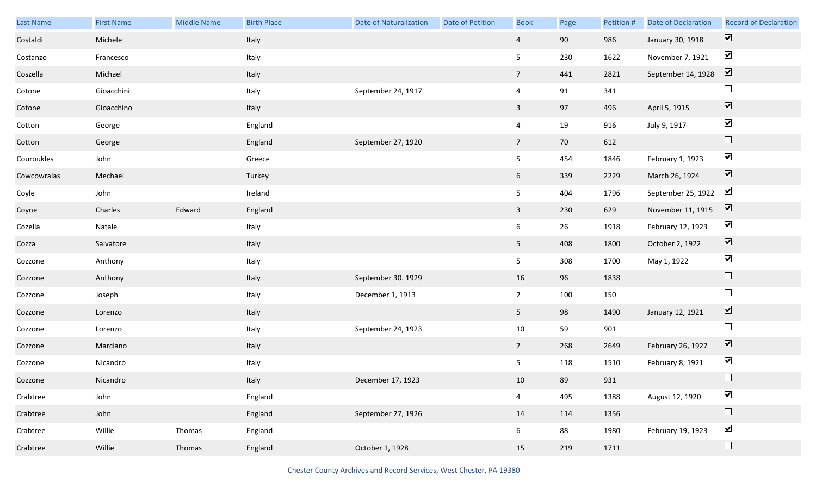| Last Name   | <b>First Name</b> | Middle Name | <b>Birth Place</b> | <b>Date of Naturalization</b> | <b>Date of Petition</b> | <b>Book</b>     | Page | Petition # | Date of Declaration | <b>Record of Declaration</b> |
|-------------|-------------------|-------------|--------------------|-------------------------------|-------------------------|-----------------|------|------------|---------------------|------------------------------|
| Costaldi    | Michele           |             | Italy              |                               |                         | $\overline{4}$  | 90   | 986        | January 30, 1918    | $\boxed{\mathbf{v}}$         |
| Costanzo    | Francesco         |             | Italy              |                               |                         | 5 <sub>5</sub>  | 230  | 1622       | November 7, 1921    | $\blacktriangledown$         |
| Coszella    | Michael           |             | Italy              |                               |                         | $7\overline{ }$ | 441  | 2821       | September 14, 1928  | $\boxed{\mathbf{v}}$         |
| Cotone      | Gioacchini        |             | Italy              | September 24, 1917            |                         | $\overline{4}$  | 91   | 341        |                     | $\Box$                       |
| Cotone      | Gioacchino        |             | Italy              |                               |                         | $\mathbf{3}$    | 97   | 496        | April 5, 1915       | $\boxed{\blacktriangledown}$ |
| Cotton      | George            |             | England            |                               |                         | $\overline{4}$  | 19   | 916        | July 9, 1917        | $\blacktriangledown$         |
| Cotton      | George            |             | England            | September 27, 1920            |                         | $7\overline{ }$ | 70   | 612        |                     | $\Box$                       |
| Couroukles  | John              |             | Greece             |                               |                         | 5 <sub>5</sub>  | 454  | 1846       | February 1, 1923    | $\blacktriangledown$         |
| Cowcowralas | Mechael           |             | Turkey             |                               |                         | 6 <sup>1</sup>  | 339  | 2229       | March 26, 1924      | $\boxed{\blacktriangledown}$ |
| Coyle       | John              |             | Ireland            |                               |                         | 5 <sub>5</sub>  | 404  | 1796       | September 25, 1922  | $\boxed{\blacktriangledown}$ |
| Coyne       | Charles           | Edward      | England            |                               |                         | $\overline{3}$  | 230  | 629        | November 11, 1915   | $\overline{\mathbf{v}}$      |
| Cozella     | Natale            |             | Italy              |                               |                         | 6 <sup>1</sup>  | 26   | 1918       | February 12, 1923   | $\blacktriangledown$         |
| Cozza       | Salvatore         |             | Italy              |                               |                         | 5 <sub>1</sub>  | 408  | 1800       | October 2, 1922     | $\boxed{\blacktriangledown}$ |
| Cozzone     | Anthony           |             | Italy              |                               |                         | 5 <sub>1</sub>  | 308  | 1700       | May 1, 1922         | $\blacktriangledown$         |
| Cozzone     | Anthony           |             | Italy              | September 30. 1929            |                         | 16              | 96   | 1838       |                     | $\Box$                       |
| Cozzone     | Joseph            |             | Italy              | December 1, 1913              |                         | $\overline{2}$  | 100  | 150        |                     | $\Box$                       |
| Cozzone     | Lorenzo           |             | Italy              |                               |                         | 5 <sub>1</sub>  | 98   | 1490       | January 12, 1921    | $\boxed{\blacktriangledown}$ |
| Cozzone     | Lorenzo           |             | Italy              | September 24, 1923            |                         | $10\,$          | 59   | 901        |                     | $\Box$                       |
| Cozzone     | Marciano          |             | Italy              |                               |                         | $7\overline{ }$ | 268  | 2649       | February 26, 1927   | $\boxed{\blacktriangledown}$ |
| Cozzone     | Nicandro          |             | Italy              |                               |                         | 5               | 118  | 1510       | February 8, 1921    | $\blacktriangledown$         |
| Cozzone     | Nicandro          |             | Italy              | December 17, 1923             |                         | 10              | 89   | 931        |                     | $\Box$                       |
| Crabtree    | John              |             | England            |                               |                         | $\overline{4}$  | 495  | 1388       | August 12, 1920     | $\blacktriangledown$         |
| Crabtree    | John              |             | England            | September 27, 1926            |                         | 14              | 114  | 1356       |                     | $\Box$                       |
| Crabtree    | Willie            | Thomas      | England            |                               |                         | $6\overline{6}$ | 88   | 1980       | February 19, 1923   | $\blacktriangledown$         |
| Crabtree    | Willie            | Thomas      | England            | October 1, 1928               |                         | 15              | 219  | 1711       |                     | $\Box$                       |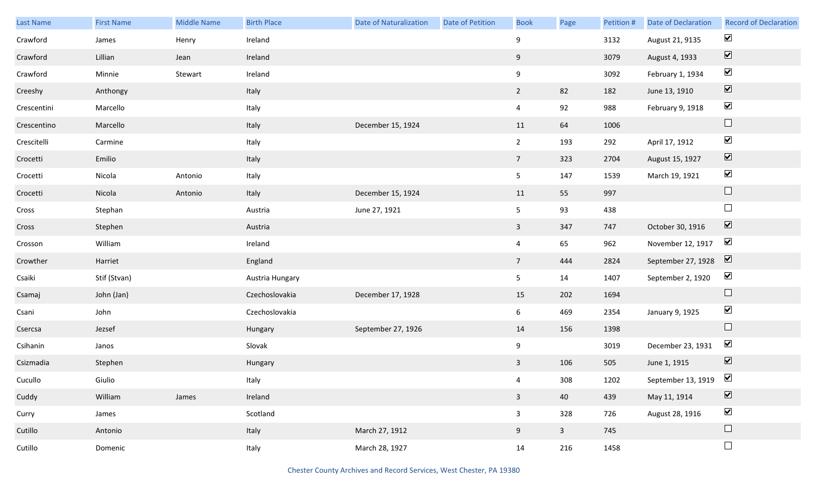| Last Name   | <b>First Name</b> | <b>Middle Name</b> | <b>Birth Place</b> | <b>Date of Naturalization</b> | <b>Date of Petition</b> | <b>Book</b>             | Page         | Petition # | <b>Date of Declaration</b>                  | <b>Record of Declaration</b> |
|-------------|-------------------|--------------------|--------------------|-------------------------------|-------------------------|-------------------------|--------------|------------|---------------------------------------------|------------------------------|
| Crawford    | James             | Henry              | Ireland            |                               |                         | 9                       |              | 3132       | August 21, 9135                             | $\blacktriangledown$         |
| Crawford    | Lillian           | Jean               | Ireland            |                               |                         | 9                       |              | 3079       | August 4, 1933                              | $\boxed{\blacktriangledown}$ |
| Crawford    | Minnie            | Stewart            | Ireland            |                               |                         | 9                       |              | 3092       | February 1, 1934                            | $\blacktriangledown$         |
| Creeshy     | Anthongy          |                    | Italy              |                               |                         | $\overline{2}$          | 82           | 182        | June 13, 1910                               | $\boxed{\blacktriangledown}$ |
| Crescentini | Marcello          |                    | Italy              |                               |                         | $\overline{4}$          | 92           | 988        | February 9, 1918                            | $\blacktriangledown$         |
| Crescentino | Marcello          |                    | Italy              | December 15, 1924             |                         | 11                      | 64           | 1006       |                                             | $\Box$                       |
| Crescitelli | Carmine           |                    | Italy              |                               |                         | $\overline{2}$          | 193          | 292        | April 17, 1912                              | $\blacktriangledown$         |
| Crocetti    | Emilio            |                    | Italy              |                               |                         | $7\overline{ }$         | 323          | 2704       | August 15, 1927                             | $\boxed{\blacktriangledown}$ |
| Crocetti    | Nicola            | Antonio            | Italy              |                               |                         | 5 <sub>1</sub>          | 147          | 1539       | March 19, 1921                              | $\blacktriangledown$         |
| Crocetti    | Nicola            | Antonio            | Italy              | December 15, 1924             |                         | 11                      | 55           | 997        |                                             | $\Box$                       |
| Cross       | Stephan           |                    | Austria            | June 27, 1921                 |                         | 5 <sub>1</sub>          | 93           | 438        |                                             | $\Box$                       |
| Cross       | Stephen           |                    | Austria            |                               |                         | $\mathbf{3}$            | 347          | 747        | October 30, 1916                            | $\overline{\mathbf{v}}$      |
| Crosson     | William           |                    | Ireland            |                               |                         | $\overline{4}$          | 65           | 962        | November 12, 1917                           | $\blacktriangledown$         |
| Crowther    | Harriet           |                    | England            |                               |                         | 7 <sup>7</sup>          | 444          | 2824       | September 27, 1928                          | $\overline{\mathbf{v}}$      |
| Csaiki      | Stif (Stvan)      |                    | Austria Hungary    |                               |                         | 5 <sub>5</sub>          | 14           | 1407       | September 2, 1920                           | $\blacktriangledown$         |
| Csamaj      | John (Jan)        |                    | Czechoslovakia     | December 17, 1928             |                         | 15                      | 202          | 1694       |                                             | $\hfill \square$             |
| Csani       | John              |                    | Czechoslovakia     |                               |                         | 6                       | 469          | 2354       | January 9, 1925                             | $\blacktriangledown$         |
| Csercsa     | Jezsef            |                    | Hungary            | September 27, 1926            |                         | 14                      | 156          | 1398       |                                             | $\Box$                       |
| Csihanin    | Janos             |                    | Slovak             |                               |                         | 9                       |              | 3019       | December 23, 1931                           | $\blacktriangledown$         |
| Csizmadia   | Stephen           |                    | Hungary            |                               |                         | $\mathbf{3}$            | 106          | 505        | June 1, 1915                                | $\boxed{\blacktriangledown}$ |
| Cucullo     | Giulio            |                    | Italy              |                               |                         | $\overline{4}$          | 308          | 1202       | September 13, 1919 $\boxed{\triangleright}$ |                              |
| Cuddy       | William           | James              | Ireland            |                               |                         | $\overline{\mathbf{3}}$ | 40           | 439        | May 11, 1914                                | $\boxed{\blacktriangledown}$ |
| Curry       | James             |                    | Scotland           |                               |                         | $\mathbf{3}$            | 328          | 726        | August 28, 1916                             | $\blacktriangledown$         |
| Cutillo     | Antonio           |                    | Italy              | March 27, 1912                |                         | 9                       | $\mathbf{3}$ | 745        |                                             | $\Box$                       |
| Cutillo     | Domenic           |                    | Italy              | March 28, 1927                |                         | 14                      | 216          | 1458       |                                             | $\Box$                       |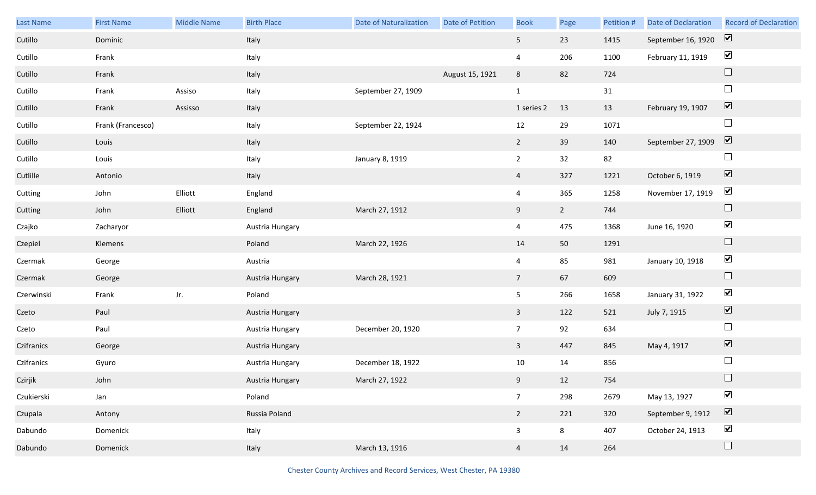| Last Name  | <b>First Name</b> | Middle Name | <b>Birth Place</b> | <b>Date of Naturalization</b> | Date of Petition | <b>Book</b>     | Page        | Petition # | Date of Declaration | <b>Record of Declaration</b> |
|------------|-------------------|-------------|--------------------|-------------------------------|------------------|-----------------|-------------|------------|---------------------|------------------------------|
| Cutillo    | Dominic           |             | Italy              |                               |                  | 5 <sub>1</sub>  | 23          | 1415       | September 16, 1920  | $\boxed{\mathbf{v}}$         |
| Cutillo    | Frank             |             | Italy              |                               |                  | $\overline{4}$  | 206         | 1100       | February 11, 1919   | $\blacktriangledown$         |
| Cutillo    | Frank             |             | Italy              |                               | August 15, 1921  | 8               | 82          | 724        |                     | $\Box$                       |
| Cutillo    | Frank             | Assiso      | Italy              | September 27, 1909            |                  | $\mathbf{1}$    |             | 31         |                     | $\Box$                       |
| Cutillo    | Frank             | Assisso     | Italy              |                               |                  | 1 series 2      | 13          | 13         | February 19, 1907   | $\boxed{\blacktriangledown}$ |
| Cutillo    | Frank (Francesco) |             | Italy              | September 22, 1924            |                  | 12              | 29          | 1071       |                     | $\Box$                       |
| Cutillo    | Louis             |             | Italy              |                               |                  | $2^{\circ}$     | 39          | 140        | September 27, 1909  | $\boxed{\blacktriangledown}$ |
| Cutillo    | Louis             |             | Italy              | January 8, 1919               |                  | $\overline{2}$  | 32          | 82         |                     | $\Box$                       |
| Cutlille   | Antonio           |             | Italy              |                               |                  | $\overline{4}$  | 327         | 1221       | October 6, 1919     | $\boxed{\blacktriangledown}$ |
| Cutting    | John              | Elliott     | England            |                               |                  | $\overline{4}$  | 365         | 1258       | November 17, 1919   | $\blacktriangledown$         |
| Cutting    | John              | Elliott     | England            | March 27, 1912                |                  | 9               | $2^{\circ}$ | 744        |                     | $\Box$                       |
| Czajko     | Zacharyor         |             | Austria Hungary    |                               |                  | $\overline{4}$  | 475         | 1368       | June 16, 1920       | $\blacktriangledown$         |
| Czepiel    | Klemens           |             | Poland             | March 22, 1926                |                  | 14              | 50          | 1291       |                     | $\Box$                       |
| Czermak    | George            |             | Austria            |                               |                  | $\overline{4}$  | 85          | 981        | January 10, 1918    | $\blacktriangledown$         |
| Czermak    | George            |             | Austria Hungary    | March 28, 1921                |                  | $7\overline{ }$ | 67          | 609        |                     | $\Box$                       |
| Czerwinski | Frank             | Jr.         | Poland             |                               |                  | 5 <sub>1</sub>  | 266         | 1658       | January 31, 1922    | $\blacktriangledown$         |
| Czeto      | Paul              |             | Austria Hungary    |                               |                  | $\mathbf{3}$    | 122         | 521        | July 7, 1915        | $\blacktriangledown$         |
| Czeto      | Paul              |             | Austria Hungary    | December 20, 1920             |                  | 7 <sup>7</sup>  | 92          | 634        |                     | $\Box$                       |
| Czifranics | George            |             | Austria Hungary    |                               |                  | $\mathbf{3}$    | 447         | 845        | May 4, 1917         | $\overline{\mathbf{v}}$      |
| Czifranics | Gyuro             |             | Austria Hungary    | December 18, 1922             |                  | 10              | 14          | 856        |                     | $\Box$                       |
| Czirjik    | John              |             | Austria Hungary    | March 27, 1922                |                  | 9               | 12          | 754        |                     | $\Box$                       |
| Czukierski | Jan               |             | Poland             |                               |                  | $7\overline{ }$ | 298         | 2679       | May 13, 1927        | $\blacktriangledown$         |
| Czupala    | Antony            |             | Russia Poland      |                               |                  | $\overline{2}$  | 221         | 320        | September 9, 1912   | $\boxed{\blacktriangledown}$ |
| Dabundo    | Domenick          |             | Italy              |                               |                  | $\mathbf{3}$    | 8           | 407        | October 24, 1913    | $\blacktriangledown$         |
| Dabundo    | Domenick          |             | Italy              | March 13, 1916                |                  | $\overline{4}$  | 14          | 264        |                     | $\Box$                       |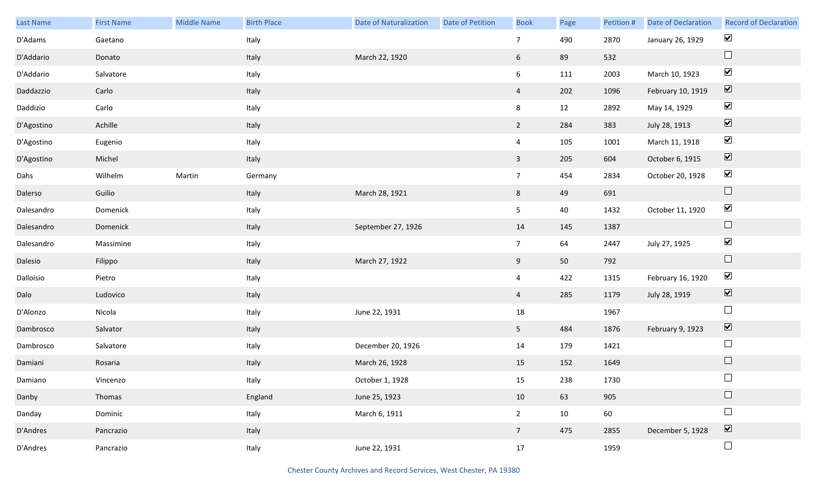| Last Name  | <b>First Name</b> | Middle Name | <b>Birth Place</b> | <b>Date of Naturalization</b> | Date of Petition | <b>Book</b>     | Page | Petition # | Date of Declaration | <b>Record of Declaration</b> |
|------------|-------------------|-------------|--------------------|-------------------------------|------------------|-----------------|------|------------|---------------------|------------------------------|
| D'Adams    | Gaetano           |             | Italy              |                               |                  | $7\overline{ }$ | 490  | 2870       | January 26, 1929    | $\blacktriangledown$         |
| D'Addario  | Donato            |             | Italy              | March 22, 1920                |                  | 6               | 89   | 532        |                     | $\Box$                       |
| D'Addario  | Salvatore         |             | Italy              |                               |                  | $6\overline{6}$ | 111  | 2003       | March 10, 1923      | $\blacktriangledown$         |
| Daddazzio  | Carlo             |             | Italy              |                               |                  | $\overline{4}$  | 202  | 1096       | February 10, 1919   | $\boxed{\blacktriangledown}$ |
| Daddizio   | Carlo             |             | Italy              |                               |                  | 8               | 12   | 2892       | May 14, 1929        | $\blacktriangledown$         |
| D'Agostino | Achille           |             | Italy              |                               |                  | $\overline{2}$  | 284  | 383        | July 28, 1913       | $\overline{\mathbf{v}}$      |
| D'Agostino | Eugenio           |             | Italy              |                               |                  | $\overline{4}$  | 105  | 1001       | March 11, 1918      | $\blacktriangledown$         |
| D'Agostino | Michel            |             | Italy              |                               |                  | $\mathbf{3}$    | 205  | 604        | October 6, 1915     | $\boxed{\blacktriangledown}$ |
| Dahs       | Wilhelm           | Martin      | Germany            |                               |                  | 7 <sup>7</sup>  | 454  | 2834       | October 20, 1928    | $\blacktriangledown$         |
| Dalerso    | Guilio            |             | Italy              | March 28, 1921                |                  | 8               | 49   | 691        |                     | $\Box$                       |
| Dalesandro | Domenick          |             | Italy              |                               |                  | 5 <sub>1</sub>  | 40   | 1432       | October 11, 1920    | $\blacktriangledown$         |
| Dalesandro | Domenick          |             | Italy              | September 27, 1926            |                  | 14              | 145  | 1387       |                     | $\Box$                       |
| Dalesandro | Massimine         |             | Italy              |                               |                  | 7 <sup>7</sup>  | 64   | 2447       | July 27, 1925       | $\blacktriangledown$         |
| Dalesio    | Filippo           |             | Italy              | March 27, 1922                |                  | 9               | 50   | 792        |                     | $\hfill \square$             |
| Dalloisio  | Pietro            |             | Italy              |                               |                  | $\overline{4}$  | 422  | 1315       | February 16, 1920   | $\blacktriangledown$         |
| Dalo       | Ludovico          |             | Italy              |                               |                  | $\overline{4}$  | 285  | 1179       | July 28, 1919       | $\boxed{\blacktriangledown}$ |
| D'Alonzo   | Nicola            |             | Italy              | June 22, 1931                 |                  | $18\,$          |      | 1967       |                     | $\Box$                       |
| Dambrosco  | Salvator          |             | Italy              |                               |                  | 5 <sub>1</sub>  | 484  | 1876       | February 9, 1923    | $\overline{\mathbf{V}}$      |
| Dambrosco  | Salvatore         |             | Italy              | December 20, 1926             |                  | $14\,$          | 179  | 1421       |                     | $\Box$                       |
| Damiani    | Rosaria           |             | Italy              | March 26, 1928                |                  | 15              | 152  | 1649       |                     | $\Box$                       |
| Damiano    | Vincenzo          |             | Italy              | October 1, 1928               |                  | 15              | 238  | 1730       |                     | $\Box$                       |
| Danby      | Thomas            |             | England            | June 25, 1923                 |                  | 10              | 63   | 905        |                     | $\hfill \square$             |
| Danday     | Dominic           |             | Italy              | March 6, 1911                 |                  | $2^{\circ}$     | 10   | 60         |                     | $\Box$                       |
| D'Andres   | Pancrazio         |             | Italy              |                               |                  | $7\overline{ }$ | 475  | 2855       | December 5, 1928    | $\boxed{\blacktriangledown}$ |
| D'Andres   | Pancrazio         |             | Italy              | June 22, 1931                 |                  | 17              |      | 1959       |                     | $\Box$                       |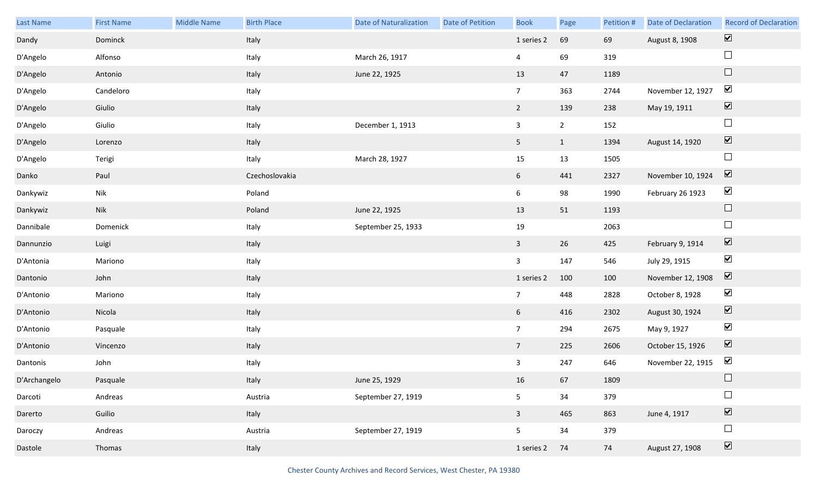| Last Name    | <b>First Name</b> | Middle Name | <b>Birth Place</b> | Date of Naturalization | Date of Petition | <b>Book</b>     | Page           | Petition # | Date of Declaration | <b>Record of Declaration</b> |
|--------------|-------------------|-------------|--------------------|------------------------|------------------|-----------------|----------------|------------|---------------------|------------------------------|
| Dandy        | Dominck           |             | Italy              |                        |                  | 1 series 2      | 69             | 69         | August 8, 1908      | $\overline{\mathbf{v}}$      |
| D'Angelo     | Alfonso           |             | Italy              | March 26, 1917         |                  | 4               | 69             | 319        |                     | $\Box$                       |
| D'Angelo     | Antonio           |             | Italy              | June 22, 1925          |                  | 13              | 47             | 1189       |                     | $\Box$                       |
| D'Angelo     | Candeloro         |             | Italy              |                        |                  | $7\overline{ }$ | 363            | 2744       | November 12, 1927   | $\blacktriangledown$         |
| D'Angelo     | Giulio            |             | Italy              |                        |                  | $2\overline{ }$ | 139            | 238        | May 19, 1911        | $\boxed{\blacktriangledown}$ |
| D'Angelo     | Giulio            |             | Italy              | December 1, 1913       |                  | $\mathbf{3}$    | $\overline{2}$ | 152        |                     | $\Box$                       |
| D'Angelo     | Lorenzo           |             | Italy              |                        |                  | 5 <sub>1</sub>  | $\mathbf{1}$   | 1394       | August 14, 1920     | $\boxed{\blacktriangledown}$ |
| D'Angelo     | Terigi            |             | Italy              | March 28, 1927         |                  | 15              | 13             | 1505       |                     | $\Box$                       |
| Danko        | Paul              |             | Czechoslovakia     |                        |                  | $6\overline{6}$ | 441            | 2327       | November 10, 1924   | $\boxed{\blacktriangledown}$ |
| Dankywiz     | Nik               |             | Poland             |                        |                  | 6               | 98             | 1990       | February 26 1923    | $\blacktriangledown$         |
| Dankywiz     | Nik               |             | Poland             | June 22, 1925          |                  | 13              | 51             | 1193       |                     | $\Box$                       |
| Dannibale    | Domenick          |             | Italy              | September 25, 1933     |                  | 19              |                | 2063       |                     | $\Box$                       |
| Dannunzio    | Luigi             |             | Italy              |                        |                  | $\mathbf{3}$    | 26             | 425        | February 9, 1914    | $\boxed{\blacktriangledown}$ |
| D'Antonia    | Mariono           |             | Italy              |                        |                  | $\mathbf{3}$    | 147            | 546        | July 29, 1915       | $\blacktriangledown$         |
| Dantonio     | John              |             | Italy              |                        |                  | 1 series 2      | 100            | 100        | November 12, 1908   | $\boxed{\blacktriangledown}$ |
| D'Antonio    | Mariono           |             | Italy              |                        |                  | $\overline{7}$  | 448            | 2828       | October 8, 1928     | $\blacktriangledown$         |
| D'Antonio    | Nicola            |             | Italy              |                        |                  | 6 <sup>1</sup>  | 416            | 2302       | August 30, 1924     | $\blacktriangledown$         |
| D'Antonio    | Pasquale          |             | Italy              |                        |                  | $7\overline{ }$ | 294            | 2675       | May 9, 1927         | $\blacktriangledown$         |
| D'Antonio    | Vincenzo          |             | Italy              |                        |                  | $7\overline{ }$ | 225            | 2606       | October 15, 1926    | $\overline{\mathbf{v}}$      |
| Dantonis     | John              |             | Italy              |                        |                  | $\mathbf{3}$    | 247            | 646        | November 22, 1915   | $\blacktriangleright$        |
| D'Archangelo | Pasquale          |             | Italy              | June 25, 1929          |                  | 16              | 67             | 1809       |                     | $\Box$                       |
| Darcoti      | Andreas           |             | Austria            | September 27, 1919     |                  | 5 <sub>5</sub>  | 34             | 379        |                     | $\Box$                       |
| Darerto      | Guilio            |             | Italy              |                        |                  | $\overline{3}$  | 465            | 863        | June 4, 1917        | $\boxed{\blacktriangledown}$ |
| Daroczy      | Andreas           |             | Austria            | September 27, 1919     |                  | 5 <sub>5</sub>  | 34             | 379        |                     | $\Box$                       |
| Dastole      | Thomas            |             | Italy              |                        |                  | 1 series 2      | 74             | 74         | August 27, 1908     | $\boxed{\blacktriangledown}$ |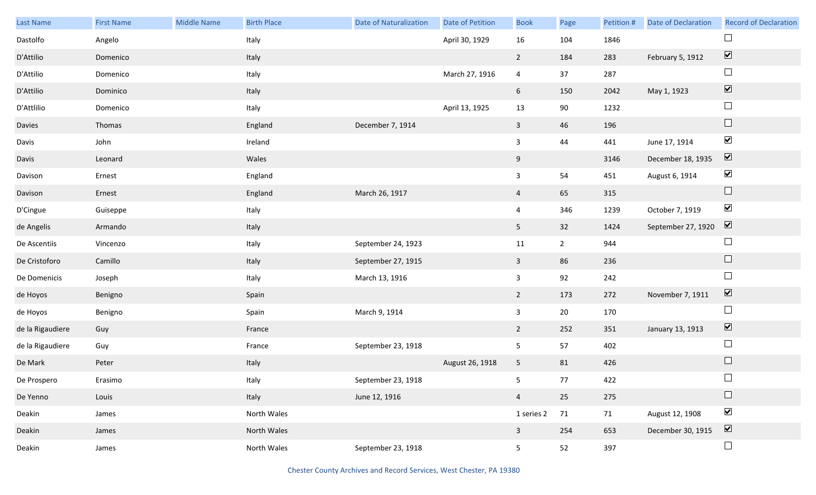| Last Name        | <b>First Name</b> | <b>Middle Name</b> | <b>Birth Place</b> | <b>Date of Naturalization</b> | Date of Petition | <b>Book</b>             | Page        | Petition # | Date of Declaration | <b>Record of Declaration</b>    |
|------------------|-------------------|--------------------|--------------------|-------------------------------|------------------|-------------------------|-------------|------------|---------------------|---------------------------------|
| Dastolfo         | Angelo            |                    | Italy              |                               | April 30, 1929   | 16                      | 104         | 1846       |                     | $\Box$                          |
| D'Attilio        | Domenico          |                    | Italy              |                               |                  | $\overline{2}$          | 184         | 283        | February 5, 1912    | $\boxed{\blacktriangledown}$    |
| D'Attilio        | Domenico          |                    | Italy              |                               | March 27, 1916   | $\overline{4}$          | 37          | 287        |                     | $\Box$                          |
| D'Attilio        | Dominico          |                    | Italy              |                               |                  | 6                       | 150         | 2042       | May 1, 1923         | $\overline{\blacktriangledown}$ |
| D'Attlilio       | Domenico          |                    | Italy              |                               | April 13, 1925   | 13                      | $90\,$      | 1232       |                     | $\Box$                          |
| Davies           | Thomas            |                    | England            | December 7, 1914              |                  | $\mathbf{3}$            | 46          | 196        |                     | $\hfill \square$                |
| Davis            | John              |                    | Ireland            |                               |                  | $\mathbf{3}$            | 44          | 441        | June 17, 1914       | $\blacktriangledown$            |
| Davis            | Leonard           |                    | Wales              |                               |                  | 9                       |             | 3146       | December 18, 1935   | $\overline{\mathbf{v}}$         |
| Davison          | Ernest            |                    | England            |                               |                  | $\overline{3}$          | 54          | 451        | August 6, 1914      | $\blacktriangledown$            |
| Davison          | Ernest            |                    | England            | March 26, 1917                |                  | $\overline{4}$          | 65          | 315        |                     | $\Box$                          |
| D'Cingue         | Guiseppe          |                    | Italy              |                               |                  | 4                       | 346         | 1239       | October 7, 1919     | $\blacktriangledown$            |
| de Angelis       | Armando           |                    | Italy              |                               |                  | 5 <sup>1</sup>          | 32          | 1424       | September 27, 1920  | $\overline{\mathbf{v}}$         |
| De Ascentiis     | Vincenzo          |                    | Italy              | September 24, 1923            |                  | $11\,$                  | $2^{\circ}$ | 944        |                     | $\Box$                          |
| De Cristoforo    | Camillo           |                    | Italy              | September 27, 1915            |                  | $\mathbf{3}$            | 86          | 236        |                     | $\Box$                          |
| De Domenicis     | Joseph            |                    | Italy              | March 13, 1916                |                  | $\overline{\mathbf{3}}$ | 92          | 242        |                     | $\Box$                          |
| de Hoyos         | Benigno           |                    | Spain              |                               |                  | $\overline{2}$          | 173         | 272        | November 7, 1911    | $\blacktriangledown$            |
| de Hoyos         | Benigno           |                    | Spain              | March 9, 1914                 |                  | $\overline{\mathbf{3}}$ | $20\,$      | 170        |                     | $\Box$                          |
| de la Rigaudiere | Guy               |                    | France             |                               |                  | $2^{\circ}$             | 252         | 351        | January 13, 1913    | $\overline{\mathbf{v}}$         |
| de la Rigaudiere | Guy               |                    | France             | September 23, 1918            |                  | 5                       | 57          | 402        |                     | $\Box$                          |
| De Mark          | Peter             |                    | Italy              |                               | August 26, 1918  | 5                       | 81          | 426        |                     | $\Box$                          |
| De Prospero      | Erasimo           |                    | Italy              | September 23, 1918            |                  | 5 <sub>5</sub>          | 77          | 422        |                     | $\Box$                          |
| De Yenno         | Louis             |                    | Italy              | June 12, 1916                 |                  | $\overline{4}$          | 25          | 275        |                     | $\Box$                          |
| Deakin           | James             |                    | North Wales        |                               |                  | 1 series 2              | 71          | 71         | August 12, 1908     | $\blacktriangledown$            |
| Deakin           | James             |                    | North Wales        |                               |                  | $\mathbf{3}$            | 254         | 653        | December 30, 1915   | $\overline{\mathbf{v}}$         |
| Deakin           | James             |                    | North Wales        | September 23, 1918            |                  | 5 <sub>1</sub>          | 52          | 397        |                     | $\Box$                          |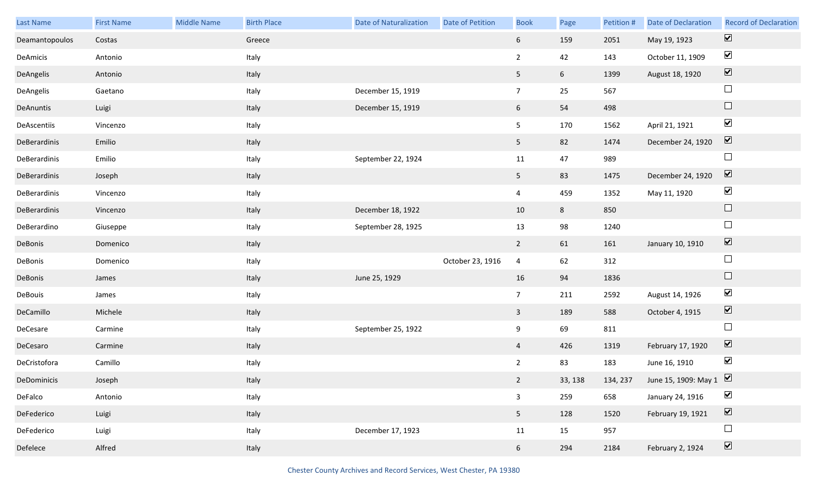| Last Name      | <b>First Name</b> | <b>Middle Name</b> | <b>Birth Place</b> | <b>Date of Naturalization</b> | Date of Petition | <b>Book</b>     | Page            | Petition # | Date of Declaration                    | <b>Record of Declaration</b> |
|----------------|-------------------|--------------------|--------------------|-------------------------------|------------------|-----------------|-----------------|------------|----------------------------------------|------------------------------|
| Deamantopoulos | Costas            |                    | Greece             |                               |                  | 6 <sup>1</sup>  | 159             | 2051       | May 19, 1923                           | $\overline{\mathbf{v}}$      |
| DeAmicis       | Antonio           |                    | Italy              |                               |                  | $\overline{2}$  | 42              | 143        | October 11, 1909                       | $\blacktriangledown$         |
| DeAngelis      | Antonio           |                    | Italy              |                               |                  | 5               | $6\overline{6}$ | 1399       | August 18, 1920                        | $\boxed{\blacktriangledown}$ |
| DeAngelis      | Gaetano           |                    | Italy              | December 15, 1919             |                  | $7\overline{ }$ | 25              | 567        |                                        | $\Box$                       |
| DeAnuntis      | Luigi             |                    | Italy              | December 15, 1919             |                  | 6 <sup>1</sup>  | 54              | 498        |                                        | $\Box$                       |
| DeAscentiis    | Vincenzo          |                    | Italy              |                               |                  | 5               | 170             | 1562       | April 21, 1921                         | $\blacktriangledown$         |
| DeBerardinis   | Emilio            |                    | Italy              |                               |                  | 5 <sup>1</sup>  | 82              | 1474       | December 24, 1920                      | $\boxed{\blacktriangledown}$ |
| DeBerardinis   | Emilio            |                    | Italy              | September 22, 1924            |                  | 11              | 47              | 989        |                                        | $\Box$                       |
| DeBerardinis   | Joseph            |                    | Italy              |                               |                  | 5 <sub>1</sub>  | 83              | 1475       | December 24, 1920                      | $\boxed{\blacktriangledown}$ |
| DeBerardinis   | Vincenzo          |                    | Italy              |                               |                  | $\overline{4}$  | 459             | 1352       | May 11, 1920                           | $\blacktriangledown$         |
| DeBerardinis   | Vincenzo          |                    | Italy              | December 18, 1922             |                  | 10              | 8               | 850        |                                        | $\Box$                       |
| DeBerardino    | Giuseppe          |                    | Italy              | September 28, 1925            |                  | 13              | 98              | 1240       |                                        | $\Box$                       |
| DeBonis        | Domenico          |                    | Italy              |                               |                  | $2^{\circ}$     | 61              | 161        | January 10, 1910                       | $\boxed{\blacktriangledown}$ |
| DeBonis        | Domenico          |                    | Italy              |                               | October 23, 1916 | 4               | 62              | 312        |                                        | $\Box$                       |
| DeBonis        | James             |                    | Italy              | June 25, 1929                 |                  | 16              | 94              | 1836       |                                        | $\Box$                       |
| DeBouis        | James             |                    | Italy              |                               |                  | $7\overline{ }$ | 211             | 2592       | August 14, 1926                        | $\blacktriangledown$         |
| DeCamillo      | Michele           |                    | Italy              |                               |                  | $\mathbf{3}$    | 189             | 588        | October 4, 1915                        | $\overline{\mathbf{v}}$      |
| DeCesare       | Carmine           |                    | Italy              | September 25, 1922            |                  | 9               | 69              | 811        |                                        | $\Box$                       |
| DeCesaro       | Carmine           |                    | Italy              |                               |                  | $\overline{4}$  | 426             | 1319       | February 17, 1920                      | $\boxed{\blacktriangledown}$ |
| DeCristofora   | Camillo           |                    | Italy              |                               |                  | $\overline{2}$  | 83              | 183        | June 16, 1910                          | $\blacktriangledown$         |
| DeDominicis    | Joseph            |                    | Italy              |                               |                  | $2^{\circ}$     | 33, 138         |            | 134, 237 June 15, 1909: May $1 \nabla$ |                              |
| DeFalco        | Antonio           |                    | Italy              |                               |                  | $\mathbf{3}$    | 259             | 658        | January 24, 1916                       | $\blacktriangledown$         |
| DeFederico     | Luigi             |                    | Italy              |                               |                  | 5 <sub>1</sub>  | 128             | 1520       | February 19, 1921                      | $\boxed{\blacktriangledown}$ |
| DeFederico     | Luigi             |                    | Italy              | December 17, 1923             |                  | 11              | 15              | 957        |                                        | $\Box$                       |
| Defelece       | Alfred            |                    | Italy              |                               |                  | 6 <sup>1</sup>  | 294             | 2184       | February 2, 1924                       | $\boxed{\blacktriangledown}$ |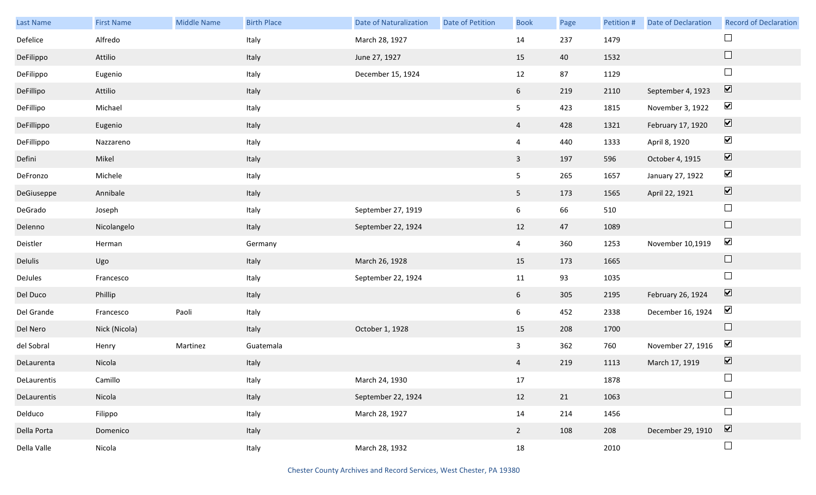| Last Name   | <b>First Name</b> | <b>Middle Name</b> | <b>Birth Place</b> | <b>Date of Naturalization</b> | Date of Petition | <b>Book</b>    | Page | Petition # | <b>Date of Declaration</b> | <b>Record of Declaration</b> |
|-------------|-------------------|--------------------|--------------------|-------------------------------|------------------|----------------|------|------------|----------------------------|------------------------------|
| Defelice    | Alfredo           |                    | Italy              | March 28, 1927                |                  | 14             | 237  | 1479       |                            |                              |
| DeFilippo   | Attilio           |                    | Italy              | June 27, 1927                 |                  | 15             | 40   | 1532       |                            | $\Box$                       |
| DeFilippo   | Eugenio           |                    | Italy              | December 15, 1924             |                  | 12             | 87   | 1129       |                            | $\Box$                       |
| DeFillipo   | Attilio           |                    | Italy              |                               |                  | 6 <sup>1</sup> | 219  | 2110       | September 4, 1923          | $\boxed{\blacktriangledown}$ |
| DeFillipo   | Michael           |                    | Italy              |                               |                  | 5              | 423  | 1815       | November 3, 1922           | $\blacktriangledown$         |
| DeFillippo  | Eugenio           |                    | Italy              |                               |                  | $\overline{4}$ | 428  | 1321       | February 17, 1920          | $\boxed{\blacktriangledown}$ |
| DeFillippo  | Nazzareno         |                    | Italy              |                               |                  | $\overline{4}$ | 440  | 1333       | April 8, 1920              | $\blacktriangledown$         |
| Defini      | Mikel             |                    | Italy              |                               |                  | $\overline{3}$ | 197  | 596        | October 4, 1915            | $\boxed{\blacktriangledown}$ |
| DeFronzo    | Michele           |                    | Italy              |                               |                  | 5              | 265  | 1657       | January 27, 1922           | $\blacktriangledown$         |
| DeGiuseppe  | Annibale          |                    | Italy              |                               |                  | 5 <sub>5</sub> | 173  | 1565       | April 22, 1921             | $\boxed{\blacktriangledown}$ |
| DeGrado     | Joseph            |                    | Italy              | September 27, 1919            |                  | 6              | 66   | 510        |                            | $\Box$                       |
| Delenno     | Nicolangelo       |                    | Italy              | September 22, 1924            |                  | 12             | 47   | 1089       |                            | $\Box$                       |
| Deistler    | Herman            |                    | Germany            |                               |                  | $\overline{4}$ | 360  | 1253       | November 10,1919           | $\blacktriangledown$         |
| Delulis     | Ugo               |                    | Italy              | March 26, 1928                |                  | 15             | 173  | 1665       |                            | $\Box$                       |
| DeJules     | Francesco         |                    | Italy              | September 22, 1924            |                  | 11             | 93   | 1035       |                            | $\Box$                       |
| Del Duco    | Phillip           |                    | Italy              |                               |                  | 6              | 305  | 2195       | February 26, 1924          | $\boxed{\blacktriangledown}$ |
| Del Grande  | Francesco         | Paoli              | Italy              |                               |                  | 6              | 452  | 2338       | December 16, 1924          | $\blacktriangledown$         |
| Del Nero    | Nick (Nicola)     |                    | Italy              | October 1, 1928               |                  | 15             | 208  | 1700       |                            | $\Box$                       |
| del Sobral  | Henry             | Martinez           | Guatemala          |                               |                  | $\mathbf{3}$   | 362  | 760        | November 27, 1916          | $\blacktriangledown$         |
| DeLaurenta  | Nicola            |                    | Italy              |                               |                  | $\overline{4}$ | 219  | 1113       | March 17, 1919             | $\boxed{\blacktriangledown}$ |
| DeLaurentis | Camillo           |                    | Italy              | March 24, 1930                |                  | 17             |      | 1878       |                            | $\Box$                       |
| DeLaurentis | Nicola            |                    | Italy              | September 22, 1924            |                  | 12             | 21   | 1063       |                            | $\Box$                       |
| Delduco     | Filippo           |                    | Italy              | March 28, 1927                |                  | 14             | 214  | 1456       |                            | $\Box$                       |
| Della Porta | Domenico          |                    | Italy              |                               |                  | $2^{\circ}$    | 108  | 208        | December 29, 1910          | $\boxed{\blacktriangledown}$ |
| Della Valle | Nicola            |                    | Italy              | March 28, 1932                |                  | 18             |      | 2010       |                            | $\Box$                       |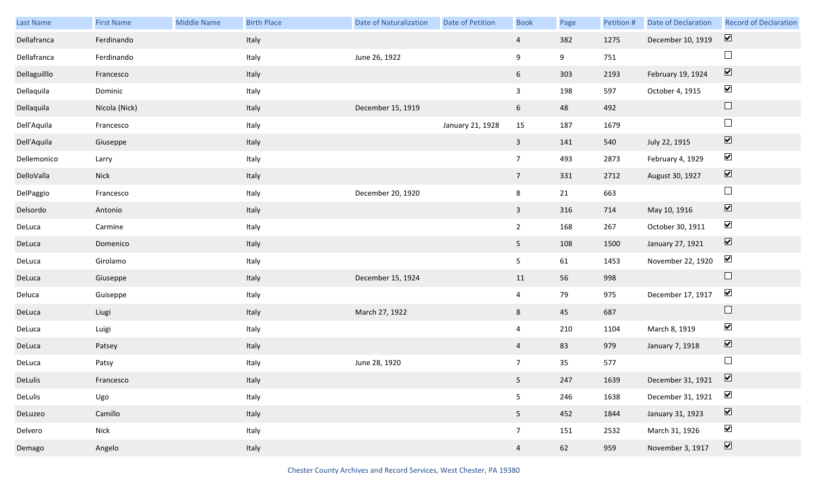| Last Name    | <b>First Name</b> | <b>Middle Name</b> | <b>Birth Place</b> | <b>Date of Naturalization</b> | Date of Petition | <b>Book</b>     | Page | Petition # | <b>Date of Declaration</b> | <b>Record of Declaration</b> |
|--------------|-------------------|--------------------|--------------------|-------------------------------|------------------|-----------------|------|------------|----------------------------|------------------------------|
| Dellafranca  | Ferdinando        |                    | Italy              |                               |                  | $\overline{4}$  | 382  | 1275       | December 10, 1919          | $\overline{\mathbf{v}}$      |
| Dellafranca  | Ferdinando        |                    | Italy              | June 26, 1922                 |                  | 9               | 9    | 751        |                            | $\Box$                       |
| Dellaguilllo | Francesco         |                    | Italy              |                               |                  | 6               | 303  | 2193       | February 19, 1924          | $\boxed{\blacktriangledown}$ |
| Dellaquila   | Dominic           |                    | Italy              |                               |                  | $\overline{3}$  | 198  | 597        | October 4, 1915            | $\blacktriangledown$         |
| Dellaquila   | Nicola (Nick)     |                    | Italy              | December 15, 1919             |                  | 6 <sup>1</sup>  | 48   | 492        |                            | $\Box$                       |
| Dell'Aquila  | Francesco         |                    | Italy              |                               | January 21, 1928 | 15              | 187  | 1679       |                            | $\Box$                       |
| Dell'Aquila  | Giuseppe          |                    | Italy              |                               |                  | $\mathbf{3}$    | 141  | 540        | July 22, 1915              | $\boxed{\blacktriangledown}$ |
| Dellemonico  | Larry             |                    | Italy              |                               |                  | $\overline{7}$  | 493  | 2873       | February 4, 1929           | $\blacktriangledown$         |
| DelloValla   | <b>Nick</b>       |                    | Italy              |                               |                  | $7\overline{ }$ | 331  | 2712       | August 30, 1927            | $\boxed{\blacktriangledown}$ |
| DelPaggio    | Francesco         |                    | Italy              | December 20, 1920             |                  | 8               | 21   | 663        |                            | $\Box$                       |
| Delsordo     | Antonio           |                    | Italy              |                               |                  | $\mathbf{3}$    | 316  | 714        | May 10, 1916               | $\boxed{\blacktriangledown}$ |
| DeLuca       | Carmine           |                    | Italy              |                               |                  | $2^{\circ}$     | 168  | 267        | October 30, 1911           | $\blacktriangledown$         |
| DeLuca       | Domenico          |                    | Italy              |                               |                  | 5 <sub>1</sub>  | 108  | 1500       | January 27, 1921           | $\boxed{\blacktriangledown}$ |
| DeLuca       | Girolamo          |                    | Italy              |                               |                  | 5               | 61   | 1453       | November 22, 1920          | $\blacktriangledown$         |
| DeLuca       | Giuseppe          |                    | Italy              | December 15, 1924             |                  | 11              | 56   | 998        |                            | $\Box$                       |
| Deluca       | Guiseppe          |                    | Italy              |                               |                  | $\overline{4}$  | 79   | 975        | December 17, 1917          | $\blacktriangledown$         |
| DeLuca       | Liugi             |                    | Italy              | March 27, 1922                |                  | 8               | 45   | 687        |                            | $\Box$                       |
| DeLuca       | Luigi             |                    | Italy              |                               |                  | $\overline{4}$  | 210  | 1104       | March 8, 1919              | $\blacktriangledown$         |
| DeLuca       | Patsey            |                    | Italy              |                               |                  | $\overline{4}$  | 83   | 979        | January 7, 1918            | $\boxed{\blacktriangledown}$ |
| DeLuca       | Patsy             |                    | Italy              | June 28, 1920                 |                  | $\overline{7}$  | 35   | 577        |                            | $\Box$                       |
| DeLulis      | Francesco         |                    | Italy              |                               |                  | 5 <sub>1</sub>  | 247  | 1639       | December 31, 1921          | $\triangledown$              |
| DeLulis      | Ugo               |                    | Italy              |                               |                  | 5               | 246  | 1638       | December 31, 1921          | $\blacktriangledown$         |
| DeLuzeo      | Camillo           |                    | Italy              |                               |                  | 5 <sub>1</sub>  | 452  | 1844       | January 31, 1923           | $\boxed{\blacktriangledown}$ |
| Delvero      | Nick              |                    | Italy              |                               |                  | $7\overline{ }$ | 151  | 2532       | March 31, 1926             | $\blacktriangledown$         |
| Demago       | Angelo            |                    | Italy              |                               |                  | $\overline{4}$  | 62   | 959        | November 3, 1917           | $\boxed{\blacktriangledown}$ |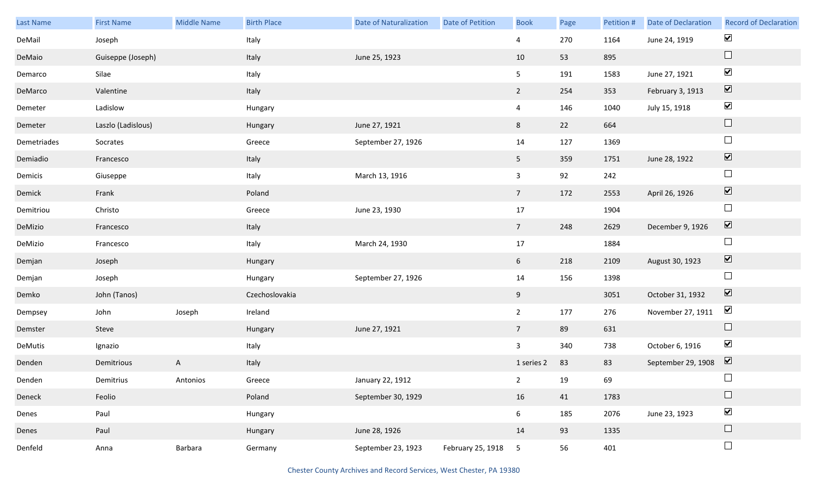| Last Name   | <b>First Name</b>  | Middle Name  | <b>Birth Place</b> | Date of Naturalization | <b>Date of Petition</b> | <b>Book</b>     | Page | Petition # | Date of Declaration | <b>Record of Declaration</b> |
|-------------|--------------------|--------------|--------------------|------------------------|-------------------------|-----------------|------|------------|---------------------|------------------------------|
| DeMail      | Joseph             |              | Italy              |                        |                         | $\overline{4}$  | 270  | 1164       | June 24, 1919       | $\blacktriangledown$         |
| DeMaio      | Guiseppe (Joseph)  |              | Italy              | June 25, 1923          |                         | 10              | 53   | 895        |                     | $\Box$                       |
| Demarco     | Silae              |              | Italy              |                        |                         | 5 <sub>5</sub>  | 191  | 1583       | June 27, 1921       | $\blacktriangledown$         |
| DeMarco     | Valentine          |              | Italy              |                        |                         | $2^{\circ}$     | 254  | 353        | February 3, 1913    | $\boxed{\blacktriangledown}$ |
| Demeter     | Ladislow           |              | Hungary            |                        |                         | $\overline{4}$  | 146  | 1040       | July 15, 1918       | $\blacktriangledown$         |
| Demeter     | Laszlo (Ladislous) |              | Hungary            | June 27, 1921          |                         | 8               | 22   | 664        |                     | $\hfill \square$             |
| Demetriades | Socrates           |              | Greece             | September 27, 1926     |                         | 14              | 127  | 1369       |                     | $\Box$                       |
| Demiadio    | Francesco          |              | Italy              |                        |                         | 5 <sub>1</sub>  | 359  | 1751       | June 28, 1922       | $\overline{\mathbf{v}}$      |
| Demicis     | Giuseppe           |              | Italy              | March 13, 1916         |                         | $\mathbf{3}$    | 92   | 242        |                     | $\Box$                       |
| Demick      | Frank              |              | Poland             |                        |                         | $7\overline{ }$ | 172  | 2553       | April 26, 1926      | $\overline{\mathbf{v}}$      |
| Demitriou   | Christo            |              | Greece             | June 23, 1930          |                         | 17              |      | 1904       |                     | $\Box$                       |
| DeMizio     | Francesco          |              | Italy              |                        |                         | $7\overline{ }$ | 248  | 2629       | December 9, 1926    | $\boxed{\blacktriangledown}$ |
| DeMizio     | Francesco          |              | Italy              | March 24, 1930         |                         | 17              |      | 1884       |                     | $\Box$                       |
| Demjan      | Joseph             |              | Hungary            |                        |                         | 6               | 218  | 2109       | August 30, 1923     | $\overline{\mathbf{v}}$      |
| Demjan      | Joseph             |              | Hungary            | September 27, 1926     |                         | 14              | 156  | 1398       |                     | $\Box$                       |
| Demko       | John (Tanos)       |              | Czechoslovakia     |                        |                         | 9               |      | 3051       | October 31, 1932    | $\boxed{\blacktriangledown}$ |
| Dempsey     | John               | Joseph       | Ireland            |                        |                         | $2^{\circ}$     | 177  | 276        | November 27, 1911   | $\blacktriangledown$         |
| Demster     | Steve              |              | Hungary            | June 27, 1921          |                         | $7\overline{ }$ | 89   | 631        |                     | $\Box$                       |
| DeMutis     | Ignazio            |              | Italy              |                        |                         | $\mathbf{3}$    | 340  | 738        | October 6, 1916     | $\blacktriangledown$         |
| Denden      | Demitrious         | $\mathsf{A}$ | Italy              |                        |                         | 1 series 2      | 83   | 83         | September 29, 1908  | $\overline{\mathbf{v}}$      |
| Denden      | Demitrius          | Antonios     | Greece             | January 22, 1912       |                         | $2^{\circ}$     | 19   | 69         |                     | $\mathcal{L}_{\mathcal{A}}$  |
| Deneck      | Feolio             |              | Poland             | September 30, 1929     |                         | 16              | 41   | 1783       |                     | $\Box$                       |
| Denes       | Paul               |              | Hungary            |                        |                         | $6\overline{6}$ | 185  | 2076       | June 23, 1923       | $\blacktriangledown$         |
| Denes       | Paul               |              | Hungary            | June 28, 1926          |                         | 14              | 93   | 1335       |                     | $\Box$                       |
| Denfeld     | Anna               | Barbara      | Germany            | September 23, 1923     | February 25, 1918 5     |                 | 56   | 401        |                     | $\Box$                       |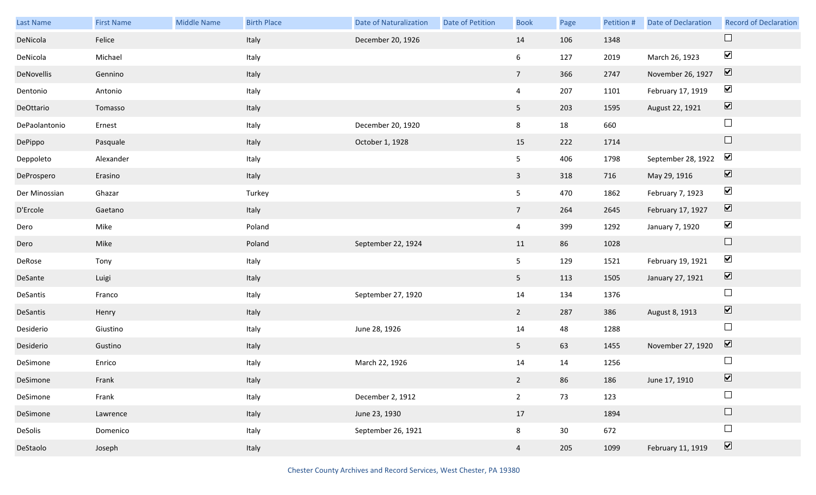| Last Name     | <b>First Name</b> | <b>Middle Name</b> | <b>Birth Place</b> | <b>Date of Naturalization</b> | <b>Date of Petition</b> | <b>Book</b>    | Page | Petition # | Date of Declaration | <b>Record of Declaration</b> |
|---------------|-------------------|--------------------|--------------------|-------------------------------|-------------------------|----------------|------|------------|---------------------|------------------------------|
| DeNicola      | Felice            |                    | Italy              | December 20, 1926             |                         | 14             | 106  | 1348       |                     |                              |
| DeNicola      | Michael           |                    | Italy              |                               |                         | 6              | 127  | 2019       | March 26, 1923      | $\blacktriangledown$         |
| DeNovellis    | Gennino           |                    | Italy              |                               |                         | 7 <sup>7</sup> | 366  | 2747       | November 26, 1927   | $\boxed{\mathbf{v}}$         |
| Dentonio      | Antonio           |                    | Italy              |                               |                         | $\overline{4}$ | 207  | 1101       | February 17, 1919   | $\blacktriangledown$         |
| DeOttario     | Tomasso           |                    | Italy              |                               |                         | 5 <sub>5</sub> | 203  | 1595       | August 22, 1921     | $\boxed{\blacktriangledown}$ |
| DePaolantonio | Ernest            |                    | Italy              | December 20, 1920             |                         | 8              | 18   | 660        |                     | $\Box$                       |
| DePippo       | Pasquale          |                    | Italy              | October 1, 1928               |                         | 15             | 222  | 1714       |                     | $\Box$                       |
| Deppoleto     | Alexander         |                    | Italy              |                               |                         | 5 <sub>1</sub> | 406  | 1798       | September 28, 1922  | $\blacktriangledown$         |
| DeProspero    | Erasino           |                    | Italy              |                               |                         | $\mathbf{3}$   | 318  | 716        | May 29, 1916        | $\boxed{\blacktriangledown}$ |
| Der Minossian | Ghazar            |                    | Turkey             |                               |                         | 5 <sub>5</sub> | 470  | 1862       | February 7, 1923    | $\blacktriangledown$         |
| D'Ercole      | Gaetano           |                    | Italy              |                               |                         | 7 <sup>7</sup> | 264  | 2645       | February 17, 1927   | $\boxed{\mathbf{v}}$         |
| Dero          | Mike              |                    | Poland             |                               |                         | $\overline{4}$ | 399  | 1292       | January 7, 1920     | $\blacktriangledown$         |
| Dero          | Mike              |                    | Poland             | September 22, 1924            |                         | 11             | 86   | 1028       |                     | $\Box$                       |
| DeRose        | Tony              |                    | Italy              |                               |                         | 5 <sub>5</sub> | 129  | 1521       | February 19, 1921   | $\blacktriangledown$         |
| DeSante       | Luigi             |                    | Italy              |                               |                         | 5 <sub>1</sub> | 113  | 1505       | January 27, 1921    | $\boxed{\blacktriangledown}$ |
| DeSantis      | Franco            |                    | Italy              | September 27, 1920            |                         | 14             | 134  | 1376       |                     | $\Box$                       |
| DeSantis      | Henry             |                    | Italy              |                               |                         | $\overline{2}$ | 287  | 386        | August 8, 1913      | $\boxed{\blacktriangledown}$ |
| Desiderio     | Giustino          |                    | Italy              | June 28, 1926                 |                         | 14             | 48   | 1288       |                     | $\Box$                       |
| Desiderio     | Gustino           |                    | Italy              |                               |                         | 5 <sub>1</sub> | 63   | 1455       | November 27, 1920   | $\boxed{\blacktriangledown}$ |
| DeSimone      | Enrico            |                    | Italy              | March 22, 1926                |                         | 14             | 14   | 1256       |                     |                              |
| DeSimone      | Frank             |                    | Italy              |                               |                         | $2^{\circ}$    | 86   | 186        | June 17, 1910       | $\overline{\mathbf{v}}$      |
| DeSimone      | Frank             |                    | Italy              | December 2, 1912              |                         | $\overline{2}$ | 73   | 123        |                     |                              |
| DeSimone      | Lawrence          |                    | Italy              | June 23, 1930                 |                         | 17             |      | 1894       |                     | $\Box$                       |
| DeSolis       | Domenico          |                    | Italy              | September 26, 1921            |                         | 8              | 30   | 672        |                     | $\Box$                       |
| DeStaolo      | Joseph            |                    | Italy              |                               |                         | $\overline{4}$ | 205  | 1099       | February 11, 1919   | $\boxed{\blacktriangledown}$ |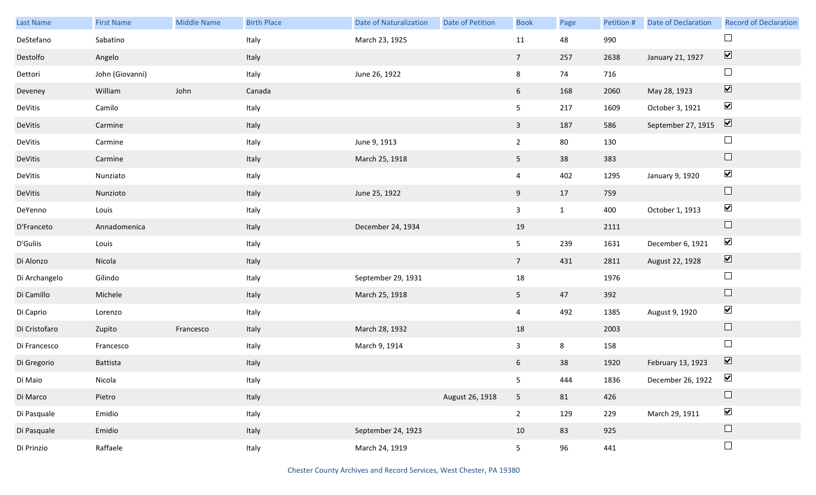| Last Name     | <b>First Name</b> | <b>Middle Name</b> | <b>Birth Place</b> | <b>Date of Naturalization</b> | Date of Petition | <b>Book</b>     | Page         | Petition # | Date of Declaration | <b>Record of Declaration</b> |
|---------------|-------------------|--------------------|--------------------|-------------------------------|------------------|-----------------|--------------|------------|---------------------|------------------------------|
| DeStefano     | Sabatino          |                    | Italy              | March 23, 1925                |                  | 11              | 48           | 990        |                     |                              |
| Destolfo      | Angelo            |                    | Italy              |                               |                  | $7\overline{ }$ | 257          | 2638       | January 21, 1927    | $\boxed{\blacktriangledown}$ |
| Dettori       | John (Giovanni)   |                    | Italy              | June 26, 1922                 |                  | 8               | 74           | 716        |                     | $\Box$                       |
| Deveney       | William           | John               | Canada             |                               |                  | $6\overline{6}$ | 168          | 2060       | May 28, 1923        | $\boxed{\blacktriangledown}$ |
| DeVitis       | Camilo            |                    | Italy              |                               |                  | 5 <sub>1</sub>  | 217          | 1609       | October 3, 1921     | $\blacktriangledown$         |
| DeVitis       | Carmine           |                    | Italy              |                               |                  | $\mathbf{3}$    | 187          | 586        | September 27, 1915  | $\boxed{\blacktriangledown}$ |
| DeVitis       | Carmine           |                    | Italy              | June 9, 1913                  |                  | $\overline{2}$  | 80           | 130        |                     | $\Box$                       |
| DeVitis       | Carmine           |                    | Italy              | March 25, 1918                |                  | 5 <sub>1</sub>  | 38           | 383        |                     | $\Box$                       |
| DeVitis       | Nunziato          |                    | Italy              |                               |                  | $\overline{4}$  | 402          | 1295       | January 9, 1920     | $\blacktriangledown$         |
| DeVitis       | Nunzioto          |                    | Italy              | June 25, 1922                 |                  | 9               | 17           | 759        |                     | $\Box$                       |
| DeYenno       | Louis             |                    | Italy              |                               |                  | $\mathbf{3}$    | $\mathbf{1}$ | 400        | October 1, 1913     | $\blacktriangledown$         |
| D'Franceto    | Annadomenica      |                    | Italy              | December 24, 1934             |                  | 19              |              | 2111       |                     | $\Box$                       |
| D'Guliis      | Louis             |                    | Italy              |                               |                  | 5 <sub>1</sub>  | 239          | 1631       | December 6, 1921    | $\blacktriangledown$         |
| Di Alonzo     | Nicola            |                    | Italy              |                               |                  | 7 <sup>7</sup>  | 431          | 2811       | August 22, 1928     | $\boxed{\blacktriangledown}$ |
| Di Archangelo | Gilindo           |                    | Italy              | September 29, 1931            |                  | 18              |              | 1976       |                     | $\Box$                       |
| Di Camillo    | Michele           |                    | Italy              | March 25, 1918                |                  | 5 <sub>5</sub>  | 47           | 392        |                     | $\Box$                       |
| Di Caprio     | Lorenzo           |                    | Italy              |                               |                  | $\overline{4}$  | 492          | 1385       | August 9, 1920      | $\blacktriangledown$         |
| Di Cristofaro | Zupito            | Francesco          | Italy              | March 28, 1932                |                  | 18              |              | 2003       |                     | $\hfill \square$             |
| Di Francesco  | Francesco         |                    | Italy              | March 9, 1914                 |                  | $\mathbf{3}$    | 8            | 158        |                     | $\Box$                       |
| Di Gregorio   | Battista          |                    | Italy              |                               |                  | 6               | 38           | 1920       | February 13, 1923   | $\boxed{\blacktriangledown}$ |
| Di Maio       | Nicola            |                    | Italy              |                               |                  | 5 <sub>5</sub>  | 444          | 1836       | December 26, 1922   | $\blacktriangledown$         |
| Di Marco      | Pietro            |                    | Italy              |                               | August 26, 1918  | 5 <sub>1</sub>  | 81           | 426        |                     | $\Box$                       |
| Di Pasquale   | Emidio            |                    | Italy              |                               |                  | $\overline{2}$  | 129          | 229        | March 29, 1911      | $\blacktriangledown$         |
| Di Pasquale   | Emidio            |                    | Italy              | September 24, 1923            |                  | 10              | 83           | 925        |                     | $\Box$                       |
| Di Prinzio    | Raffaele          |                    | Italy              | March 24, 1919                |                  | 5 <sub>1</sub>  | 96           | 441        |                     | $\hfill \square$             |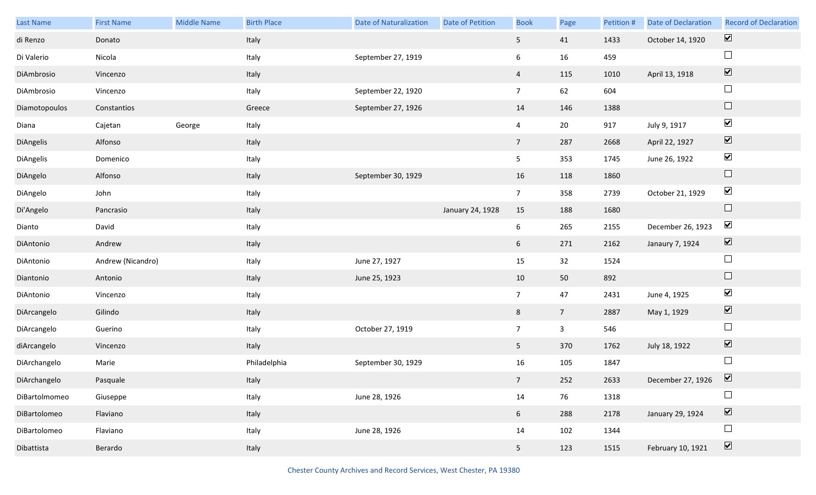| Last Name     | <b>First Name</b> | <b>Middle Name</b> | <b>Birth Place</b> | <b>Date of Naturalization</b> | Date of Petition | <b>Book</b>    | Page            | Petition # | Date of Declaration | <b>Record of Declaration</b> |
|---------------|-------------------|--------------------|--------------------|-------------------------------|------------------|----------------|-----------------|------------|---------------------|------------------------------|
| di Renzo      | Donato            |                    | Italy              |                               |                  | 5 <sub>1</sub> | 41              | 1433       | October 14, 1920    | $\overline{\mathbf{v}}$      |
| Di Valerio    | Nicola            |                    | Italy              | September 27, 1919            |                  | 6              | 16              | 459        |                     | $\Box$                       |
| DiAmbrosio    | Vincenzo          |                    | Italy              |                               |                  | $\overline{4}$ | 115             | 1010       | April 13, 1918      | $\boxed{\blacktriangledown}$ |
| DiAmbrosio    | Vincenzo          |                    | Italy              | September 22, 1920            |                  | 7 <sup>7</sup> | 62              | 604        |                     | $\Box$                       |
| Diamotopoulos | Constantios       |                    | Greece             | September 27, 1926            |                  | 14             | 146             | 1388       |                     | $\Box$                       |
| Diana         | Cajetan           | George             | Italy              |                               |                  | $\overline{4}$ | $20\,$          | 917        | July 9, 1917        | $\blacktriangledown$         |
| DiAngelis     | Alfonso           |                    | Italy              |                               |                  | 7 <sup>7</sup> | 287             | 2668       | April 22, 1927      | $\boxed{\blacktriangledown}$ |
| DiAngelis     | Domenico          |                    | Italy              |                               |                  | 5 <sub>5</sub> | 353             | 1745       | June 26, 1922       | $\blacktriangledown$         |
| DiAngelo      | Alfonso           |                    | Italy              | September 30, 1929            |                  | 16             | 118             | 1860       |                     | $\Box$                       |
| DiAngelo      | John              |                    | Italy              |                               |                  | $\overline{7}$ | 358             | 2739       | October 21, 1929    | $\blacktriangledown$         |
| Di'Angelo     | Pancrasio         |                    | Italy              |                               | January 24, 1928 | 15             | 188             | 1680       |                     | $\Box$                       |
| Dianto        | David             |                    | Italy              |                               |                  | 6              | 265             | 2155       | December 26, 1923   | $\blacktriangledown$         |
| DiAntonio     | Andrew            |                    | Italy              |                               |                  | 6              | 271             | 2162       | Janaury 7, 1924     | $\boxed{\blacktriangledown}$ |
| DiAntonio     | Andrew (Nicandro) |                    | Italy              | June 27, 1927                 |                  | 15             | 32              | 1524       |                     | $\Box$                       |
| Diantonio     | Antonio           |                    | Italy              | June 25, 1923                 |                  | 10             | 50              | 892        |                     | $\Box$                       |
| DiAntonio     | Vincenzo          |                    | Italy              |                               |                  | $\overline{7}$ | 47              | 2431       | June 4, 1925        | $\blacktriangledown$         |
| DiArcangelo   | Gilindo           |                    | Italy              |                               |                  | $8\phantom{.}$ | $7\overline{ }$ | 2887       | May 1, 1929         | $\boxed{\blacktriangledown}$ |
| DiArcangelo   | Guerino           |                    | Italy              | October 27, 1919              |                  | $\overline{7}$ | $\mathbf{3}$    | 546        |                     | $\Box$                       |
| diArcangelo   | Vincenzo          |                    | Italy              |                               |                  | 5 <sub>1</sub> | 370             | 1762       | July 18, 1922       | $\boxed{\blacktriangledown}$ |
| DiArchangelo  | Marie             |                    | Philadelphia       | September 30, 1929            |                  | 16             | 105             | 1847       |                     | $\Box$                       |
| DiArchangelo  | Pasquale          |                    | Italy              |                               |                  | 7 <sup>7</sup> | 252             | 2633       | December 27, 1926   | $\blacktriangledown$         |
| DiBartolmomeo | Giuseppe          |                    | Italy              | June 28, 1926                 |                  | 14             | 76              | 1318       |                     |                              |
| DiBartolomeo  | Flaviano          |                    | Italy              |                               |                  | 6 <sup>1</sup> | 288             | 2178       | January 29, 1924    | $\boxed{\blacktriangledown}$ |
| DiBartolomeo  | Flaviano          |                    | Italy              | June 28, 1926                 |                  | 14             | 102             | 1344       |                     | $\Box$                       |
| Dibattista    | Berardo           |                    | Italy              |                               |                  | 5 <sub>1</sub> | 123             | 1515       | February 10, 1921   | $\boxed{\blacktriangledown}$ |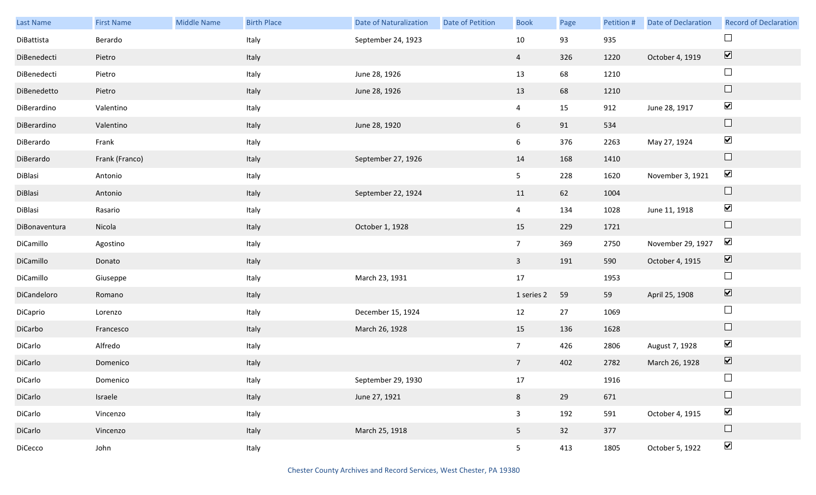| Last Name     | <b>First Name</b> | Middle Name | <b>Birth Place</b> | <b>Date of Naturalization</b> | Date of Petition | <b>Book</b>     | Page | Petition # | <b>Date of Declaration</b> | <b>Record of Declaration</b> |
|---------------|-------------------|-------------|--------------------|-------------------------------|------------------|-----------------|------|------------|----------------------------|------------------------------|
| DiBattista    | Berardo           |             | Italy              | September 24, 1923            |                  | $10\,$          | 93   | 935        |                            |                              |
| DiBenedecti   | Pietro            |             | Italy              |                               |                  | $\overline{4}$  | 326  | 1220       | October 4, 1919            | $\boxed{\blacktriangledown}$ |
| DiBenedecti   | Pietro            |             | Italy              | June 28, 1926                 |                  | 13              | 68   | 1210       |                            | $\Box$                       |
| DiBenedetto   | Pietro            |             | Italy              | June 28, 1926                 |                  | 13              | 68   | 1210       |                            | $\Box$                       |
| DiBerardino   | Valentino         |             | Italy              |                               |                  | $\overline{4}$  | 15   | 912        | June 28, 1917              | $\blacktriangledown$         |
| DiBerardino   | Valentino         |             | Italy              | June 28, 1920                 |                  | 6               | 91   | 534        |                            | $\Box$                       |
| DiBerardo     | Frank             |             | Italy              |                               |                  | 6               | 376  | 2263       | May 27, 1924               | $\blacktriangledown$         |
| DiBerardo     | Frank (Franco)    |             | Italy              | September 27, 1926            |                  | 14              | 168  | 1410       |                            | $\Box$                       |
| DiBlasi       | Antonio           |             | Italy              |                               |                  | 5 <sub>1</sub>  | 228  | 1620       | November 3, 1921           | $\blacktriangledown$         |
| DiBlasi       | Antonio           |             | Italy              | September 22, 1924            |                  | 11              | 62   | 1004       |                            | $\Box$                       |
| DiBlasi       | Rasario           |             | Italy              |                               |                  | $\overline{4}$  | 134  | 1028       | June 11, 1918              | $\blacktriangledown$         |
| DiBonaventura | Nicola            |             | Italy              | October 1, 1928               |                  | 15              | 229  | 1721       |                            | $\Box$                       |
| DiCamillo     | Agostino          |             | Italy              |                               |                  | 7 <sup>7</sup>  | 369  | 2750       | November 29, 1927          | $\blacktriangledown$         |
| DiCamillo     | Donato            |             | Italy              |                               |                  | $\mathbf{3}$    | 191  | 590        | October 4, 1915            | $\boxed{\blacktriangledown}$ |
| DiCamillo     | Giuseppe          |             | Italy              | March 23, 1931                |                  | 17              |      | 1953       |                            | $\Box$                       |
| DiCandeloro   | Romano            |             | Italy              |                               |                  | 1 series 2      | 59   | 59         | April 25, 1908             | $\boxed{\blacktriangledown}$ |
| DiCaprio      | Lorenzo           |             | Italy              | December 15, 1924             |                  | 12              | 27   | 1069       |                            | $\Box$                       |
| DiCarbo       | Francesco         |             | Italy              | March 26, 1928                |                  | 15              | 136  | 1628       |                            | $\Box$                       |
| DiCarlo       | Alfredo           |             | Italy              |                               |                  | 7 <sup>7</sup>  | 426  | 2806       | August 7, 1928             | $\blacktriangledown$         |
| DiCarlo       | Domenico          |             | Italy              |                               |                  | $7\overline{ }$ | 402  | 2782       | March 26, 1928             | $\boxed{\blacktriangledown}$ |
| DiCarlo       | Domenico          |             | Italy              | September 29, 1930            |                  | 17              |      | 1916       |                            | $\Box$                       |
| DiCarlo       | Israele           |             | Italy              | June 27, 1921                 |                  | 8               | 29   | 671        |                            | $\Box$                       |
| DiCarlo       | Vincenzo          |             | Italy              |                               |                  | $\mathbf{3}$    | 192  | 591        | October 4, 1915            | $\blacktriangledown$         |
| DiCarlo       | Vincenzo          |             | Italy              | March 25, 1918                |                  | 5 <sub>1</sub>  | 32   | 377        |                            | $\Box$                       |
| DiCecco       | John              |             | Italy              |                               |                  | 5 <sub>1</sub>  | 413  | 1805       | October 5, 1922            | $\blacktriangledown$         |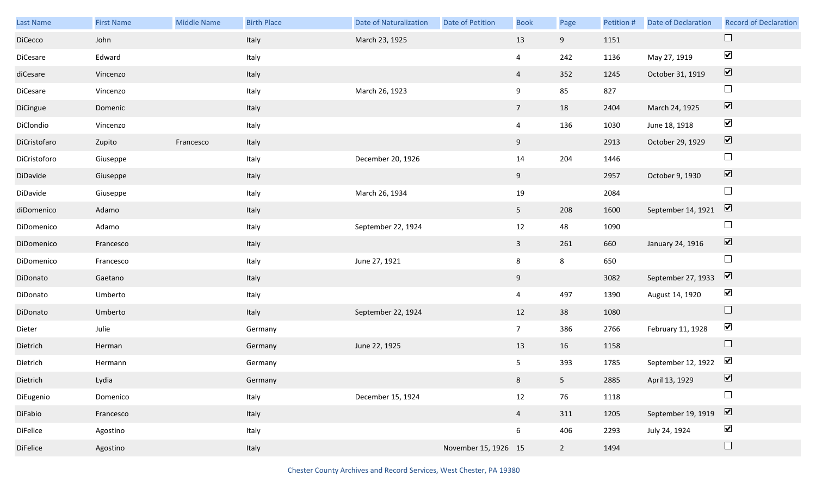| Last Name       | <b>First Name</b> | Middle Name | <b>Birth Place</b> | <b>Date of Naturalization</b> | Date of Petition     | <b>Book</b>    | Page           | Petition # | <b>Date of Declaration</b> | <b>Record of Declaration</b> |
|-----------------|-------------------|-------------|--------------------|-------------------------------|----------------------|----------------|----------------|------------|----------------------------|------------------------------|
| DiCecco         | John              |             | Italy              | March 23, 1925                |                      | 13             | 9              | 1151       |                            | $\Box$                       |
| DiCesare        | Edward            |             | Italy              |                               |                      | $\overline{4}$ | 242            | 1136       | May 27, 1919               | $\blacktriangledown$         |
| diCesare        | Vincenzo          |             | Italy              |                               |                      | $\overline{4}$ | 352            | 1245       | October 31, 1919           | $\boxed{\mathbf{v}}$         |
| DiCesare        | Vincenzo          |             | Italy              | March 26, 1923                |                      | 9              | 85             | 827        |                            | $\Box$                       |
| DiCingue        | Domenic           |             | Italy              |                               |                      | 7 <sup>7</sup> | 18             | 2404       | March 24, 1925             | $\boxed{\blacktriangledown}$ |
| DiClondio       | Vincenzo          |             | Italy              |                               |                      | $\overline{4}$ | 136            | 1030       | June 18, 1918              | $\blacktriangledown$         |
| DiCristofaro    | Zupito            | Francesco   | Italy              |                               |                      | 9              |                | 2913       | October 29, 1929           | $\boxed{\blacktriangledown}$ |
| DiCristoforo    | Giuseppe          |             | Italy              | December 20, 1926             |                      | 14             | 204            | 1446       |                            | $\Box$                       |
| DiDavide        | Giuseppe          |             | Italy              |                               |                      | 9              |                | 2957       | October 9, 1930            | $\boxed{\blacktriangledown}$ |
| DiDavide        | Giuseppe          |             | Italy              | March 26, 1934                |                      | 19             |                | 2084       |                            | $\Box$                       |
| diDomenico      | Adamo             |             | Italy              |                               |                      | 5              | 208            | 1600       | September 14, 1921         | $\boxed{\blacktriangledown}$ |
| DiDomenico      | Adamo             |             | Italy              | September 22, 1924            |                      | 12             | 48             | 1090       |                            | $\Box$                       |
| DiDomenico      | Francesco         |             | Italy              |                               |                      | $\mathbf{3}$   | 261            | 660        | January 24, 1916           | $\boxed{\blacktriangledown}$ |
| DiDomenico      | Francesco         |             | Italy              | June 27, 1921                 |                      | 8              | 8              | 650        |                            | $\Box$                       |
| DiDonato        | Gaetano           |             | Italy              |                               |                      | 9              |                | 3082       | September 27, 1933         | $\overline{\mathbf{v}}$      |
| DiDonato        | Umberto           |             | Italy              |                               |                      | $\overline{4}$ | 497            | 1390       | August 14, 1920            | $\blacktriangledown$         |
| DiDonato        | Umberto           |             | Italy              | September 22, 1924            |                      | 12             | 38             | 1080       |                            | $\Box$                       |
| Dieter          | Julie             |             | Germany            |                               |                      | 7 <sup>7</sup> | 386            | 2766       | February 11, 1928          | $\blacktriangledown$         |
| Dietrich        | Herman            |             | Germany            | June 22, 1925                 |                      | 13             | 16             | 1158       |                            | $\Box$                       |
| Dietrich        | Hermann           |             | Germany            |                               |                      | 5              | 393            | 1785       | September 12, 1922         | $\blacktriangleright$        |
| Dietrich        | Lydia             |             | Germany            |                               |                      | 8              | 5 <sub>1</sub> | 2885       | April 13, 1929             | $\boxed{\mathbf{v}}$         |
| DiEugenio       | Domenico          |             | Italy              | December 15, 1924             |                      | 12             | 76             | 1118       |                            | $\Box$                       |
| DiFabio         | Francesco         |             | Italy              |                               |                      | $\overline{4}$ | 311            | 1205       | September 19, 1919         | $\boxed{\blacktriangledown}$ |
| <b>DiFelice</b> | Agostino          |             | Italy              |                               |                      | 6              | 406            | 2293       | July 24, 1924              | $\blacktriangledown$         |
| <b>DiFelice</b> | Agostino          |             | Italy              |                               | November 15, 1926 15 |                | $2^{\circ}$    | 1494       |                            | $\Box$                       |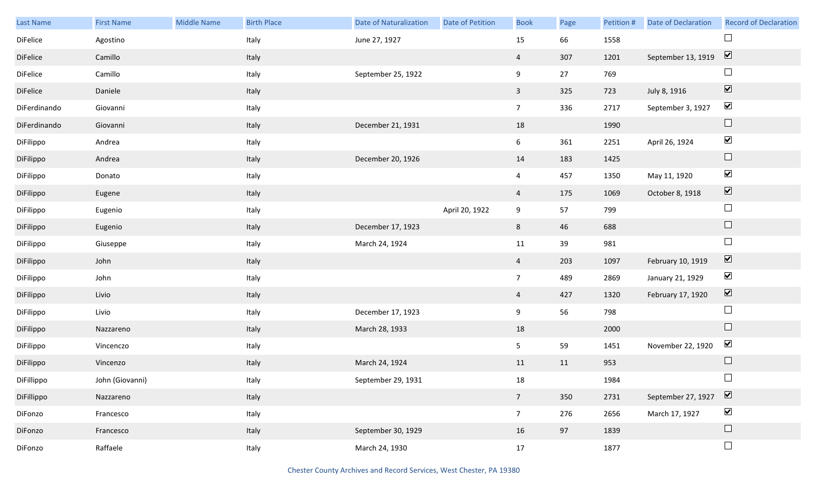| Last Name    | <b>First Name</b> | Middle Name | <b>Birth Place</b> | <b>Date of Naturalization</b> | <b>Date of Petition</b> | <b>Book</b>     | Page | Petition # | Date of Declaration | <b>Record of Declaration</b>    |
|--------------|-------------------|-------------|--------------------|-------------------------------|-------------------------|-----------------|------|------------|---------------------|---------------------------------|
| DiFelice     | Agostino          |             | Italy              | June 27, 1927                 |                         | 15              | 66   | 1558       |                     | $\Box$                          |
| DiFelice     | Camillo           |             | Italy              |                               |                         | $\overline{4}$  | 307  | 1201       | September 13, 1919  | $\overline{\mathbf{v}}$         |
| DiFelice     | Camillo           |             | Italy              | September 25, 1922            |                         | 9               | 27   | 769        |                     | $\Box$                          |
| DiFelice     | Daniele           |             | Italy              |                               |                         | $\mathbf{3}$    | 325  | 723        | July 8, 1916        | $\overline{\blacktriangledown}$ |
| DiFerdinando | Giovanni          |             | Italy              |                               |                         | 7 <sup>7</sup>  | 336  | 2717       | September 3, 1927   | $\blacktriangledown$            |
| DiFerdinando | Giovanni          |             | Italy              | December 21, 1931             |                         | 18              |      | 1990       |                     | $\hfill \square$                |
| DiFilippo    | Andrea            |             | Italy              |                               |                         | 6               | 361  | 2251       | April 26, 1924      | $\blacktriangledown$            |
| DiFilippo    | Andrea            |             | Italy              | December 20, 1926             |                         | 14              | 183  | 1425       |                     | $\Box$                          |
| DiFilippo    | Donato            |             | Italy              |                               |                         | $\overline{4}$  | 457  | 1350       | May 11, 1920        | $\blacktriangledown$            |
| DiFilippo    | Eugene            |             | Italy              |                               |                         | 4               | 175  | 1069       | October 8, 1918     | $\boxed{\blacktriangledown}$    |
| DiFilippo    | Eugenio           |             | Italy              |                               | April 20, 1922          | 9               | 57   | 799        |                     | $\Box$                          |
| DiFilippo    | Eugenio           |             | Italy              | December 17, 1923             |                         | 8               | 46   | 688        |                     | $\Box$                          |
| DiFilippo    | Giuseppe          |             | Italy              | March 24, 1924                |                         | 11              | 39   | 981        |                     | $\Box$                          |
| DiFilippo    | John              |             | Italy              |                               |                         | $\overline{4}$  | 203  | 1097       | February 10, 1919   | $\blacktriangledown$            |
| DiFilippo    | John              |             | Italy              |                               |                         | 7 <sup>7</sup>  | 489  | 2869       | January 21, 1929    | $\blacktriangledown$            |
| DiFilippo    | Livio             |             | Italy              |                               |                         | $\overline{4}$  | 427  | 1320       | February 17, 1920   | $\blacktriangledown$            |
| DiFilippo    | Livio             |             | Italy              | December 17, 1923             |                         | 9               | 56   | 798        |                     | $\Box$                          |
| DiFilippo    | Nazzareno         |             | Italy              | March 28, 1933                |                         | 18              |      | 2000       |                     | $\Box$                          |
| DiFilippo    | Vincenczo         |             | Italy              |                               |                         | 5               | 59   | 1451       | November 22, 1920   | $\blacktriangledown$            |
| DiFilippo    | Vincenzo          |             | Italy              | March 24, 1924                |                         | 11              | 11   | 953        |                     | $\hfill \square$                |
| DiFillippo   | John (Giovanni)   |             | Italy              | September 29, 1931            |                         | 18              |      | 1984       |                     | $\Box$                          |
| DiFillippo   | Nazzareno         |             | Italy              |                               |                         | $7\overline{ }$ | 350  | 2731       | September 27, 1927  | $\boxed{\blacktriangledown}$    |
| DiFonzo      | Francesco         |             | Italy              |                               |                         | 7 <sup>7</sup>  | 276  | 2656       | March 17, 1927      | $\blacktriangledown$            |
| DiFonzo      | Francesco         |             | Italy              | September 30, 1929            |                         | 16              | 97   | 1839       |                     | $\hfill \square$                |
| DiFonzo      | Raffaele          |             | Italy              | March 24, 1930                |                         | 17              |      | 1877       |                     | $\Box$                          |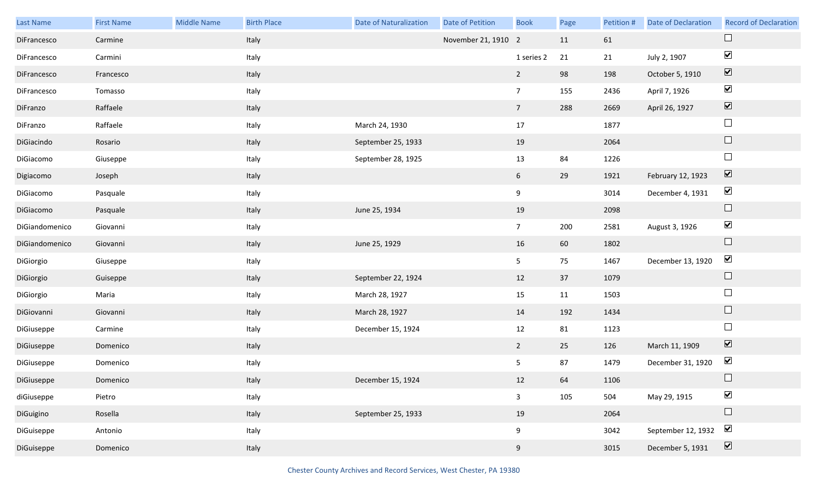| Last Name      | <b>First Name</b> | Middle Name | <b>Birth Place</b> | <b>Date of Naturalization</b> | Date of Petition    | <b>Book</b>     | Page | Petition # | <b>Date of Declaration</b> | <b>Record of Declaration</b> |
|----------------|-------------------|-------------|--------------------|-------------------------------|---------------------|-----------------|------|------------|----------------------------|------------------------------|
| DiFrancesco    | Carmine           |             | Italy              |                               | November 21, 1910 2 |                 | 11   | 61         |                            |                              |
| DiFrancesco    | Carmini           |             | Italy              |                               |                     | 1 series 2      | 21   | 21         | July 2, 1907               | $\blacktriangledown$         |
| DiFrancesco    | Francesco         |             | Italy              |                               |                     | $\overline{2}$  | 98   | 198        | October 5, 1910            | $\boxed{\mathbf{v}}$         |
| DiFrancesco    | Tomasso           |             | Italy              |                               |                     | $7\overline{ }$ | 155  | 2436       | April 7, 1926              | $\blacktriangledown$         |
| DiFranzo       | Raffaele          |             | Italy              |                               |                     | 7 <sup>7</sup>  | 288  | 2669       | April 26, 1927             | $\boxed{\blacktriangledown}$ |
| DiFranzo       | Raffaele          |             | Italy              | March 24, 1930                |                     | 17              |      | 1877       |                            | $\Box$                       |
| DiGiacindo     | Rosario           |             | Italy              | September 25, 1933            |                     | 19              |      | 2064       |                            | $\Box$                       |
| DiGiacomo      | Giuseppe          |             | Italy              | September 28, 1925            |                     | 13              | 84   | 1226       |                            | $\Box$                       |
| Digiacomo      | Joseph            |             | Italy              |                               |                     | $6\overline{6}$ | 29   | 1921       | February 12, 1923          | $\boxed{\blacktriangledown}$ |
| DiGiacomo      | Pasquale          |             | Italy              |                               |                     | 9               |      | 3014       | December 4, 1931           | $\blacktriangledown$         |
| DiGiacomo      | Pasquale          |             | Italy              | June 25, 1934                 |                     | 19              |      | 2098       |                            | $\Box$                       |
| DiGiandomenico | Giovanni          |             | Italy              |                               |                     | 7 <sup>7</sup>  | 200  | 2581       | August 3, 1926             | $\blacktriangledown$         |
| DiGiandomenico | Giovanni          |             | Italy              | June 25, 1929                 |                     | 16              | 60   | 1802       |                            | $\Box$                       |
| DiGiorgio      | Giuseppe          |             | Italy              |                               |                     | 5               | 75   | 1467       | December 13, 1920          | $\blacktriangledown$         |
| DiGiorgio      | Guiseppe          |             | Italy              | September 22, 1924            |                     | 12              | 37   | 1079       |                            | $\Box$                       |
| DiGiorgio      | Maria             |             | Italy              | March 28, 1927                |                     | 15              | 11   | 1503       |                            | $\Box$                       |
| DiGiovanni     | Giovanni          |             | Italy              | March 28, 1927                |                     | 14              | 192  | 1434       |                            | $\Box$                       |
| DiGiuseppe     | Carmine           |             | Italy              | December 15, 1924             |                     | 12              | 81   | 1123       |                            | $\Box$                       |
| DiGiuseppe     | Domenico          |             | Italy              |                               |                     | $\overline{2}$  | 25   | 126        | March 11, 1909             | $\boxed{\blacktriangledown}$ |
| DiGiuseppe     | Domenico          |             | Italy              |                               |                     | 5 <sub>1</sub>  | 87   | 1479       | December 31, 1920          | $\blacktriangleright$        |
| DiGiuseppe     | Domenico          |             | Italy              | December 15, 1924             |                     | 12              | 64   | 1106       |                            | $\Box$                       |
| diGiuseppe     | Pietro            |             | Italy              |                               |                     | $\mathbf{3}$    | 105  | 504        | May 29, 1915               | $\blacktriangledown$         |
| DiGuigino      | Rosella           |             | Italy              | September 25, 1933            |                     | 19              |      | 2064       |                            | $\Box$                       |
| DiGuiseppe     | Antonio           |             | Italy              |                               |                     | 9               |      | 3042       | September 12, 1932         | $\blacktriangleright$        |
| DiGuiseppe     | Domenico          |             | Italy              |                               |                     | 9               |      | 3015       | December 5, 1931           | $\boxed{\blacktriangledown}$ |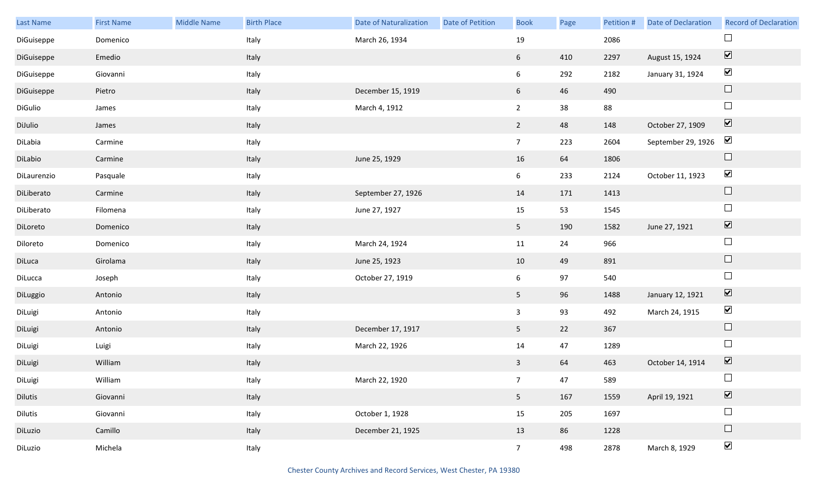| Last Name   | <b>First Name</b> | <b>Middle Name</b> | <b>Birth Place</b> | <b>Date of Naturalization</b> | Date of Petition | <b>Book</b>     | Page | Petition # | <b>Date of Declaration</b> | <b>Record of Declaration</b> |
|-------------|-------------------|--------------------|--------------------|-------------------------------|------------------|-----------------|------|------------|----------------------------|------------------------------|
| DiGuiseppe  | Domenico          |                    | Italy              | March 26, 1934                |                  | 19              |      | 2086       |                            |                              |
| DiGuiseppe  | Emedio            |                    | Italy              |                               |                  | 6 <sup>1</sup>  | 410  | 2297       | August 15, 1924            | $\boxed{\blacktriangledown}$ |
| DiGuiseppe  | Giovanni          |                    | Italy              |                               |                  | 6               | 292  | 2182       | January 31, 1924           | $\blacktriangledown$         |
| DiGuiseppe  | Pietro            |                    | Italy              | December 15, 1919             |                  | 6               | 46   | 490        |                            | $\Box$                       |
| DiGulio     | James             |                    | Italy              | March 4, 1912                 |                  | $2^{\circ}$     | 38   | 88         |                            | $\Box$                       |
| DiJulio     | James             |                    | Italy              |                               |                  | $\overline{2}$  | 48   | 148        | October 27, 1909           | $\boxed{\blacktriangledown}$ |
| DiLabia     | Carmine           |                    | Italy              |                               |                  | $7\overline{ }$ | 223  | 2604       | September 29, 1926         | $\blacktriangledown$         |
| DiLabio     | Carmine           |                    | Italy              | June 25, 1929                 |                  | 16              | 64   | 1806       |                            | $\Box$                       |
| DiLaurenzio | Pasquale          |                    | Italy              |                               |                  | 6               | 233  | 2124       | October 11, 1923           | $\blacktriangledown$         |
| DiLiberato  | Carmine           |                    | Italy              | September 27, 1926            |                  | 14              | 171  | 1413       |                            | $\Box$                       |
| DiLiberato  | Filomena          |                    | Italy              | June 27, 1927                 |                  | 15              | 53   | 1545       |                            | $\Box$                       |
| DiLoreto    | Domenico          |                    | Italy              |                               |                  | 5 <sub>1</sub>  | 190  | 1582       | June 27, 1921              | $\boxed{\blacktriangledown}$ |
| Diloreto    | Domenico          |                    | Italy              | March 24, 1924                |                  | 11              | 24   | 966        |                            | $\Box$                       |
| DiLuca      | Girolama          |                    | Italy              | June 25, 1923                 |                  | 10              | 49   | 891        |                            | $\Box$                       |
| DiLucca     | Joseph            |                    | Italy              | October 27, 1919              |                  | 6               | 97   | 540        |                            | $\Box$                       |
| DiLuggio    | Antonio           |                    | Italy              |                               |                  | 5 <sub>1</sub>  | 96   | 1488       | January 12, 1921           | $\boxed{\blacktriangledown}$ |
| DiLuigi     | Antonio           |                    | Italy              |                               |                  | $\mathbf{3}$    | 93   | 492        | March 24, 1915             | $\blacktriangledown$         |
| DiLuigi     | Antonio           |                    | Italy              | December 17, 1917             |                  | 5 <sub>1</sub>  | 22   | 367        |                            | $\hfill \square$             |
| DiLuigi     | Luigi             |                    | Italy              | March 22, 1926                |                  | 14              | 47   | 1289       |                            | $\Box$                       |
| DiLuigi     | William           |                    | Italy              |                               |                  | $\mathbf{3}$    | 64   | 463        | October 14, 1914           | $\boxed{\blacktriangledown}$ |
| DiLuigi     | William           |                    | Italy              | March 22, 1920                |                  | 7 <sup>7</sup>  | 47   | 589        |                            | $\Box$                       |
| Dilutis     | Giovanni          |                    | Italy              |                               |                  | 5 <sub>1</sub>  | 167  | 1559       | April 19, 1921             | $\boxed{\blacktriangledown}$ |
| Dilutis     | Giovanni          |                    | Italy              | October 1, 1928               |                  | 15              | 205  | 1697       |                            | $\Box$                       |
| DiLuzio     | Camillo           |                    | Italy              | December 21, 1925             |                  | 13              | 86   | 1228       |                            | $\hfill \square$             |
| DiLuzio     | Michela           |                    | Italy              |                               |                  | 7 <sup>7</sup>  | 498  | 2878       | March 8, 1929              | $\blacktriangledown$         |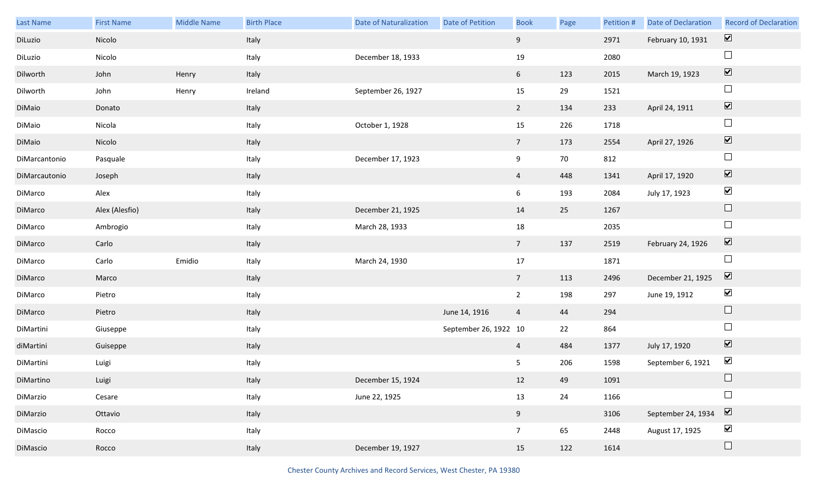| Last Name     | <b>First Name</b> | Middle Name | <b>Birth Place</b> | <b>Date of Naturalization</b> | Date of Petition      | <b>Book</b>     | Page | Petition # | Date of Declaration | <b>Record of Declaration</b> |
|---------------|-------------------|-------------|--------------------|-------------------------------|-----------------------|-----------------|------|------------|---------------------|------------------------------|
| DiLuzio       | Nicolo            |             | Italy              |                               |                       | 9               |      | 2971       | February 10, 1931   | $\overline{\mathbf{v}}$      |
| DiLuzio       | Nicolo            |             | Italy              | December 18, 1933             |                       | 19              |      | 2080       |                     | $\Box$                       |
| Dilworth      | John              | Henry       | Italy              |                               |                       | 6               | 123  | 2015       | March 19, 1923      | $\boxed{\blacktriangledown}$ |
| Dilworth      | John              | Henry       | Ireland            | September 26, 1927            |                       | 15              | 29   | 1521       |                     | $\Box$                       |
| DiMaio        | Donato            |             | Italy              |                               |                       | $2^{\circ}$     | 134  | 233        | April 24, 1911      | $\boxed{\blacktriangledown}$ |
| DiMaio        | Nicola            |             | Italy              | October 1, 1928               |                       | 15              | 226  | 1718       |                     | $\Box$                       |
| DiMaio        | Nicolo            |             | Italy              |                               |                       | 7 <sup>7</sup>  | 173  | 2554       | April 27, 1926      | $\blacktriangledown$         |
| DiMarcantonio | Pasquale          |             | Italy              | December 17, 1923             |                       | 9               | 70   | 812        |                     | $\Box$                       |
| DiMarcautonio | Joseph            |             | Italy              |                               |                       | $\overline{4}$  | 448  | 1341       | April 17, 1920      | $\boxed{\blacktriangledown}$ |
| DiMarco       | Alex              |             | Italy              |                               |                       | 6               | 193  | 2084       | July 17, 1923       | $\blacktriangledown$         |
| DiMarco       | Alex (Alesfio)    |             | Italy              | December 21, 1925             |                       | 14              | 25   | 1267       |                     | $\Box$                       |
| DiMarco       | Ambrogio          |             | Italy              | March 28, 1933                |                       | 18              |      | 2035       |                     | $\Box$                       |
| DiMarco       | Carlo             |             | Italy              |                               |                       | 7 <sup>7</sup>  | 137  | 2519       | February 24, 1926   | $\blacktriangledown$         |
| DiMarco       | Carlo             | Emidio      | Italy              | March 24, 1930                |                       | 17              |      | 1871       |                     | $\Box$                       |
| DiMarco       | Marco             |             | Italy              |                               |                       | 7 <sup>7</sup>  | 113  | 2496       | December 21, 1925   | $\boxed{\blacktriangledown}$ |
| DiMarco       | Pietro            |             | Italy              |                               |                       | $\overline{2}$  | 198  | 297        | June 19, 1912       | $\blacktriangledown$         |
| DiMarco       | Pietro            |             | Italy              |                               | June 14, 1916         | $\overline{4}$  | 44   | 294        |                     | $\Box$                       |
| DiMartini     | Giuseppe          |             | Italy              |                               | September 26, 1922 10 |                 | 22   | 864        |                     | $\Box$                       |
| diMartini     | Guiseppe          |             | Italy              |                               |                       | $\overline{4}$  | 484  | 1377       | July 17, 1920       | $\overline{\mathbf{v}}$      |
| DiMartini     | Luigi             |             | Italy              |                               |                       | 5               | 206  | 1598       | September 6, 1921   | $\blacktriangledown$         |
| DiMartino     | Luigi             |             | Italy              | December 15, 1924             |                       | 12              | 49   | 1091       |                     | $\Box$                       |
| DiMarzio      | Cesare            |             | Italy              | June 22, 1925                 |                       | 13              | 24   | 1166       |                     | $\Box$                       |
| DiMarzio      | Ottavio           |             | Italy              |                               |                       | 9               |      | 3106       | September 24, 1934  | $\boxed{\blacktriangledown}$ |
| DiMascio      | Rocco             |             | Italy              |                               |                       | $7\overline{ }$ | 65   | 2448       | August 17, 1925     | $\blacktriangledown$         |
| DiMascio      | Rocco             |             | Italy              | December 19, 1927             |                       | 15              | 122  | 1614       |                     | $\Box$                       |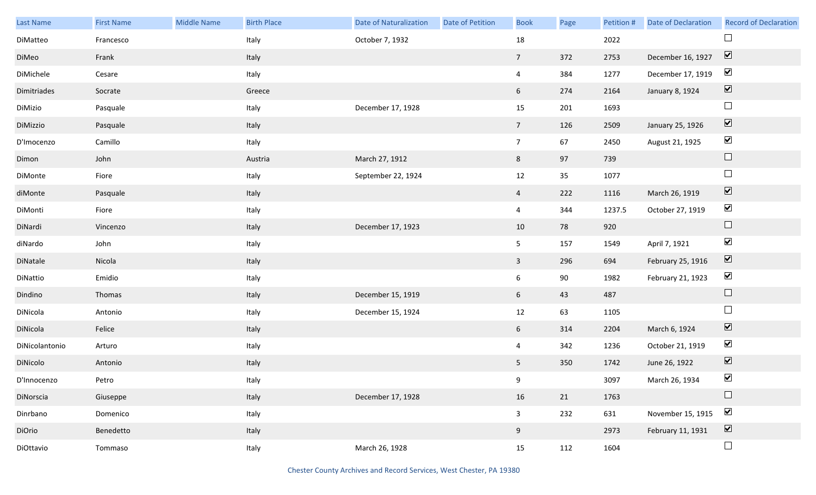| Last Name      | <b>First Name</b> | Middle Name | <b>Birth Place</b> | <b>Date of Naturalization</b> | Date of Petition | <b>Book</b>     | Page | Petition # | Date of Declaration | <b>Record of Declaration</b> |
|----------------|-------------------|-------------|--------------------|-------------------------------|------------------|-----------------|------|------------|---------------------|------------------------------|
| DiMatteo       | Francesco         |             | Italy              | October 7, 1932               |                  | 18              |      | 2022       |                     |                              |
| DiMeo          | Frank             |             | Italy              |                               |                  | $7\overline{ }$ | 372  | 2753       | December 16, 1927   | $\overline{\mathbf{v}}$      |
| DiMichele      | Cesare            |             | Italy              |                               |                  | $\overline{4}$  | 384  | 1277       | December 17, 1919   | $\blacktriangledown$         |
| Dimitriades    | Socrate           |             | Greece             |                               |                  | 6               | 274  | 2164       | January 8, 1924     | $\boxed{\blacktriangledown}$ |
| DiMizio        | Pasquale          |             | Italy              | December 17, 1928             |                  | 15              | 201  | 1693       |                     | $\Box$                       |
| DiMizzio       | Pasquale          |             | Italy              |                               |                  | $7\overline{ }$ | 126  | 2509       | January 25, 1926    | $\boxed{\blacktriangledown}$ |
| D'Imocenzo     | Camillo           |             | Italy              |                               |                  | 7 <sup>7</sup>  | 67   | 2450       | August 21, 1925     | $\blacktriangledown$         |
| Dimon          | John              |             | Austria            | March 27, 1912                |                  | 8               | 97   | 739        |                     | $\hfill \square$             |
| DiMonte        | Fiore             |             | Italy              | September 22, 1924            |                  | $12\,$          | 35   | 1077       |                     | $\Box$                       |
| diMonte        | Pasquale          |             | Italy              |                               |                  | $\overline{4}$  | 222  | 1116       | March 26, 1919      | $\boxed{\blacktriangledown}$ |
| DiMonti        | Fiore             |             | Italy              |                               |                  | $\overline{4}$  | 344  | 1237.5     | October 27, 1919    | $\blacktriangledown$         |
| DiNardi        | Vincenzo          |             | Italy              | December 17, 1923             |                  | 10              | 78   | 920        |                     | $\hfill \square$             |
| diNardo        | John              |             | Italy              |                               |                  | 5 <sub>1</sub>  | 157  | 1549       | April 7, 1921       | $\blacktriangledown$         |
| DiNatale       | Nicola            |             | Italy              |                               |                  | $\mathbf{3}$    | 296  | 694        | February 25, 1916   | $\blacktriangledown$         |
| DiNattio       | Emidio            |             | Italy              |                               |                  | $6\overline{6}$ | 90   | 1982       | February 21, 1923   | $\blacktriangledown$         |
| Dindino        | Thomas            |             | Italy              | December 15, 1919             |                  | 6               | 43   | 487        |                     | $\Box$                       |
| DiNicola       | Antonio           |             | Italy              | December 15, 1924             |                  | 12              | 63   | 1105       |                     | $\Box$                       |
| DiNicola       | Felice            |             | Italy              |                               |                  | $6\overline{6}$ | 314  | 2204       | March 6, 1924       | $\boxed{\blacktriangledown}$ |
| DiNicolantonio | Arturo            |             | Italy              |                               |                  | $\overline{4}$  | 342  | 1236       | October 21, 1919    | $\blacktriangledown$         |
| DiNicolo       | Antonio           |             | Italy              |                               |                  | 5 <sup>5</sup>  | 350  | 1742       | June 26, 1922       | $\boxed{\blacktriangledown}$ |
| D'Innocenzo    | Petro             |             | Italy              |                               |                  | 9               |      | 3097       | March 26, 1934      | $\blacktriangledown$         |
| DiNorscia      | Giuseppe          |             | Italy              | December 17, 1928             |                  | 16              | 21   | 1763       |                     | $\Box$                       |
| Dinrbano       | Domenico          |             | Italy              |                               |                  | $\mathbf{3}$    | 232  | 631        | November 15, 1915   | $\blacktriangledown$         |
| DiOrio         | Benedetto         |             | Italy              |                               |                  | 9               |      | 2973       | February 11, 1931   | $\boxed{\blacktriangledown}$ |
| DiOttavio      | Tommaso           |             | Italy              | March 26, 1928                |                  | 15              | 112  | 1604       |                     | $\Box$                       |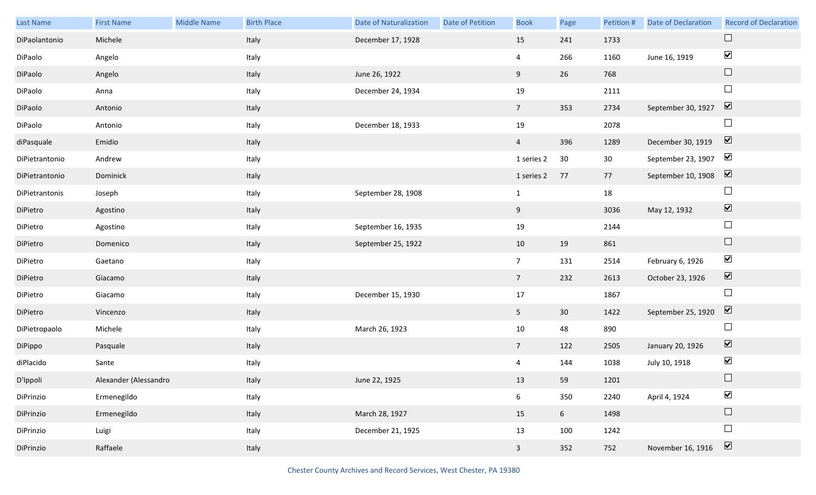| Last Name      | <b>First Name</b>     | <b>Middle Name</b> | <b>Birth Place</b> | <b>Date of Naturalization</b> | Date of Petition | <b>Book</b>             | Page            | Petition #      | Date of Declaration | <b>Record of Declaration</b> |
|----------------|-----------------------|--------------------|--------------------|-------------------------------|------------------|-------------------------|-----------------|-----------------|---------------------|------------------------------|
| DiPaolantonio  | Michele               |                    | Italy              | December 17, 1928             |                  | 15                      | 241             | 1733            |                     | $\Box$                       |
| DiPaolo        | Angelo                |                    | Italy              |                               |                  | 4                       | 266             | 1160            | June 16, 1919       | $\blacktriangledown$         |
| DiPaolo        | Angelo                |                    | Italy              | June 26, 1922                 |                  | 9                       | 26              | 768             |                     | $\Box$                       |
| DiPaolo        | Anna                  |                    | Italy              | December 24, 1934             |                  | 19                      |                 | 2111            |                     | $\Box$                       |
| DiPaolo        | Antonio               |                    | Italy              |                               |                  | 7 <sup>7</sup>          | 353             | 2734            | September 30, 1927  | $\boxed{\mathbf{v}}$         |
| DiPaolo        | Antonio               |                    | Italy              | December 18, 1933             |                  | 19                      |                 | 2078            |                     | $\Box$                       |
| diPasquale     | Emidio                |                    | Italy              |                               |                  | $\overline{4}$          | 396             | 1289            | December 30, 1919   | $\boxed{\blacktriangledown}$ |
| DiPietrantonio | Andrew                |                    | Italy              |                               |                  | 1 series 2              | 30              | 30 <sup>°</sup> | September 23, 1907  | $\blacktriangledown$         |
| DiPietrantonio | Dominick              |                    | Italy              |                               |                  | 1 series 2              | 77              | 77              | September 10, 1908  | $\boxed{\mathbf{v}}$         |
| DiPietrantonis | Joseph                |                    | Italy              | September 28, 1908            |                  | $\mathbf{1}$            |                 | 18              |                     | $\Box$                       |
| DiPietro       | Agostino              |                    | Italy              |                               |                  | 9                       |                 | 3036            | May 12, 1932        | $\boxed{\blacktriangledown}$ |
| DiPietro       | Agostino              |                    | Italy              | September 16, 1935            |                  | 19                      |                 | 2144            |                     | $\Box$                       |
| DiPietro       | Domenico              |                    | Italy              | September 25, 1922            |                  | 10                      | 19              | 861             |                     | $\Box$                       |
| DiPietro       | Gaetano               |                    | Italy              |                               |                  | 7 <sup>7</sup>          | 131             | 2514            | February 6, 1926    | $\blacktriangledown$         |
| DiPietro       | Giacamo               |                    | Italy              |                               |                  | 7 <sup>7</sup>          | 232             | 2613            | October 23, 1926    | $\blacktriangledown$         |
| DiPietro       | Giacamo               |                    | Italy              | December 15, 1930             |                  | 17                      |                 | 1867            |                     | $\Box$                       |
| DiPietro       | Vincenzo              |                    | Italy              |                               |                  | 5 <sub>1</sub>          | 30              | 1422            | September 25, 1920  | $\boxed{\mathbf{v}}$         |
| DiPietropaolo  | Michele               |                    | Italy              | March 26, 1923                |                  | 10                      | 48              | 890             |                     | $\Box$                       |
| DiPippo        | Pasquale              |                    | Italy              |                               |                  | 7 <sup>7</sup>          | 122             | 2505            | January 20, 1926    | $\overline{\mathbf{v}}$      |
| diPlacido      | Sante                 |                    | Italy              |                               |                  | 4                       | 144             | 1038            | July 10, 1918       | $\blacktriangledown$         |
| D'Ippoli       | Alexander (Alessandro |                    | Italy              | June 22, 1925                 |                  | 13                      | 59              | 1201            |                     | $\Box$                       |
| DiPrinzio      | Ermenegildo           |                    | Italy              |                               |                  | 6                       | 350             | 2240            | April 4, 1924       | $\blacktriangledown$         |
| DiPrinzio      | Ermenegildo           |                    | Italy              | March 28, 1927                |                  | 15                      | $6\overline{6}$ | 1498            |                     | $\Box$                       |
| DiPrinzio      | Luigi                 |                    | Italy              | December 21, 1925             |                  | 13                      | 100             | 1242            |                     | $\Box$                       |
| DiPrinzio      | Raffaele              |                    | Italy              |                               |                  | $\overline{\mathbf{3}}$ | 352             | 752             | November 16, 1916   | $\boxed{\mathbf{v}}$         |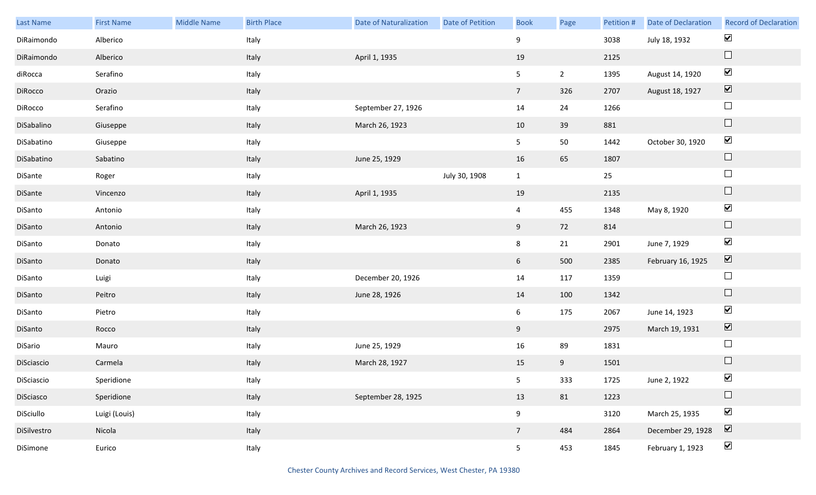| Last Name   | <b>First Name</b> | Middle Name | <b>Birth Place</b> | <b>Date of Naturalization</b> | Date of Petition | <b>Book</b>     | Page        | Petition # | Date of Declaration | <b>Record of Declaration</b> |
|-------------|-------------------|-------------|--------------------|-------------------------------|------------------|-----------------|-------------|------------|---------------------|------------------------------|
| DiRaimondo  | Alberico          |             | Italy              |                               |                  | 9               |             | 3038       | July 18, 1932       | $\blacktriangledown$         |
| DiRaimondo  | Alberico          |             | Italy              | April 1, 1935                 |                  | 19              |             | 2125       |                     | $\hfill \square$             |
| diRocca     | Serafino          |             | Italy              |                               |                  | 5 <sub>1</sub>  | $2^{\circ}$ | 1395       | August 14, 1920     | $\blacktriangledown$         |
| DiRocco     | Orazio            |             | Italy              |                               |                  | $7\overline{ }$ | 326         | 2707       | August 18, 1927     | $\boxed{\blacktriangledown}$ |
| DiRocco     | Serafino          |             | Italy              | September 27, 1926            |                  | 14              | 24          | 1266       |                     | $\Box$                       |
| DiSabalino  | Giuseppe          |             | Italy              | March 26, 1923                |                  | 10              | 39          | 881        |                     | $\hfill \square$             |
| DiSabatino  | Giuseppe          |             | Italy              |                               |                  | 5 <sub>1</sub>  | 50          | 1442       | October 30, 1920    | $\blacktriangledown$         |
| DiSabatino  | Sabatino          |             | Italy              | June 25, 1929                 |                  | 16              | 65          | 1807       |                     | $\hfill \square$             |
| DiSante     | Roger             |             | Italy              |                               | July 30, 1908    | $\mathbf{1}$    |             | 25         |                     | $\Box$                       |
| DiSante     | Vincenzo          |             | Italy              | April 1, 1935                 |                  | 19              |             | 2135       |                     | $\hfill \square$             |
| DiSanto     | Antonio           |             | Italy              |                               |                  | $\overline{4}$  | 455         | 1348       | May 8, 1920         | $\blacktriangledown$         |
| DiSanto     | Antonio           |             | Italy              | March 26, 1923                |                  | 9               | 72          | 814        |                     | $\hfill \square$             |
| DiSanto     | Donato            |             | Italy              |                               |                  | $8\phantom{.}$  | 21          | 2901       | June 7, 1929        | $\blacktriangledown$         |
| DiSanto     | Donato            |             | Italy              |                               |                  | 6 <sup>1</sup>  | 500         | 2385       | February 16, 1925   | $\boxed{\blacktriangledown}$ |
| DiSanto     | Luigi             |             | Italy              | December 20, 1926             |                  | 14              | 117         | 1359       |                     | $\Box$                       |
| DiSanto     | Peitro            |             | Italy              | June 28, 1926                 |                  | 14              | 100         | 1342       |                     | $\hfill \square$             |
| DiSanto     | Pietro            |             | Italy              |                               |                  | 6 <sup>1</sup>  | 175         | 2067       | June 14, 1923       | $\blacktriangledown$         |
| DiSanto     | Rocco             |             | Italy              |                               |                  | 9               |             | 2975       | March 19, 1931      | $\boxed{\blacktriangledown}$ |
| DiSario     | Mauro             |             | Italy              | June 25, 1929                 |                  | 16              | 89          | 1831       |                     | $\Box$                       |
| DiSciascio  | Carmela           |             | Italy              | March 28, 1927                |                  | 15              | 9           | 1501       |                     | $\hfill \square$             |
| DiSciascio  | Speridione        |             | Italy              |                               |                  | 5 <sub>5</sub>  | 333         | 1725       | June 2, 1922        | $\blacktriangledown$         |
| DiSciasco   | Speridione        |             | Italy              | September 28, 1925            |                  | 13              | 81          | 1223       |                     | $\Box$                       |
| DiSciullo   | Luigi (Louis)     |             | Italy              |                               |                  | 9               |             | 3120       | March 25, 1935      | $\blacktriangledown$         |
| DiSilvestro | Nicola            |             | Italy              |                               |                  | $7\overline{ }$ | 484         | 2864       | December 29, 1928   | $\boxed{\blacktriangledown}$ |
| DiSimone    | Eurico            |             | Italy              |                               |                  | 5 <sub>1</sub>  | 453         | 1845       | February 1, 1923    | $\blacktriangledown$         |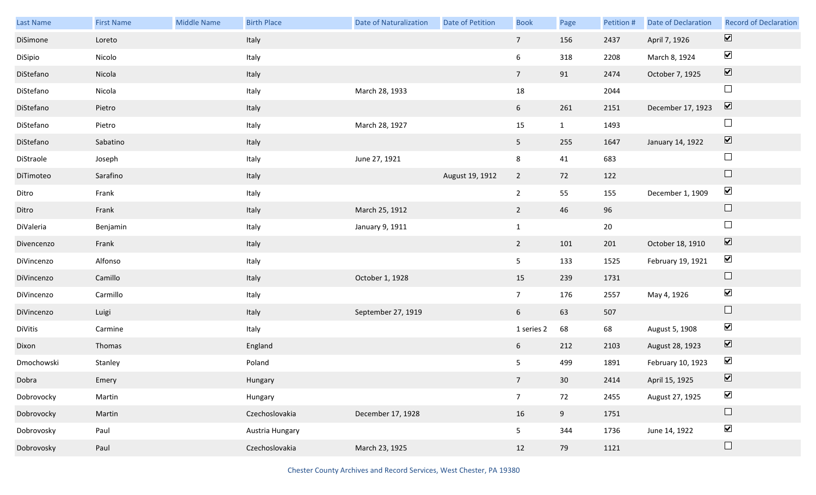| Last Name  | <b>First Name</b> | Middle Name | <b>Birth Place</b> | <b>Date of Naturalization</b> | Date of Petition | <b>Book</b>     | Page            | Petition # | Date of Declaration | <b>Record of Declaration</b> |
|------------|-------------------|-------------|--------------------|-------------------------------|------------------|-----------------|-----------------|------------|---------------------|------------------------------|
| DiSimone   | Loreto            |             | Italy              |                               |                  | $7\overline{ }$ | 156             | 2437       | April 7, 1926       | $\boxed{\blacktriangledown}$ |
| DiSipio    | Nicolo            |             | Italy              |                               |                  | 6               | 318             | 2208       | March 8, 1924       | $\blacktriangleright$        |
| DiStefano  | Nicola            |             | Italy              |                               |                  | 7 <sup>7</sup>  | 91              | 2474       | October 7, 1925     | $\boxed{\blacktriangledown}$ |
| DiStefano  | Nicola            |             | Italy              | March 28, 1933                |                  | 18              |                 | 2044       |                     | $\Box$                       |
| DiStefano  | Pietro            |             | Italy              |                               |                  | 6 <sup>1</sup>  | 261             | 2151       | December 17, 1923   | $\boxed{\blacktriangledown}$ |
| DiStefano  | Pietro            |             | Italy              | March 28, 1927                |                  | 15              | $\mathbf{1}$    | 1493       |                     | $\Box$                       |
| DiStefano  | Sabatino          |             | Italy              |                               |                  | 5 <sub>1</sub>  | 255             | 1647       | January 14, 1922    | $\boxed{\blacktriangledown}$ |
| DiStraole  | Joseph            |             | Italy              | June 27, 1921                 |                  | 8               | 41              | 683        |                     | $\Box$                       |
| DiTimoteo  | Sarafino          |             | Italy              |                               | August 19, 1912  | $\overline{2}$  | 72              | 122        |                     | $\Box$                       |
| Ditro      | Frank             |             | Italy              |                               |                  | $\overline{2}$  | 55              | 155        | December 1, 1909    | $\blacktriangledown$         |
| Ditro      | Frank             |             | Italy              | March 25, 1912                |                  | $\overline{2}$  | 46              | 96         |                     | $\Box$                       |
| DiValeria  | Benjamin          |             | Italy              | January 9, 1911               |                  | $\mathbf{1}$    |                 | $20\,$     |                     | $\Box$                       |
| Divencenzo | Frank             |             | Italy              |                               |                  | $2^{\circ}$     | 101             | 201        | October 18, 1910    | $\boxed{\blacktriangledown}$ |
| DiVincenzo | Alfonso           |             | Italy              |                               |                  | 5 <sub>5</sub>  | 133             | 1525       | February 19, 1921   | $\blacktriangledown$         |
| DiVincenzo | Camillo           |             | Italy              | October 1, 1928               |                  | 15              | 239             | 1731       |                     | $\hfill \square$             |
| DiVincenzo | Carmillo          |             | Italy              |                               |                  | 7 <sup>7</sup>  | 176             | 2557       | May 4, 1926         | $\blacktriangledown$         |
| DiVincenzo | Luigi             |             | Italy              | September 27, 1919            |                  | 6 <sup>1</sup>  | 63              | 507        |                     | $\Box$                       |
| DiVitis    | Carmine           |             | Italy              |                               |                  | 1 series 2      | 68              | 68         | August 5, 1908      | $\blacktriangledown$         |
| Dixon      | Thomas            |             | England            |                               |                  | 6               | 212             | 2103       | August 28, 1923     | $\boxed{\blacktriangledown}$ |
| Dmochowski | Stanley           |             | Poland             |                               |                  | 5               | 499             | 1891       | February 10, 1923   | $\blacktriangledown$         |
| Dobra      | Emery             |             | Hungary            |                               |                  | 7 <sup>7</sup>  | 30 <sup>°</sup> | 2414       | April 15, 1925      | $\boxed{\mathbf{v}}$         |
| Dobrovocky | Martin            |             | Hungary            |                               |                  | 7 <sup>7</sup>  | 72              | 2455       | August 27, 1925     | $\blacktriangledown$         |
| Dobrovocky | Martin            |             | Czechoslovakia     | December 17, 1928             |                  | 16              | 9               | 1751       |                     | $\Box$                       |
| Dobrovosky | Paul              |             | Austria Hungary    |                               |                  | 5 <sub>1</sub>  | 344             | 1736       | June 14, 1922       | $\blacktriangledown$         |
| Dobrovosky | Paul              |             | Czechoslovakia     | March 23, 1925                |                  | 12              | 79              | 1121       |                     | $\Box$                       |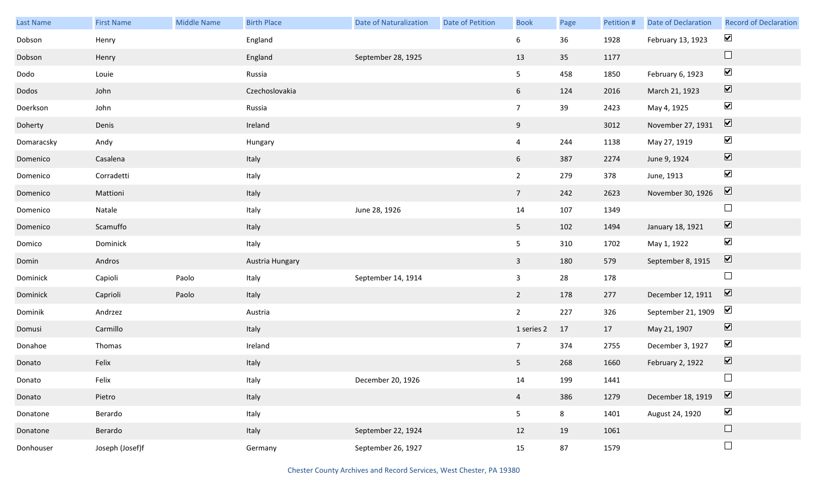| Last Name  | <b>First Name</b> | Middle Name | <b>Birth Place</b> | <b>Date of Naturalization</b> | <b>Date of Petition</b> | <b>Book</b>     | Page | Petition # | Date of Declaration | <b>Record of Declaration</b> |
|------------|-------------------|-------------|--------------------|-------------------------------|-------------------------|-----------------|------|------------|---------------------|------------------------------|
| Dobson     | Henry             |             | England            |                               |                         | 6               | 36   | 1928       | February 13, 1923   | $\blacktriangledown$         |
| Dobson     | Henry             |             | England            | September 28, 1925            |                         | 13              | 35   | 1177       |                     | $\Box$                       |
| Dodo       | Louie             |             | Russia             |                               |                         | 5 <sub>1</sub>  | 458  | 1850       | February 6, 1923    | $\blacktriangledown$         |
| Dodos      | John              |             | Czechoslovakia     |                               |                         | $6\overline{6}$ | 124  | 2016       | March 21, 1923      | $\boxed{\blacktriangledown}$ |
| Doerkson   | John              |             | Russia             |                               |                         | 7 <sup>7</sup>  | 39   | 2423       | May 4, 1925         | $\blacktriangledown$         |
| Doherty    | Denis             |             | Ireland            |                               |                         | 9               |      | 3012       | November 27, 1931   | $\boxed{\blacktriangledown}$ |
| Domaracsky | Andy              |             | Hungary            |                               |                         | $\overline{4}$  | 244  | 1138       | May 27, 1919        | $\blacktriangledown$         |
| Domenico   | Casalena          |             | Italy              |                               |                         | 6               | 387  | 2274       | June 9, 1924        | $\boxed{\blacktriangledown}$ |
| Domenico   | Corradetti        |             | Italy              |                               |                         | $2^{\circ}$     | 279  | 378        | June, 1913          | $\blacktriangledown$         |
| Domenico   | Mattioni          |             | Italy              |                               |                         | $7\overline{ }$ | 242  | 2623       | November 30, 1926   | $\boxed{\blacktriangledown}$ |
| Domenico   | Natale            |             | Italy              | June 28, 1926                 |                         | 14              | 107  | 1349       |                     | $\Box$                       |
| Domenico   | Scamuffo          |             | Italy              |                               |                         | 5 <sub>1</sub>  | 102  | 1494       | January 18, 1921    | $\boxed{\blacktriangledown}$ |
| Domico     | Dominick          |             | Italy              |                               |                         | 5 <sub>1</sub>  | 310  | 1702       | May 1, 1922         | $\blacktriangledown$         |
| Domin      | Andros            |             | Austria Hungary    |                               |                         | $\mathbf{3}$    | 180  | 579        | September 8, 1915   | $\overline{\mathbf{v}}$      |
| Dominick   | Capioli           | Paolo       | Italy              | September 14, 1914            |                         | $\mathbf{3}$    | 28   | 178        |                     | $\Box$                       |
| Dominick   | Caprioli          | Paolo       | Italy              |                               |                         | $\overline{2}$  | 178  | 277        | December 12, 1911   | $\overline{\mathbf{V}}$      |
| Dominik    | Andrzez           |             | Austria            |                               |                         | $2^{\circ}$     | 227  | 326        | September 21, 1909  | $\blacktriangledown$         |
| Domusi     | Carmillo          |             | Italy              |                               |                         | 1 series 2      | 17   | 17         | May 21, 1907        | $\overline{\mathbf{V}}$      |
| Donahoe    | Thomas            |             | Ireland            |                               |                         | 7 <sup>7</sup>  | 374  | 2755       | December 3, 1927    | $\blacktriangledown$         |
| Donato     | Felix             |             | Italy              |                               |                         | 5 <sub>1</sub>  | 268  | 1660       | February 2, 1922    | $\boxed{\blacktriangledown}$ |
| Donato     | Felix             |             | Italy              | December 20, 1926             |                         | 14              | 199  | 1441       |                     | $\Box$                       |
| Donato     | Pietro            |             | Italy              |                               |                         | $\overline{4}$  | 386  | 1279       | December 18, 1919   | $\overline{\mathbf{v}}$      |
| Donatone   | Berardo           |             | Italy              |                               |                         | 5 <sub>1</sub>  | 8    | 1401       | August 24, 1920     | $\blacktriangledown$         |
| Donatone   | Berardo           |             | Italy              | September 22, 1924            |                         | 12              | 19   | 1061       |                     | $\Box$                       |
| Donhouser  | Joseph (Josef)f   |             | Germany            | September 26, 1927            |                         | 15              | 87   | 1579       |                     | $\Box$                       |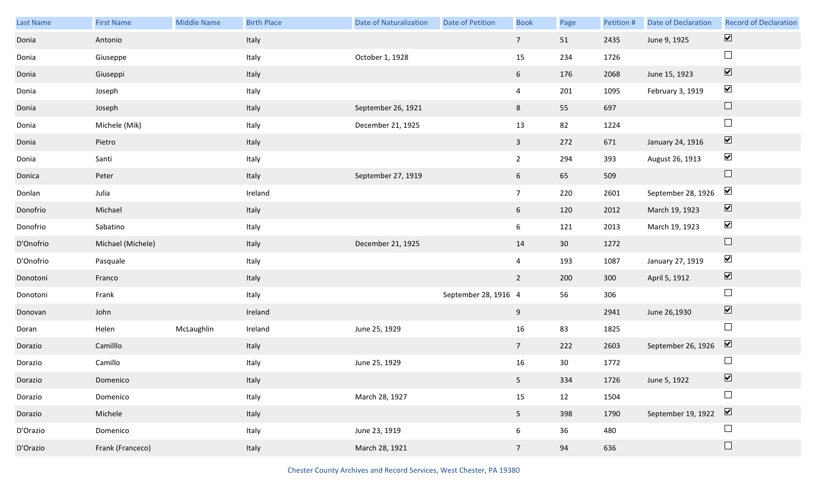| Last Name | <b>First Name</b> | <b>Middle Name</b> | <b>Birth Place</b> | <b>Date of Naturalization</b> | Date of Petition     | <b>Book</b>     | Page            | Petition # | Date of Declaration | <b>Record of Declaration</b> |
|-----------|-------------------|--------------------|--------------------|-------------------------------|----------------------|-----------------|-----------------|------------|---------------------|------------------------------|
| Donia     | Antonio           |                    | Italy              |                               |                      | $7\overline{ }$ | 51              | 2435       | June 9, 1925        | $\boxed{\blacktriangledown}$ |
| Donia     | Giuseppe          |                    | Italy              | October 1, 1928               |                      | 15              | 234             | 1726       |                     | $\Box$                       |
| Donia     | Giuseppi          |                    | Italy              |                               |                      | 6 <sup>1</sup>  | 176             | 2068       | June 15, 1923       | $\boxed{\blacktriangledown}$ |
| Donia     | Joseph            |                    | Italy              |                               |                      | $\overline{4}$  | 201             | 1095       | February 3, 1919    | $\blacktriangledown$         |
| Donia     | Joseph            |                    | Italy              | September 26, 1921            |                      | 8 <sup>1</sup>  | 55              | 697        |                     | $\Box$                       |
| Donia     | Michele (Mik)     |                    | Italy              | December 21, 1925             |                      | 13              | 82              | 1224       |                     | $\Box$                       |
| Donia     | Pietro            |                    | Italy              |                               |                      | $\overline{3}$  | 272             | 671        | January 24, 1916    | $\boxed{\blacktriangledown}$ |
| Donia     | Santi             |                    | Italy              |                               |                      | $\overline{2}$  | 294             | 393        | August 26, 1913     | $\blacktriangledown$         |
| Donica    | Peter             |                    | Italy              | September 27, 1919            |                      | 6 <sup>1</sup>  | 65              | 509        |                     | $\Box$                       |
| Donlan    | Julia             |                    | Ireland            |                               |                      | $7\overline{ }$ | 220             | 2601       | September 28, 1926  | $\blacktriangledown$         |
| Donofrio  | Michael           |                    | Italy              |                               |                      | 6 <sup>1</sup>  | 120             | 2012       | March 19, 1923      | $\boxed{\blacktriangledown}$ |
| Donofrio  | Sabatino          |                    | Italy              |                               |                      | 6               | 121             | 2013       | March 19, 1923      | $\blacktriangledown$         |
| D'Onofrio | Michael (Michele) |                    | Italy              | December 21, 1925             |                      | 14              | 30 <sup>°</sup> | 1272       |                     | $\hfill \square$             |
| D'Onofrio | Pasquale          |                    | Italy              |                               |                      | $\overline{4}$  | 193             | 1087       | January 27, 1919    | $\blacktriangledown$         |
| Donotoni  | Franco            |                    | Italy              |                               |                      | $2^{\circ}$     | 200             | 300        | April 5, 1912       | $\boxed{\blacktriangledown}$ |
| Donotoni  | Frank             |                    | Italy              |                               | September 28, 1916 4 |                 | 56              | 306        |                     | $\Box$                       |
| Donovan   | John              |                    | Ireland            |                               |                      | 9               |                 | 2941       | June 26,1930        | $\boxed{\blacktriangledown}$ |
| Doran     | Helen             | McLaughlin         | Ireland            | June 25, 1929                 |                      | 16              | 83              | 1825       |                     | $\Box$                       |
| Dorazio   | Camilllo          |                    | Italy              |                               |                      | 7 <sup>7</sup>  | 222             | 2603       | September 26, 1926  | $\overline{\mathbf{v}}$      |
| Dorazio   | Camillo           |                    | Italy              | June 25, 1929                 |                      | 16              | 30              | 1772       |                     |                              |
| Dorazio   | Domenico          |                    | Italy              |                               |                      | 5 <sub>1</sub>  | 334             | 1726       | June 5, 1922        | $\overline{\mathbf{v}}$      |
| Dorazio   | Domenico          |                    | Italy              | March 28, 1927                |                      | 15              | 12              | 1504       |                     |                              |
| Dorazio   | Michele           |                    | Italy              |                               |                      | 5 <sub>1</sub>  | 398             | 1790       | September 19, 1922  | $\boxed{\blacktriangledown}$ |
| D'Orazio  | Domenico          |                    | Italy              | June 23, 1919                 |                      | 6               | 36              | 480        |                     |                              |
| D'Orazio  | Frank (Franceco)  |                    | Italy              | March 28, 1921                |                      | 7 <sup>7</sup>  | 94              | 636        |                     | $\Box$                       |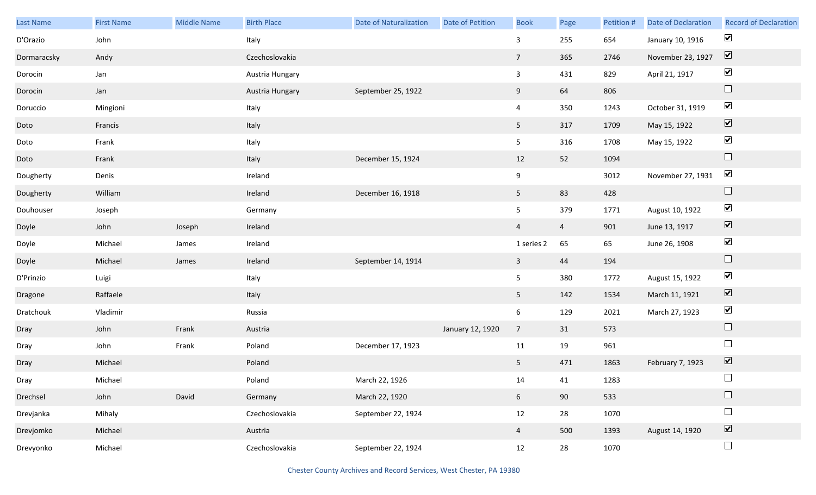| Last Name   | <b>First Name</b> | Middle Name | <b>Birth Place</b> | <b>Date of Naturalization</b> | Date of Petition | <b>Book</b>     | Page           | Petition # | Date of Declaration | <b>Record of Declaration</b> |
|-------------|-------------------|-------------|--------------------|-------------------------------|------------------|-----------------|----------------|------------|---------------------|------------------------------|
| D'Orazio    | John              |             | Italy              |                               |                  | 3               | 255            | 654        | January 10, 1916    | $\blacktriangleright$        |
| Dormaracsky | Andy              |             | Czechoslovakia     |                               |                  | $\overline{7}$  | 365            | 2746       | November 23, 1927   | $\boxed{\blacktriangledown}$ |
| Dorocin     | Jan               |             | Austria Hungary    |                               |                  | $\mathbf{3}$    | 431            | 829        | April 21, 1917      | $\blacktriangledown$         |
| Dorocin     | Jan               |             | Austria Hungary    | September 25, 1922            |                  | 9               | 64             | 806        |                     | $\Box$                       |
| Doruccio    | Mingioni          |             | Italy              |                               |                  | $\overline{4}$  | 350            | 1243       | October 31, 1919    | $\blacktriangledown$         |
| Doto        | Francis           |             | Italy              |                               |                  | 5 <sup>5</sup>  | 317            | 1709       | May 15, 1922        | $\boxed{\blacktriangledown}$ |
| Doto        | Frank             |             | Italy              |                               |                  | 5 <sub>5</sub>  | 316            | 1708       | May 15, 1922        | $\blacktriangledown$         |
| Doto        | Frank             |             | Italy              | December 15, 1924             |                  | 12              | 52             | 1094       |                     | $\hfill \square$             |
| Dougherty   | Denis             |             | Ireland            |                               |                  | 9               |                | 3012       | November 27, 1931   | $\blacktriangledown$         |
| Dougherty   | William           |             | Ireland            | December 16, 1918             |                  | 5 <sub>1</sub>  | 83             | 428        |                     | $\Box$                       |
| Douhouser   | Joseph            |             | Germany            |                               |                  | 5 <sub>5</sub>  | 379            | 1771       | August 10, 1922     | $\blacktriangledown$         |
| Doyle       | John              | Joseph      | Ireland            |                               |                  | $\overline{4}$  | $\overline{4}$ | 901        | June 13, 1917       | $\boxed{\blacktriangledown}$ |
| Doyle       | Michael           | James       | Ireland            |                               |                  | 1 series 2      | 65             | 65         | June 26, 1908       | $\blacktriangledown$         |
| Doyle       | Michael           | James       | Ireland            | September 14, 1914            |                  | $\mathbf{3}$    | 44             | 194        |                     | $\hfill \square$             |
| D'Prinzio   | Luigi             |             | Italy              |                               |                  | 5 <sub>5</sub>  | 380            | 1772       | August 15, 1922     | $\blacktriangledown$         |
| Dragone     | Raffaele          |             | Italy              |                               |                  | 5 <sup>5</sup>  | 142            | 1534       | March 11, 1921      | $\boxed{\blacktriangledown}$ |
| Dratchouk   | Vladimir          |             | Russia             |                               |                  | 6               | 129            | 2021       | March 27, 1923      | $\blacktriangledown$         |
| Dray        | John              | Frank       | Austria            |                               | January 12, 1920 | $7\overline{ }$ | 31             | 573        |                     | $\hfill \square$             |
| Dray        | John              | Frank       | Poland             | December 17, 1923             |                  | $11\,$          | 19             | 961        |                     | $\Box$                       |
| Dray        | Michael           |             | Poland             |                               |                  | 5 <sub>1</sub>  | 471            | 1863       | February 7, 1923    | $\boxed{\blacktriangledown}$ |
| Dray        | Michael           |             | Poland             | March 22, 1926                |                  | 14              | 41             | 1283       |                     | $\Box$                       |
| Drechsel    | John              | David       | Germany            | March 22, 1920                |                  | 6 <sup>1</sup>  | 90             | 533        |                     | $\Box$                       |
| Drevjanka   | Mihaly            |             | Czechoslovakia     | September 22, 1924            |                  | 12              | 28             | 1070       |                     | $\Box$                       |
| Drevjomko   | Michael           |             | Austria            |                               |                  | $\overline{4}$  | 500            | 1393       | August 14, 1920     | $\overline{\textbf{v}}$      |
| Drevyonko   | Michael           |             | Czechoslovakia     | September 22, 1924            |                  | 12              | 28             | 1070       |                     | $\Box$                       |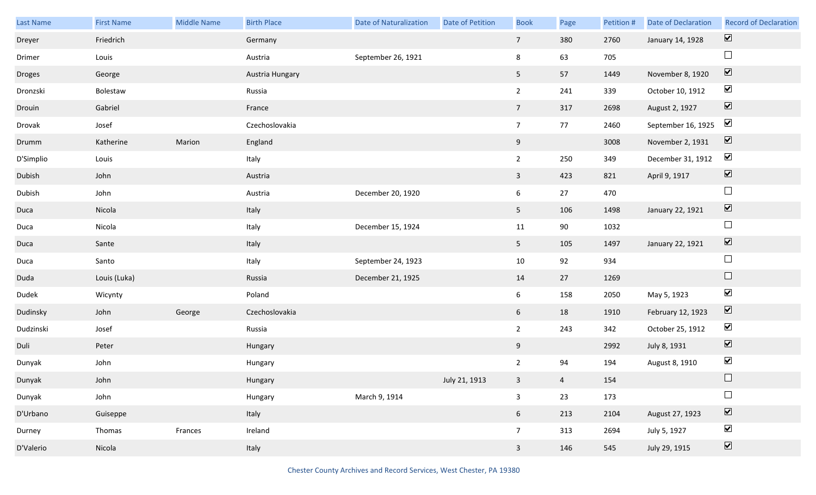| Last Name | <b>First Name</b> | Middle Name | <b>Birth Place</b> | <b>Date of Naturalization</b> | Date of Petition | <b>Book</b>     | Page           | Petition # | <b>Date of Declaration</b> | <b>Record of Declaration</b> |
|-----------|-------------------|-------------|--------------------|-------------------------------|------------------|-----------------|----------------|------------|----------------------------|------------------------------|
| Dreyer    | Friedrich         |             | Germany            |                               |                  | 7 <sup>7</sup>  | 380            | 2760       | January 14, 1928           | $\boxed{\blacktriangledown}$ |
| Drimer    | Louis             |             | Austria            | September 26, 1921            |                  | 8               | 63             | 705        |                            | $\Box$                       |
| Droges    | George            |             | Austria Hungary    |                               |                  | 5 <sub>1</sub>  | 57             | 1449       | November 8, 1920           | $\boxed{\blacktriangledown}$ |
| Dronzski  | Bolestaw          |             | Russia             |                               |                  | $2^{\circ}$     | 241            | 339        | October 10, 1912           | $\blacktriangledown$         |
| Drouin    | Gabriel           |             | France             |                               |                  | 7 <sup>7</sup>  | 317            | 2698       | August 2, 1927             | $\boxed{\blacktriangledown}$ |
| Drovak    | Josef             |             | Czechoslovakia     |                               |                  | $7\overline{ }$ | 77             | 2460       | September 16, 1925         | $\blacktriangledown$         |
| Drumm     | Katherine         | Marion      | England            |                               |                  | 9               |                | 3008       | November 2, 1931           | $\boxed{\blacktriangledown}$ |
| D'Simplio | Louis             |             | Italy              |                               |                  | $2^{\circ}$     | 250            | 349        | December 31, 1912          | $\blacktriangledown$         |
| Dubish    | John              |             | Austria            |                               |                  | $\mathbf{3}$    | 423            | 821        | April 9, 1917              | $\boxed{\blacktriangledown}$ |
| Dubish    | John              |             | Austria            | December 20, 1920             |                  | 6               | 27             | 470        |                            | $\Box$                       |
| Duca      | Nicola            |             | Italy              |                               |                  | 5 <sub>1</sub>  | 106            | 1498       | January 22, 1921           | $\boxed{\blacktriangledown}$ |
| Duca      | Nicola            |             | Italy              | December 15, 1924             |                  | 11              | 90             | 1032       |                            | $\Box$                       |
| Duca      | Sante             |             | Italy              |                               |                  | 5 <sub>1</sub>  | 105            | 1497       | January 22, 1921           | $\boxed{\blacktriangledown}$ |
| Duca      | Santo             |             | Italy              | September 24, 1923            |                  | 10              | 92             | 934        |                            | $\Box$                       |
| Duda      | Louis (Luka)      |             | Russia             | December 21, 1925             |                  | 14              | 27             | 1269       |                            | $\Box$                       |
| Dudek     | Wicynty           |             | Poland             |                               |                  | 6               | 158            | 2050       | May 5, 1923                | $\blacktriangledown$         |
| Dudinsky  | John              | George      | Czechoslovakia     |                               |                  | 6 <sup>1</sup>  | 18             | 1910       | February 12, 1923          | $\overline{\mathbf{v}}$      |
| Dudzinski | Josef             |             | Russia             |                               |                  | $\overline{2}$  | 243            | 342        | October 25, 1912           | $\blacktriangledown$         |
| Duli      | Peter             |             | Hungary            |                               |                  | 9               |                | 2992       | July 8, 1931               | $\boxed{\blacktriangledown}$ |
| Dunyak    | John              |             | Hungary            |                               |                  | $\overline{2}$  | 94             | 194        | August 8, 1910             | $\blacktriangledown$         |
| Dunyak    | John              |             | Hungary            |                               | July 21, 1913    | 3 <sup>7</sup>  | $\overline{4}$ | 154        |                            | $\Box$                       |
| Dunyak    | John              |             | Hungary            | March 9, 1914                 |                  | $\mathbf{3}$    | 23             | 173        |                            | $\Box$                       |
| D'Urbano  | Guiseppe          |             | Italy              |                               |                  | 6 <sup>1</sup>  | 213            | 2104       | August 27, 1923            | $\boxed{\blacktriangledown}$ |
| Durney    | Thomas            | Frances     | Ireland            |                               |                  | $7\overline{ }$ | 313            | 2694       | July 5, 1927               | $\blacktriangledown$         |
| D'Valerio | Nicola            |             | Italy              |                               |                  | $\mathbf{3}$    | 146            | 545        | July 29, 1915              | $\boxed{\blacktriangledown}$ |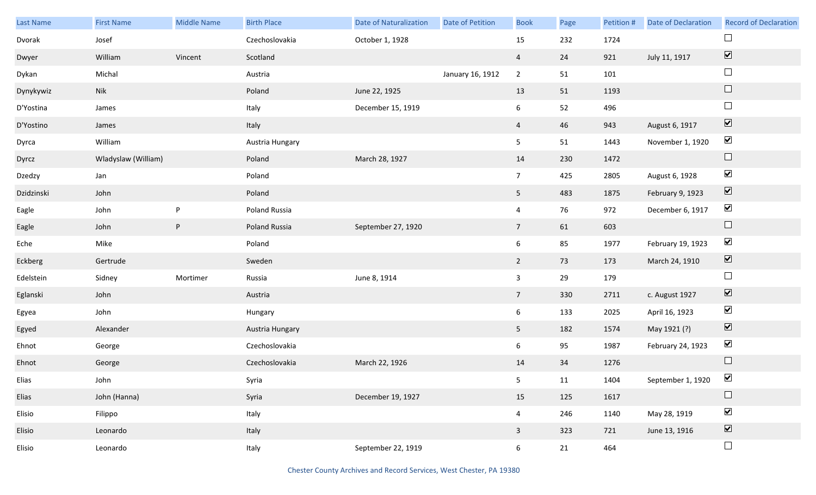| Last Name  | <b>First Name</b>   | <b>Middle Name</b> | <b>Birth Place</b> | <b>Date of Naturalization</b> | Date of Petition | <b>Book</b>     | Page | Petition # | <b>Date of Declaration</b> | <b>Record of Declaration</b> |
|------------|---------------------|--------------------|--------------------|-------------------------------|------------------|-----------------|------|------------|----------------------------|------------------------------|
| Dvorak     | Josef               |                    | Czechoslovakia     | October 1, 1928               |                  | 15              | 232  | 1724       |                            |                              |
| Dwyer      | William             | Vincent            | Scotland           |                               |                  | $\overline{4}$  | 24   | 921        | July 11, 1917              | $\boxed{\blacktriangledown}$ |
| Dykan      | Michal              |                    | Austria            |                               | January 16, 1912 | $\overline{2}$  | 51   | 101        |                            | $\Box$                       |
| Dynykywiz  | Nik                 |                    | Poland             | June 22, 1925                 |                  | 13              | 51   | 1193       |                            | $\Box$                       |
| D'Yostina  | James               |                    | Italy              | December 15, 1919             |                  | 6               | 52   | 496        |                            | $\Box$                       |
| D'Yostino  | James               |                    | Italy              |                               |                  | $\overline{4}$  | 46   | 943        | August 6, 1917             | $\boxed{\blacktriangledown}$ |
| Dyrca      | William             |                    | Austria Hungary    |                               |                  | 5 <sub>5</sub>  | 51   | 1443       | November 1, 1920           | $\blacktriangledown$         |
| Dyrcz      | Wladyslaw (William) |                    | Poland             | March 28, 1927                |                  | 14              | 230  | 1472       |                            | $\hfill \square$             |
| Dzedzy     | Jan                 |                    | Poland             |                               |                  | 7 <sup>7</sup>  | 425  | 2805       | August 6, 1928             | $\blacktriangledown$         |
| Dzidzinski | John                |                    | Poland             |                               |                  | 5 <sub>1</sub>  | 483  | 1875       | February 9, 1923           | $\boxed{\blacktriangledown}$ |
| Eagle      | John                | P                  | Poland Russia      |                               |                  | $\overline{4}$  | 76   | 972        | December 6, 1917           | $\blacktriangledown$         |
| Eagle      | John                | P                  | Poland Russia      | September 27, 1920            |                  | $\overline{7}$  | 61   | 603        |                            | $\hfill \square$             |
| Eche       | Mike                |                    | Poland             |                               |                  | $6\overline{6}$ | 85   | 1977       | February 19, 1923          | $\blacktriangledown$         |
| Eckberg    | Gertrude            |                    | Sweden             |                               |                  | $\overline{2}$  | 73   | 173        | March 24, 1910             | $\blacktriangledown$         |
| Edelstein  | Sidney              | Mortimer           | Russia             | June 8, 1914                  |                  | $\mathbf{3}$    | 29   | 179        |                            | $\Box$                       |
| Eglanski   | John                |                    | Austria            |                               |                  | $7\overline{ }$ | 330  | 2711       | c. August 1927             | $\blacktriangledown$         |
| Egyea      | John                |                    | Hungary            |                               |                  | $6\overline{6}$ | 133  | 2025       | April 16, 1923             | $\blacktriangleright$        |
| Egyed      | Alexander           |                    | Austria Hungary    |                               |                  | 5 <sub>5</sub>  | 182  | 1574       | May 1921 (?)               | $\boxed{\blacktriangledown}$ |
| Ehnot      | George              |                    | Czechoslovakia     |                               |                  | $6\overline{6}$ | 95   | 1987       | February 24, 1923          | $\blacktriangleright$        |
| Ehnot      | George              |                    | Czechoslovakia     | March 22, 1926                |                  | 14              | 34   | 1276       |                            | $\Box$                       |
| Elias      | John                |                    | Syria              |                               |                  | 5 <sub>5</sub>  | 11   | 1404       | September 1, 1920          | $\blacktriangleright$        |
| Elias      | John (Hanna)        |                    | Syria              | December 19, 1927             |                  | 15              | 125  | 1617       |                            | $\Box$                       |
| Elisio     | Filippo             |                    | Italy              |                               |                  | $\overline{4}$  | 246  | 1140       | May 28, 1919               | $\blacktriangledown$         |
| Elisio     | Leonardo            |                    | Italy              |                               |                  | $\mathbf{3}$    | 323  | 721        | June 13, 1916              | $\boxed{\blacktriangledown}$ |
| Elisio     | Leonardo            |                    | Italy              | September 22, 1919            |                  | 6 <sup>1</sup>  | 21   | 464        |                            | $\Box$                       |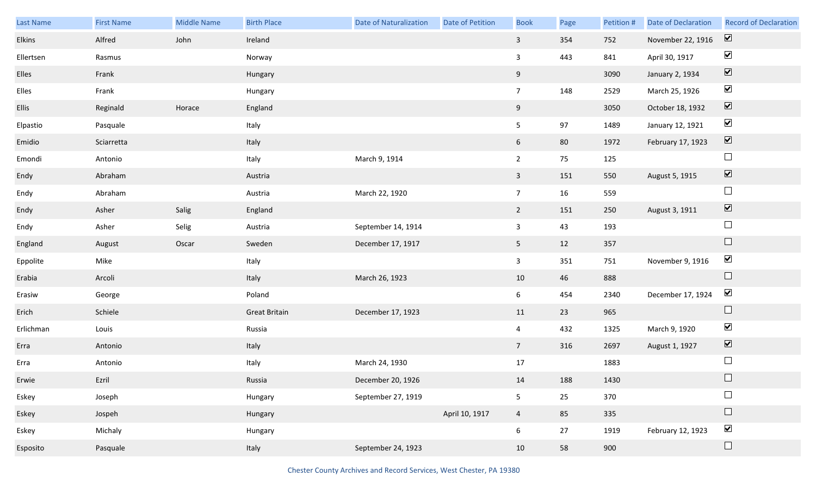| Last Name | <b>First Name</b> | <b>Middle Name</b> | <b>Birth Place</b>   | <b>Date of Naturalization</b> | Date of Petition | <b>Book</b>     | Page | Petition # | <b>Date of Declaration</b> | <b>Record of Declaration</b> |
|-----------|-------------------|--------------------|----------------------|-------------------------------|------------------|-----------------|------|------------|----------------------------|------------------------------|
| Elkins    | Alfred            | John               | Ireland              |                               |                  | $\mathbf{3}$    | 354  | 752        | November 22, 1916          | $\boxed{\blacktriangledown}$ |
| Ellertsen | Rasmus            |                    | Norway               |                               |                  | 3               | 443  | 841        | April 30, 1917             | $\blacktriangledown$         |
| Elles     | Frank             |                    | Hungary              |                               |                  | 9               |      | 3090       | January 2, 1934            | $\boxed{\blacktriangledown}$ |
| Elles     | Frank             |                    | Hungary              |                               |                  | 7 <sup>7</sup>  | 148  | 2529       | March 25, 1926             | $\blacktriangledown$         |
| Ellis     | Reginald          | Horace             | England              |                               |                  | 9               |      | 3050       | October 18, 1932           | $\boxed{\blacktriangledown}$ |
| Elpastio  | Pasquale          |                    | Italy                |                               |                  | 5               | 97   | 1489       | January 12, 1921           | $\blacktriangledown$         |
| Emidio    | Sciarretta        |                    | Italy                |                               |                  | 6               | 80   | 1972       | February 17, 1923          | $\boxed{\blacktriangledown}$ |
| Emondi    | Antonio           |                    | Italy                | March 9, 1914                 |                  | $2^{\circ}$     | 75   | 125        |                            | $\Box$                       |
| Endy      | Abraham           |                    | Austria              |                               |                  | $\mathbf{3}$    | 151  | 550        | August 5, 1915             | $\boxed{\blacktriangledown}$ |
| Endy      | Abraham           |                    | Austria              | March 22, 1920                |                  | $7\overline{ }$ | 16   | 559        |                            | $\Box$                       |
| Endy      | Asher             | Salig              | England              |                               |                  | $\overline{2}$  | 151  | 250        | August 3, 1911             | $\boxed{\blacktriangledown}$ |
| Endy      | Asher             | Selig              | Austria              | September 14, 1914            |                  | $\mathbf{3}$    | 43   | 193        |                            | $\Box$                       |
| England   | August            | Oscar              | Sweden               | December 17, 1917             |                  | 5 <sub>1</sub>  | 12   | 357        |                            | $\Box$                       |
| Eppolite  | Mike              |                    | Italy                |                               |                  | $\mathbf{3}$    | 351  | 751        | November 9, 1916           | $\blacktriangledown$         |
| Erabia    | Arcoli            |                    | Italy                | March 26, 1923                |                  | 10              | 46   | 888        |                            | $\Box$                       |
| Erasiw    | George            |                    | Poland               |                               |                  | 6 <sup>1</sup>  | 454  | 2340       | December 17, 1924          | $\blacktriangledown$         |
| Erich     | Schiele           |                    | <b>Great Britain</b> | December 17, 1923             |                  | 11              | 23   | 965        |                            | $\Box$                       |
| Erlichman | Louis             |                    | Russia               |                               |                  | $\overline{4}$  | 432  | 1325       | March 9, 1920              | $\blacktriangledown$         |
| Erra      | Antonio           |                    | Italy                |                               |                  | 7 <sup>7</sup>  | 316  | 2697       | August 1, 1927             | $\boxed{\blacktriangledown}$ |
| Erra      | Antonio           |                    | Italy                | March 24, 1930                |                  | 17              |      | 1883       |                            | $\Box$                       |
| Erwie     | Ezril             |                    | Russia               | December 20, 1926             |                  | 14              | 188  | 1430       |                            |                              |
| Eskey     | Joseph            |                    | Hungary              | September 27, 1919            |                  | 5 <sub>5</sub>  | 25   | 370        |                            | $\Box$                       |
| Eskey     | Jospeh            |                    | Hungary              |                               | April 10, 1917   | $\overline{4}$  | 85   | 335        |                            | $\Box$                       |
| Eskey     | Michaly           |                    | Hungary              |                               |                  | 6               | 27   | 1919       | February 12, 1923          | $\blacktriangledown$         |
| Esposito  | Pasquale          |                    | Italy                | September 24, 1923            |                  | 10              | 58   | 900        |                            | $\Box$                       |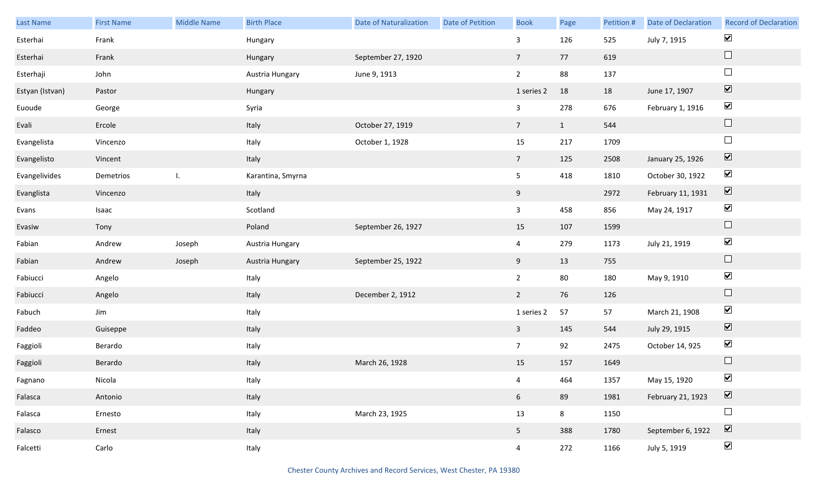| Last Name       | <b>First Name</b> | Middle Name | <b>Birth Place</b> | <b>Date of Naturalization</b> | Date of Petition | <b>Book</b>     | Page         | Petition # | <b>Date of Declaration</b> | <b>Record of Declaration</b> |
|-----------------|-------------------|-------------|--------------------|-------------------------------|------------------|-----------------|--------------|------------|----------------------------|------------------------------|
| Esterhai        | Frank             |             | Hungary            |                               |                  | 3               | 126          | 525        | July 7, 1915               | $\blacktriangledown$         |
| Esterhai        | Frank             |             | Hungary            | September 27, 1920            |                  | $7\overline{ }$ | 77           | 619        |                            | $\Box$                       |
| Esterhaji       | John              |             | Austria Hungary    | June 9, 1913                  |                  | $2^{\circ}$     | 88           | 137        |                            | $\Box$                       |
| Estyan (Istvan) | Pastor            |             | Hungary            |                               |                  | 1 series 2      | 18           | 18         | June 17, 1907              | $\boxed{\blacktriangledown}$ |
| Euoude          | George            |             | Syria              |                               |                  | $\mathbf{3}$    | 278          | 676        | February 1, 1916           | $\blacktriangledown$         |
| Evali           | Ercole            |             | Italy              | October 27, 1919              |                  | $7\overline{ }$ | $\mathbf{1}$ | 544        |                            | $\hfill \square$             |
| Evangelista     | Vincenzo          |             | Italy              | October 1, 1928               |                  | 15              | 217          | 1709       |                            | $\Box$                       |
| Evangelisto     | Vincent           |             | Italy              |                               |                  | $7\overline{ }$ | 125          | 2508       | January 25, 1926           | $\boxed{\blacktriangledown}$ |
| Evangelivides   | Demetrios         | I.          | Karantina, Smyrna  |                               |                  | 5               | 418          | 1810       | October 30, 1922           | $\blacktriangledown$         |
| Evanglista      | Vincenzo          |             | Italy              |                               |                  | 9               |              | 2972       | February 11, 1931          | $\boxed{\blacktriangledown}$ |
| Evans           | Isaac             |             | Scotland           |                               |                  | $\mathbf{3}$    | 458          | 856        | May 24, 1917               | $\blacktriangledown$         |
| Evasiw          | Tony              |             | Poland             | September 26, 1927            |                  | 15              | 107          | 1599       |                            | $\Box$                       |
| Fabian          | Andrew            | Joseph      | Austria Hungary    |                               |                  | $\overline{4}$  | 279          | 1173       | July 21, 1919              | $\blacktriangledown$         |
| Fabian          | Andrew            | Joseph      | Austria Hungary    | September 25, 1922            |                  | 9               | 13           | 755        |                            | $\Box$                       |
| Fabiucci        | Angelo            |             | Italy              |                               |                  | $\overline{2}$  | 80           | 180        | May 9, 1910                | $\blacktriangledown$         |
| Fabiucci        | Angelo            |             | Italy              | December 2, 1912              |                  | $\overline{2}$  | 76           | 126        |                            | $\Box$                       |
| Fabuch          | Jim               |             | Italy              |                               |                  | 1 series 2      | 57           | 57         | March 21, 1908             | $\blacktriangledown$         |
| Faddeo          | Guiseppe          |             | Italy              |                               |                  | $\mathbf{3}$    | 145          | 544        | July 29, 1915              | $\boxed{\blacktriangledown}$ |
| Faggioli        | Berardo           |             | Italy              |                               |                  | 7 <sup>7</sup>  | 92           | 2475       | October 14, 925            | $\blacktriangledown$         |
| Faggioli        | Berardo           |             | Italy              | March 26, 1928                |                  | 15              | 157          | 1649       |                            | $\Box$                       |
| Fagnano         | Nicola            |             | Italy              |                               |                  | $\overline{4}$  | 464          | 1357       | May 15, 1920               | $\blacktriangledown$         |
| Falasca         | Antonio           |             | Italy              |                               |                  | 6 <sup>1</sup>  | 89           | 1981       | February 21, 1923          | $\boxed{\blacktriangledown}$ |
| Falasca         | Ernesto           |             | Italy              | March 23, 1925                |                  | 13              | 8            | 1150       |                            | $\Box$                       |
| Falasco         | Ernest            |             | Italy              |                               |                  | 5 <sub>1</sub>  | 388          | 1780       | September 6, 1922          | $\boxed{\blacktriangledown}$ |
| Falcetti        | Carlo             |             | Italy              |                               |                  | $\overline{4}$  | 272          | 1166       | July 5, 1919               | $\blacktriangledown$         |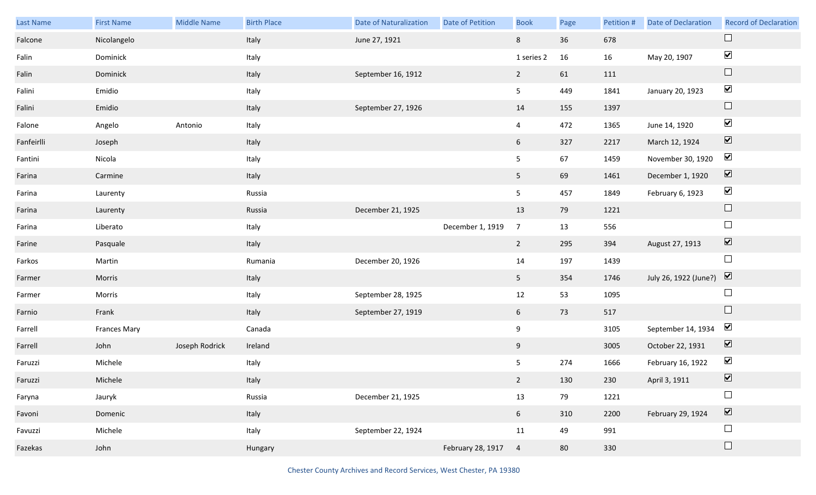| Last Name  | <b>First Name</b>   | <b>Middle Name</b> | <b>Birth Place</b> | <b>Date of Naturalization</b> | <b>Date of Petition</b> | <b>Book</b>    | Page | Petition # | <b>Date of Declaration</b> | <b>Record of Declaration</b> |
|------------|---------------------|--------------------|--------------------|-------------------------------|-------------------------|----------------|------|------------|----------------------------|------------------------------|
| Falcone    | Nicolangelo         |                    | Italy              | June 27, 1921                 |                         | 8              | 36   | 678        |                            | $\Box$                       |
| Falin      | Dominick            |                    | Italy              |                               |                         | 1 series 2     | 16   | 16         | May 20, 1907               | $\blacktriangledown$         |
| Falin      | Dominick            |                    | Italy              | September 16, 1912            |                         | $2^{\circ}$    | 61   | 111        |                            | $\Box$                       |
| Falini     | Emidio              |                    | Italy              |                               |                         | 5              | 449  | 1841       | January 20, 1923           | $\blacktriangledown$         |
| Falini     | Emidio              |                    | Italy              | September 27, 1926            |                         | 14             | 155  | 1397       |                            | $\Box$                       |
| Falone     | Angelo              | Antonio            | Italy              |                               |                         | $\overline{4}$ | 472  | 1365       | June 14, 1920              | $\blacktriangledown$         |
| Fanfeirlli | Joseph              |                    | Italy              |                               |                         | $6\,$          | 327  | 2217       | March 12, 1924             | $\boxed{\blacktriangledown}$ |
| Fantini    | Nicola              |                    | Italy              |                               |                         | 5              | 67   | 1459       | November 30, 1920          | $\blacktriangledown$         |
| Farina     | Carmine             |                    | Italy              |                               |                         | 5 <sub>1</sub> | 69   | 1461       | December 1, 1920           | $\boxed{\blacktriangledown}$ |
| Farina     | Laurenty            |                    | Russia             |                               |                         | 5              | 457  | 1849       | February 6, 1923           | $\blacktriangledown$         |
| Farina     | Laurenty            |                    | Russia             | December 21, 1925             |                         | 13             | 79   | 1221       |                            | $\Box$                       |
| Farina     | Liberato            |                    | Italy              |                               | December 1, 1919        | $\overline{7}$ | 13   | 556        |                            | $\Box$                       |
| Farine     | Pasquale            |                    | Italy              |                               |                         | $2^{\circ}$    | 295  | 394        | August 27, 1913            | $\boxed{\blacktriangledown}$ |
| Farkos     | Martin              |                    | Rumania            | December 20, 1926             |                         | 14             | 197  | 1439       |                            | $\Box$                       |
| Farmer     | Morris              |                    | Italy              |                               |                         | 5 <sub>1</sub> | 354  | 1746       | July 26, 1922 (June?)      | $\overline{\mathbf{v}}$      |
| Farmer     | Morris              |                    | Italy              | September 28, 1925            |                         | 12             | 53   | 1095       |                            | $\overline{\phantom{a}}$     |
| Farnio     | Frank               |                    | Italy              | September 27, 1919            |                         | 6              | 73   | 517        |                            | $\Box$                       |
| Farrell    | <b>Frances Mary</b> |                    | Canada             |                               |                         | 9              |      | 3105       | September 14, 1934         | $\blacktriangledown$         |
| Farrell    | John                | Joseph Rodrick     | Ireland            |                               |                         | 9              |      | 3005       | October 22, 1931           | $\overline{\mathbf{v}}$      |
| Faruzzi    | Michele             |                    | Italy              |                               |                         | 5              | 274  | 1666       | February 16, 1922          | $\blacktriangledown$         |
| Faruzzi    | Michele             |                    | Italy              |                               |                         | 2              | 130  | 230        | April 3, 1911              | $\triangledown$              |
| Faryna     | Jauryk              |                    | Russia             | December 21, 1925             |                         | 13             | 79   | 1221       |                            | $\Box$                       |
| Favoni     | Domenic             |                    | Italy              |                               |                         | 6 <sup>1</sup> | 310  | 2200       | February 29, 1924          | $\boxed{\blacktriangledown}$ |
| Favuzzi    | Michele             |                    | Italy              | September 22, 1924            |                         | 11             | 49   | 991        |                            | $\Box$                       |
| Fazekas    | John                |                    | Hungary            |                               | February 28, 1917       | $\overline{4}$ | 80   | 330        |                            | $\Box$                       |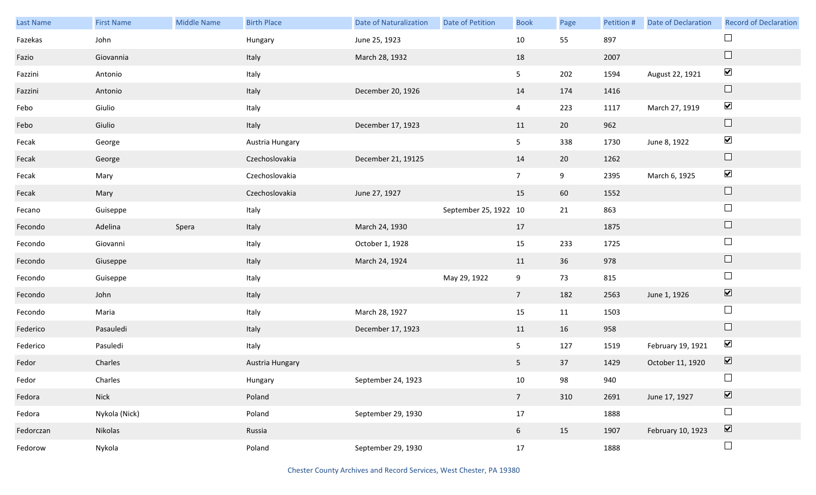| Last Name | <b>First Name</b> | <b>Middle Name</b> | <b>Birth Place</b> | <b>Date of Naturalization</b> | Date of Petition      | <b>Book</b>    | Page | Petition # | Date of Declaration | <b>Record of Declaration</b>    |
|-----------|-------------------|--------------------|--------------------|-------------------------------|-----------------------|----------------|------|------------|---------------------|---------------------------------|
| Fazekas   | John              |                    | Hungary            | June 25, 1923                 |                       | $10\,$         | 55   | 897        |                     | $\Box$                          |
| Fazio     | Giovannia         |                    | Italy              | March 28, 1932                |                       | 18             |      | 2007       |                     | $\Box$                          |
| Fazzini   | Antonio           |                    | Italy              |                               |                       | 5              | 202  | 1594       | August 22, 1921     | $\blacktriangledown$            |
| Fazzini   | Antonio           |                    | Italy              | December 20, 1926             |                       | 14             | 174  | 1416       |                     | $\Box$                          |
| Febo      | Giulio            |                    | Italy              |                               |                       | $\overline{4}$ | 223  | 1117       | March 27, 1919      | $\blacktriangledown$            |
| Febo      | Giulio            |                    | Italy              | December 17, 1923             |                       | 11             | 20   | 962        |                     | $\hfill \square$                |
| Fecak     | George            |                    | Austria Hungary    |                               |                       | 5 <sub>5</sub> | 338  | 1730       | June 8, 1922        | $\blacktriangledown$            |
| Fecak     | George            |                    | Czechoslovakia     | December 21, 19125            |                       | 14             | 20   | 1262       |                     | $\hfill \square$                |
| Fecak     | Mary              |                    | Czechoslovakia     |                               |                       | 7 <sup>7</sup> | 9    | 2395       | March 6, 1925       | $\blacktriangledown$            |
| Fecak     | Mary              |                    | Czechoslovakia     | June 27, 1927                 |                       | 15             | 60   | 1552       |                     | $\hfill \square$                |
| Fecano    | Guiseppe          |                    | Italy              |                               | September 25, 1922 10 |                | 21   | 863        |                     | $\Box$                          |
| Fecondo   | Adelina           | Spera              | Italy              | March 24, 1930                |                       | 17             |      | 1875       |                     | $\hfill \square$                |
| Fecondo   | Giovanni          |                    | Italy              | October 1, 1928               |                       | 15             | 233  | 1725       |                     | $\Box$                          |
| Fecondo   | Giuseppe          |                    | Italy              | March 24, 1924                |                       | 11             | 36   | 978        |                     | $\hfill \square$                |
| Fecondo   | Guiseppe          |                    | Italy              |                               | May 29, 1922          | 9              | 73   | 815        |                     | $\Box$                          |
| Fecondo   | John              |                    | Italy              |                               |                       | 7 <sup>7</sup> | 182  | 2563       | June 1, 1926        | $\blacktriangledown$            |
| Fecondo   | Maria             |                    | Italy              | March 28, 1927                |                       | 15             | 11   | 1503       |                     | $\Box$                          |
| Federico  | Pasauledi         |                    | Italy              | December 17, 1923             |                       | 11             | 16   | 958        |                     | $\Box$                          |
| Federico  | Pasuledi          |                    | Italy              |                               |                       | 5              | 127  | 1519       | February 19, 1921   | $\blacktriangledown$            |
| Fedor     | Charles           |                    | Austria Hungary    |                               |                       | 5 <sup>5</sup> | 37   | 1429       | October 11, 1920    | $\boxed{\blacktriangledown}$    |
| Fedor     | Charles           |                    | Hungary            | September 24, 1923            |                       | 10             | 98   | 940        |                     | $\Box$                          |
| Fedora    | Nick              |                    | Poland             |                               |                       | 7 <sup>7</sup> | 310  | 2691       | June 17, 1927       | $\overline{\blacktriangledown}$ |
| Fedora    | Nykola (Nick)     |                    | Poland             | September 29, 1930            |                       | $17\,$         |      | 1888       |                     | $\Box$                          |
| Fedorczan | Nikolas           |                    | Russia             |                               |                       | 6 <sup>1</sup> | 15   | 1907       | February 10, 1923   | $\overline{\mathbf{v}}$         |
| Fedorow   | Nykola            |                    | Poland             | September 29, 1930            |                       | 17             |      | 1888       |                     | $\Box$                          |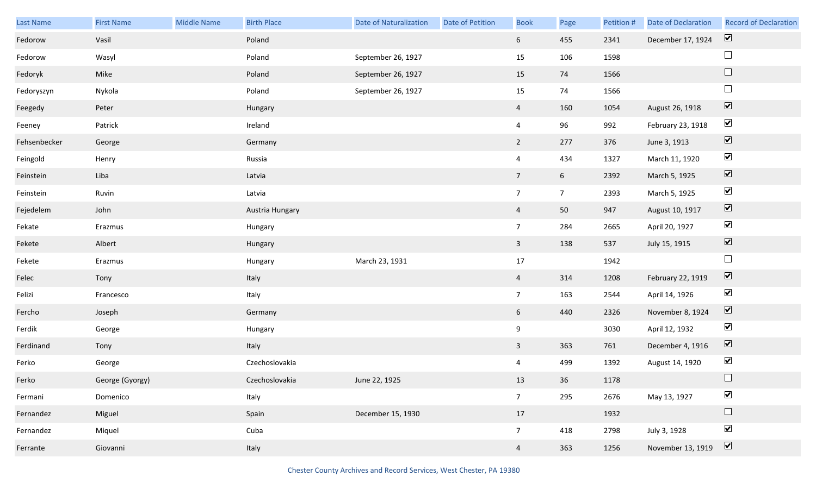| Last Name    | <b>First Name</b> | Middle Name | <b>Birth Place</b> | <b>Date of Naturalization</b> | Date of Petition | <b>Book</b>     | Page            | Petition # | Date of Declaration | <b>Record of Declaration</b> |
|--------------|-------------------|-------------|--------------------|-------------------------------|------------------|-----------------|-----------------|------------|---------------------|------------------------------|
| Fedorow      | Vasil             |             | Poland             |                               |                  | 6 <sup>1</sup>  | 455             | 2341       | December 17, 1924   | $\overline{\mathbf{v}}$      |
| Fedorow      | Wasyl             |             | Poland             | September 26, 1927            |                  | 15              | 106             | 1598       |                     | $\Box$                       |
| Fedoryk      | Mike              |             | Poland             | September 26, 1927            |                  | 15              | 74              | 1566       |                     | $\Box$                       |
| Fedoryszyn   | Nykola            |             | Poland             | September 26, 1927            |                  | 15              | 74              | 1566       |                     | $\Box$                       |
| Feegedy      | Peter             |             | Hungary            |                               |                  | $\overline{4}$  | 160             | 1054       | August 26, 1918     | $\boxed{\blacktriangledown}$ |
| Feeney       | Patrick           |             | Ireland            |                               |                  | $\overline{4}$  | 96              | 992        | February 23, 1918   | $\blacktriangledown$         |
| Fehsenbecker | George            |             | Germany            |                               |                  | $2^{\circ}$     | 277             | 376        | June 3, 1913        | $\overline{\mathbf{v}}$      |
| Feingold     | Henry             |             | Russia             |                               |                  | $\overline{4}$  | 434             | 1327       | March 11, 1920      | $\blacktriangledown$         |
| Feinstein    | Liba              |             | Latvia             |                               |                  | $7\overline{ }$ | $6\overline{6}$ | 2392       | March 5, 1925       | $\overline{\mathbf{v}}$      |
| Feinstein    | Ruvin             |             | Latvia             |                               |                  | $7\overline{ }$ | 7 <sup>7</sup>  | 2393       | March 5, 1925       | $\blacktriangledown$         |
| Fejedelem    | John              |             | Austria Hungary    |                               |                  | $\overline{4}$  | 50              | 947        | August 10, 1917     | $\boxed{\blacktriangledown}$ |
| Fekate       | Erazmus           |             | Hungary            |                               |                  | $7\overline{ }$ | 284             | 2665       | April 20, 1927      | $\blacktriangledown$         |
| Fekete       | Albert            |             | Hungary            |                               |                  | $\mathbf{3}$    | 138             | 537        | July 15, 1915       | $\overline{\mathbf{v}}$      |
| Fekete       | Erazmus           |             | Hungary            | March 23, 1931                |                  | 17              |                 | 1942       |                     | $\Box$                       |
| Felec        | Tony              |             | Italy              |                               |                  | $\overline{4}$  | 314             | 1208       | February 22, 1919   | $\boxed{\blacktriangledown}$ |
| Felizi       | Francesco         |             | Italy              |                               |                  | $7\overline{ }$ | 163             | 2544       | April 14, 1926      | $\blacktriangledown$         |
| Fercho       | Joseph            |             | Germany            |                               |                  | 6 <sup>1</sup>  | 440             | 2326       | November 8, 1924    | $\boxed{\blacktriangledown}$ |
| Ferdik       | George            |             | Hungary            |                               |                  | 9               |                 | 3030       | April 12, 1932      | $\blacktriangledown$         |
| Ferdinand    | Tony              |             | Italy              |                               |                  | $\overline{3}$  | 363             | 761        | December 4, 1916    | $\overline{\mathbf{v}}$      |
| Ferko        | George            |             | Czechoslovakia     |                               |                  | 4               | 499             | 1392       | August 14, 1920     | $\blacktriangledown$         |
| Ferko        | George (Gyorgy)   |             | Czechoslovakia     | June 22, 1925                 |                  | 13              | 36              | 1178       |                     |                              |
| Fermani      | Domenico          |             | Italy              |                               |                  | 7 <sup>7</sup>  | 295             | 2676       | May 13, 1927        | $\blacktriangledown$         |
| Fernandez    | Miguel            |             | Spain              | December 15, 1930             |                  | 17              |                 | 1932       |                     | $\Box$                       |
| Fernandez    | Miquel            |             | Cuba               |                               |                  | $7\overline{ }$ | 418             | 2798       | July 3, 1928        | $\blacktriangledown$         |
| Ferrante     | Giovanni          |             | Italy              |                               |                  | $\overline{4}$  | 363             | 1256       | November 13, 1919   | $\boxed{\blacktriangledown}$ |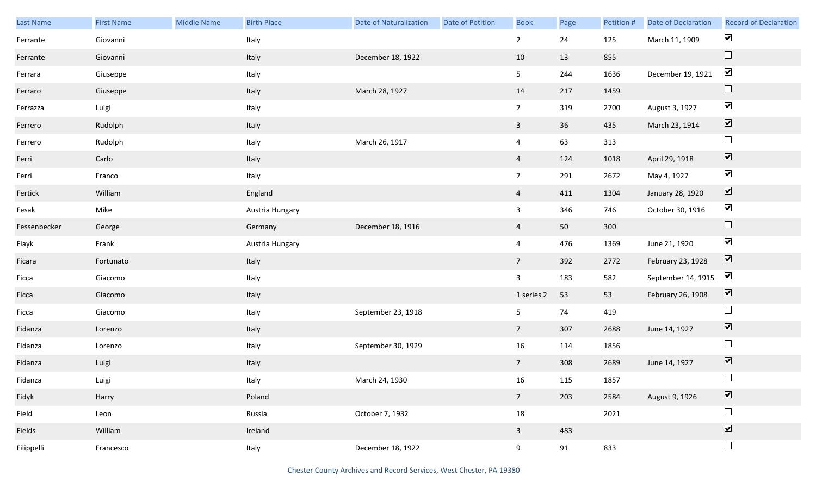| Last Name    | <b>First Name</b> | Middle Name | <b>Birth Place</b> | <b>Date of Naturalization</b> | <b>Date of Petition</b> | <b>Book</b>     | Page | Petition # | Date of Declaration | <b>Record of Declaration</b> |
|--------------|-------------------|-------------|--------------------|-------------------------------|-------------------------|-----------------|------|------------|---------------------|------------------------------|
| Ferrante     | Giovanni          |             | Italy              |                               |                         | $2^{\circ}$     | 24   | 125        | March 11, 1909      | $\blacktriangledown$         |
| Ferrante     | Giovanni          |             | Italy              | December 18, 1922             |                         | 10              | 13   | 855        |                     | $\hfill \square$             |
| Ferrara      | Giuseppe          |             | Italy              |                               |                         | 5 <sub>1</sub>  | 244  | 1636       | December 19, 1921   | $\blacktriangledown$         |
| Ferraro      | Giuseppe          |             | Italy              | March 28, 1927                |                         | 14              | 217  | 1459       |                     | $\hfill \square$             |
| Ferrazza     | Luigi             |             | Italy              |                               |                         | 7 <sup>7</sup>  | 319  | 2700       | August 3, 1927      | $\blacktriangledown$         |
| Ferrero      | Rudolph           |             | Italy              |                               |                         | $\mathbf{3}$    | 36   | 435        | March 23, 1914      | $\boxed{\blacktriangledown}$ |
| Ferrero      | Rudolph           |             | Italy              | March 26, 1917                |                         | $\overline{4}$  | 63   | 313        |                     | $\Box$                       |
| Ferri        | Carlo             |             | Italy              |                               |                         | $\overline{4}$  | 124  | 1018       | April 29, 1918      | $\boxed{\blacktriangledown}$ |
| Ferri        | Franco            |             | Italy              |                               |                         | $7\overline{ }$ | 291  | 2672       | May 4, 1927         | $\blacktriangledown$         |
| Fertick      | William           |             | England            |                               |                         | $\overline{4}$  | 411  | 1304       | January 28, 1920    | $\boxed{\blacktriangledown}$ |
| Fesak        | Mike              |             | Austria Hungary    |                               |                         | $\mathbf{3}$    | 346  | 746        | October 30, 1916    | $\blacktriangledown$         |
| Fessenbecker | George            |             | Germany            | December 18, 1916             |                         | $\overline{4}$  | 50   | 300        |                     | $\hfill \square$             |
| Fiayk        | Frank             |             | Austria Hungary    |                               |                         | $\overline{4}$  | 476  | 1369       | June 21, 1920       | $\blacktriangledown$         |
| Ficara       | Fortunato         |             | Italy              |                               |                         | $7\overline{ }$ | 392  | 2772       | February 23, 1928   | $\boxed{\blacktriangledown}$ |
| Ficca        | Giacomo           |             | Italy              |                               |                         | $\mathbf{3}$    | 183  | 582        | September 14, 1915  | $\blacktriangledown$         |
| Ficca        | Giacomo           |             | Italy              |                               |                         | 1 series 2      | 53   | 53         | February 26, 1908   | $\blacktriangledown$         |
| Ficca        | Giacomo           |             | Italy              | September 23, 1918            |                         | 5 <sub>1</sub>  | 74   | 419        |                     | $\Box$                       |
| Fidanza      | Lorenzo           |             | Italy              |                               |                         | $7\overline{ }$ | 307  | 2688       | June 14, 1927       | $\boxed{\blacktriangledown}$ |
| Fidanza      | Lorenzo           |             | Italy              | September 30, 1929            |                         | 16              | 114  | 1856       |                     | $\Box$                       |
| Fidanza      | Luigi             |             | Italy              |                               |                         | $7\overline{ }$ | 308  | 2689       | June 14, 1927       | $\boxed{\blacktriangledown}$ |
| Fidanza      | Luigi             |             | Italy              | March 24, 1930                |                         | 16              | 115  | 1857       |                     | $\Box$                       |
| Fidyk        | Harry             |             | Poland             |                               |                         | 7 <sup>7</sup>  | 203  | 2584       | August 9, 1926      | $\boxed{\blacktriangledown}$ |
| Field        | Leon              |             | Russia             | October 7, 1932               |                         | $18\,$          |      | 2021       |                     | $\Box$                       |
| Fields       | William           |             | Ireland            |                               |                         | $\mathbf{3}$    | 483  |            |                     | $\boxed{\blacktriangledown}$ |
| Filippelli   | Francesco         |             | Italy              | December 18, 1922             |                         | 9               | 91   | 833        |                     | $\Box$                       |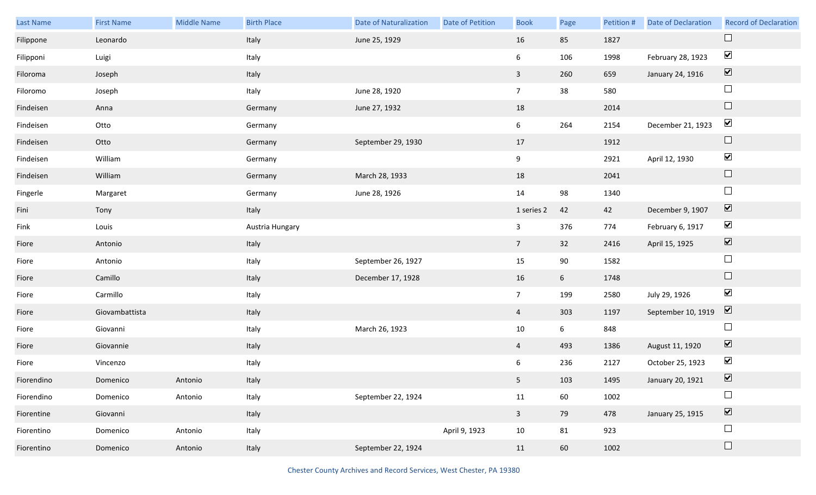| Last Name  | <b>First Name</b> | Middle Name | <b>Birth Place</b> | <b>Date of Naturalization</b> | Date of Petition | <b>Book</b>    | Page            | Petition # | Date of Declaration | <b>Record of Declaration</b> |
|------------|-------------------|-------------|--------------------|-------------------------------|------------------|----------------|-----------------|------------|---------------------|------------------------------|
| Filippone  | Leonardo          |             | Italy              | June 25, 1929                 |                  | 16             | 85              | 1827       |                     | $\Box$                       |
| Filipponi  | Luigi             |             | Italy              |                               |                  | 6              | 106             | 1998       | February 28, 1923   | $\blacktriangledown$         |
| Filoroma   | Joseph            |             | Italy              |                               |                  | $\mathbf{3}$   | 260             | 659        | January 24, 1916    | $\overline{\mathbf{v}}$      |
| Filoromo   | Joseph            |             | Italy              | June 28, 1920                 |                  | 7 <sup>7</sup> | 38              | 580        |                     | $\Box$                       |
| Findeisen  | Anna              |             | Germany            | June 27, 1932                 |                  | $18\,$         |                 | 2014       |                     | $\Box$                       |
| Findeisen  | Otto              |             | Germany            |                               |                  | 6              | 264             | 2154       | December 21, 1923   | $\blacktriangledown$         |
| Findeisen  | Otto              |             | Germany            | September 29, 1930            |                  | 17             |                 | 1912       |                     | $\Box$                       |
| Findeisen  | William           |             | Germany            |                               |                  | 9              |                 | 2921       | April 12, 1930      | $\blacktriangledown$         |
| Findeisen  | William           |             | Germany            | March 28, 1933                |                  | $18\,$         |                 | 2041       |                     | $\Box$                       |
| Fingerle   | Margaret          |             | Germany            | June 28, 1926                 |                  | 14             | 98              | 1340       |                     | $\Box$                       |
| Fini       | Tony              |             | Italy              |                               |                  | 1 series 2     | 42              | 42         | December 9, 1907    | $\overline{\mathbf{v}}$      |
| Fink       | Louis             |             | Austria Hungary    |                               |                  | $\mathbf{3}$   | 376             | 774        | February 6, 1917    | $\blacktriangledown$         |
| Fiore      | Antonio           |             | Italy              |                               |                  | 7 <sup>7</sup> | 32              | 2416       | April 15, 1925      | $\blacktriangledown$         |
| Fiore      | Antonio           |             | Italy              | September 26, 1927            |                  | 15             | 90              | 1582       |                     | $\Box$                       |
| Fiore      | Camillo           |             | Italy              | December 17, 1928             |                  | 16             | $6\overline{6}$ | 1748       |                     | $\Box$                       |
| Fiore      | Carmillo          |             | Italy              |                               |                  | 7 <sup>7</sup> | 199             | 2580       | July 29, 1926       | $\blacktriangledown$         |
| Fiore      | Giovambattista    |             | Italy              |                               |                  | $\overline{4}$ | 303             | 1197       | September 10, 1919  | $\overline{\mathbf{v}}$      |
| Fiore      | Giovanni          |             | Italy              | March 26, 1923                |                  | $10\,$         | $6\overline{6}$ | 848        |                     | $\Box$                       |
| Fiore      | Giovannie         |             | Italy              |                               |                  | $\overline{4}$ | 493             | 1386       | August 11, 1920     | $\overline{\mathbf{v}}$      |
| Fiore      | Vincenzo          |             | Italy              |                               |                  | 6              | 236             | 2127       | October 25, 1923    | $\blacktriangledown$         |
| Fiorendino | Domenico          | Antonio     | Italy              |                               |                  | 5 <sub>1</sub> | 103             | 1495       | January 20, 1921    | $\overline{\mathbf{v}}$      |
| Fiorendino | Domenico          | Antonio     | Italy              | September 22, 1924            |                  | 11             | 60              | 1002       |                     | $\Box$                       |
| Fiorentine | Giovanni          |             | Italy              |                               |                  | $\mathbf{3}$   | 79              | 478        | January 25, 1915    | $\overline{\mathbf{v}}$      |
| Fiorentino | Domenico          | Antonio     | Italy              |                               | April 9, 1923    | 10             | 81              | 923        |                     | $\Box$                       |
| Fiorentino | Domenico          | Antonio     | Italy              | September 22, 1924            |                  | 11             | 60              | 1002       |                     | $\Box$                       |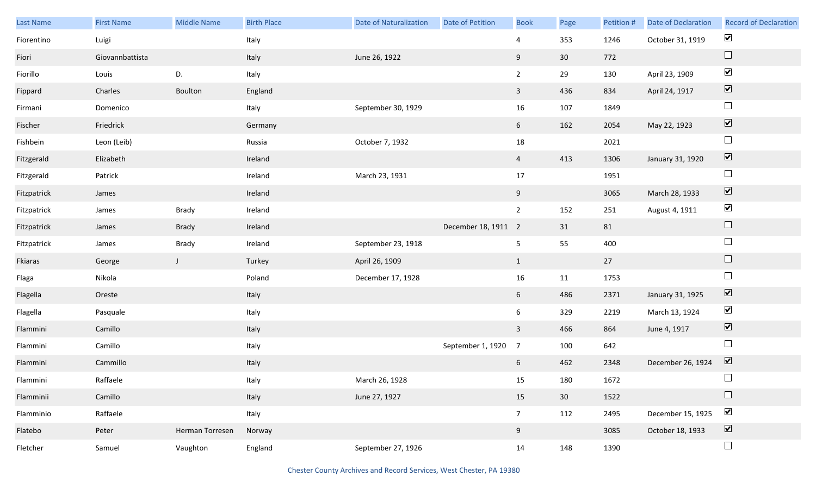| Last Name   | <b>First Name</b> | <b>Middle Name</b> | <b>Birth Place</b> | <b>Date of Naturalization</b> | Date of Petition    | <b>Book</b>     | Page            | Petition # | Date of Declaration | <b>Record of Declaration</b> |
|-------------|-------------------|--------------------|--------------------|-------------------------------|---------------------|-----------------|-----------------|------------|---------------------|------------------------------|
| Fiorentino  | Luigi             |                    | Italy              |                               |                     | 4               | 353             | 1246       | October 31, 1919    | $\blacktriangleright$        |
| Fiori       | Giovannbattista   |                    | Italy              | June 26, 1922                 |                     | 9               | 30 <sup>°</sup> | 772        |                     | $\Box$                       |
| Fiorillo    | Louis             | D.                 | Italy              |                               |                     | $\overline{2}$  | 29              | 130        | April 23, 1909      | $\blacktriangledown$         |
| Fippard     | Charles           | Boulton            | England            |                               |                     | $\mathbf{3}$    | 436             | 834        | April 24, 1917      | $\boxed{\blacktriangledown}$ |
| Firmani     | Domenico          |                    | Italy              | September 30, 1929            |                     | 16              | 107             | 1849       |                     | $\Box$                       |
| Fischer     | Friedrick         |                    | Germany            |                               |                     | $6\overline{6}$ | 162             | 2054       | May 22, 1923        | $\boxed{\blacktriangledown}$ |
| Fishbein    | Leon (Leib)       |                    | Russia             | October 7, 1932               |                     | $18\,$          |                 | 2021       |                     | $\Box$                       |
| Fitzgerald  | Elizabeth         |                    | Ireland            |                               |                     | $\overline{4}$  | 413             | 1306       | January 31, 1920    | $\boxed{\blacktriangledown}$ |
| Fitzgerald  | Patrick           |                    | Ireland            | March 23, 1931                |                     | 17              |                 | 1951       |                     | $\Box$                       |
| Fitzpatrick | James             |                    | Ireland            |                               |                     | 9               |                 | 3065       | March 28, 1933      | $\boxed{\blacktriangledown}$ |
| Fitzpatrick | James             | Brady              | Ireland            |                               |                     | $\overline{2}$  | 152             | 251        | August 4, 1911      | $\blacktriangledown$         |
| Fitzpatrick | James             | Brady              | Ireland            |                               | December 18, 1911 2 |                 | 31              | 81         |                     | $\hfill \square$             |
| Fitzpatrick | James             | Brady              | Ireland            | September 23, 1918            |                     | 5 <sub>5</sub>  | 55              | 400        |                     | $\Box$                       |
| Fkiaras     | George            | $\mathsf{J}$       | Turkey             | April 26, 1909                |                     | $\mathbf{1}$    |                 | 27         |                     | $\hfill \square$             |
| Flaga       | Nikola            |                    | Poland             | December 17, 1928             |                     | 16              | 11              | 1753       |                     | $\Box$                       |
| Flagella    | Oreste            |                    | Italy              |                               |                     | $6\overline{6}$ | 486             | 2371       | January 31, 1925    | $\blacktriangledown$         |
| Flagella    | Pasquale          |                    | Italy              |                               |                     | 6               | 329             | 2219       | March 13, 1924      | $\blacktriangledown$         |
| Flammini    | Camillo           |                    | Italy              |                               |                     | $\mathbf{3}$    | 466             | 864        | June 4, 1917        | $\boxed{\blacktriangledown}$ |
| Flammini    | Camillo           |                    | Italy              |                               | September 1, 1920   | $\overline{7}$  | 100             | 642        |                     | $\Box$                       |
| Flammini    | Cammillo          |                    | Italy              |                               |                     | 6               | 462             | 2348       | December 26, 1924   | $\overline{\mathbf{v}}$      |
| Flammini    | Raffaele          |                    | Italy              | March 26, 1928                |                     | 15              | 180             | 1672       |                     | $\Box$                       |
| Flamminii   | Camillo           |                    | Italy              | June 27, 1927                 |                     | 15              | 30              | 1522       |                     | $\Box$                       |
| Flamminio   | Raffaele          |                    | Italy              |                               |                     | 7 <sup>7</sup>  | 112             | 2495       | December 15, 1925   | $\blacktriangledown$         |
| Flatebo     | Peter             | Herman Torresen    | Norway             |                               |                     | 9               |                 | 3085       | October 18, 1933    | $\boxed{\blacktriangledown}$ |
| Fletcher    | Samuel            | Vaughton           | England            | September 27, 1926            |                     | 14              | 148             | 1390       |                     | $\Box$                       |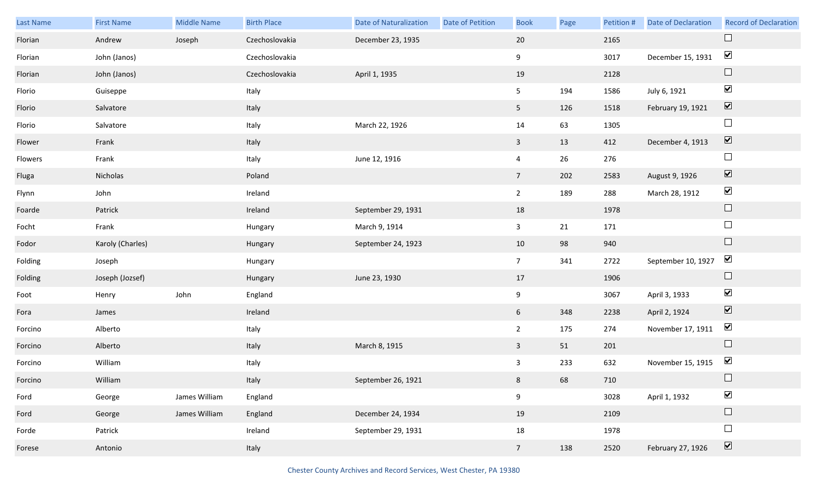| Last Name | <b>First Name</b> | Middle Name   | <b>Birth Place</b> | <b>Date of Naturalization</b> | Date of Petition | <b>Book</b>     | Page | Petition # | <b>Date of Declaration</b> | <b>Record of Declaration</b>             |
|-----------|-------------------|---------------|--------------------|-------------------------------|------------------|-----------------|------|------------|----------------------------|------------------------------------------|
| Florian   | Andrew            | Joseph        | Czechoslovakia     | December 23, 1935             |                  | 20              |      | 2165       |                            | $\Box$                                   |
| Florian   | John (Janos)      |               | Czechoslovakia     |                               |                  | 9               |      | 3017       | December 15, 1931          | $\blacktriangledown$                     |
| Florian   | John (Janos)      |               | Czechoslovakia     | April 1, 1935                 |                  | 19              |      | 2128       |                            | $\Box$                                   |
| Florio    | Guiseppe          |               | Italy              |                               |                  | 5               | 194  | 1586       | July 6, 1921               | $\blacktriangledown$                     |
| Florio    | Salvatore         |               | Italy              |                               |                  | 5 <sub>1</sub>  | 126  | 1518       | February 19, 1921          | $\boxed{\blacktriangledown}$             |
| Florio    | Salvatore         |               | Italy              | March 22, 1926                |                  | 14              | 63   | 1305       |                            | $\Box$                                   |
| Flower    | Frank             |               | Italy              |                               |                  | $\mathbf{3}$    | 13   | 412        | December 4, 1913           | $\boxed{\blacktriangledown}$             |
| Flowers   | Frank             |               | Italy              | June 12, 1916                 |                  | $\overline{4}$  | 26   | 276        |                            | $\Box$                                   |
| Fluga     | Nicholas          |               | Poland             |                               |                  | 7 <sup>7</sup>  | 202  | 2583       | August 9, 1926             | $\boxed{\blacktriangledown}$             |
| Flynn     | John              |               | Ireland            |                               |                  | $2^{\circ}$     | 189  | 288        | March 28, 1912             | $\blacktriangledown$                     |
| Foarde    | Patrick           |               | Ireland            | September 29, 1931            |                  | 18              |      | 1978       |                            | $\Box$                                   |
| Focht     | Frank             |               | Hungary            | March 9, 1914                 |                  | $\mathbf{3}$    | 21   | 171        |                            | $\Box$                                   |
| Fodor     | Karoly (Charles)  |               | Hungary            | September 24, 1923            |                  | 10              | 98   | 940        |                            | $\Box$                                   |
| Folding   | Joseph            |               | Hungary            |                               |                  | 7 <sup>7</sup>  | 341  | 2722       | September 10, 1927         | $\blacktriangledown$                     |
| Folding   | Joseph (Jozsef)   |               | Hungary            | June 23, 1930                 |                  | 17              |      | 1906       |                            | $\Box$                                   |
| Foot      | Henry             | John          | England            |                               |                  | 9               |      | 3067       | April 3, 1933              | $\blacktriangledown$                     |
| Fora      | James             |               | Ireland            |                               |                  | 6               | 348  | 2238       | April 2, 1924              | $\boxed{\blacktriangledown}$             |
| Forcino   | Alberto           |               | Italy              |                               |                  | $\overline{2}$  | 175  | 274        | November 17, 1911          | $\blacktriangledown$                     |
| Forcino   | Alberto           |               | Italy              | March 8, 1915                 |                  | $\mathbf{3}$    | 51   | 201        |                            | $\Box$                                   |
| Forcino   | William           |               | Italy              |                               |                  | 3               | 233  | 632        | November 15, 1915          | $\blacktriangledown$                     |
| Forcino   | William           |               | Italy              | September 26, 1921            |                  | 8               | 68   | 710        |                            | $\Box$                                   |
| Ford      | George            | James William | England            |                               |                  | 9               |      | 3028       | April 1, 1932              | $\blacktriangledown$                     |
| Ford      | George            | James William | England            | December 24, 1934             |                  | 19              |      | 2109       |                            | $\Box$                                   |
| Forde     | Patrick           |               | Ireland            | September 29, 1931            |                  | 18              |      | 1978       |                            | $\Box$                                   |
| Forese    | Antonio           |               | Italy              |                               |                  | $7\overline{ }$ | 138  | 2520       | February 27, 1926          | $\boxed{\color{red} \blacktriangledown}$ |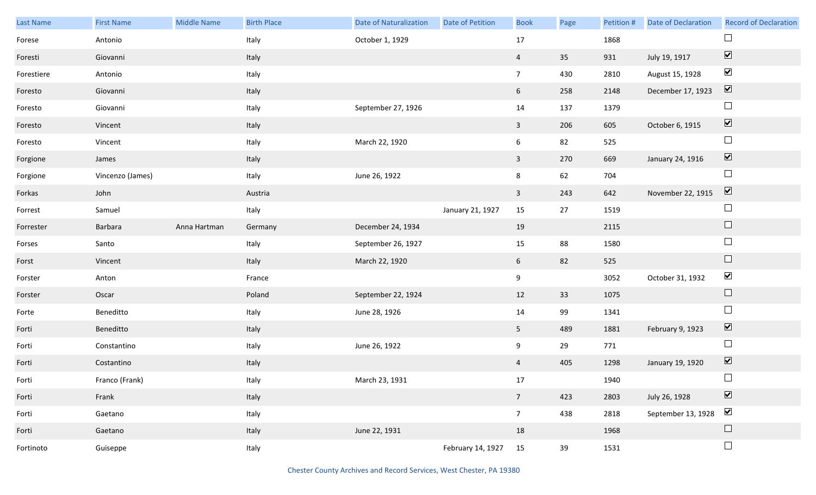| Last Name  | <b>First Name</b> | Middle Name  | <b>Birth Place</b> | <b>Date of Naturalization</b> | Date of Petition  | <b>Book</b>     | Page | Petition # | <b>Date of Declaration</b> | <b>Record of Declaration</b> |
|------------|-------------------|--------------|--------------------|-------------------------------|-------------------|-----------------|------|------------|----------------------------|------------------------------|
| Forese     | Antonio           |              | Italy              | October 1, 1929               |                   | 17              |      | 1868       |                            | $\Box$                       |
| Foresti    | Giovanni          |              | Italy              |                               |                   | $\overline{4}$  | 35   | 931        | July 19, 1917              | $\boxed{\blacktriangledown}$ |
| Forestiere | Antonio           |              | Italy              |                               |                   | $7\overline{ }$ | 430  | 2810       | August 15, 1928            | $\blacktriangledown$         |
| Foresto    | Giovanni          |              | Italy              |                               |                   | $6\overline{6}$ | 258  | 2148       | December 17, 1923          | $\boxed{\blacktriangledown}$ |
| Foresto    | Giovanni          |              | Italy              | September 27, 1926            |                   | 14              | 137  | 1379       |                            | $\Box$                       |
| Foresto    | Vincent           |              | Italy              |                               |                   | $\mathbf{3}$    | 206  | 605        | October 6, 1915            | $\boxed{\blacktriangledown}$ |
| Foresto    | Vincent           |              | Italy              | March 22, 1920                |                   | $6\overline{6}$ | 82   | 525        |                            | $\Box$                       |
| Forgione   | James             |              | Italy              |                               |                   | $\mathbf{3}$    | 270  | 669        | January 24, 1916           | $\boxed{\blacktriangledown}$ |
| Forgione   | Vincenzo (James)  |              | Italy              | June 26, 1922                 |                   | 8               | 62   | 704        |                            | $\Box$                       |
| Forkas     | John              |              | Austria            |                               |                   | $\mathbf{3}$    | 243  | 642        | November 22, 1915          | $\boxed{\blacktriangledown}$ |
| Forrest    | Samuel            |              | Italy              |                               | January 21, 1927  | 15              | 27   | 1519       |                            | $\Box$                       |
| Forrester  | Barbara           | Anna Hartman | Germany            | December 24, 1934             |                   | 19              |      | 2115       |                            | $\Box$                       |
| Forses     | Santo             |              | Italy              | September 26, 1927            |                   | 15              | 88   | 1580       |                            | $\Box$                       |
| Forst      | Vincent           |              | Italy              | March 22, 1920                |                   | 6               | 82   | 525        |                            | $\Box$                       |
| Forster    | Anton             |              | France             |                               |                   | $9\,$           |      | 3052       | October 31, 1932           | $\blacktriangledown$         |
| Forster    | Oscar             |              | Poland             | September 22, 1924            |                   | 12              | 33   | 1075       |                            | $\hfill \square$             |
| Forte      | Beneditto         |              | Italy              | June 28, 1926                 |                   | 14              | 99   | 1341       |                            | $\Box$                       |
| Forti      | Beneditto         |              | Italy              |                               |                   | 5 <sub>5</sub>  | 489  | 1881       | February 9, 1923           | $\boxed{\blacktriangledown}$ |
| Forti      | Constantino       |              | Italy              | June 26, 1922                 |                   | 9               | 29   | 771        |                            | $\Box$                       |
| Forti      | Costantino        |              | Italy              |                               |                   | $\overline{4}$  | 405  | 1298       | January 19, 1920           | $\boxed{\blacktriangledown}$ |
| Forti      | Franco (Frank)    |              | Italy              | March 23, 1931                |                   | 17              |      | 1940       |                            | $\Box$                       |
| Forti      | Frank             |              | Italy              |                               |                   | $7\overline{ }$ | 423  | 2803       | July 26, 1928              | $\boxed{\blacktriangledown}$ |
| Forti      | Gaetano           |              | Italy              |                               |                   | 7 <sup>7</sup>  | 438  | 2818       | September 13, 1928         | $\blacktriangledown$         |
| Forti      | Gaetano           |              | Italy              | June 22, 1931                 |                   | 18              |      | 1968       |                            | $\Box$                       |
| Fortinoto  | Guiseppe          |              | Italy              |                               | February 14, 1927 | 15              | 39   | 1531       |                            | $\Box$                       |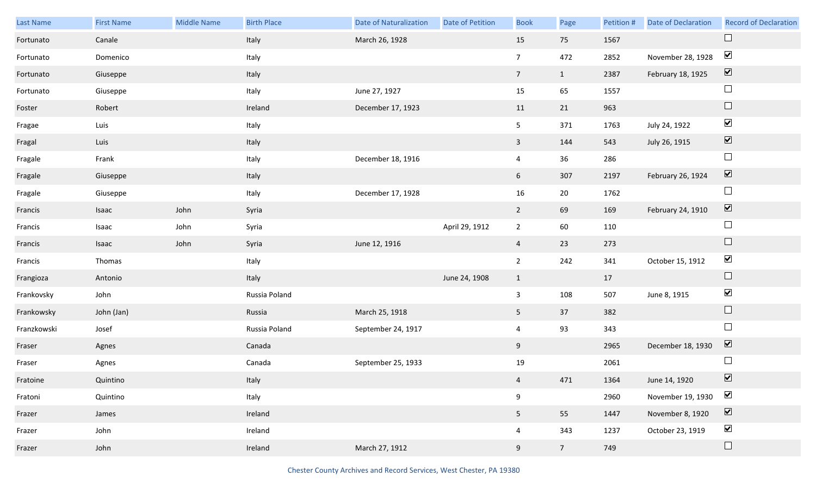| Last Name   | <b>First Name</b> | <b>Middle Name</b> | <b>Birth Place</b> | <b>Date of Naturalization</b> | <b>Date of Petition</b> | <b>Book</b>    | Page            | Petition # | Date of Declaration | <b>Record of Declaration</b> |
|-------------|-------------------|--------------------|--------------------|-------------------------------|-------------------------|----------------|-----------------|------------|---------------------|------------------------------|
| Fortunato   | Canale            |                    | Italy              | March 26, 1928                |                         | 15             | 75              | 1567       |                     | $\Box$                       |
| Fortunato   | Domenico          |                    | Italy              |                               |                         | $\overline{7}$ | 472             | 2852       | November 28, 1928   | $\blacktriangledown$         |
| Fortunato   | Giuseppe          |                    | Italy              |                               |                         | 7 <sup>7</sup> | $\mathbf{1}$    | 2387       | February 18, 1925   | $\boxed{\blacktriangledown}$ |
| Fortunato   | Giuseppe          |                    | Italy              | June 27, 1927                 |                         | 15             | 65              | 1557       |                     | $\Box$                       |
| Foster      | Robert            |                    | Ireland            | December 17, 1923             |                         | 11             | 21              | 963        |                     | $\Box$                       |
| Fragae      | Luis              |                    | Italy              |                               |                         | 5 <sub>5</sub> | 371             | 1763       | July 24, 1922       | $\blacktriangledown$         |
| Fragal      | Luis              |                    | Italy              |                               |                         | $\mathbf{3}$   | 144             | 543        | July 26, 1915       | $\boxed{\blacktriangledown}$ |
| Fragale     | Frank             |                    | Italy              | December 18, 1916             |                         | $\overline{4}$ | 36              | 286        |                     | $\Box$                       |
| Fragale     | Giuseppe          |                    | Italy              |                               |                         | 6              | 307             | 2197       | February 26, 1924   | $\boxed{\blacktriangledown}$ |
| Fragale     | Giuseppe          |                    | Italy              | December 17, 1928             |                         | 16             | $20\,$          | 1762       |                     | $\Box$                       |
| Francis     | Isaac             | John               | Syria              |                               |                         | $2^{\circ}$    | 69              | 169        | February 24, 1910   | $\boxed{\blacktriangledown}$ |
| Francis     | Isaac             | John               | Syria              |                               | April 29, 1912          | $\overline{2}$ | 60              | 110        |                     | $\Box$                       |
| Francis     | Isaac             | John               | Syria              | June 12, 1916                 |                         | $\overline{4}$ | 23              | 273        |                     | $\Box$                       |
| Francis     | Thomas            |                    | Italy              |                               |                         | $\overline{2}$ | 242             | 341        | October 15, 1912    | $\blacktriangledown$         |
| Frangioza   | Antonio           |                    | Italy              |                               | June 24, 1908           | $\mathbf{1}$   |                 | 17         |                     | $\Box$                       |
| Frankovsky  | John              |                    | Russia Poland      |                               |                         | $\mathbf{3}$   | 108             | 507        | June 8, 1915        | $\blacktriangledown$         |
| Frankowsky  | John (Jan)        |                    | Russia             | March 25, 1918                |                         | 5 <sub>1</sub> | 37              | 382        |                     | $\Box$                       |
| Franzkowski | Josef             |                    | Russia Poland      | September 24, 1917            |                         | $\overline{4}$ | 93              | 343        |                     | $\Box$                       |
| Fraser      | Agnes             |                    | Canada             |                               |                         | 9              |                 | 2965       | December 18, 1930   | $\overline{\mathbf{v}}$      |
| Fraser      | Agnes             |                    | Canada             | September 25, 1933            |                         | 19             |                 | 2061       |                     | $\Box$                       |
| Fratoine    | Quintino          |                    | Italy              |                               |                         | 4              | 471             | 1364       | June 14, 1920       | $\overline{\mathbf{V}}$      |
| Fratoni     | Quintino          |                    | Italy              |                               |                         | 9              |                 | 2960       | November 19, 1930   | $\blacktriangledown$         |
| Frazer      | James             |                    | Ireland            |                               |                         | 5 <sub>1</sub> | 55              | 1447       | November 8, 1920    | $\boxed{\blacktriangledown}$ |
| Frazer      | John              |                    | Ireland            |                               |                         | $\overline{4}$ | 343             | 1237       | October 23, 1919    | $\blacktriangledown$         |
| Frazer      | John              |                    | Ireland            | March 27, 1912                |                         | 9              | $7\overline{ }$ | 749        |                     | $\Box$                       |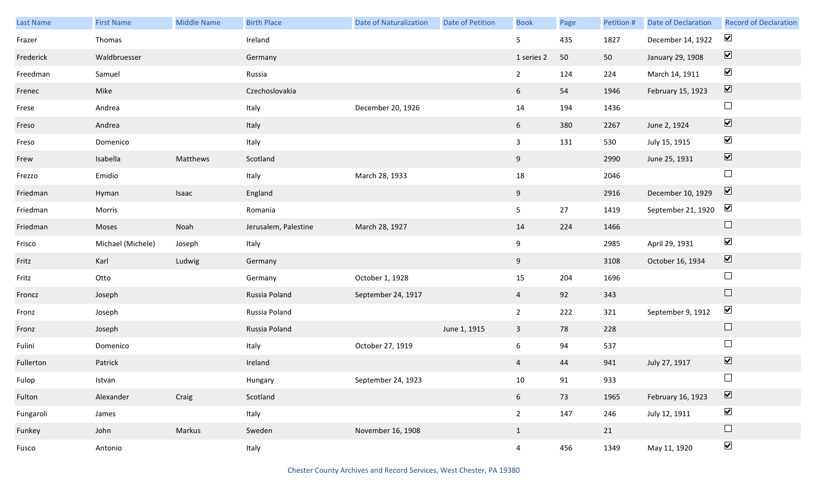| <b>Last Name</b> | <b>First Name</b> | <b>Middle Name</b> | <b>Birth Place</b>   | <b>Date of Naturalization</b> | Date of Petition | <b>Book</b>     | Page | Petition # | <b>Date of Declaration</b> | <b>Record of Declaration</b> |
|------------------|-------------------|--------------------|----------------------|-------------------------------|------------------|-----------------|------|------------|----------------------------|------------------------------|
| Frazer           | Thomas            |                    | Ireland              |                               |                  | 5               | 435  | 1827       | December 14, 1922          | $\blacktriangledown$         |
| Frederick        | Waldbruesser      |                    | Germany              |                               |                  | 1 series 2      | 50   | 50         | January 29, 1908           | $\boxed{\blacktriangledown}$ |
| Freedman         | Samuel            |                    | Russia               |                               |                  | $\overline{2}$  | 124  | 224        | March 14, 1911             | $\blacktriangledown$         |
| Frenec           | Mike              |                    | Czechoslovakia       |                               |                  | 6               | 54   | 1946       | February 15, 1923          | $\boxed{\blacktriangledown}$ |
| Frese            | Andrea            |                    | Italy                | December 20, 1926             |                  | 14              | 194  | 1436       |                            | $\Box$                       |
| Freso            | Andrea            |                    | Italy                |                               |                  | 6               | 380  | 2267       | June 2, 1924               | $\boxed{\blacktriangledown}$ |
| Freso            | Domenico          |                    | Italy                |                               |                  | $\mathbf{3}$    | 131  | 530        | July 15, 1915              | $\blacktriangledown$         |
| Frew             | Isabella          | Matthews           | Scotland             |                               |                  | 9               |      | 2990       | June 25, 1931              | $\boxed{\blacktriangledown}$ |
| Frezzo           | Emidio            |                    | Italy                | March 28, 1933                |                  | 18              |      | 2046       |                            | $\Box$                       |
| Friedman         | Hyman             | Isaac              | England              |                               |                  | 9               |      | 2916       | December 10, 1929          | $\boxed{\blacktriangledown}$ |
| Friedman         | Morris            |                    | Romania              |                               |                  | $5\phantom{.0}$ | 27   | 1419       | September 21, 1920         | $\blacktriangledown$         |
| Friedman         | Moses             | Noah               | Jerusalem, Palestine | March 28, 1927                |                  | 14              | 224  | 1466       |                            | $\Box$                       |
| Frisco           | Michael (Michele) | Joseph             | Italy                |                               |                  | 9               |      | 2985       | April 29, 1931             | $\blacktriangledown$         |
| Fritz            | Karl              | Ludwig             | Germany              |                               |                  | 9               |      | 3108       | October 16, 1934           | $\blacktriangledown$         |
| Fritz            | Otto              |                    | Germany              | October 1, 1928               |                  | 15              | 204  | 1696       |                            | $\Box$                       |
| Froncz           | Joseph            |                    | Russia Poland        | September 24, 1917            |                  | $\overline{4}$  | 92   | 343        |                            | $\Box$                       |
| Fronz            | Joseph            |                    | Russia Poland        |                               |                  | $\overline{2}$  | 222  | 321        | September 9, 1912          | $\blacktriangledown$         |
| Fronz            | Joseph            |                    | Russia Poland        |                               | June 1, 1915     | $\mathbf{3}$    | 78   | 228        |                            | $\Box$                       |
| Fulini           | Domenico          |                    | Italy                | October 27, 1919              |                  | 6               | 94   | 537        |                            | $\Box$                       |
| Fullerton        | Patrick           |                    | Ireland              |                               |                  | $\overline{4}$  | 44   | 941        | July 27, 1917              | $\boxed{\blacktriangledown}$ |
| Fulop            | Istvan            |                    | Hungary              | September 24, 1923            |                  | 10              | 91   | 933        |                            | $\Box$                       |
| Fulton           | Alexander         | Craig              | Scotland             |                               |                  | $6\overline{6}$ | 73   | 1965       | February 16, 1923          | $\boxed{\blacktriangledown}$ |
| Fungaroli        | James             |                    | Italy                |                               |                  | $2\overline{ }$ | 147  | 246        | July 12, 1911              | $\blacktriangledown$         |
| Funkey           | John              | Markus             | Sweden               | November 16, 1908             |                  | $\mathbf{1}$    |      | 21         |                            | $\Box$                       |
| Fusco            | Antonio           |                    | Italy                |                               |                  | $\overline{4}$  | 456  | 1349       | May 11, 1920               | $\blacktriangledown$         |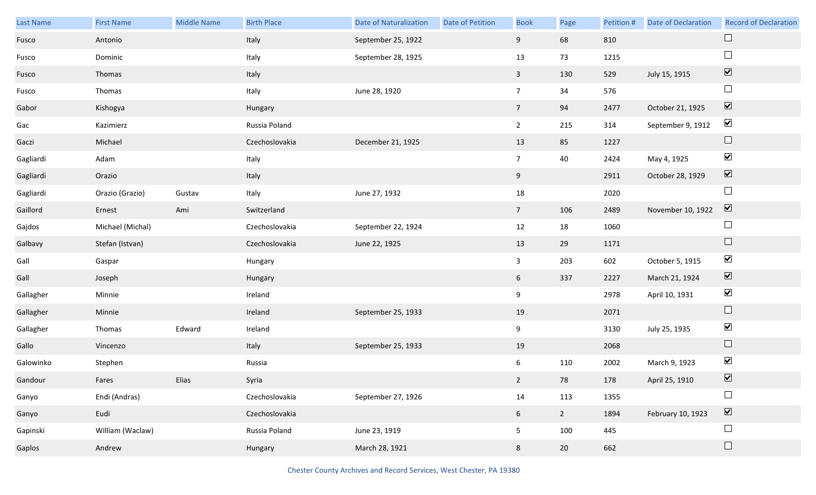| Last Name | <b>First Name</b> | Middle Name | <b>Birth Place</b> | <b>Date of Naturalization</b> | Date of Petition | <b>Book</b>    | Page           | Petition # | <b>Date of Declaration</b> | <b>Record of Declaration</b> |
|-----------|-------------------|-------------|--------------------|-------------------------------|------------------|----------------|----------------|------------|----------------------------|------------------------------|
| Fusco     | Antonio           |             | Italy              | September 25, 1922            |                  | 9              | 68             | 810        |                            | $\Box$                       |
| Fusco     | Dominic           |             | Italy              | September 28, 1925            |                  | 13             | 73             | 1215       |                            | $\Box$                       |
| Fusco     | Thomas            |             | Italy              |                               |                  | $\mathbf{3}$   | 130            | 529        | July 15, 1915              | $\boxed{\blacktriangledown}$ |
| Fusco     | Thomas            |             | Italy              | June 28, 1920                 |                  | $\overline{7}$ | 34             | 576        |                            | $\Box$                       |
| Gabor     | Kishogya          |             | Hungary            |                               |                  | 7 <sup>7</sup> | 94             | 2477       | October 21, 1925           | $\boxed{\blacktriangledown}$ |
| Gac       | Kazimierz         |             | Russia Poland      |                               |                  | $2^{\circ}$    | 215            | 314        | September 9, 1912          | $\blacktriangledown$         |
| Gaczi     | Michael           |             | Czechoslovakia     | December 21, 1925             |                  | 13             | 85             | 1227       |                            | $\Box$                       |
| Gagliardi | Adam              |             | Italy              |                               |                  | 7 <sup>7</sup> | 40             | 2424       | May 4, 1925                | $\blacktriangledown$         |
| Gagliardi | Orazio            |             | Italy              |                               |                  | 9              |                | 2911       | October 28, 1929           | $\boxed{\blacktriangledown}$ |
| Gagliardi | Orazio (Grazio)   | Gustav      | Italy              | June 27, 1932                 |                  | $18\,$         |                | 2020       |                            | $\Box$                       |
| Gaillord  | Ernest            | Ami         | Switzerland        |                               |                  | 7 <sup>7</sup> | 106            | 2489       | November 10, 1922          | $\boxed{\blacktriangledown}$ |
| Gajdos    | Michael (Michal)  |             | Czechoslovakia     | September 22, 1924            |                  | 12             | 18             | 1060       |                            | $\Box$                       |
| Galbavy   | Stefan (Istvan)   |             | Czechoslovakia     | June 22, 1925                 |                  | 13             | 29             | 1171       |                            | $\Box$                       |
| Gall      | Gaspar            |             | Hungary            |                               |                  | $\mathbf{3}$   | 203            | 602        | October 5, 1915            | $\blacktriangledown$         |
| Gall      | Joseph            |             | Hungary            |                               |                  | 6              | 337            | 2227       | March 21, 1924             | $\boxed{\blacktriangledown}$ |
| Gallagher | Minnie            |             | Ireland            |                               |                  | 9              |                | 2978       | April 10, 1931             | $\blacktriangledown$         |
| Gallagher | Minnie            |             | Ireland            | September 25, 1933            |                  | 19             |                | 2071       |                            | $\Box$                       |
| Gallagher | Thomas            | Edward      | Ireland            |                               |                  | 9              |                | 3130       | July 25, 1935              | $\blacktriangledown$         |
| Gallo     | Vincenzo          |             | Italy              | September 25, 1933            |                  | 19             |                | 2068       |                            | $\Box$                       |
| Galowinko | Stephen           |             | Russia             |                               |                  | 6              | 110            | 2002       | March 9, 1923              | $\blacktriangledown$         |
| Gandour   | Fares             | Elias       | Syria              |                               |                  | $2^{\circ}$    | 78             | 178        | April 25, 1910             | $\boxed{\mathbf{v}}$         |
| Ganyo     | Endi (Andras)     |             | Czechoslovakia     | September 27, 1926            |                  | $14\,$         | 113            | 1355       |                            | $\Box$                       |
| Ganyo     | Eudi              |             | Czechoslovakia     |                               |                  | 6 <sup>1</sup> | $\overline{2}$ | 1894       | February 10, 1923          | $\boxed{\blacktriangledown}$ |
| Gapinski  | William (Waclaw)  |             | Russia Poland      | June 23, 1919                 |                  | 5 <sub>5</sub> | 100            | 445        |                            | $\Box$                       |
| Gaplos    | Andrew            |             | Hungary            | March 28, 1921                |                  | 8              | 20             | 662        |                            | $\Box$                       |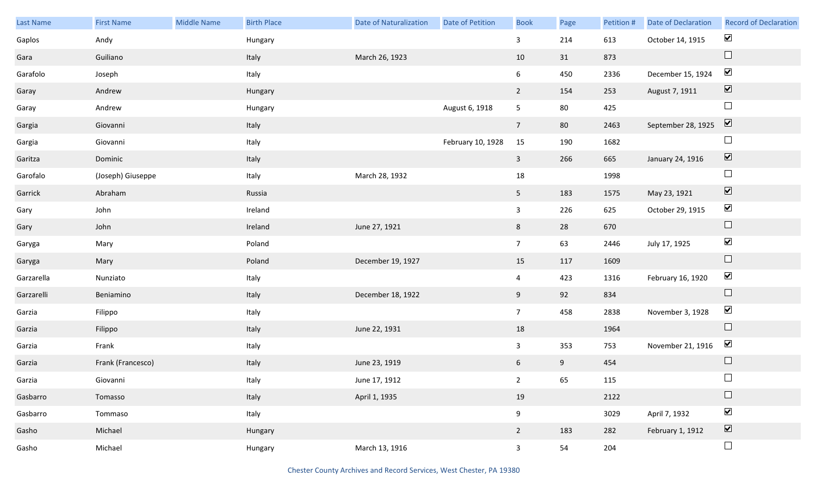| Last Name  | <b>First Name</b> | Middle Name | <b>Birth Place</b> | <b>Date of Naturalization</b> | Date of Petition  | <b>Book</b>     | Page | Petition # | <b>Date of Declaration</b> | <b>Record of Declaration</b> |
|------------|-------------------|-------------|--------------------|-------------------------------|-------------------|-----------------|------|------------|----------------------------|------------------------------|
| Gaplos     | Andy              |             | Hungary            |                               |                   | $\mathbf{3}$    | 214  | 613        | October 14, 1915           | $\blacktriangledown$         |
| Gara       | Guiliano          |             | Italy              | March 26, 1923                |                   | 10              | 31   | 873        |                            | $\Box$                       |
| Garafolo   | Joseph            |             | Italy              |                               |                   | $6\overline{6}$ | 450  | 2336       | December 15, 1924          | $\blacktriangledown$         |
| Garay      | Andrew            |             | Hungary            |                               |                   | $\overline{2}$  | 154  | 253        | August 7, 1911             | $\boxed{\blacktriangledown}$ |
| Garay      | Andrew            |             | Hungary            |                               | August 6, 1918    | 5 <sub>1</sub>  | 80   | 425        |                            | $\Box$                       |
| Gargia     | Giovanni          |             | Italy              |                               |                   | $7\overline{ }$ | 80   | 2463       | September 28, 1925         | $\boxed{\blacktriangledown}$ |
| Gargia     | Giovanni          |             | Italy              |                               | February 10, 1928 | 15              | 190  | 1682       |                            | $\Box$                       |
| Garitza    | Dominic           |             | Italy              |                               |                   | $\mathbf{3}$    | 266  | 665        | January 24, 1916           | $\boxed{\blacktriangledown}$ |
| Garofalo   | (Joseph) Giuseppe |             | Italy              | March 28, 1932                |                   | $18\,$          |      | 1998       |                            | $\Box$                       |
| Garrick    | Abraham           |             | Russia             |                               |                   | 5 <sub>1</sub>  | 183  | 1575       | May 23, 1921               | $\boxed{\blacktriangledown}$ |
| Gary       | John              |             | Ireland            |                               |                   | $\mathbf{3}$    | 226  | 625        | October 29, 1915           | $\blacktriangledown$         |
| Gary       | John              |             | Ireland            | June 27, 1921                 |                   | 8               | 28   | 670        |                            | $\hfill \square$             |
| Garyga     | Mary              |             | Poland             |                               |                   | 7 <sup>7</sup>  | 63   | 2446       | July 17, 1925              | $\blacktriangledown$         |
| Garyga     | Mary              |             | Poland             | December 19, 1927             |                   | 15              | 117  | 1609       |                            | $\Box$                       |
| Garzarella | Nunziato          |             | Italy              |                               |                   | $\overline{4}$  | 423  | 1316       | February 16, 1920          | $\blacktriangledown$         |
| Garzarelli | Beniamino         |             | Italy              | December 18, 1922             |                   | 9               | 92   | 834        |                            | $\Box$                       |
| Garzia     | Filippo           |             | Italy              |                               |                   | 7 <sup>7</sup>  | 458  | 2838       | November 3, 1928           | $\blacktriangledown$         |
| Garzia     | Filippo           |             | Italy              | June 22, 1931                 |                   | 18              |      | 1964       |                            | $\Box$                       |
| Garzia     | Frank             |             | Italy              |                               |                   | $\mathbf{3}$    | 353  | 753        | November 21, 1916          | $\blacktriangleright$        |
| Garzia     | Frank (Francesco) |             | Italy              | June 23, 1919                 |                   | 6 <sup>1</sup>  | 9    | 454        |                            | $\Box$                       |
| Garzia     | Giovanni          |             | Italy              | June 17, 1912                 |                   | $2^{\circ}$     | 65   | 115        |                            |                              |
| Gasbarro   | Tomasso           |             | Italy              | April 1, 1935                 |                   | 19              |      | 2122       |                            | $\Box$                       |
| Gasbarro   | Tommaso           |             | Italy              |                               |                   | 9               |      | 3029       | April 7, 1932              | $\blacktriangledown$         |
| Gasho      | Michael           |             | Hungary            |                               |                   | $2^{\circ}$     | 183  | 282        | February 1, 1912           | $\boxed{\blacktriangledown}$ |
| Gasho      | Michael           |             | Hungary            | March 13, 1916                |                   | $\mathbf{3}$    | 54   | 204        |                            | $\Box$                       |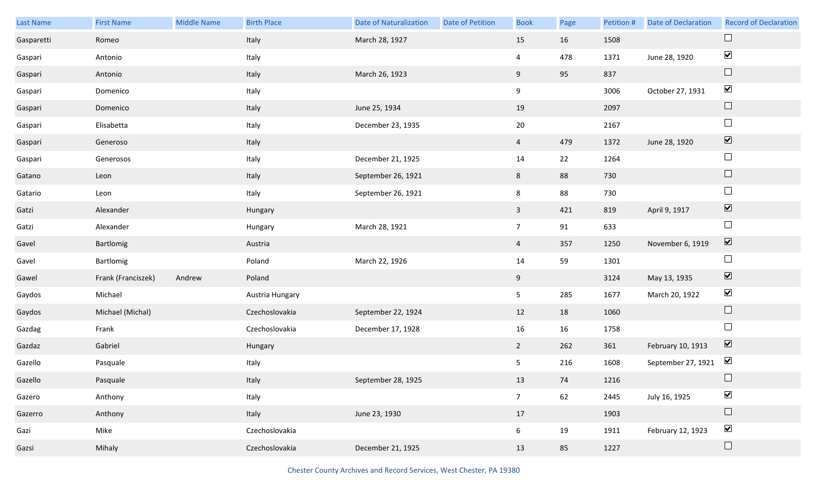| Last Name  | <b>First Name</b>  | Middle Name | <b>Birth Place</b> | <b>Date of Naturalization</b> | Date of Petition | <b>Book</b>     | Page | Petition # | <b>Date of Declaration</b> | <b>Record of Declaration</b> |
|------------|--------------------|-------------|--------------------|-------------------------------|------------------|-----------------|------|------------|----------------------------|------------------------------|
| Gasparetti | Romeo              |             | Italy              | March 28, 1927                |                  | 15              | 16   | 1508       |                            | $\Box$                       |
| Gaspari    | Antonio            |             | Italy              |                               |                  | 4               | 478  | 1371       | June 28, 1920              | $\blacktriangledown$         |
| Gaspari    | Antonio            |             | Italy              | March 26, 1923                |                  | 9               | 95   | 837        |                            | $\Box$                       |
| Gaspari    | Domenico           |             | Italy              |                               |                  | 9               |      | 3006       | October 27, 1931           | $\blacktriangledown$         |
| Gaspari    | Domenico           |             | Italy              | June 25, 1934                 |                  | 19              |      | 2097       |                            | $\Box$                       |
| Gaspari    | Elisabetta         |             | Italy              | December 23, 1935             |                  | $20\,$          |      | 2167       |                            | $\Box$                       |
| Gaspari    | Generoso           |             | Italy              |                               |                  | $\overline{4}$  | 479  | 1372       | June 28, 1920              | $\boxed{\blacktriangledown}$ |
| Gaspari    | Generosos          |             | Italy              | December 21, 1925             |                  | 14              | 22   | 1264       |                            | $\Box$                       |
| Gatano     | Leon               |             | Italy              | September 26, 1921            |                  | 8               | 88   | 730        |                            | $\hfill \square$             |
| Gatario    | Leon               |             | Italy              | September 26, 1921            |                  | 8               | 88   | 730        |                            | $\Box$                       |
| Gatzi      | Alexander          |             | Hungary            |                               |                  | $\mathbf{3}$    | 421  | 819        | April 9, 1917              | $\boxed{\blacktriangledown}$ |
| Gatzi      | Alexander          |             | Hungary            | March 28, 1921                |                  | $\overline{7}$  | 91   | 633        |                            | $\Box$                       |
| Gavel      | Bartlomig          |             | Austria            |                               |                  | $\overline{4}$  | 357  | 1250       | November 6, 1919           | $\boxed{\blacktriangledown}$ |
| Gavel      | Bartlomig          |             | Poland             | March 22, 1926                |                  | 14              | 59   | 1301       |                            | $\Box$                       |
| Gawel      | Frank (Franciszek) | Andrew      | Poland             |                               |                  | 9               |      | 3124       | May 13, 1935               | $\boxed{\blacktriangledown}$ |
| Gaydos     | Michael            |             | Austria Hungary    |                               |                  | 5               | 285  | 1677       | March 20, 1922             | $\blacktriangledown$         |
| Gaydos     | Michael (Michal)   |             | Czechoslovakia     | September 22, 1924            |                  | 12              | 18   | 1060       |                            | $\Box$                       |
| Gazdag     | Frank              |             | Czechoslovakia     | December 17, 1928             |                  | 16              | 16   | 1758       |                            | $\Box$                       |
| Gazdaz     | Gabriel            |             | Hungary            |                               |                  | $2^{\circ}$     | 262  | 361        | February 10, 1913          | $\overline{\mathbf{v}}$      |
| Gazello    | Pasquale           |             | Italy              |                               |                  | 5               | 216  | 1608       | September 27, 1921         | $\blacktriangledown$         |
| Gazello    | Pasquale           |             | Italy              | September 28, 1925            |                  | 13              | 74   | 1216       |                            | $\Box$                       |
| Gazero     | Anthony            |             | Italy              |                               |                  | $7\overline{ }$ | 62   | 2445       | July 16, 1925              | $\blacktriangledown$         |
| Gazerro    | Anthony            |             | Italy              | June 23, 1930                 |                  | 17              |      | 1903       |                            | $\Box$                       |
| Gazi       | Mike               |             | Czechoslovakia     |                               |                  | 6 <sup>1</sup>  | 19   | 1911       | February 12, 1923          | $\blacktriangledown$         |
| Gazsi      | Mihaly             |             | Czechoslovakia     | December 21, 1925             |                  | 13              | 85   | 1227       |                            | $\Box$                       |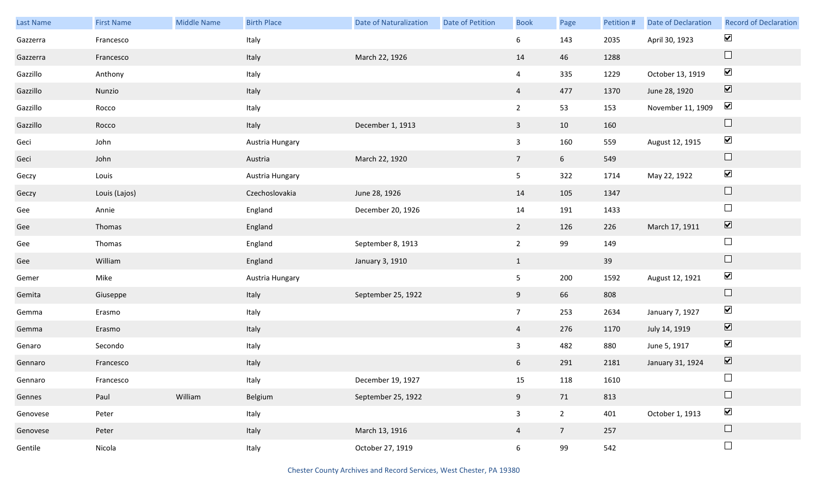| Last Name | <b>First Name</b> | Middle Name | <b>Birth Place</b> | <b>Date of Naturalization</b> | <b>Date of Petition</b> | <b>Book</b>     | Page           | Petition # | Date of Declaration | <b>Record of Declaration</b> |
|-----------|-------------------|-------------|--------------------|-------------------------------|-------------------------|-----------------|----------------|------------|---------------------|------------------------------|
| Gazzerra  | Francesco         |             | Italy              |                               |                         | 6               | 143            | 2035       | April 30, 1923      | $\blacktriangledown$         |
| Gazzerra  | Francesco         |             | Italy              | March 22, 1926                |                         | 14              | 46             | 1288       |                     | $\hfill \square$             |
| Gazzillo  | Anthony           |             | Italy              |                               |                         | $\overline{4}$  | 335            | 1229       | October 13, 1919    | $\blacktriangledown$         |
| Gazzillo  | Nunzio            |             | Italy              |                               |                         | $\overline{4}$  | 477            | 1370       | June 28, 1920       | $\boxed{\blacktriangledown}$ |
| Gazzillo  | Rocco             |             | Italy              |                               |                         | $2^{\circ}$     | 53             | 153        | November 11, 1909   | $\blacktriangledown$         |
| Gazzillo  | Rocco             |             | Italy              | December 1, 1913              |                         | $\mathbf{3}$    | 10             | 160        |                     | $\hfill \square$             |
| Geci      | John              |             | Austria Hungary    |                               |                         | $\mathbf{3}$    | 160            | 559        | August 12, 1915     | $\blacktriangledown$         |
| Geci      | John              |             | Austria            | March 22, 1920                |                         | $7\overline{ }$ | 6 <sup>1</sup> | 549        |                     | $\hfill \square$             |
| Geczy     | Louis             |             | Austria Hungary    |                               |                         | 5 <sub>1</sub>  | 322            | 1714       | May 22, 1922        | $\blacktriangledown$         |
| Geczy     | Louis (Lajos)     |             | Czechoslovakia     | June 28, 1926                 |                         | 14              | 105            | 1347       |                     | $\hfill \square$             |
| Gee       | Annie             |             | England            | December 20, 1926             |                         | 14              | 191            | 1433       |                     | $\hfill \square$             |
| Gee       | Thomas            |             | England            |                               |                         | $2^{\circ}$     | 126            | 226        | March 17, 1911      | $\blacktriangledown$         |
| Gee       | Thomas            |             | England            | September 8, 1913             |                         | $2^{\circ}$     | 99             | 149        |                     | $\Box$                       |
| Gee       | William           |             | England            | January 3, 1910               |                         | $\mathbf{1}$    |                | 39         |                     | $\hfill \square$             |
| Gemer     | Mike              |             | Austria Hungary    |                               |                         | 5 <sub>5</sub>  | 200            | 1592       | August 12, 1921     | $\blacktriangledown$         |
| Gemita    | Giuseppe          |             | Italy              | September 25, 1922            |                         | 9               | 66             | 808        |                     | $\Box$                       |
| Gemma     | Erasmo            |             | Italy              |                               |                         | 7 <sup>7</sup>  | 253            | 2634       | January 7, 1927     | $\blacktriangledown$         |
| Gemma     | Erasmo            |             | Italy              |                               |                         | $\overline{4}$  | 276            | 1170       | July 14, 1919       | $\boxed{\blacktriangledown}$ |
| Genaro    | Secondo           |             | Italy              |                               |                         | $\mathbf{3}$    | 482            | 880        | June 5, 1917        | $\blacktriangledown$         |
| Gennaro   | Francesco         |             | Italy              |                               |                         | $6\overline{6}$ | 291            | 2181       | January 31, 1924    | $\boxed{\blacktriangledown}$ |
| Gennaro   | Francesco         |             | Italy              | December 19, 1927             |                         | 15              | 118            | 1610       |                     | $\Box$                       |
| Gennes    | Paul              | William     | Belgium            | September 25, 1922            |                         | 9               | 71             | 813        |                     | $\hfill \square$             |
| Genovese  | Peter             |             | Italy              |                               |                         | $\mathbf{3}$    | 2 <sub>2</sub> | 401        | October 1, 1913     | $\blacktriangledown$         |
| Genovese  | Peter             |             | Italy              | March 13, 1916                |                         | $\overline{4}$  | 7 <sup>7</sup> | 257        |                     | $\hfill \square$             |
| Gentile   | Nicola            |             | Italy              | October 27, 1919              |                         | $6\overline{6}$ | 99             | 542        |                     | $\Box$                       |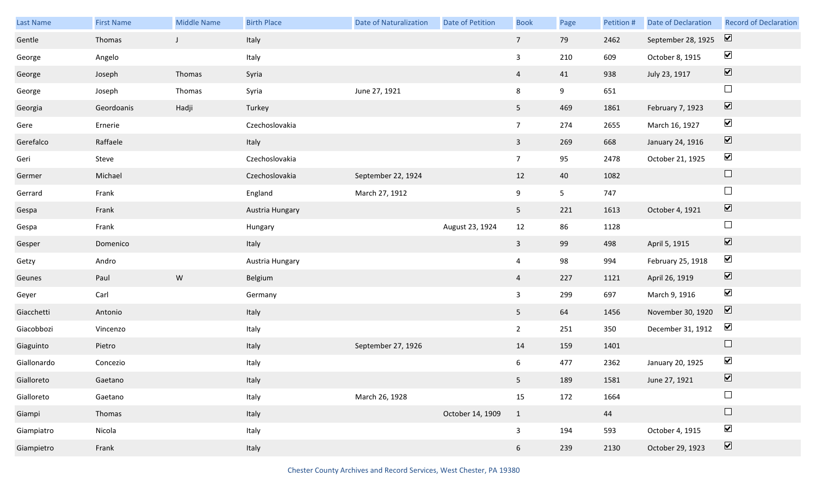| Last Name   | <b>First Name</b> | <b>Middle Name</b> | <b>Birth Place</b> | <b>Date of Naturalization</b> | Date of Petition | <b>Book</b>     | Page           | Petition # | <b>Date of Declaration</b> | <b>Record of Declaration</b> |
|-------------|-------------------|--------------------|--------------------|-------------------------------|------------------|-----------------|----------------|------------|----------------------------|------------------------------|
| Gentle      | Thomas            | $\mathsf{J}$       | Italy              |                               |                  | 7 <sup>7</sup>  | 79             | 2462       | September 28, 1925         | $\boxed{\mathbf{v}}$         |
| George      | Angelo            |                    | Italy              |                               |                  | $\mathbf{3}$    | 210            | 609        | October 8, 1915            | $\blacktriangledown$         |
| George      | Joseph            | Thomas             | Syria              |                               |                  | $\overline{4}$  | 41             | 938        | July 23, 1917              | $\boxed{\blacktriangledown}$ |
| George      | Joseph            | Thomas             | Syria              | June 27, 1921                 |                  | 8               | 9              | 651        |                            | $\Box$                       |
| Georgia     | Geordoanis        | Hadji              | Turkey             |                               |                  | 5 <sub>1</sub>  | 469            | 1861       | February 7, 1923           | $\boxed{\blacktriangledown}$ |
| Gere        | Ernerie           |                    | Czechoslovakia     |                               |                  | $7\overline{ }$ | 274            | 2655       | March 16, 1927             | $\blacktriangledown$         |
| Gerefalco   | Raffaele          |                    | Italy              |                               |                  | $\mathbf{3}$    | 269            | 668        | January 24, 1916           | $\boxed{\blacktriangledown}$ |
| Geri        | Steve             |                    | Czechoslovakia     |                               |                  | $7\overline{ }$ | 95             | 2478       | October 21, 1925           | $\blacktriangledown$         |
| Germer      | Michael           |                    | Czechoslovakia     | September 22, 1924            |                  | 12              | 40             | 1082       |                            | $\Box$                       |
| Gerrard     | Frank             |                    | England            | March 27, 1912                |                  | 9               | 5 <sub>5</sub> | 747        |                            | $\Box$                       |
| Gespa       | Frank             |                    | Austria Hungary    |                               |                  | 5 <sub>1</sub>  | 221            | 1613       | October 4, 1921            | $\boxed{\blacktriangledown}$ |
| Gespa       | Frank             |                    | Hungary            |                               | August 23, 1924  | 12              | 86             | 1128       |                            | $\Box$                       |
| Gesper      | Domenico          |                    | Italy              |                               |                  | $\mathbf{3}$    | 99             | 498        | April 5, 1915              | $\boxed{\blacktriangledown}$ |
| Getzy       | Andro             |                    | Austria Hungary    |                               |                  | $\overline{4}$  | 98             | 994        | February 25, 1918          | $\blacktriangledown$         |
| Geunes      | Paul              | ${\sf W}$          | Belgium            |                               |                  | $\overline{4}$  | 227            | 1121       | April 26, 1919             | $\boxed{\blacktriangledown}$ |
| Geyer       | Carl              |                    | Germany            |                               |                  | $\mathbf{3}$    | 299            | 697        | March 9, 1916              | $\blacktriangledown$         |
| Giacchetti  | Antonio           |                    | Italy              |                               |                  | 5 <sub>1</sub>  | 64             | 1456       | November 30, 1920          | $\boxed{\blacktriangledown}$ |
| Giacobbozi  | Vincenzo          |                    | Italy              |                               |                  | $2^{\circ}$     | 251            | 350        | December 31, 1912          | $\blacktriangledown$         |
| Giaguinto   | Pietro            |                    | Italy              | September 27, 1926            |                  | 14              | 159            | 1401       |                            | $\Box$                       |
| Giallonardo | Concezio          |                    | Italy              |                               |                  | 6               | 477            | 2362       | January 20, 1925           | $\blacktriangledown$         |
| Gialloreto  | Gaetano           |                    | Italy              |                               |                  | 5 <sub>1</sub>  | 189            | 1581       | June 27, 1921              | $\blacktriangledown$         |
| Gialloreto  | Gaetano           |                    | Italy              | March 26, 1928                |                  | 15              | 172            | 1664       |                            | $\Box$                       |
| Giampi      | Thomas            |                    | Italy              |                               | October 14, 1909 | $\mathbf{1}$    |                | 44         |                            | $\Box$                       |
| Giampiatro  | Nicola            |                    | Italy              |                               |                  | $\mathbf{3}$    | 194            | 593        | October 4, 1915            | $\blacktriangledown$         |
| Giampietro  | Frank             |                    | Italy              |                               |                  | 6               | 239            | 2130       | October 29, 1923           | $\boxed{\blacktriangledown}$ |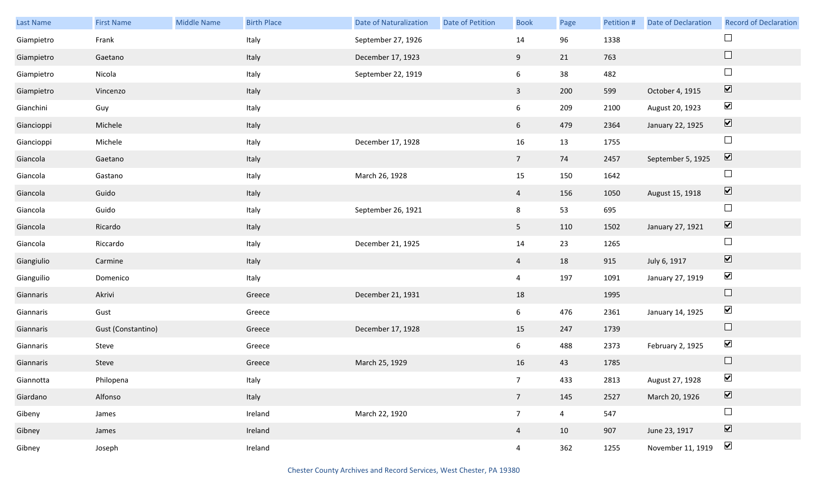| Last Name  | <b>First Name</b>  | <b>Middle Name</b> | <b>Birth Place</b> | <b>Date of Naturalization</b> | <b>Date of Petition</b> | <b>Book</b>     | Page           | Petition # | <b>Date of Declaration</b> | <b>Record of Declaration</b> |
|------------|--------------------|--------------------|--------------------|-------------------------------|-------------------------|-----------------|----------------|------------|----------------------------|------------------------------|
| Giampietro | Frank              |                    | Italy              | September 27, 1926            |                         | 14              | 96             | 1338       |                            | $\Box$                       |
| Giampietro | Gaetano            |                    | Italy              | December 17, 1923             |                         | 9               | 21             | 763        |                            | $\hfill \square$             |
| Giampietro | Nicola             |                    | Italy              | September 22, 1919            |                         | 6               | 38             | 482        |                            | $\Box$                       |
| Giampietro | Vincenzo           |                    | Italy              |                               |                         | $\mathbf{3}$    | 200            | 599        | October 4, 1915            | $\boxed{\blacktriangledown}$ |
| Gianchini  | Guy                |                    | Italy              |                               |                         | $6\overline{6}$ | 209            | 2100       | August 20, 1923            | $\blacktriangledown$         |
| Giancioppi | Michele            |                    | Italy              |                               |                         | 6 <sup>1</sup>  | 479            | 2364       | January 22, 1925           | $\boxed{\blacktriangledown}$ |
| Giancioppi | Michele            |                    | Italy              | December 17, 1928             |                         | 16              | 13             | 1755       |                            | $\Box$                       |
| Giancola   | Gaetano            |                    | Italy              |                               |                         | $7\overline{ }$ | 74             | 2457       | September 5, 1925          | $\boxed{\blacktriangledown}$ |
| Giancola   | Gastano            |                    | Italy              | March 26, 1928                |                         | 15              | 150            | 1642       |                            | $\Box$                       |
| Giancola   | Guido              |                    | Italy              |                               |                         | $\overline{4}$  | 156            | 1050       | August 15, 1918            | $\boxed{\blacktriangledown}$ |
| Giancola   | Guido              |                    | Italy              | September 26, 1921            |                         | $8\phantom{1}$  | 53             | 695        |                            | $\Box$                       |
| Giancola   | Ricardo            |                    | Italy              |                               |                         | 5 <sub>5</sub>  | 110            | 1502       | January 27, 1921           | $\blacktriangledown$         |
| Giancola   | Riccardo           |                    | Italy              | December 21, 1925             |                         | 14              | 23             | 1265       |                            | $\Box$                       |
| Giangiulio | Carmine            |                    | Italy              |                               |                         | $\overline{4}$  | 18             | 915        | July 6, 1917               | $\blacktriangledown$         |
| Gianguilio | Domenico           |                    | Italy              |                               |                         | $\overline{4}$  | 197            | 1091       | January 27, 1919           | $\blacktriangledown$         |
| Giannaris  | Akrivi             |                    | Greece             | December 21, 1931             |                         | 18              |                | 1995       |                            | $\hfill \square$             |
| Giannaris  | Gust               |                    | Greece             |                               |                         | $6\overline{6}$ | 476            | 2361       | January 14, 1925           | $\blacktriangledown$         |
| Giannaris  | Gust (Constantino) |                    | Greece             | December 17, 1928             |                         | 15              | 247            | 1739       |                            | $\Box$                       |
| Giannaris  | Steve              |                    | Greece             |                               |                         | $6\overline{6}$ | 488            | 2373       | February 2, 1925           | $\blacktriangledown$         |
| Giannaris  | Steve              |                    | Greece             | March 25, 1929                |                         | 16              | 43             | 1785       |                            | $\Box$                       |
| Giannotta  | Philopena          |                    | Italy              |                               |                         | 7 <sup>7</sup>  | 433            | 2813       | August 27, 1928            | $\blacktriangledown$         |
| Giardano   | Alfonso            |                    | Italy              |                               |                         | 7 <sup>7</sup>  | 145            | 2527       | March 20, 1926             | $\boxed{\blacktriangledown}$ |
| Gibeny     | James              |                    | Ireland            | March 22, 1920                |                         | $7\overline{ }$ | $\overline{4}$ | 547        |                            | $\Box$                       |
| Gibney     | James              |                    | Ireland            |                               |                         | $\overline{4}$  | 10             | 907        | June 23, 1917              | $\boxed{\blacktriangledown}$ |
| Gibney     | Joseph             |                    | Ireland            |                               |                         | $\overline{4}$  | 362            | 1255       | November 11, 1919          | $\blacktriangleright$        |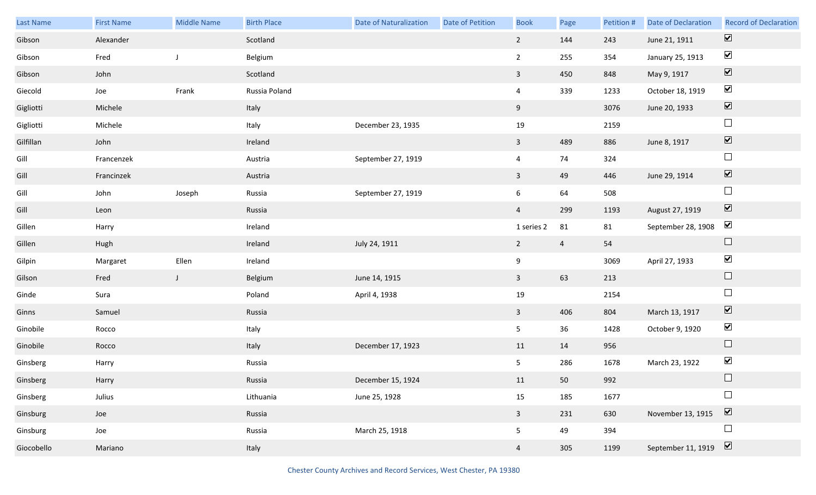| Last Name  | <b>First Name</b> | <b>Middle Name</b> | <b>Birth Place</b> | <b>Date of Naturalization</b> | Date of Petition | <b>Book</b>             | Page           | Petition # | Date of Declaration | <b>Record of Declaration</b> |
|------------|-------------------|--------------------|--------------------|-------------------------------|------------------|-------------------------|----------------|------------|---------------------|------------------------------|
| Gibson     | Alexander         |                    | Scotland           |                               |                  | $2^{\circ}$             | 144            | 243        | June 21, 1911       | $\boxed{\blacktriangledown}$ |
| Gibson     | Fred              | J                  | Belgium            |                               |                  | $\overline{2}$          | 255            | 354        | January 25, 1913    | $\blacktriangleright$        |
| Gibson     | John              |                    | Scotland           |                               |                  | $\overline{3}$          | 450            | 848        | May 9, 1917         | $\boxed{\blacktriangledown}$ |
| Giecold    | Joe               | Frank              | Russia Poland      |                               |                  | $\overline{4}$          | 339            | 1233       | October 18, 1919    | $\blacktriangledown$         |
| Gigliotti  | Michele           |                    | Italy              |                               |                  | 9                       |                | 3076       | June 20, 1933       | $\boxed{\blacktriangledown}$ |
| Gigliotti  | Michele           |                    | Italy              | December 23, 1935             |                  | 19                      |                | 2159       |                     | $\hfill \square$             |
| Gilfillan  | John              |                    | Ireland            |                               |                  | $\mathbf{3}$            | 489            | 886        | June 8, 1917        | $\boxed{\blacktriangledown}$ |
| Gill       | Francenzek        |                    | Austria            | September 27, 1919            |                  | $\overline{4}$          | 74             | 324        |                     | $\Box$                       |
| Gill       | Francinzek        |                    | Austria            |                               |                  | $\overline{3}$          | 49             | 446        | June 29, 1914       | $\boxed{\blacktriangledown}$ |
| Gill       | John              | Joseph             | Russia             | September 27, 1919            |                  | 6                       | 64             | 508        |                     | $\hfill \square$             |
| Gill       | Leon              |                    | Russia             |                               |                  | $\overline{4}$          | 299            | 1193       | August 27, 1919     | $\boxed{\blacktriangledown}$ |
| Gillen     | Harry             |                    | Ireland            |                               |                  | 1 series 2              | 81             | 81         | September 28, 1908  | $\blacktriangleright$        |
| Gillen     | Hugh              |                    | Ireland            | July 24, 1911                 |                  | $\overline{2}$          | $\overline{4}$ | 54         |                     | $\Box$                       |
| Gilpin     | Margaret          | Ellen              | Ireland            |                               |                  | 9                       |                | 3069       | April 27, 1933      | $\blacktriangledown$         |
| Gilson     | Fred              | $\mathsf J$        | Belgium            | June 14, 1915                 |                  | $\overline{3}$          | 63             | 213        |                     | $\Box$                       |
| Ginde      | Sura              |                    | Poland             | April 4, 1938                 |                  | 19                      |                | 2154       |                     | $\Box$                       |
| Ginns      | Samuel            |                    | Russia             |                               |                  | $\overline{3}$          | 406            | 804        | March 13, 1917      | $\boxed{\blacktriangledown}$ |
| Ginobile   | Rocco             |                    | Italy              |                               |                  | 5 <sub>1</sub>          | 36             | 1428       | October 9, 1920     | $\blacktriangledown$         |
| Ginobile   | Rocco             |                    | Italy              | December 17, 1923             |                  | 11                      | 14             | 956        |                     | $\Box$                       |
| Ginsberg   | Harry             |                    | Russia             |                               |                  | 5 <sub>1</sub>          | 286            | 1678       | March 23, 1922      | $\blacktriangledown$         |
| Ginsberg   | Harry             |                    | Russia             | December 15, 1924             |                  | 11                      | 50             | 992        |                     |                              |
| Ginsberg   | Julius            |                    | Lithuania          | June 25, 1928                 |                  | 15                      | 185            | 1677       |                     | $\Box$                       |
| Ginsburg   | Joe               |                    | Russia             |                               |                  | $\overline{\mathbf{3}}$ | 231            | 630        | November 13, 1915   | $\overline{\mathbf{v}}$      |
| Ginsburg   | Joe               |                    | Russia             | March 25, 1918                |                  | 5 <sub>1</sub>          | 49             | 394        |                     | $\Box$                       |
| Giocobello | Mariano           |                    | Italy              |                               |                  | $\overline{4}$          | 305            | 1199       | September 11, 1919  | $\boxed{\blacktriangledown}$ |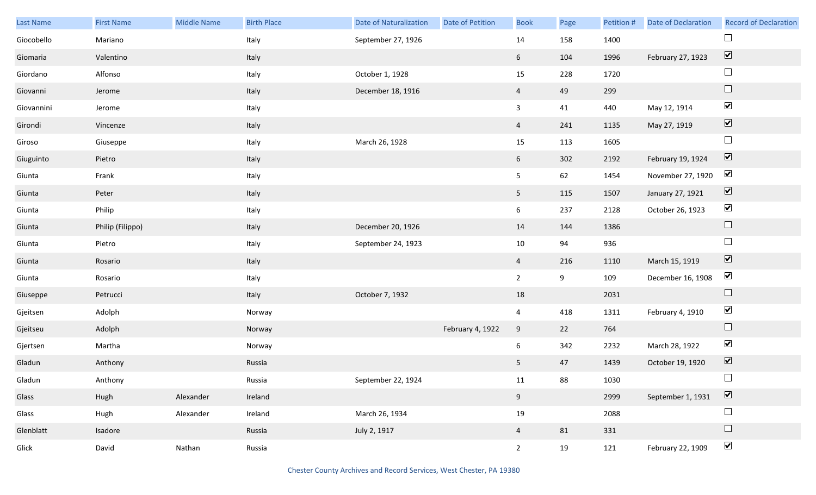| Last Name  | <b>First Name</b> | <b>Middle Name</b> | <b>Birth Place</b> | <b>Date of Naturalization</b> | Date of Petition | <b>Book</b>    | Page | Petition # | <b>Date of Declaration</b> | <b>Record of Declaration</b> |
|------------|-------------------|--------------------|--------------------|-------------------------------|------------------|----------------|------|------------|----------------------------|------------------------------|
| Giocobello | Mariano           |                    | Italy              | September 27, 1926            |                  | 14             | 158  | 1400       |                            | $\Box$                       |
| Giomaria   | Valentino         |                    | Italy              |                               |                  | 6 <sup>1</sup> | 104  | 1996       | February 27, 1923          | $\boxed{\blacktriangledown}$ |
| Giordano   | Alfonso           |                    | Italy              | October 1, 1928               |                  | 15             | 228  | 1720       |                            | $\Box$                       |
| Giovanni   | Jerome            |                    | Italy              | December 18, 1916             |                  | $\overline{4}$ | 49   | 299        |                            | $\hfill \square$             |
| Giovannini | Jerome            |                    | Italy              |                               |                  | $\mathbf{3}$   | 41   | 440        | May 12, 1914               | $\blacktriangledown$         |
| Girondi    | Vincenze          |                    | Italy              |                               |                  | $\overline{4}$ | 241  | 1135       | May 27, 1919               | $\blacktriangledown$         |
| Giroso     | Giuseppe          |                    | Italy              | March 26, 1928                |                  | 15             | 113  | 1605       |                            | $\Box$                       |
| Giuguinto  | Pietro            |                    | Italy              |                               |                  | 6              | 302  | 2192       | February 19, 1924          | $\boxed{\blacktriangledown}$ |
| Giunta     | Frank             |                    | Italy              |                               |                  | 5 <sub>1</sub> | 62   | 1454       | November 27, 1920          | $\blacktriangledown$         |
| Giunta     | Peter             |                    | Italy              |                               |                  | 5 <sub>1</sub> | 115  | 1507       | January 27, 1921           | $\boxed{\blacktriangledown}$ |
| Giunta     | Philip            |                    | Italy              |                               |                  | 6              | 237  | 2128       | October 26, 1923           | $\blacktriangledown$         |
| Giunta     | Philip (Filippo)  |                    | Italy              | December 20, 1926             |                  | 14             | 144  | 1386       |                            | $\Box$                       |
| Giunta     | Pietro            |                    | Italy              | September 24, 1923            |                  | 10             | 94   | 936        |                            | $\Box$                       |
| Giunta     | Rosario           |                    | Italy              |                               |                  | $\overline{4}$ | 216  | 1110       | March 15, 1919             | $\blacktriangledown$         |
| Giunta     | Rosario           |                    | Italy              |                               |                  | $\overline{2}$ | 9    | 109        | December 16, 1908          | $\blacktriangledown$         |
| Giuseppe   | Petrucci          |                    | Italy              | October 7, 1932               |                  | 18             |      | 2031       |                            | $\Box$                       |
| Gjeitsen   | Adolph            |                    | Norway             |                               |                  | $\overline{4}$ | 418  | 1311       | February 4, 1910           | $\blacktriangledown$         |
| Gjeitseu   | Adolph            |                    | Norway             |                               | February 4, 1922 | 9              | 22   | 764        |                            | $\Box$                       |
| Gjertsen   | Martha            |                    | Norway             |                               |                  | 6              | 342  | 2232       | March 28, 1922             | $\blacktriangledown$         |
| Gladun     | Anthony           |                    | Russia             |                               |                  | 5              | 47   | 1439       | October 19, 1920           | $\boxed{\blacktriangledown}$ |
| Gladun     | Anthony           |                    | Russia             | September 22, 1924            |                  | 11             | 88   | 1030       |                            | $\Box$                       |
| Glass      | Hugh              | Alexander          | Ireland            |                               |                  | 9              |      | 2999       | September 1, 1931          | $\boxed{\blacktriangledown}$ |
| Glass      | Hugh              | Alexander          | Ireland            | March 26, 1934                |                  | 19             |      | 2088       |                            | $\Box$                       |
| Glenblatt  | Isadore           |                    | Russia             | July 2, 1917                  |                  | $\overline{4}$ | 81   | 331        |                            | $\Box$                       |
| Glick      | David             | Nathan             | Russia             |                               |                  | $2^{\circ}$    | 19   | 121        | February 22, 1909          | $\blacktriangledown$         |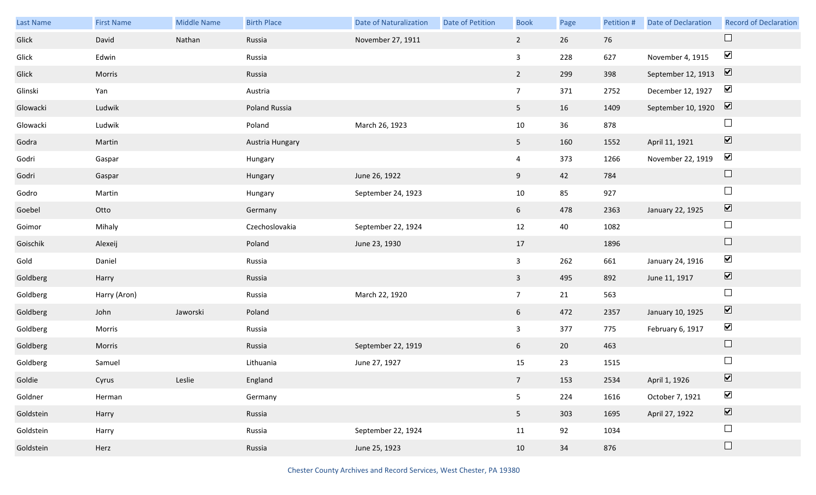| Last Name | <b>First Name</b> | Middle Name | <b>Birth Place</b> | <b>Date of Naturalization</b> | <b>Date of Petition</b> | <b>Book</b>     | Page | Petition # | <b>Date of Declaration</b> | <b>Record of Declaration</b> |
|-----------|-------------------|-------------|--------------------|-------------------------------|-------------------------|-----------------|------|------------|----------------------------|------------------------------|
| Glick     | David             | Nathan      | Russia             | November 27, 1911             |                         | $2^{\circ}$     | 26   | 76         |                            | $\Box$                       |
| Glick     | Edwin             |             | Russia             |                               |                         | $\mathbf{3}$    | 228  | 627        | November 4, 1915           | $\blacktriangleright$        |
| Glick     | Morris            |             | Russia             |                               |                         | $2^{\circ}$     | 299  | 398        | September 12, 1913         | $\boxed{\mathbf{v}}$         |
| Glinski   | Yan               |             | Austria            |                               |                         | $7\overline{ }$ | 371  | 2752       | December 12, 1927          | $\blacktriangledown$         |
| Glowacki  | Ludwik            |             | Poland Russia      |                               |                         | 5 <sub>1</sub>  | 16   | 1409       | September 10, 1920         | $\boxed{\mathbf{v}}$         |
| Glowacki  | Ludwik            |             | Poland             | March 26, 1923                |                         | 10              | 36   | 878        |                            | $\Box$                       |
| Godra     | Martin            |             | Austria Hungary    |                               |                         | 5 <sub>1</sub>  | 160  | 1552       | April 11, 1921             | $\boxed{\blacktriangledown}$ |
| Godri     | Gaspar            |             | Hungary            |                               |                         | $\overline{4}$  | 373  | 1266       | November 22, 1919          | $\blacktriangledown$         |
| Godri     | Gaspar            |             | Hungary            | June 26, 1922                 |                         | 9               | 42   | 784        |                            | $\Box$                       |
| Godro     | Martin            |             | Hungary            | September 24, 1923            |                         | 10              | 85   | 927        |                            | $\Box$                       |
| Goebel    | Otto              |             | Germany            |                               |                         | 6 <sup>1</sup>  | 478  | 2363       | January 22, 1925           | $\boxed{\mathbf{v}}$         |
| Goimor    | Mihaly            |             | Czechoslovakia     | September 22, 1924            |                         | 12              | 40   | 1082       |                            | $\Box$                       |
| Goischik  | Alexeij           |             | Poland             | June 23, 1930                 |                         | 17              |      | 1896       |                            | $\Box$                       |
| Gold      | Daniel            |             | Russia             |                               |                         | $\mathbf{3}$    | 262  | 661        | January 24, 1916           | $\blacktriangledown$         |
| Goldberg  | Harry             |             | Russia             |                               |                         | $\overline{3}$  | 495  | 892        | June 11, 1917              | $\blacktriangledown$         |
| Goldberg  | Harry (Aron)      |             | Russia             | March 22, 1920                |                         | $7\overline{ }$ | 21   | 563        |                            | $\Box$                       |
| Goldberg  | John              | Jaworski    | Poland             |                               |                         | 6 <sup>1</sup>  | 472  | 2357       | January 10, 1925           | $\boxed{\blacktriangledown}$ |
| Goldberg  | Morris            |             | Russia             |                               |                         | $\overline{3}$  | 377  | 775        | February 6, 1917           | $\blacktriangledown$         |
| Goldberg  | Morris            |             | Russia             | September 22, 1919            |                         | 6 <sup>1</sup>  | 20   | 463        |                            | $\Box$                       |
| Goldberg  | Samuel            |             | Lithuania          | June 27, 1927                 |                         | 15              | 23   | 1515       |                            | $\Box$                       |
| Goldie    | Cyrus             | Leslie      | England            |                               |                         | 7 <sup>7</sup>  | 153  | 2534       | April 1, 1926              | $\boxed{\mathbf{v}}$         |
| Goldner   | Herman            |             | Germany            |                               |                         | 5               | 224  | 1616       | October 7, 1921            | $\blacktriangledown$         |
| Goldstein | Harry             |             | Russia             |                               |                         | 5 <sub>1</sub>  | 303  | 1695       | April 27, 1922             | $\boxed{\blacktriangledown}$ |
| Goldstein | Harry             |             | Russia             | September 22, 1924            |                         | 11              | 92   | 1034       |                            | $\Box$                       |
| Goldstein | Herz              |             | Russia             | June 25, 1923                 |                         | 10              | 34   | 876        |                            | $\Box$                       |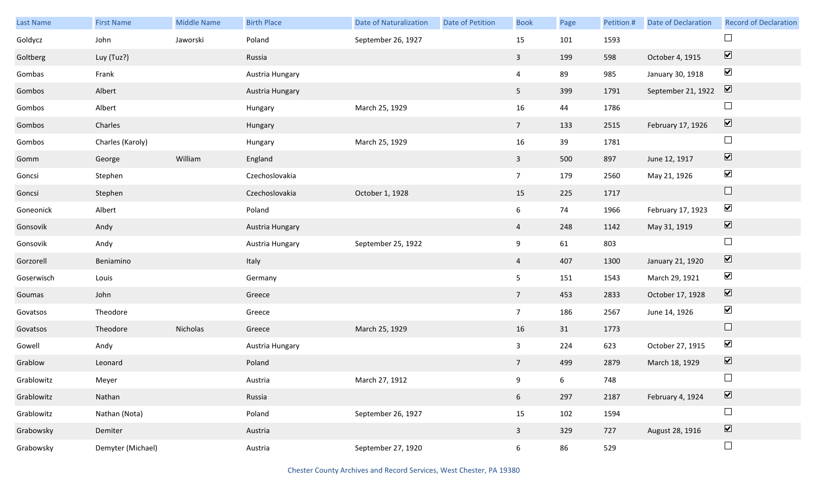| Last Name  | <b>First Name</b> | <b>Middle Name</b> | <b>Birth Place</b> | <b>Date of Naturalization</b> | Date of Petition | <b>Book</b>     | Page | Petition # | <b>Date of Declaration</b> | <b>Record of Declaration</b>    |
|------------|-------------------|--------------------|--------------------|-------------------------------|------------------|-----------------|------|------------|----------------------------|---------------------------------|
| Goldycz    | John              | Jaworski           | Poland             | September 26, 1927            |                  | 15              | 101  | 1593       |                            | $\Box$                          |
| Goltberg   | Luy (Tuz?)        |                    | Russia             |                               |                  | $\mathbf{3}$    | 199  | 598        | October 4, 1915            | $\boxed{\blacktriangledown}$    |
| Gombas     | Frank             |                    | Austria Hungary    |                               |                  | $\overline{4}$  | 89   | 985        | January 30, 1918           | $\blacktriangledown$            |
| Gombos     | Albert            |                    | Austria Hungary    |                               |                  | 5 <sub>5</sub>  | 399  | 1791       | September 21, 1922         | $\boxed{\blacktriangledown}$    |
| Gombos     | Albert            |                    | Hungary            | March 25, 1929                |                  | 16              | 44   | 1786       |                            | $\Box$                          |
| Gombos     | Charles           |                    | Hungary            |                               |                  | $7\overline{ }$ | 133  | 2515       | February 17, 1926          | $\boxed{\blacktriangledown}$    |
| Gombos     | Charles (Karoly)  |                    | Hungary            | March 25, 1929                |                  | 16              | 39   | 1781       |                            | $\Box$                          |
| Gomm       | George            | William            | England            |                               |                  | $\mathbf{3}$    | 500  | 897        | June 12, 1917              | $\blacktriangledown$            |
| Goncsi     | Stephen           |                    | Czechoslovakia     |                               |                  | $7\overline{ }$ | 179  | 2560       | May 21, 1926               | $\blacktriangledown$            |
| Goncsi     | Stephen           |                    | Czechoslovakia     | October 1, 1928               |                  | 15              | 225  | 1717       |                            | $\hfill \square$                |
| Goneonick  | Albert            |                    | Poland             |                               |                  | 6               | 74   | 1966       | February 17, 1923          | $\blacktriangledown$            |
| Gonsovik   | Andy              |                    | Austria Hungary    |                               |                  | $\overline{a}$  | 248  | 1142       | May 31, 1919               | $\blacktriangledown$            |
| Gonsovik   | Andy              |                    | Austria Hungary    | September 25, 1922            |                  | 9               | 61   | 803        |                            | $\Box$                          |
| Gorzorell  | Beniamino         |                    | Italy              |                               |                  | $\overline{4}$  | 407  | 1300       | January 21, 1920           | $\blacktriangledown$            |
| Goserwisch | Louis             |                    | Germany            |                               |                  | 5               | 151  | 1543       | March 29, 1921             | $\blacktriangledown$            |
| Goumas     | John              |                    | Greece             |                               |                  | $7\overline{ }$ | 453  | 2833       | October 17, 1928           | $\blacktriangledown$            |
| Govatsos   | Theodore          |                    | Greece             |                               |                  | $7\overline{ }$ | 186  | 2567       | June 14, 1926              | $\blacktriangledown$            |
| Govatsos   | Theodore          | Nicholas           | Greece             | March 25, 1929                |                  | 16              | 31   | 1773       |                            | $\Box$                          |
| Gowell     | Andy              |                    | Austria Hungary    |                               |                  | $\mathbf{3}$    | 224  | 623        | October 27, 1915           | $\blacktriangledown$            |
| Grablow    | Leonard           |                    | Poland             |                               |                  | $7\overline{ }$ | 499  | 2879       | March 18, 1929             | $\overline{\mathbf{v}}$         |
| Grablowitz | Meyer             |                    | Austria            | March 27, 1912                |                  | 9               | 6    | 748        |                            | $\Box$                          |
| Grablowitz | Nathan            |                    | Russia             |                               |                  | 6 <sup>1</sup>  | 297  | 2187       | February 4, 1924           | $\overline{\blacktriangledown}$ |
| Grablowitz | Nathan (Nota)     |                    | Poland             | September 26, 1927            |                  | 15              | 102  | 1594       |                            | $\Box$                          |
| Grabowsky  | Demiter           |                    | Austria            |                               |                  | $\mathbf{3}$    | 329  | 727        | August 28, 1916            | $\overline{\blacktriangledown}$ |
| Grabowsky  | Demyter (Michael) |                    | Austria            | September 27, 1920            |                  | $6\overline{6}$ | 86   | 529        |                            | $\Box$                          |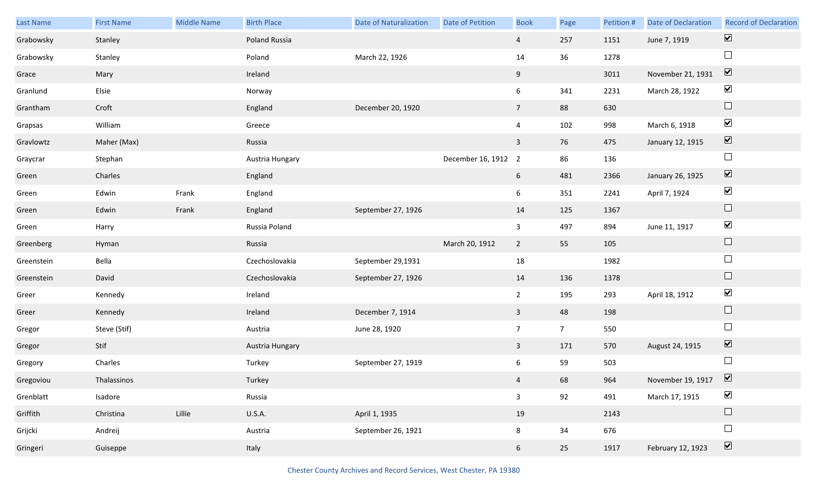| Last Name  | <b>First Name</b> | Middle Name | <b>Birth Place</b> | <b>Date of Naturalization</b> | Date of Petition    | <b>Book</b>    | Page           | Petition # | <b>Date of Declaration</b> | <b>Record of Declaration</b> |
|------------|-------------------|-------------|--------------------|-------------------------------|---------------------|----------------|----------------|------------|----------------------------|------------------------------|
| Grabowsky  | Stanley           |             | Poland Russia      |                               |                     | $\overline{4}$ | 257            | 1151       | June 7, 1919               | $\overline{\mathbf{v}}$      |
| Grabowsky  | Stanley           |             | Poland             | March 22, 1926                |                     | 14             | 36             | 1278       |                            | $\Box$                       |
| Grace      | Mary              |             | Ireland            |                               |                     | 9              |                | 3011       | November 21, 1931          | $\boxed{\mathbf{v}}$         |
| Granlund   | Elsie             |             | Norway             |                               |                     | 6              | 341            | 2231       | March 28, 1922             | $\blacktriangledown$         |
| Grantham   | Croft             |             | England            | December 20, 1920             |                     | 7 <sup>7</sup> | 88             | 630        |                            | $\Box$                       |
| Grapsas    | William           |             | Greece             |                               |                     | 4              | 102            | 998        | March 6, 1918              | $\blacktriangledown$         |
| Gravlowtz  | Maher (Max)       |             | Russia             |                               |                     | $\mathbf{3}$   | 76             | 475        | January 12, 1915           | $\boxed{\blacktriangledown}$ |
| Graycrar   | Stephan           |             | Austria Hungary    |                               | December 16, 1912 2 |                | 86             | 136        |                            | $\Box$                       |
| Green      | Charles           |             | England            |                               |                     | 6              | 481            | 2366       | January 26, 1925           | $\boxed{\blacktriangledown}$ |
| Green      | Edwin             | Frank       | England            |                               |                     | 6              | 351            | 2241       | April 7, 1924              | $\blacktriangledown$         |
| Green      | Edwin             | Frank       | England            | September 27, 1926            |                     | 14             | 125            | 1367       |                            | $\Box$                       |
| Green      | Harry             |             | Russia Poland      |                               |                     | $\mathbf{3}$   | 497            | 894        | June 11, 1917              | $\blacktriangledown$         |
| Greenberg  | Hyman             |             | Russia             |                               | March 20, 1912      | $\overline{2}$ | 55             | 105        |                            | $\Box$                       |
| Greenstein | Bella             |             | Czechoslovakia     | September 29,1931             |                     | 18             |                | 1982       |                            | $\Box$                       |
| Greenstein | David             |             | Czechoslovakia     | September 27, 1926            |                     | 14             | 136            | 1378       |                            | $\Box$                       |
| Greer      | Kennedy           |             | Ireland            |                               |                     | $2^{\circ}$    | 195            | 293        | April 18, 1912             | $\blacktriangledown$         |
| Greer      | Kennedy           |             | Ireland            | December 7, 1914              |                     | $\mathbf{3}$   | 48             | 198        |                            | $\Box$                       |
| Gregor     | Steve (Stif)      |             | Austria            | June 28, 1920                 |                     | $\overline{7}$ | 7 <sup>7</sup> | 550        |                            | $\Box$                       |
| Gregor     | Stif              |             | Austria Hungary    |                               |                     | $\overline{3}$ | 171            | 570        | August 24, 1915            | $\boxed{\blacktriangledown}$ |
| Gregory    | Charles           |             | Turkey             | September 27, 1919            |                     | 6              | 59             | 503        |                            | $\Box$                       |
| Gregoviou  | Thalassinos       |             | Turkey             |                               |                     | $\overline{4}$ | 68             | 964        | November 19, 1917          | $\boxed{\mathbf{v}}$         |
| Grenblatt  | Isadore           |             | Russia             |                               |                     | $\mathbf{3}$   | 92             | 491        | March 17, 1915             | $\blacktriangledown$         |
| Griffith   | Christina         | Lillie      | <b>U.S.A.</b>      | April 1, 1935                 |                     | 19             |                | 2143       |                            | $\Box$                       |
| Grijcki    | Andreij           |             | Austria            | September 26, 1921            |                     | 8              | 34             | 676        |                            | $\Box$                       |
| Gringeri   | Guiseppe          |             | Italy              |                               |                     | 6              | 25             | 1917       | February 12, 1923          | $\boxed{\blacktriangledown}$ |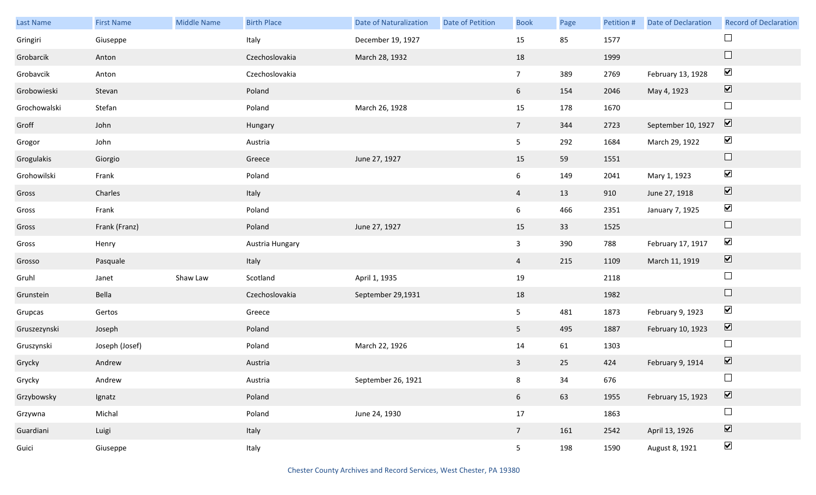| Last Name    | <b>First Name</b> | <b>Middle Name</b> | <b>Birth Place</b> | <b>Date of Naturalization</b> | Date of Petition | <b>Book</b>     | Page | Petition # | Date of Declaration | <b>Record of Declaration</b> |
|--------------|-------------------|--------------------|--------------------|-------------------------------|------------------|-----------------|------|------------|---------------------|------------------------------|
| Gringiri     | Giuseppe          |                    | Italy              | December 19, 1927             |                  | 15              | 85   | 1577       |                     |                              |
| Grobarcik    | Anton             |                    | Czechoslovakia     | March 28, 1932                |                  | 18              |      | 1999       |                     | $\Box$                       |
| Grobavcik    | Anton             |                    | Czechoslovakia     |                               |                  | 7 <sup>7</sup>  | 389  | 2769       | February 13, 1928   | $\blacktriangledown$         |
| Grobowieski  | Stevan            |                    | Poland             |                               |                  | $6\overline{6}$ | 154  | 2046       | May 4, 1923         | $\boxed{\blacktriangledown}$ |
| Grochowalski | Stefan            |                    | Poland             | March 26, 1928                |                  | 15              | 178  | 1670       |                     | $\Box$                       |
| Groff        | John              |                    | Hungary            |                               |                  | $7\overline{ }$ | 344  | 2723       | September 10, 1927  | $\boxed{\blacktriangledown}$ |
| Grogor       | John              |                    | Austria            |                               |                  | 5 <sub>5</sub>  | 292  | 1684       | March 29, 1922      | $\blacktriangledown$         |
| Grogulakis   | Giorgio           |                    | Greece             | June 27, 1927                 |                  | 15              | 59   | 1551       |                     | $\hfill \square$             |
| Grohowilski  | Frank             |                    | Poland             |                               |                  | $6\overline{6}$ | 149  | 2041       | Mary 1, 1923        | $\blacktriangledown$         |
| Gross        | Charles           |                    | Italy              |                               |                  | $\overline{4}$  | 13   | 910        | June 27, 1918       | $\boxed{\blacktriangledown}$ |
| Gross        | Frank             |                    | Poland             |                               |                  | $6\overline{6}$ | 466  | 2351       | January 7, 1925     | $\blacktriangledown$         |
| Gross        | Frank (Franz)     |                    | Poland             | June 27, 1927                 |                  | 15              | 33   | 1525       |                     | $\hfill \square$             |
| Gross        | Henry             |                    | Austria Hungary    |                               |                  | $\mathbf{3}$    | 390  | 788        | February 17, 1917   | $\blacktriangledown$         |
| Grosso       | Pasquale          |                    | Italy              |                               |                  | 4               | 215  | 1109       | March 11, 1919      | $\boxed{\blacktriangledown}$ |
| Gruhl        | Janet             | Shaw Law           | Scotland           | April 1, 1935                 |                  | 19              |      | 2118       |                     | $\Box$                       |
| Grunstein    | Bella             |                    | Czechoslovakia     | September 29,1931             |                  | 18              |      | 1982       |                     | $\Box$                       |
| Grupcas      | Gertos            |                    | Greece             |                               |                  | 5 <sub>5</sub>  | 481  | 1873       | February 9, 1923    | $\blacktriangledown$         |
| Gruszezynski | Joseph            |                    | Poland             |                               |                  | 5 <sub>1</sub>  | 495  | 1887       | February 10, 1923   | $\boxed{\blacktriangledown}$ |
| Gruszynski   | Joseph (Josef)    |                    | Poland             | March 22, 1926                |                  | 14              | 61   | 1303       |                     | $\Box$                       |
| Grycky       | Andrew            |                    | Austria            |                               |                  | $\mathbf{3}$    | 25   | 424        | February 9, 1914    | $\overline{\mathbf{v}}$      |
| Grycky       | Andrew            |                    | Austria            | September 26, 1921            |                  | 8               | 34   | 676        |                     | $\Box$                       |
| Grzybowsky   | Ignatz            |                    | Poland             |                               |                  | 6 <sup>1</sup>  | 63   | 1955       | February 15, 1923   | $\boxed{\blacktriangledown}$ |
| Grzywna      | Michal            |                    | Poland             | June 24, 1930                 |                  | $17\,$          |      | 1863       |                     | $\Box$                       |
| Guardiani    | Luigi             |                    | Italy              |                               |                  | $7\overline{ }$ | 161  | 2542       | April 13, 1926      | $\overline{\textbf{v}}$      |
| Guici        | Giuseppe          |                    | Italy              |                               |                  | 5 <sub>1</sub>  | 198  | 1590       | August 8, 1921      | $\blacktriangledown$         |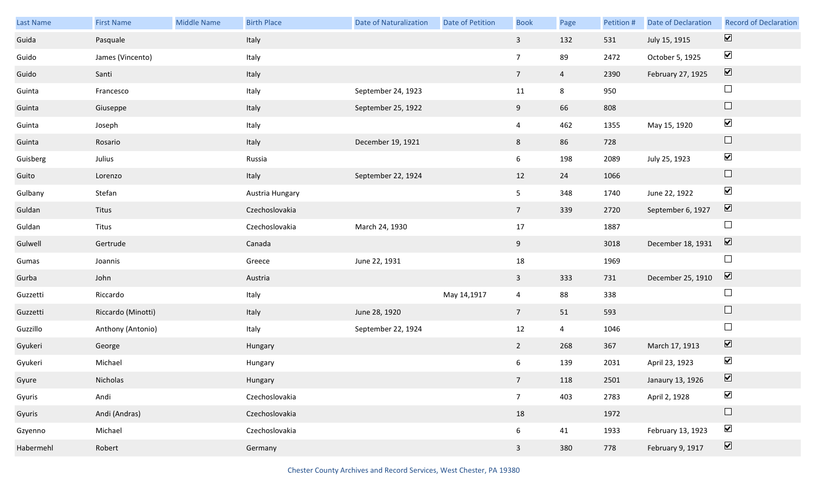| <b>Last Name</b> | <b>First Name</b>  | <b>Middle Name</b> | <b>Birth Place</b> | <b>Date of Naturalization</b> | Date of Petition | <b>Book</b>     | Page           | Petition # | <b>Date of Declaration</b> | <b>Record of Declaration</b> |
|------------------|--------------------|--------------------|--------------------|-------------------------------|------------------|-----------------|----------------|------------|----------------------------|------------------------------|
| Guida            | Pasquale           |                    | Italy              |                               |                  | $\mathbf{3}$    | 132            | 531        | July 15, 1915              | $\boxed{\blacktriangledown}$ |
| Guido            | James (Vincento)   |                    | Italy              |                               |                  | $7\overline{ }$ | 89             | 2472       | October 5, 1925            | $\blacktriangledown$         |
| Guido            | Santi              |                    | Italy              |                               |                  | $7\overline{ }$ | $\overline{4}$ | 2390       | February 27, 1925          | $\boxed{\mathbf{v}}$         |
| Guinta           | Francesco          |                    | Italy              | September 24, 1923            |                  | 11              | 8              | 950        |                            | $\Box$                       |
| Guinta           | Giuseppe           |                    | Italy              | September 25, 1922            |                  | 9 <sub>o</sub>  | 66             | 808        |                            | $\Box$                       |
| Guinta           | Joseph             |                    | Italy              |                               |                  | $\overline{4}$  | 462            | 1355       | May 15, 1920               | $\blacktriangledown$         |
| Guinta           | Rosario            |                    | Italy              | December 19, 1921             |                  | 8               | 86             | 728        |                            | $\Box$                       |
| Guisberg         | Julius             |                    | Russia             |                               |                  | $6\overline{6}$ | 198            | 2089       | July 25, 1923              | $\blacktriangledown$         |
| Guito            | Lorenzo            |                    | Italy              | September 22, 1924            |                  | 12              | 24             | 1066       |                            | $\Box$                       |
| Gulbany          | Stefan             |                    | Austria Hungary    |                               |                  | 5 <sub>5</sub>  | 348            | 1740       | June 22, 1922              | $\blacktriangledown$         |
| Guldan           | Titus              |                    | Czechoslovakia     |                               |                  | $7\overline{ }$ | 339            | 2720       | September 6, 1927          | $\boxed{\mathbf{v}}$         |
| Guldan           | Titus              |                    | Czechoslovakia     | March 24, 1930                |                  | 17              |                | 1887       |                            | $\Box$                       |
| Gulwell          | Gertrude           |                    | Canada             |                               |                  | 9               |                | 3018       | December 18, 1931          | $\overline{\mathbf{v}}$      |
| Gumas            | Joannis            |                    | Greece             | June 22, 1931                 |                  | 18              |                | 1969       |                            | $\Box$                       |
| Gurba            | John               |                    | Austria            |                               |                  | $\mathbf{3}$    | 333            | 731        | December 25, 1910          | $\overline{\mathbf{v}}$      |
| Guzzetti         | Riccardo           |                    | Italy              |                               | May 14,1917      | $\overline{4}$  | 88             | 338        |                            | $\Box$                       |
| Guzzetti         | Riccardo (Minotti) |                    | Italy              | June 28, 1920                 |                  | $7\overline{ }$ | 51             | 593        |                            | $\Box$                       |
| Guzzillo         | Anthony (Antonio)  |                    | Italy              | September 22, 1924            |                  | 12              | $\overline{4}$ | 1046       |                            | $\Box$                       |
| Gyukeri          | George             |                    | Hungary            |                               |                  | $\overline{2}$  | 268            | 367        | March 17, 1913             | $\overline{\mathbf{v}}$      |
| Gyukeri          | Michael            |                    | Hungary            |                               |                  | $6\overline{6}$ | 139            | 2031       | April 23, 1923             | $\blacktriangledown$         |
| Gyure            | Nicholas           |                    | Hungary            |                               |                  | 7 <sup>7</sup>  | 118            | 2501       | Janaury 13, 1926           | $\boxed{\mathbf{v}}$         |
| Gyuris           | Andi               |                    | Czechoslovakia     |                               |                  | 7 <sup>7</sup>  | 403            | 2783       | April 2, 1928              | $\blacktriangledown$         |
| Gyuris           | Andi (Andras)      |                    | Czechoslovakia     |                               |                  | 18              |                | 1972       |                            | $\Box$                       |
| Gzyenno          | Michael            |                    | Czechoslovakia     |                               |                  | $6\overline{6}$ | 41             | 1933       | February 13, 1923          | $\blacktriangledown$         |
| Habermehl        | Robert             |                    | Germany            |                               |                  | $\mathbf{3}$    | 380            | 778        | February 9, 1917           | $\boxed{\blacktriangledown}$ |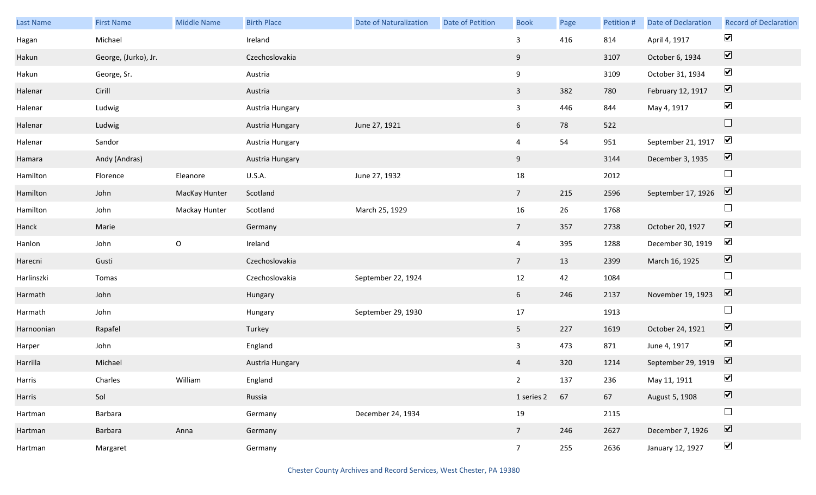| Last Name  | <b>First Name</b>    | Middle Name   | <b>Birth Place</b> | <b>Date of Naturalization</b> | <b>Date of Petition</b> | <b>Book</b>     | Page | Petition # | Date of Declaration | <b>Record of Declaration</b> |
|------------|----------------------|---------------|--------------------|-------------------------------|-------------------------|-----------------|------|------------|---------------------|------------------------------|
| Hagan      | Michael              |               | Ireland            |                               |                         | $\overline{3}$  | 416  | 814        | April 4, 1917       | $\blacktriangledown$         |
| Hakun      | George, (Jurko), Jr. |               | Czechoslovakia     |                               |                         | 9               |      | 3107       | October 6, 1934     | $\boxed{\blacktriangledown}$ |
| Hakun      | George, Sr.          |               | Austria            |                               |                         | 9               |      | 3109       | October 31, 1934    | $\blacktriangledown$         |
| Halenar    | Cirill               |               | Austria            |                               |                         | $\mathbf{3}$    | 382  | 780        | February 12, 1917   | $\boxed{\blacktriangledown}$ |
| Halenar    | Ludwig               |               | Austria Hungary    |                               |                         | $\mathbf{3}$    | 446  | 844        | May 4, 1917         | $\blacktriangledown$         |
| Halenar    | Ludwig               |               | Austria Hungary    | June 27, 1921                 |                         | $6\overline{6}$ | 78   | 522        |                     | $\Box$                       |
| Halenar    | Sandor               |               | Austria Hungary    |                               |                         | $\overline{4}$  | 54   | 951        | September 21, 1917  | $\blacktriangledown$         |
| Hamara     | Andy (Andras)        |               | Austria Hungary    |                               |                         | 9               |      | 3144       | December 3, 1935    | $\boxed{\blacktriangledown}$ |
| Hamilton   | Florence             | Eleanore      | U.S.A.             | June 27, 1932                 |                         | 18              |      | 2012       |                     | $\Box$                       |
| Hamilton   | John                 | MacKay Hunter | Scotland           |                               |                         | $7\overline{ }$ | 215  | 2596       | September 17, 1926  | $\boxed{\blacktriangledown}$ |
| Hamilton   | John                 | Mackay Hunter | Scotland           | March 25, 1929                |                         | 16              | 26   | 1768       |                     | $\Box$                       |
| Hanck      | Marie                |               | Germany            |                               |                         | $7\overline{ }$ | 357  | 2738       | October 20, 1927    | $\boxed{\blacktriangledown}$ |
| Hanlon     | John                 | $\mathsf O$   | Ireland            |                               |                         | $\overline{4}$  | 395  | 1288       | December 30, 1919   | $\blacktriangledown$         |
| Harecni    | Gusti                |               | Czechoslovakia     |                               |                         | $7\overline{ }$ | 13   | 2399       | March 16, 1925      | $\overline{\mathbf{v}}$      |
| Harlinszki | Tomas                |               | Czechoslovakia     | September 22, 1924            |                         | $12\,$          | 42   | 1084       |                     | $\Box$                       |
| Harmath    | John                 |               | Hungary            |                               |                         | 6               | 246  | 2137       | November 19, 1923   | $\boxed{\blacktriangledown}$ |
| Harmath    | John                 |               | Hungary            | September 29, 1930            |                         | 17              |      | 1913       |                     | $\Box$                       |
| Harnoonian | Rapafel              |               | Turkey             |                               |                         | 5 <sup>5</sup>  | 227  | 1619       | October 24, 1921    | $\boxed{\blacktriangledown}$ |
| Harper     | John                 |               | England            |                               |                         | $\mathbf{3}$    | 473  | 871        | June 4, 1917        | $\blacktriangledown$         |
| Harrilla   | Michael              |               | Austria Hungary    |                               |                         | $\overline{4}$  | 320  | 1214       | September 29, 1919  | $\overline{\mathbf{V}}$      |
| Harris     | Charles              | William       | England            |                               |                         | $2^{\circ}$     | 137  | 236        | May 11, 1911        | $\blacktriangledown$         |
| Harris     | Sol                  |               | Russia             |                               |                         | 1 series 2      | 67   | 67         | August 5, 1908      | $\overline{\mathbf{v}}$      |
| Hartman    | Barbara              |               | Germany            | December 24, 1934             |                         | 19              |      | 2115       |                     | $\Box$                       |
| Hartman    | Barbara              | Anna          | Germany            |                               |                         | $7\overline{ }$ | 246  | 2627       | December 7, 1926    | $\boxed{\blacktriangledown}$ |
| Hartman    | Margaret             |               | Germany            |                               |                         | 7 <sup>7</sup>  | 255  | 2636       | January 12, 1927    | $\blacktriangleright$        |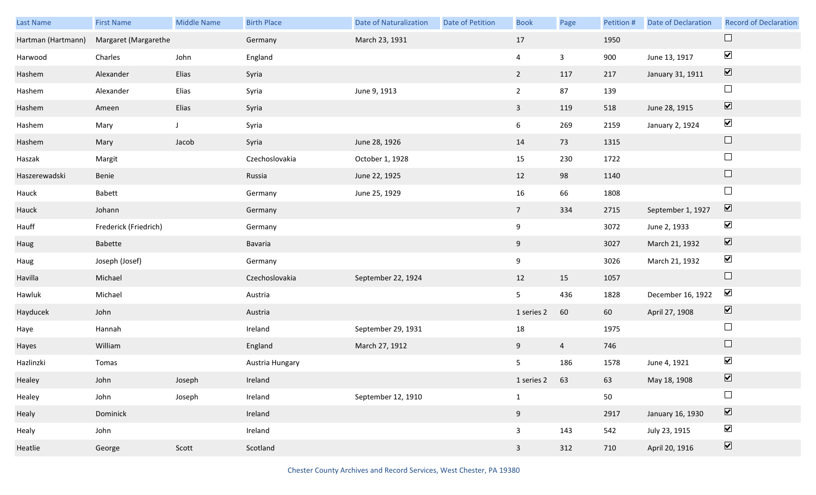| Last Name          | <b>First Name</b>     | <b>Middle Name</b> | <b>Birth Place</b> | <b>Date of Naturalization</b> | <b>Date of Petition</b> | <b>Book</b>    | Page           | Petition # | Date of Declaration | <b>Record of Declaration</b>    |
|--------------------|-----------------------|--------------------|--------------------|-------------------------------|-------------------------|----------------|----------------|------------|---------------------|---------------------------------|
| Hartman (Hartmann) | Margaret (Margarethe  |                    | Germany            | March 23, 1931                |                         | 17             |                | 1950       |                     | $\Box$                          |
| Harwood            | Charles               | John               | England            |                               |                         | $\overline{4}$ | $\mathbf{3}$   | 900        | June 13, 1917       | $\blacktriangledown$            |
| Hashem             | Alexander             | Elias              | Syria              |                               |                         | $2^{\circ}$    | 117            | 217        | January 31, 1911    | $\overline{\mathbf{v}}$         |
| Hashem             | Alexander             | Elias              | Syria              | June 9, 1913                  |                         | $\overline{2}$ | 87             | 139        |                     | $\Box$                          |
| Hashem             | Ameen                 | Elias              | Syria              |                               |                         | $\mathbf{3}$   | 119            | 518        | June 28, 1915       | $\boxed{\blacktriangledown}$    |
| Hashem             | Mary                  | J                  | Syria              |                               |                         | 6              | 269            | 2159       | January 2, 1924     | $\blacktriangledown$            |
| Hashem             | Mary                  | Jacob              | Syria              | June 28, 1926                 |                         | 14             | 73             | 1315       |                     | $\Box$                          |
| Haszak             | Margit                |                    | Czechoslovakia     | October 1, 1928               |                         | 15             | 230            | 1722       |                     | $\Box$                          |
| Haszerewadski      | Benie                 |                    | Russia             | June 22, 1925                 |                         | 12             | 98             | 1140       |                     | $\Box$                          |
| Hauck              | Babett                |                    | Germany            | June 25, 1929                 |                         | 16             | 66             | 1808       |                     | $\Box$                          |
| Hauck              | Johann                |                    | Germany            |                               |                         | 7 <sup>7</sup> | 334            | 2715       | September 1, 1927   | $\boxed{\mathbf{v}}$            |
| Hauff              | Frederick (Friedrich) |                    | Germany            |                               |                         | 9              |                | 3072       | June 2, 1933        | $\blacktriangledown$            |
| Haug               | Babette               |                    | Bavaria            |                               |                         | 9              |                | 3027       | March 21, 1932      | $\blacktriangledown$            |
| Haug               | Joseph (Josef)        |                    | Germany            |                               |                         | 9              |                | 3026       | March 21, 1932      | $\blacktriangledown$            |
| Havilla            | Michael               |                    | Czechoslovakia     | September 22, 1924            |                         | 12             | 15             | 1057       |                     | $\Box$                          |
| Hawluk             | Michael               |                    | Austria            |                               |                         | 5 <sub>5</sub> | 436            | 1828       | December 16, 1922   | $\blacktriangledown$            |
| Hayducek           | John                  |                    | Austria            |                               |                         | 1 series 2     | 60             | 60         | April 27, 1908      | $\blacktriangledown$            |
| Haye               | Hannah                |                    | Ireland            | September 29, 1931            |                         | 18             |                | 1975       |                     | $\Box$                          |
| Hayes              | William               |                    | England            | March 27, 1912                |                         | 9              | $\overline{4}$ | 746        |                     | $\hfill \square$                |
| Hazlinzki          | Tomas                 |                    | Austria Hungary    |                               |                         | 5              | 186            | 1578       | June 4, 1921        | $\blacktriangledown$            |
| Healey             | John                  | Joseph             | Ireland            |                               |                         | 1 series 2 63  |                | 63         | May 18, 1908        | $\boxed{\blacktriangledown}$    |
| Healey             | John                  | Joseph             | Ireland            | September 12, 1910            |                         | $\mathbf{1}$   |                | 50         |                     | $\Box$                          |
| Healy              | Dominick              |                    | Ireland            |                               |                         | 9              |                | 2917       | January 16, 1930    | $\overline{\blacktriangledown}$ |
| Healy              | John                  |                    | Ireland            |                               |                         | $\mathbf{3}$   | 143            | 542        | July 23, 1915       | $\blacktriangledown$            |
| Heatlie            | George                | Scott              | Scotland           |                               |                         | $\mathbf{3}$   | 312            | 710        | April 20, 1916      | $\overline{\mathbf{v}}$         |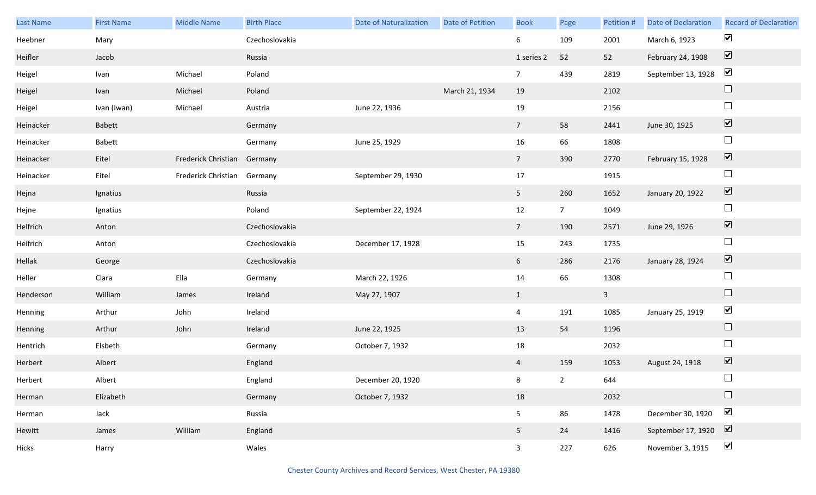| Last Name | <b>First Name</b> | <b>Middle Name</b>          | <b>Birth Place</b> | <b>Date of Naturalization</b> | <b>Date of Petition</b> | <b>Book</b>     | Page            | Petition #   | <b>Date of Declaration</b> | <b>Record of Declaration</b> |
|-----------|-------------------|-----------------------------|--------------------|-------------------------------|-------------------------|-----------------|-----------------|--------------|----------------------------|------------------------------|
| Heebner   | Mary              |                             | Czechoslovakia     |                               |                         | 6               | 109             | 2001         | March 6, 1923              | $\blacktriangledown$         |
| Heifler   | Jacob             |                             | Russia             |                               |                         | 1 series 2      | 52              | 52           | February 24, 1908          | $\boxed{\blacktriangledown}$ |
| Heigel    | Ivan              | Michael                     | Poland             |                               |                         | 7 <sup>7</sup>  | 439             | 2819         | September 13, 1928         | $\blacktriangledown$         |
| Heigel    | Ivan              | Michael                     | Poland             |                               | March 21, 1934          | 19              |                 | 2102         |                            | $\hfill \square$             |
| Heigel    | Ivan (Iwan)       | Michael                     | Austria            | June 22, 1936                 |                         | 19              |                 | 2156         |                            | $\Box$                       |
| Heinacker | <b>Babett</b>     |                             | Germany            |                               |                         | $7\overline{ }$ | 58              | 2441         | June 30, 1925              | $\boxed{\blacktriangledown}$ |
| Heinacker | Babett            |                             | Germany            | June 25, 1929                 |                         | 16              | 66              | 1808         |                            | $\Box$                       |
| Heinacker | Eitel             | Frederick Christian Germany |                    |                               |                         | 7 <sup>7</sup>  | 390             | 2770         | February 15, 1928          | $\boxed{\blacktriangledown}$ |
| Heinacker | Eitel             | Frederick Christian         | Germany            | September 29, 1930            |                         | 17              |                 | 1915         |                            | $\Box$                       |
| Hejna     | Ignatius          |                             | Russia             |                               |                         | 5 <sub>1</sub>  | 260             | 1652         | January 20, 1922           | $\boxed{\blacktriangledown}$ |
| Hejne     | Ignatius          |                             | Poland             | September 22, 1924            |                         | 12              | $7\overline{ }$ | 1049         |                            | $\Box$                       |
| Helfrich  | Anton             |                             | Czechoslovakia     |                               |                         | $7\overline{ }$ | 190             | 2571         | June 29, 1926              | $\boxed{\blacktriangledown}$ |
| Helfrich  | Anton             |                             | Czechoslovakia     | December 17, 1928             |                         | 15              | 243             | 1735         |                            | $\Box$                       |
| Hellak    | George            |                             | Czechoslovakia     |                               |                         | 6               | 286             | 2176         | January 28, 1924           | $\boxed{\blacktriangledown}$ |
| Heller    | Clara             | Ella                        | Germany            | March 22, 1926                |                         | 14              | 66              | 1308         |                            | $\Box$                       |
| Henderson | William           | James                       | Ireland            | May 27, 1907                  |                         | $\mathbf{1}$    |                 | $\mathbf{3}$ |                            | $\Box$                       |
| Henning   | Arthur            | John                        | Ireland            |                               |                         | $\overline{4}$  | 191             | 1085         | January 25, 1919           | $\blacktriangledown$         |
| Henning   | Arthur            | John                        | Ireland            | June 22, 1925                 |                         | 13              | 54              | 1196         |                            | $\hfill \square$             |
| Hentrich  | Elsbeth           |                             | Germany            | October 7, 1932               |                         | 18              |                 | 2032         |                            | $\Box$                       |
| Herbert   | Albert            |                             | England            |                               |                         | $\overline{4}$  | 159             | 1053         | August 24, 1918            | $\boxed{\blacktriangledown}$ |
| Herbert   | Albert            |                             | England            | December 20, 1920             |                         | 8               | $2^{\circ}$     | 644          |                            | $\Box$                       |
| Herman    | Elizabeth         |                             | Germany            | October 7, 1932               |                         | 18              |                 | 2032         |                            | $\Box$                       |
| Herman    | Jack              |                             | Russia             |                               |                         | 5               | 86              | 1478         | December 30, 1920          | $\blacktriangledown$         |
| Hewitt    | James             | William                     | England            |                               |                         | 5 <sub>1</sub>  | 24              | 1416         | September 17, 1920         | $\overline{\mathbf{v}}$      |
| Hicks     | Harry             |                             | Wales              |                               |                         | $\mathbf{3}$    | 227             | 626          | November 3, 1915           | $\blacktriangledown$         |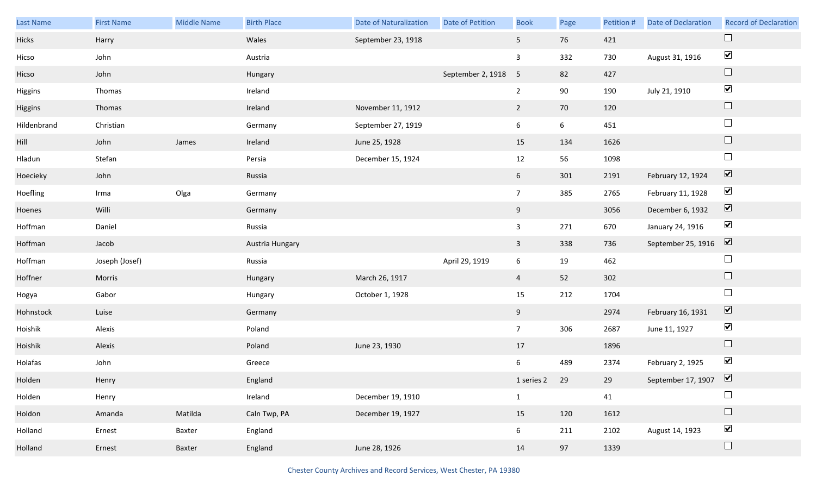| Last Name   | <b>First Name</b> | <b>Middle Name</b> | <b>Birth Place</b> | <b>Date of Naturalization</b> | Date of Petition    | <b>Book</b>     | Page            | Petition # | Date of Declaration       | <b>Record of Declaration</b> |
|-------------|-------------------|--------------------|--------------------|-------------------------------|---------------------|-----------------|-----------------|------------|---------------------------|------------------------------|
| Hicks       | Harry             |                    | Wales              | September 23, 1918            |                     | 5 <sub>5</sub>  | 76              | 421        |                           |                              |
| Hicso       | John              |                    | Austria            |                               |                     | $\mathbf{3}$    | 332             | 730        | August 31, 1916           | $\blacktriangledown$         |
| Hicso       | John              |                    | Hungary            |                               | September 2, 1918 5 |                 | 82              | 427        |                           | $\Box$                       |
| Higgins     | Thomas            |                    | Ireland            |                               |                     | $\overline{2}$  | 90              | 190        | July 21, 1910             | $\blacktriangledown$         |
| Higgins     | Thomas            |                    | Ireland            | November 11, 1912             |                     | $\overline{2}$  | $70\,$          | 120        |                           | $\Box$                       |
| Hildenbrand | Christian         |                    | Germany            | September 27, 1919            |                     | 6               | $6\overline{6}$ | 451        |                           | $\Box$                       |
| Hill        | John              | James              | Ireland            | June 25, 1928                 |                     | 15              | 134             | 1626       |                           | $\Box$                       |
| Hladun      | Stefan            |                    | Persia             | December 15, 1924             |                     | 12              | 56              | 1098       |                           | $\Box$                       |
| Hoecieky    | John              |                    | Russia             |                               |                     | 6 <sup>1</sup>  | 301             | 2191       | February 12, 1924         | $\boxed{\blacktriangledown}$ |
| Hoefling    | Irma              | Olga               | Germany            |                               |                     | $\overline{7}$  | 385             | 2765       | February 11, 1928         | $\blacktriangledown$         |
| Hoenes      | Willi             |                    | Germany            |                               |                     | 9               |                 | 3056       | December 6, 1932          | $\boxed{\blacktriangledown}$ |
| Hoffman     | Daniel            |                    | Russia             |                               |                     | $\mathbf{3}$    | 271             | 670        | January 24, 1916          | $\blacktriangledown$         |
| Hoffman     | Jacob             |                    | Austria Hungary    |                               |                     | $\mathbf{3}$    | 338             | 736        | September 25, 1916        | $\overline{\mathbf{v}}$      |
| Hoffman     | Joseph (Josef)    |                    | Russia             |                               | April 29, 1919      | 6               | 19              | 462        |                           | $\Box$                       |
| Hoffner     | Morris            |                    | Hungary            | March 26, 1917                |                     | $\overline{4}$  | 52              | 302        |                           | $\Box$                       |
| Hogya       | Gabor             |                    | Hungary            | October 1, 1928               |                     | 15              | 212             | 1704       |                           | $\Box$                       |
| Hohnstock   | Luise             |                    | Germany            |                               |                     | 9               |                 | 2974       | February 16, 1931         | $\blacktriangledown$         |
| Hoishik     | Alexis            |                    | Poland             |                               |                     | 7 <sup>7</sup>  | 306             | 2687       | June 11, 1927             | $\blacktriangledown$         |
| Hoishik     | Alexis            |                    | Poland             | June 23, 1930                 |                     | 17              |                 | 1896       |                           | $\hfill \square$             |
| Holafas     | John              |                    | Greece             |                               |                     | 6               | 489             | 2374       | February 2, 1925          | $\blacktriangledown$         |
| Holden      | Henry             |                    | England            |                               |                     | 1 series 2 29   |                 | 29         | September 17, 1907 $\Box$ |                              |
| Holden      | Henry             |                    | Ireland            | December 19, 1910             |                     | $\mathbf{1}$    |                 | 41         |                           |                              |
| Holdon      | Amanda            | Matilda            | Caln Twp, PA       | December 19, 1927             |                     | 15              | 120             | 1612       |                           | $\Box$                       |
| Holland     | Ernest            | Baxter             | England            |                               |                     | $6\overline{6}$ | 211             | 2102       | August 14, 1923           | $\blacktriangledown$         |
| Holland     | Ernest            | Baxter             | England            | June 28, 1926                 |                     | 14              | 97              | 1339       |                           | $\Box$                       |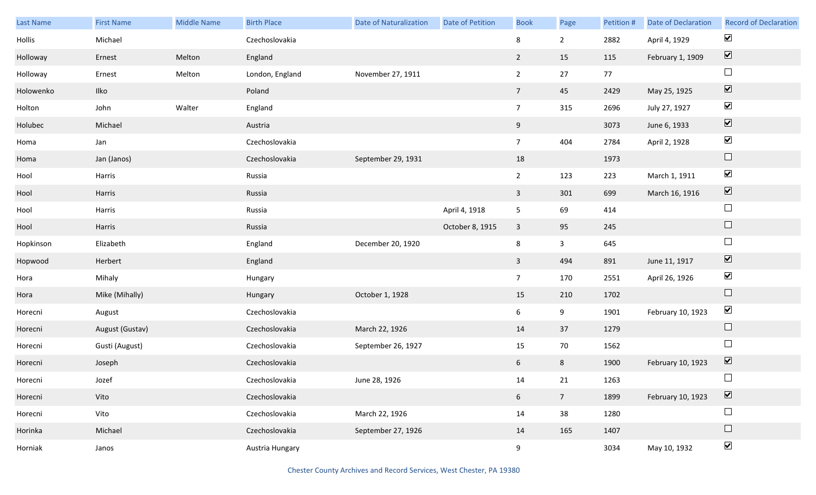| Last Name | <b>First Name</b> | <b>Middle Name</b> | <b>Birth Place</b> | <b>Date of Naturalization</b> | Date of Petition | <b>Book</b>     | Page            | Petition # | Date of Declaration | <b>Record of Declaration</b> |
|-----------|-------------------|--------------------|--------------------|-------------------------------|------------------|-----------------|-----------------|------------|---------------------|------------------------------|
| Hollis    | Michael           |                    | Czechoslovakia     |                               |                  | 8               | $2^{\circ}$     | 2882       | April 4, 1929       | $\blacktriangledown$         |
| Holloway  | Ernest            | Melton             | England            |                               |                  | $\overline{2}$  | 15              | 115        | February 1, 1909    | $\overline{\mathbf{v}}$      |
| Holloway  | Ernest            | Melton             | London, England    | November 27, 1911             |                  | $\overline{2}$  | 27              | 77         |                     | $\Box$                       |
| Holowenko | Ilko              |                    | Poland             |                               |                  | $7\overline{ }$ | 45              | 2429       | May 25, 1925        | $\overline{\mathbf{v}}$      |
| Holton    | John              | Walter             | England            |                               |                  | 7 <sup>7</sup>  | 315             | 2696       | July 27, 1927       | $\blacktriangledown$         |
| Holubec   | Michael           |                    | Austria            |                               |                  | 9               |                 | 3073       | June 6, 1933        | $\overline{\mathbf{v}}$      |
| Homa      | Jan               |                    | Czechoslovakia     |                               |                  | 7 <sup>7</sup>  | 404             | 2784       | April 2, 1928       | $\blacktriangledown$         |
| Homa      | Jan (Janos)       |                    | Czechoslovakia     | September 29, 1931            |                  | 18              |                 | 1973       |                     | $\hfill \square$             |
| Hool      | Harris            |                    | Russia             |                               |                  | $2^{\circ}$     | 123             | 223        | March 1, 1911       | $\blacktriangledown$         |
| Hool      | Harris            |                    | Russia             |                               |                  | $\overline{3}$  | 301             | 699        | March 16, 1916      | $\boxed{\blacktriangledown}$ |
| Hool      | Harris            |                    | Russia             |                               | April 4, 1918    | 5 <sub>1</sub>  | 69              | 414        |                     | $\Box$                       |
| Hool      | Harris            |                    | Russia             |                               | October 8, 1915  | $\mathbf{3}$    | 95              | 245        |                     | $\Box$                       |
| Hopkinson | Elizabeth         |                    | England            | December 20, 1920             |                  | 8               | $\mathbf{3}$    | 645        |                     | $\Box$                       |
| Hopwood   | Herbert           |                    | England            |                               |                  | $\mathbf{3}$    | 494             | 891        | June 11, 1917       | $\blacktriangledown$         |
| Hora      | Mihaly            |                    | Hungary            |                               |                  | 7 <sup>7</sup>  | 170             | 2551       | April 26, 1926      | $\blacktriangledown$         |
| Hora      | Mike (Mihally)    |                    | Hungary            | October 1, 1928               |                  | 15              | 210             | 1702       |                     | $\hfill \square$             |
| Horecni   | August            |                    | Czechoslovakia     |                               |                  | $6\overline{6}$ | 9               | 1901       | February 10, 1923   | $\blacktriangledown$         |
| Horecni   | August (Gustav)   |                    | Czechoslovakia     | March 22, 1926                |                  | 14              | 37              | 1279       |                     | $\Box$                       |
| Horecni   | Gusti (August)    |                    | Czechoslovakia     | September 26, 1927            |                  | 15              | 70              | 1562       |                     | $\Box$                       |
| Horecni   | Joseph            |                    | Czechoslovakia     |                               |                  | 6 <sup>1</sup>  | 8               | 1900       | February 10, 1923   | $\boxed{\blacktriangledown}$ |
| Horecni   | Jozef             |                    | Czechoslovakia     | June 28, 1926                 |                  | 14              | 21              | 1263       |                     | $\Box$                       |
| Horecni   | Vito              |                    | Czechoslovakia     |                               |                  | $6\overline{6}$ | $7\overline{ }$ | 1899       | February 10, 1923   | $\boxed{\blacktriangledown}$ |
| Horecni   | Vito              |                    | Czechoslovakia     | March 22, 1926                |                  | 14              | 38              | 1280       |                     | $\Box$                       |
| Horinka   | Michael           |                    | Czechoslovakia     | September 27, 1926            |                  | 14              | 165             | 1407       |                     | $\Box$                       |
| Horniak   | Janos             |                    | Austria Hungary    |                               |                  | 9               |                 | 3034       | May 10, 1932        | $\blacktriangledown$         |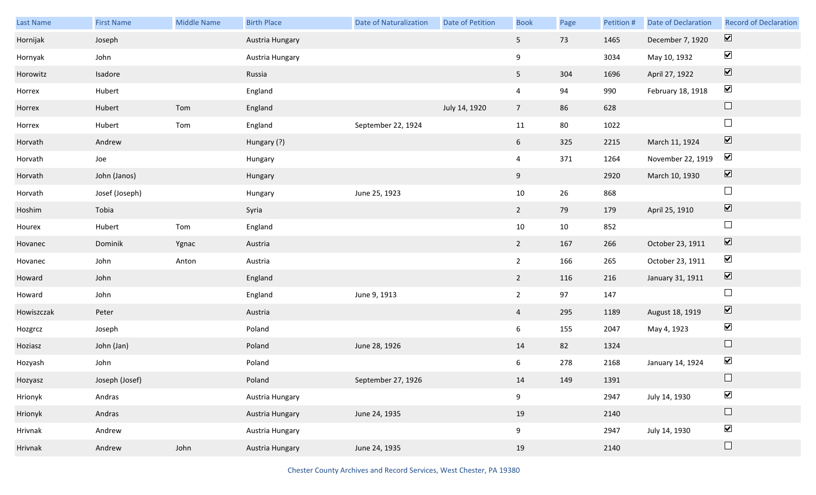| <b>Last Name</b> | <b>First Name</b> | <b>Middle Name</b> | <b>Birth Place</b> | <b>Date of Naturalization</b> | <b>Date of Petition</b> | <b>Book</b>      | Page | Petition # | <b>Date of Declaration</b> | <b>Record of Declaration</b> |
|------------------|-------------------|--------------------|--------------------|-------------------------------|-------------------------|------------------|------|------------|----------------------------|------------------------------|
| Hornijak         | Joseph            |                    | Austria Hungary    |                               |                         | 5 <sub>1</sub>   | 73   | 1465       | December 7, 1920           | $\overline{\mathbf{v}}$      |
| Hornyak          | John              |                    | Austria Hungary    |                               |                         | $\boldsymbol{9}$ |      | 3034       | May 10, 1932               | $\blacktriangleright$        |
| Horowitz         | Isadore           |                    | Russia             |                               |                         | 5 <sub>1</sub>   | 304  | 1696       | April 27, 1922             | $\boxed{\blacktriangledown}$ |
| Horrex           | Hubert            |                    | England            |                               |                         | $\overline{4}$   | 94   | 990        | February 18, 1918          | $\blacktriangledown$         |
| Horrex           | Hubert            | Tom                | England            |                               | July 14, 1920           | 7 <sup>7</sup>   | 86   | 628        |                            | $\Box$                       |
| Horrex           | Hubert            | Tom                | England            | September 22, 1924            |                         | 11               | 80   | 1022       |                            | $\Box$                       |
| Horvath          | Andrew            |                    | Hungary (?)        |                               |                         | 6                | 325  | 2215       | March 11, 1924             | $\boxed{\blacktriangledown}$ |
| Horvath          | Joe               |                    | Hungary            |                               |                         | $\overline{4}$   | 371  | 1264       | November 22, 1919          | $\blacktriangledown$         |
| Horvath          | John (Janos)      |                    | Hungary            |                               |                         | 9                |      | 2920       | March 10, 1930             | $\boxed{\blacktriangledown}$ |
| Horvath          | Josef (Joseph)    |                    | Hungary            | June 25, 1923                 |                         | 10               | 26   | 868        |                            | $\Box$                       |
| Hoshim           | Tobia             |                    | Syria              |                               |                         | $2^{\circ}$      | 79   | 179        | April 25, 1910             | $\boxed{\blacktriangledown}$ |
| Hourex           | Hubert            | Tom                | England            |                               |                         | 10               | 10   | 852        |                            | $\Box$                       |
| Hovanec          | Dominik           | Ygnac              | Austria            |                               |                         | $2^{\circ}$      | 167  | 266        | October 23, 1911           | $\boxed{\blacktriangledown}$ |
| Hovanec          | John              | Anton              | Austria            |                               |                         | $\overline{2}$   | 166  | 265        | October 23, 1911           | $\blacktriangledown$         |
| Howard           | John              |                    | England            |                               |                         | $2^{\circ}$      | 116  | 216        | January 31, 1911           | $\boxed{\blacktriangledown}$ |
| Howard           | John              |                    | England            | June 9, 1913                  |                         | $\overline{2}$   | 97   | 147        |                            | $\Box$                       |
| Howiszczak       | Peter             |                    | Austria            |                               |                         | $\overline{4}$   | 295  | 1189       | August 18, 1919            | $\boxed{\blacktriangledown}$ |
| Hozgrcz          | Joseph            |                    | Poland             |                               |                         | 6                | 155  | 2047       | May 4, 1923                | $\blacktriangleright$        |
| Hoziasz          | John (Jan)        |                    | Poland             | June 28, 1926                 |                         | 14               | 82   | 1324       |                            | $\Box$                       |
| Hozyash          | John              |                    | Poland             |                               |                         | 6 <sup>1</sup>   | 278  | 2168       | January 14, 1924           | $\blacktriangledown$         |
| Hozyasz          | Joseph (Josef)    |                    | Poland             | September 27, 1926            |                         | 14               | 149  | 1391       |                            |                              |
| Hrionyk          | Andras            |                    | Austria Hungary    |                               |                         | 9                |      | 2947       | July 14, 1930              | $\blacktriangledown$         |
| Hrionyk          | Andras            |                    | Austria Hungary    | June 24, 1935                 |                         | 19               |      | 2140       |                            | $\Box$                       |
| Hrivnak          | Andrew            |                    | Austria Hungary    |                               |                         | 9                |      | 2947       | July 14, 1930              | $\blacktriangledown$         |
| Hrivnak          | Andrew            | John               | Austria Hungary    | June 24, 1935                 |                         | 19               |      | 2140       |                            | $\Box$                       |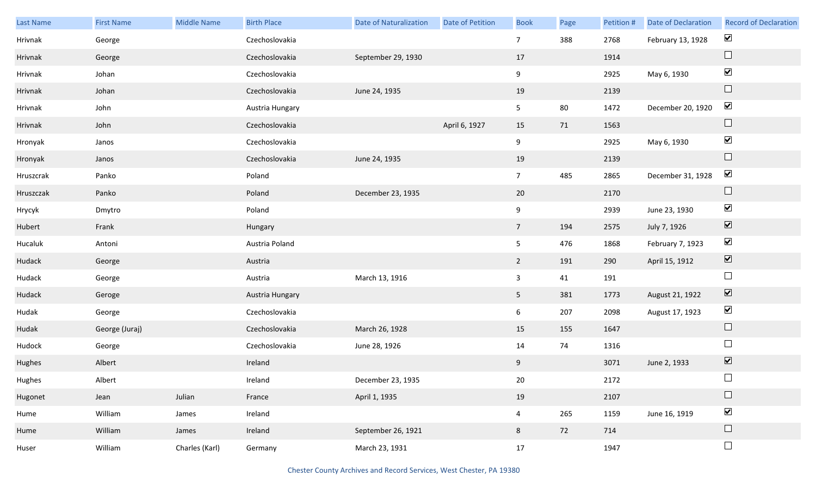| <b>Last Name</b> | <b>First Name</b> | Middle Name    | <b>Birth Place</b> | <b>Date of Naturalization</b> | Date of Petition | <b>Book</b>     | Page   | Petition # | <b>Date of Declaration</b> | <b>Record of Declaration</b> |
|------------------|-------------------|----------------|--------------------|-------------------------------|------------------|-----------------|--------|------------|----------------------------|------------------------------|
| Hrivnak          | George            |                | Czechoslovakia     |                               |                  | $\overline{7}$  | 388    | 2768       | February 13, 1928          | $\blacktriangledown$         |
| Hrivnak          | George            |                | Czechoslovakia     | September 29, 1930            |                  | 17              |        | 1914       |                            | $\Box$                       |
| Hrivnak          | Johan             |                | Czechoslovakia     |                               |                  | 9               |        | 2925       | May 6, 1930                | $\blacktriangledown$         |
| Hrivnak          | Johan             |                | Czechoslovakia     | June 24, 1935                 |                  | 19              |        | 2139       |                            | $\hfill \square$             |
| Hrivnak          | John              |                | Austria Hungary    |                               |                  | 5 <sub>1</sub>  | $80\,$ | 1472       | December 20, 1920          | $\blacktriangledown$         |
| Hrivnak          | John              |                | Czechoslovakia     |                               | April 6, 1927    | 15              | 71     | 1563       |                            | $\Box$                       |
| Hronyak          | Janos             |                | Czechoslovakia     |                               |                  | 9               |        | 2925       | May 6, 1930                | $\blacktriangledown$         |
| Hronyak          | Janos             |                | Czechoslovakia     | June 24, 1935                 |                  | 19              |        | 2139       |                            | $\Box$                       |
| Hruszcrak        | Panko             |                | Poland             |                               |                  | 7 <sup>7</sup>  | 485    | 2865       | December 31, 1928          | $\blacktriangledown$         |
| Hruszczak        | Panko             |                | Poland             | December 23, 1935             |                  | 20              |        | 2170       |                            | $\Box$                       |
| Hrycyk           | Dmytro            |                | Poland             |                               |                  | 9               |        | 2939       | June 23, 1930              | $\blacktriangledown$         |
| Hubert           | Frank             |                | Hungary            |                               |                  | $7\overline{ }$ | 194    | 2575       | July 7, 1926               | $\boxed{\blacktriangledown}$ |
| Hucaluk          | Antoni            |                | Austria Poland     |                               |                  | 5 <sub>5</sub>  | 476    | 1868       | February 7, 1923           | $\blacktriangledown$         |
| Hudack           | George            |                | Austria            |                               |                  | $\overline{2}$  | 191    | 290        | April 15, 1912             | $\boxed{\blacktriangledown}$ |
| Hudack           | George            |                | Austria            | March 13, 1916                |                  | $\mathbf{3}$    | 41     | 191        |                            | $\Box$                       |
| Hudack           | Geroge            |                | Austria Hungary    |                               |                  | 5 <sub>5</sub>  | 381    | 1773       | August 21, 1922            | $\overline{\mathbf{v}}$      |
| Hudak            | George            |                | Czechoslovakia     |                               |                  | 6 <sup>1</sup>  | 207    | 2098       | August 17, 1923            | $\blacktriangledown$         |
| Hudak            | George (Juraj)    |                | Czechoslovakia     | March 26, 1928                |                  | 15              | 155    | 1647       |                            | $\Box$                       |
| Hudock           | George            |                | Czechoslovakia     | June 28, 1926                 |                  | 14              | 74     | 1316       |                            | $\Box$                       |
| Hughes           | Albert            |                | Ireland            |                               |                  | 9               |        | 3071       | June 2, 1933               | $\boxed{\blacktriangledown}$ |
| Hughes           | Albert            |                | Ireland            | December 23, 1935             |                  | 20              |        | 2172       |                            | $\Box$                       |
| Hugonet          | Jean              | Julian         | France             | April 1, 1935                 |                  | 19              |        | 2107       |                            | $\Box$                       |
| Hume             | William           | James          | Ireland            |                               |                  | $\overline{4}$  | 265    | 1159       | June 16, 1919              | $\blacktriangledown$         |
| Hume             | William           | James          | Ireland            | September 26, 1921            |                  | 8               | 72     | 714        |                            | $\Box$                       |
| Huser            | William           | Charles (Karl) | Germany            | March 23, 1931                |                  | 17              |        | 1947       |                            | $\Box$                       |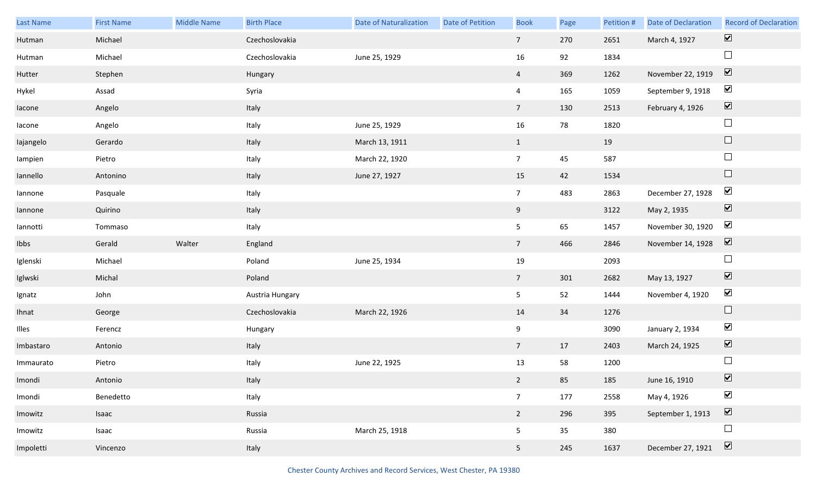| <b>Last Name</b> | <b>First Name</b> | Middle Name | <b>Birth Place</b> | <b>Date of Naturalization</b> | Date of Petition | <b>Book</b>     | Page | Petition # | Date of Declaration | <b>Record of Declaration</b> |
|------------------|-------------------|-------------|--------------------|-------------------------------|------------------|-----------------|------|------------|---------------------|------------------------------|
| Hutman           | Michael           |             | Czechoslovakia     |                               |                  | 7 <sup>7</sup>  | 270  | 2651       | March 4, 1927       | $\overline{\mathbf{v}}$      |
| Hutman           | Michael           |             | Czechoslovakia     | June 25, 1929                 |                  | 16              | 92   | 1834       |                     | $\Box$                       |
| Hutter           | Stephen           |             | Hungary            |                               |                  | $\overline{4}$  | 369  | 1262       | November 22, 1919   | $\boxed{\mathbf{v}}$         |
| Hykel            | Assad             |             | Syria              |                               |                  | $\overline{4}$  | 165  | 1059       | September 9, 1918   | $\blacktriangledown$         |
| lacone           | Angelo            |             | Italy              |                               |                  | 7 <sup>7</sup>  | 130  | 2513       | February 4, 1926    | $\boxed{\blacktriangledown}$ |
| lacone           | Angelo            |             | Italy              | June 25, 1929                 |                  | 16              | 78   | 1820       |                     | $\Box$                       |
| lajangelo        | Gerardo           |             | Italy              | March 13, 1911                |                  | $\mathbf{1}$    |      | 19         |                     | $\Box$                       |
| lampien          | Pietro            |             | Italy              | March 22, 1920                |                  | $7\overline{ }$ | 45   | 587        |                     | $\Box$                       |
| lannello         | Antonino          |             | Italy              | June 27, 1927                 |                  | 15              | 42   | 1534       |                     | $\Box$                       |
| lannone          | Pasquale          |             | Italy              |                               |                  | $7\overline{ }$ | 483  | 2863       | December 27, 1928   | $\blacktriangledown$         |
| lannone          | Quirino           |             | Italy              |                               |                  | 9               |      | 3122       | May 2, 1935         | $\boxed{\blacktriangledown}$ |
| lannotti         | Tommaso           |             | Italy              |                               |                  | 5 <sub>1</sub>  | 65   | 1457       | November 30, 1920   | $\blacktriangledown$         |
| Ibbs             | Gerald            | Walter      | England            |                               |                  | 7 <sup>7</sup>  | 466  | 2846       | November 14, 1928   | $\boxed{\blacktriangledown}$ |
| Iglenski         | Michael           |             | Poland             | June 25, 1934                 |                  | 19              |      | 2093       |                     | $\Box$                       |
| Iglwski          | Michal            |             | Poland             |                               |                  | $7\overline{ }$ | 301  | 2682       | May 13, 1927        | $\boxed{\blacktriangledown}$ |
| Ignatz           | John              |             | Austria Hungary    |                               |                  | 5 <sub>5</sub>  | 52   | 1444       | November 4, 1920    | $\blacktriangledown$         |
| Ihnat            | George            |             | Czechoslovakia     | March 22, 1926                |                  | 14              | 34   | 1276       |                     | $\Box$                       |
| Illes            | Ferencz           |             | Hungary            |                               |                  | 9               |      | 3090       | January 2, 1934     | $\blacktriangledown$         |
| Imbastaro        | Antonio           |             | Italy              |                               |                  | $7\overline{ }$ | 17   | 2403       | March 24, 1925      | $\overline{\mathbf{v}}$      |
| Immaurato        | Pietro            |             | Italy              | June 22, 1925                 |                  | 13              | 58   | 1200       |                     | $\Box$                       |
| Imondi           | Antonio           |             | Italy              |                               |                  | $2^{\circ}$     | 85   | 185        | June 16, 1910       | $\boxed{\blacktriangledown}$ |
| Imondi           | Benedetto         |             | Italy              |                               |                  | $7\overline{ }$ | 177  | 2558       | May 4, 1926         | $\blacktriangledown$         |
| Imowitz          | Isaac             |             | Russia             |                               |                  | $2^{\circ}$     | 296  | 395        | September 1, 1913   | $\overline{\mathbf{v}}$      |
| Imowitz          | Isaac             |             | Russia             | March 25, 1918                |                  | 5               | 35   | 380        |                     | $\Box$                       |
| Impoletti        | Vincenzo          |             | Italy              |                               |                  | 5 <sub>1</sub>  | 245  | 1637       | December 27, 1921   | $\boxed{\blacktriangledown}$ |